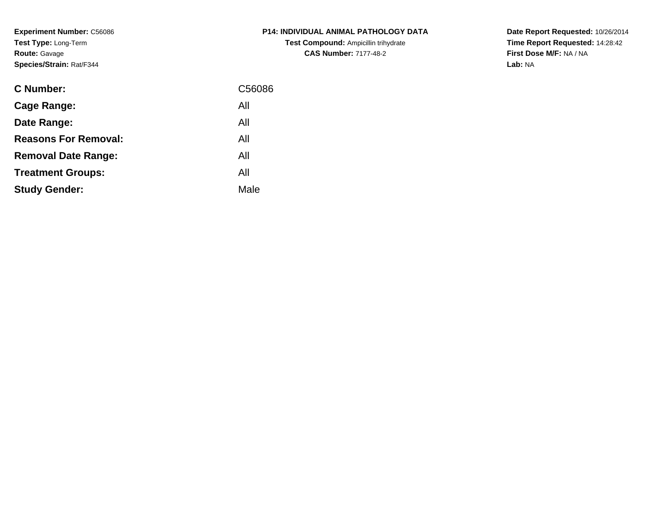**Experiment Number:** C56086**Test Type:** Long-Term**Route:** Gavage**Species/Strain:** Rat/F344

| C Number:                   | C56086 |
|-----------------------------|--------|
| Cage Range:                 | All    |
| Date Range:                 | All    |
| <b>Reasons For Removal:</b> | All    |
| <b>Removal Date Range:</b>  | All    |
| <b>Treatment Groups:</b>    | All    |
| <b>Study Gender:</b>        | Male   |
|                             |        |

## **P14: INDIVIDUAL ANIMAL PATHOLOGY DATATest Compound:** Ampicillin trihydrate**CAS Number:** 7177-48-2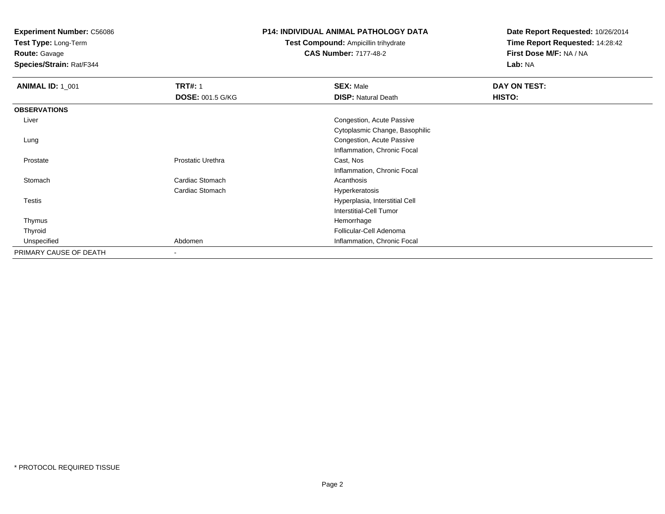**Test Type:** Long-Term

**Route:** Gavage

**Species/Strain:** Rat/F344

#### **P14: INDIVIDUAL ANIMAL PATHOLOGY DATA**

**Test Compound:** Ampicillin trihydrate**CAS Number:** 7177-48-2

| <b>ANIMAL ID: 1_001</b> | <b>TRT#: 1</b>          | <b>SEX: Male</b>               | DAY ON TEST: |
|-------------------------|-------------------------|--------------------------------|--------------|
|                         | <b>DOSE: 001.5 G/KG</b> | <b>DISP: Natural Death</b>     | HISTO:       |
| <b>OBSERVATIONS</b>     |                         |                                |              |
| Liver                   |                         | Congestion, Acute Passive      |              |
|                         |                         | Cytoplasmic Change, Basophilic |              |
| Lung                    |                         | Congestion, Acute Passive      |              |
|                         |                         | Inflammation, Chronic Focal    |              |
| Prostate                | Prostatic Urethra       | Cast, Nos                      |              |
|                         |                         | Inflammation, Chronic Focal    |              |
| Stomach                 | Cardiac Stomach         | Acanthosis                     |              |
|                         | Cardiac Stomach         | Hyperkeratosis                 |              |
| <b>Testis</b>           |                         | Hyperplasia, Interstitial Cell |              |
|                         |                         | <b>Interstitial-Cell Tumor</b> |              |
| Thymus                  |                         | Hemorrhage                     |              |
| Thyroid                 |                         | Follicular-Cell Adenoma        |              |
| Unspecified             | Abdomen                 | Inflammation, Chronic Focal    |              |
| PRIMARY CAUSE OF DEATH  |                         |                                |              |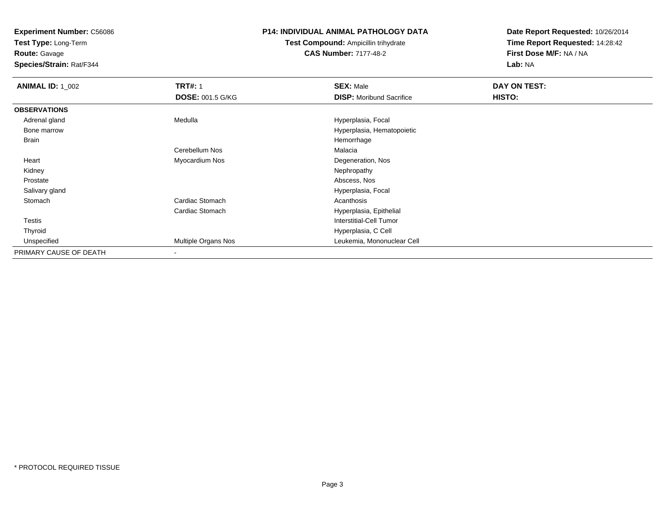**Test Type:** Long-Term

**Route:** Gavage

**Species/Strain:** Rat/F344

#### **P14: INDIVIDUAL ANIMAL PATHOLOGY DATA**

**Test Compound:** Ampicillin trihydrate**CAS Number:** 7177-48-2

| <b>ANIMAL ID: 1_002</b> | <b>TRT#: 1</b>           | <b>SEX: Male</b>                | DAY ON TEST: |  |
|-------------------------|--------------------------|---------------------------------|--------------|--|
|                         | <b>DOSE: 001.5 G/KG</b>  | <b>DISP:</b> Moribund Sacrifice | HISTO:       |  |
| <b>OBSERVATIONS</b>     |                          |                                 |              |  |
| Adrenal gland           | Medulla                  | Hyperplasia, Focal              |              |  |
| Bone marrow             |                          | Hyperplasia, Hematopoietic      |              |  |
| Brain                   |                          | Hemorrhage                      |              |  |
|                         | Cerebellum Nos           | Malacia                         |              |  |
| Heart                   | Myocardium Nos           | Degeneration, Nos               |              |  |
| Kidney                  |                          | Nephropathy                     |              |  |
| Prostate                |                          | Abscess, Nos                    |              |  |
| Salivary gland          |                          | Hyperplasia, Focal              |              |  |
| Stomach                 | Cardiac Stomach          | Acanthosis                      |              |  |
|                         | Cardiac Stomach          | Hyperplasia, Epithelial         |              |  |
| Testis                  |                          | <b>Interstitial-Cell Tumor</b>  |              |  |
| Thyroid                 |                          | Hyperplasia, C Cell             |              |  |
| Unspecified             | Multiple Organs Nos      | Leukemia, Mononuclear Cell      |              |  |
| PRIMARY CAUSE OF DEATH  | $\overline{\phantom{a}}$ |                                 |              |  |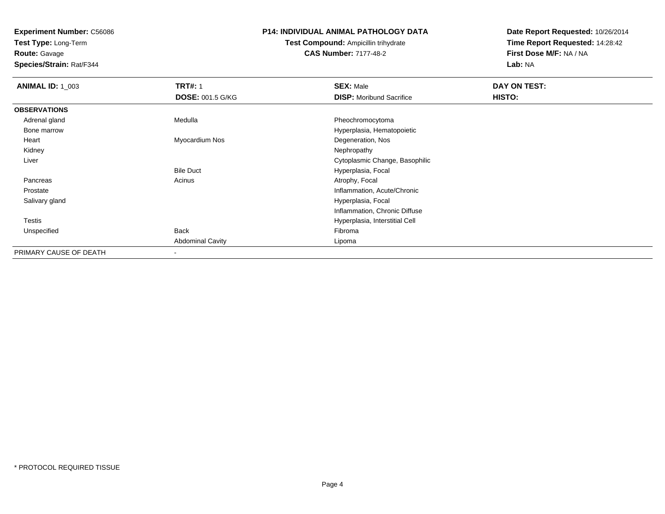**Test Type:** Long-Term

**Route:** Gavage

**Species/Strain:** Rat/F344

#### **P14: INDIVIDUAL ANIMAL PATHOLOGY DATA**

#### **Test Compound:** Ampicillin trihydrate**CAS Number:** 7177-48-2

| <b>ANIMAL ID: 1_003</b> | <b>TRT#: 1</b>          | <b>SEX: Male</b>                | DAY ON TEST: |  |
|-------------------------|-------------------------|---------------------------------|--------------|--|
|                         | <b>DOSE: 001.5 G/KG</b> | <b>DISP:</b> Moribund Sacrifice | HISTO:       |  |
| <b>OBSERVATIONS</b>     |                         |                                 |              |  |
| Adrenal gland           | Medulla                 | Pheochromocytoma                |              |  |
| Bone marrow             |                         | Hyperplasia, Hematopoietic      |              |  |
| Heart                   | Myocardium Nos          | Degeneration, Nos               |              |  |
| Kidney                  |                         | Nephropathy                     |              |  |
| Liver                   |                         | Cytoplasmic Change, Basophilic  |              |  |
|                         | <b>Bile Duct</b>        | Hyperplasia, Focal              |              |  |
| Pancreas                | Acinus                  | Atrophy, Focal                  |              |  |
| Prostate                |                         | Inflammation, Acute/Chronic     |              |  |
| Salivary gland          |                         | Hyperplasia, Focal              |              |  |
|                         |                         | Inflammation, Chronic Diffuse   |              |  |
| Testis                  |                         | Hyperplasia, Interstitial Cell  |              |  |
| Unspecified             | <b>Back</b>             | Fibroma                         |              |  |
|                         | <b>Abdominal Cavity</b> | Lipoma                          |              |  |
| PRIMARY CAUSE OF DEATH  |                         |                                 |              |  |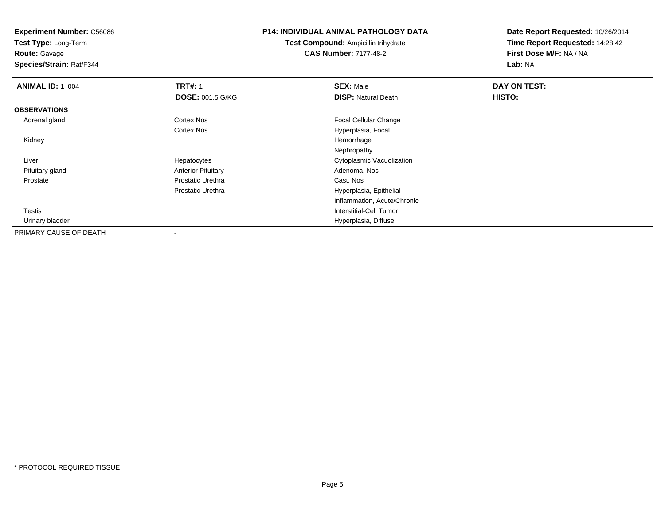**Test Type:** Long-Term

**Route:** Gavage

**Species/Strain:** Rat/F344

#### **P14: INDIVIDUAL ANIMAL PATHOLOGY DATA**

**Test Compound:** Ampicillin trihydrate**CAS Number:** 7177-48-2

| <b>ANIMAL ID: 1_004</b> | <b>TRT#: 1</b>            | <b>SEX: Male</b>               | DAY ON TEST: |  |
|-------------------------|---------------------------|--------------------------------|--------------|--|
|                         | <b>DOSE: 001.5 G/KG</b>   | <b>DISP: Natural Death</b>     | HISTO:       |  |
| <b>OBSERVATIONS</b>     |                           |                                |              |  |
| Adrenal gland           | Cortex Nos                | <b>Focal Cellular Change</b>   |              |  |
|                         | <b>Cortex Nos</b>         | Hyperplasia, Focal             |              |  |
| Kidney                  |                           | Hemorrhage                     |              |  |
|                         |                           | Nephropathy                    |              |  |
| Liver                   | Hepatocytes               | Cytoplasmic Vacuolization      |              |  |
| Pituitary gland         | <b>Anterior Pituitary</b> | Adenoma, Nos                   |              |  |
| Prostate                | <b>Prostatic Urethra</b>  | Cast, Nos                      |              |  |
|                         | <b>Prostatic Urethra</b>  | Hyperplasia, Epithelial        |              |  |
|                         |                           | Inflammation, Acute/Chronic    |              |  |
| Testis                  |                           | <b>Interstitial-Cell Tumor</b> |              |  |
| Urinary bladder         |                           | Hyperplasia, Diffuse           |              |  |
| PRIMARY CAUSE OF DEATH  |                           |                                |              |  |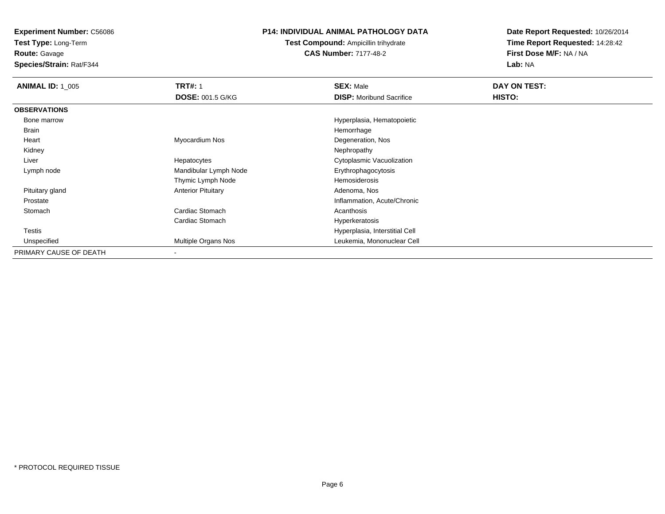**Test Type:** Long-Term

**Route:** Gavage

**Species/Strain:** Rat/F344

#### **P14: INDIVIDUAL ANIMAL PATHOLOGY DATA**

**Test Compound:** Ampicillin trihydrate**CAS Number:** 7177-48-2

| <b>ANIMAL ID: 1_005</b> | <b>TRT#: 1</b>            | <b>SEX: Male</b>                | DAY ON TEST: |  |
|-------------------------|---------------------------|---------------------------------|--------------|--|
|                         | <b>DOSE: 001.5 G/KG</b>   | <b>DISP:</b> Moribund Sacrifice | HISTO:       |  |
| <b>OBSERVATIONS</b>     |                           |                                 |              |  |
| Bone marrow             |                           | Hyperplasia, Hematopoietic      |              |  |
| Brain                   |                           | Hemorrhage                      |              |  |
| Heart                   | Myocardium Nos            | Degeneration, Nos               |              |  |
| Kidney                  |                           | Nephropathy                     |              |  |
| Liver                   | Hepatocytes               | Cytoplasmic Vacuolization       |              |  |
| Lymph node              | Mandibular Lymph Node     | Erythrophagocytosis             |              |  |
|                         | Thymic Lymph Node         | Hemosiderosis                   |              |  |
| Pituitary gland         | <b>Anterior Pituitary</b> | Adenoma, Nos                    |              |  |
| Prostate                |                           | Inflammation, Acute/Chronic     |              |  |
| Stomach                 | Cardiac Stomach           | Acanthosis                      |              |  |
|                         | Cardiac Stomach           | Hyperkeratosis                  |              |  |
| Testis                  |                           | Hyperplasia, Interstitial Cell  |              |  |
| Unspecified             | Multiple Organs Nos       | Leukemia, Mononuclear Cell      |              |  |
| PRIMARY CAUSE OF DEATH  | ۰                         |                                 |              |  |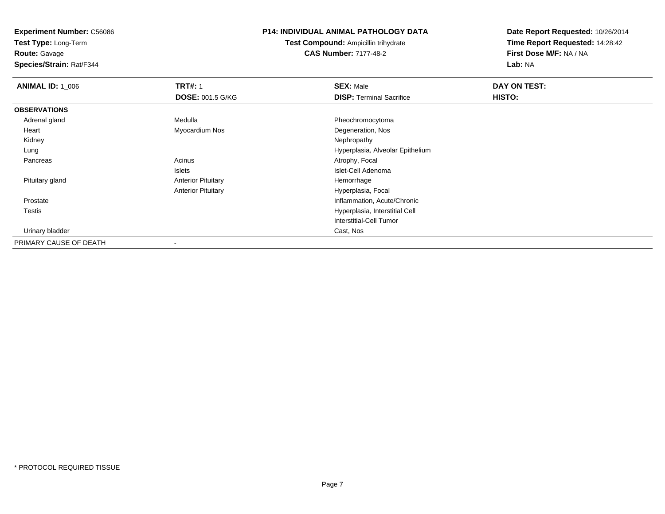**Test Type:** Long-Term

**Route:** Gavage

**Species/Strain:** Rat/F344

#### **P14: INDIVIDUAL ANIMAL PATHOLOGY DATA**

**Test Compound:** Ampicillin trihydrate**CAS Number:** 7177-48-2

| <b>ANIMAL ID: 1_006</b> | <b>TRT#: 1</b>            | <b>SEX: Male</b>                 | DAY ON TEST: |  |
|-------------------------|---------------------------|----------------------------------|--------------|--|
|                         | <b>DOSE: 001.5 G/KG</b>   | <b>DISP:</b> Terminal Sacrifice  | HISTO:       |  |
| <b>OBSERVATIONS</b>     |                           |                                  |              |  |
| Adrenal gland           | Medulla                   | Pheochromocytoma                 |              |  |
| Heart                   | Myocardium Nos            | Degeneration, Nos                |              |  |
| Kidney                  |                           | Nephropathy                      |              |  |
| Lung                    |                           | Hyperplasia, Alveolar Epithelium |              |  |
| Pancreas                | Acinus                    | Atrophy, Focal                   |              |  |
|                         | Islets                    | Islet-Cell Adenoma               |              |  |
| Pituitary gland         | <b>Anterior Pituitary</b> | Hemorrhage                       |              |  |
|                         | <b>Anterior Pituitary</b> | Hyperplasia, Focal               |              |  |
| Prostate                |                           | Inflammation, Acute/Chronic      |              |  |
| Testis                  |                           | Hyperplasia, Interstitial Cell   |              |  |
|                         |                           | <b>Interstitial-Cell Tumor</b>   |              |  |
| Urinary bladder         |                           | Cast, Nos                        |              |  |
| PRIMARY CAUSE OF DEATH  |                           |                                  |              |  |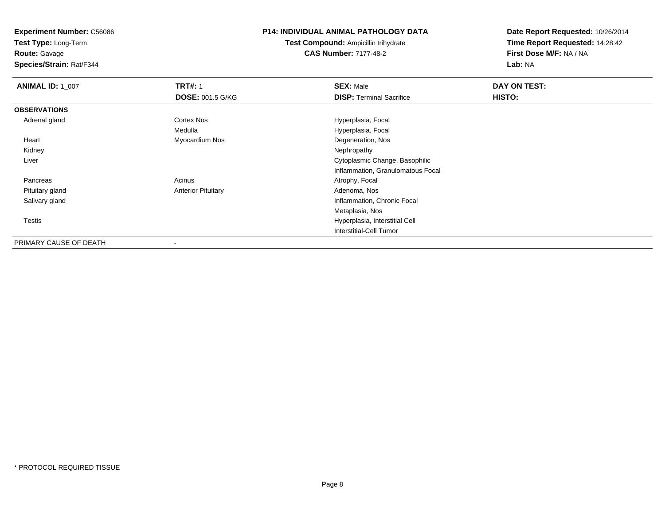**Test Type:** Long-Term

**Route:** Gavage

**Species/Strain:** Rat/F344

#### **P14: INDIVIDUAL ANIMAL PATHOLOGY DATA**

**Test Compound:** Ampicillin trihydrate**CAS Number:** 7177-48-2

| <b>ANIMAL ID: 1_007</b> | <b>TRT#: 1</b>            | <b>SEX: Male</b>                  | DAY ON TEST: |  |
|-------------------------|---------------------------|-----------------------------------|--------------|--|
|                         | <b>DOSE: 001.5 G/KG</b>   | <b>DISP: Terminal Sacrifice</b>   | HISTO:       |  |
| <b>OBSERVATIONS</b>     |                           |                                   |              |  |
| Adrenal gland           | Cortex Nos                | Hyperplasia, Focal                |              |  |
|                         | Medulla                   | Hyperplasia, Focal                |              |  |
| Heart                   | Myocardium Nos            | Degeneration, Nos                 |              |  |
| Kidney                  |                           | Nephropathy                       |              |  |
| Liver                   |                           | Cytoplasmic Change, Basophilic    |              |  |
|                         |                           | Inflammation, Granulomatous Focal |              |  |
| Pancreas                | Acinus                    | Atrophy, Focal                    |              |  |
| Pituitary gland         | <b>Anterior Pituitary</b> | Adenoma, Nos                      |              |  |
| Salivary gland          |                           | Inflammation, Chronic Focal       |              |  |
|                         |                           | Metaplasia, Nos                   |              |  |
| Testis                  |                           | Hyperplasia, Interstitial Cell    |              |  |
|                         |                           | Interstitial-Cell Tumor           |              |  |
| PRIMARY CAUSE OF DEATH  | ٠                         |                                   |              |  |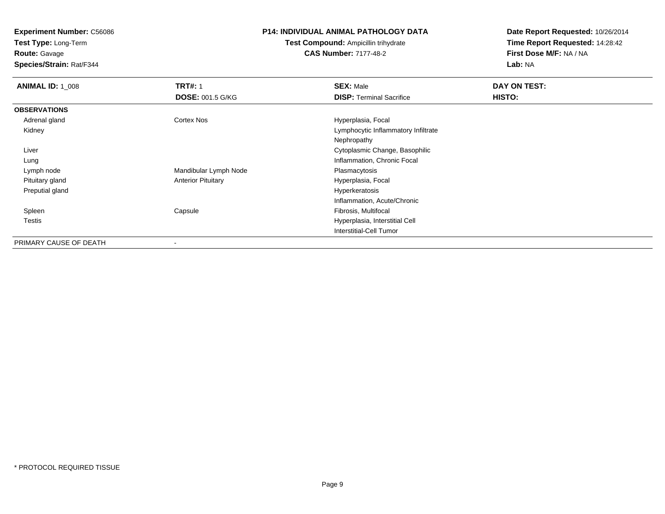**Test Type:** Long-Term

**Route:** Gavage

**Species/Strain:** Rat/F344

#### **P14: INDIVIDUAL ANIMAL PATHOLOGY DATA**

**Test Compound:** Ampicillin trihydrate**CAS Number:** 7177-48-2

| <b>ANIMAL ID: 1 008</b> | <b>TRT#: 1</b>            | <b>SEX: Male</b>                    | DAY ON TEST: |
|-------------------------|---------------------------|-------------------------------------|--------------|
|                         | <b>DOSE: 001.5 G/KG</b>   | <b>DISP: Terminal Sacrifice</b>     | HISTO:       |
| <b>OBSERVATIONS</b>     |                           |                                     |              |
| Adrenal gland           | Cortex Nos                | Hyperplasia, Focal                  |              |
| Kidney                  |                           | Lymphocytic Inflammatory Infiltrate |              |
|                         |                           | Nephropathy                         |              |
| Liver                   |                           | Cytoplasmic Change, Basophilic      |              |
| Lung                    |                           | Inflammation, Chronic Focal         |              |
| Lymph node              | Mandibular Lymph Node     | Plasmacytosis                       |              |
| Pituitary gland         | <b>Anterior Pituitary</b> | Hyperplasia, Focal                  |              |
| Preputial gland         |                           | Hyperkeratosis                      |              |
|                         |                           | Inflammation, Acute/Chronic         |              |
| Spleen                  | Capsule                   | Fibrosis, Multifocal                |              |
| Testis                  |                           | Hyperplasia, Interstitial Cell      |              |
|                         |                           | Interstitial-Cell Tumor             |              |
| PRIMARY CAUSE OF DEATH  | ٠                         |                                     |              |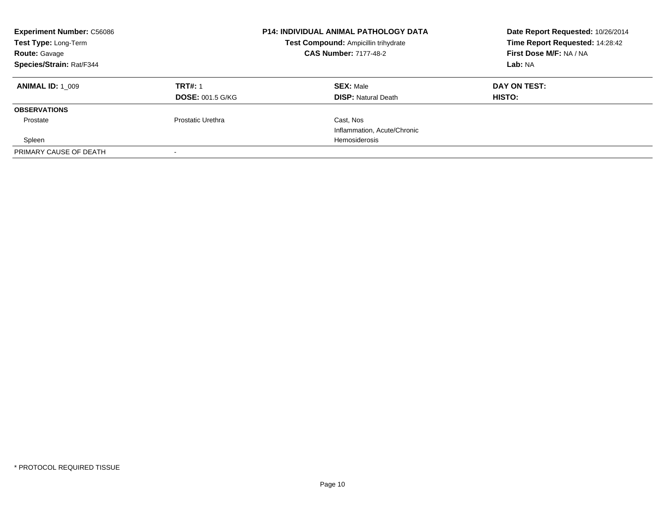| <b>Experiment Number: C56086</b><br>Test Type: Long-Term<br><b>Route: Gavage</b><br><b>Species/Strain: Rat/F344</b> |                          | <b>P14: INDIVIDUAL ANIMAL PATHOLOGY DATA</b><br>Test Compound: Ampicillin trihydrate<br><b>CAS Number: 7177-48-2</b> | Date Report Requested: 10/26/2014<br>Time Report Requested: 14:28:42<br>First Dose M/F: NA / NA<br>Lab: NA |
|---------------------------------------------------------------------------------------------------------------------|--------------------------|----------------------------------------------------------------------------------------------------------------------|------------------------------------------------------------------------------------------------------------|
| <b>ANIMAL ID: 1 009</b>                                                                                             | <b>TRT#: 1</b>           | <b>SEX: Male</b>                                                                                                     | DAY ON TEST:                                                                                               |
|                                                                                                                     | <b>DOSE: 001.5 G/KG</b>  | <b>DISP: Natural Death</b>                                                                                           | HISTO:                                                                                                     |
| <b>OBSERVATIONS</b>                                                                                                 |                          |                                                                                                                      |                                                                                                            |
| Prostate                                                                                                            | <b>Prostatic Urethra</b> | Cast. Nos                                                                                                            |                                                                                                            |
|                                                                                                                     |                          | Inflammation, Acute/Chronic                                                                                          |                                                                                                            |
| Spleen                                                                                                              |                          | Hemosiderosis                                                                                                        |                                                                                                            |
| PRIMARY CAUSE OF DEATH                                                                                              |                          |                                                                                                                      |                                                                                                            |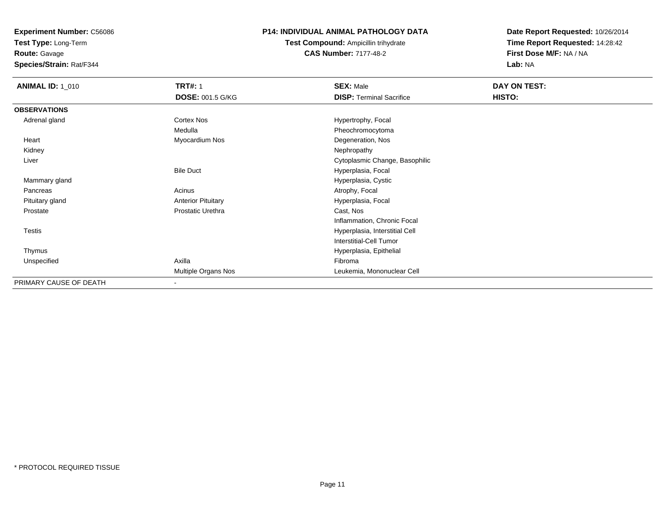**Test Type:** Long-Term

**Route:** Gavage

**Species/Strain:** Rat/F344

#### **P14: INDIVIDUAL ANIMAL PATHOLOGY DATA**

**Test Compound:** Ampicillin trihydrate**CAS Number:** 7177-48-2

| <b>ANIMAL ID: 1 010</b> | <b>TRT#: 1</b>            | <b>SEX: Male</b>                | DAY ON TEST: |  |
|-------------------------|---------------------------|---------------------------------|--------------|--|
|                         | <b>DOSE: 001.5 G/KG</b>   | <b>DISP: Terminal Sacrifice</b> | HISTO:       |  |
| <b>OBSERVATIONS</b>     |                           |                                 |              |  |
| Adrenal gland           | Cortex Nos                | Hypertrophy, Focal              |              |  |
|                         | Medulla                   | Pheochromocytoma                |              |  |
| Heart                   | Myocardium Nos            | Degeneration, Nos               |              |  |
| Kidney                  |                           | Nephropathy                     |              |  |
| Liver                   |                           | Cytoplasmic Change, Basophilic  |              |  |
|                         | <b>Bile Duct</b>          | Hyperplasia, Focal              |              |  |
| Mammary gland           |                           | Hyperplasia, Cystic             |              |  |
| Pancreas                | Acinus                    | Atrophy, Focal                  |              |  |
| Pituitary gland         | <b>Anterior Pituitary</b> | Hyperplasia, Focal              |              |  |
| Prostate                | Prostatic Urethra         | Cast, Nos                       |              |  |
|                         |                           | Inflammation, Chronic Focal     |              |  |
| Testis                  |                           | Hyperplasia, Interstitial Cell  |              |  |
|                         |                           | <b>Interstitial-Cell Tumor</b>  |              |  |
| Thymus                  |                           | Hyperplasia, Epithelial         |              |  |
| Unspecified             | Axilla                    | Fibroma                         |              |  |
|                         | Multiple Organs Nos       | Leukemia, Mononuclear Cell      |              |  |
| PRIMARY CAUSE OF DEATH  | $\overline{\phantom{a}}$  |                                 |              |  |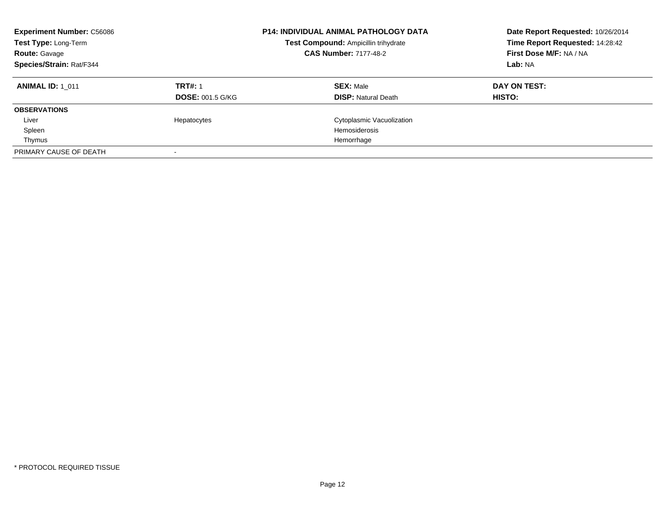| <b>Experiment Number: C56086</b><br>Test Type: Long-Term<br><b>Route: Gavage</b><br>Species/Strain: Rat/F344 |                         | <b>P14: INDIVIDUAL ANIMAL PATHOLOGY DATA</b><br>Test Compound: Ampicillin trihydrate<br><b>CAS Number: 7177-48-2</b> | Date Report Requested: 10/26/2014<br>Time Report Requested: 14:28:42<br>First Dose M/F: NA / NA<br>Lab: NA |
|--------------------------------------------------------------------------------------------------------------|-------------------------|----------------------------------------------------------------------------------------------------------------------|------------------------------------------------------------------------------------------------------------|
| <b>ANIMAL ID: 1 011</b>                                                                                      | <b>TRT#: 1</b>          | <b>SEX: Male</b>                                                                                                     | DAY ON TEST:                                                                                               |
|                                                                                                              | <b>DOSE: 001.5 G/KG</b> | <b>DISP:</b> Natural Death                                                                                           | HISTO:                                                                                                     |
| <b>OBSERVATIONS</b>                                                                                          |                         |                                                                                                                      |                                                                                                            |
| Liver                                                                                                        | Hepatocytes             | Cytoplasmic Vacuolization                                                                                            |                                                                                                            |
| Spleen                                                                                                       |                         | Hemosiderosis                                                                                                        |                                                                                                            |
| Thymus                                                                                                       |                         | Hemorrhage                                                                                                           |                                                                                                            |
| PRIMARY CAUSE OF DEATH                                                                                       |                         |                                                                                                                      |                                                                                                            |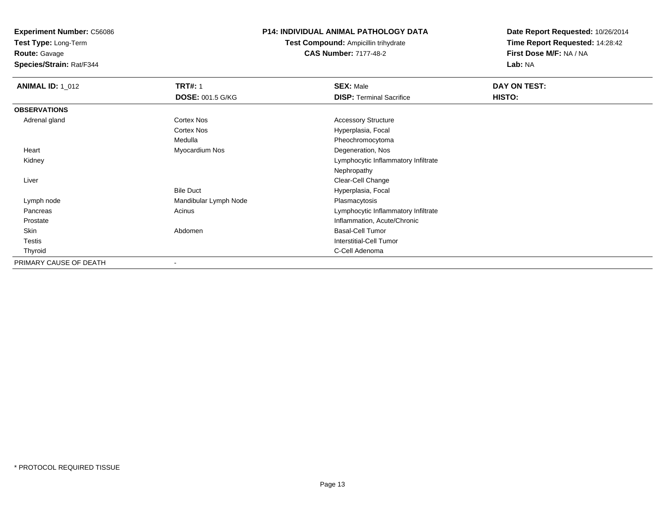**Test Type:** Long-Term

**Route:** Gavage

**Species/Strain:** Rat/F344

#### **P14: INDIVIDUAL ANIMAL PATHOLOGY DATA**

**Test Compound:** Ampicillin trihydrate**CAS Number:** 7177-48-2

| <b>ANIMAL ID: 1_012</b> | <b>TRT#: 1</b>           | <b>SEX: Male</b>                    | DAY ON TEST:  |  |
|-------------------------|--------------------------|-------------------------------------|---------------|--|
|                         | <b>DOSE: 001.5 G/KG</b>  | <b>DISP: Terminal Sacrifice</b>     | <b>HISTO:</b> |  |
| <b>OBSERVATIONS</b>     |                          |                                     |               |  |
| Adrenal gland           | Cortex Nos               | <b>Accessory Structure</b>          |               |  |
|                         | Cortex Nos               | Hyperplasia, Focal                  |               |  |
|                         | Medulla                  | Pheochromocytoma                    |               |  |
| Heart                   | Myocardium Nos           | Degeneration, Nos                   |               |  |
| Kidney                  |                          | Lymphocytic Inflammatory Infiltrate |               |  |
|                         |                          | Nephropathy                         |               |  |
| Liver                   |                          | Clear-Cell Change                   |               |  |
|                         | <b>Bile Duct</b>         | Hyperplasia, Focal                  |               |  |
| Lymph node              | Mandibular Lymph Node    | Plasmacytosis                       |               |  |
| Pancreas                | Acinus                   | Lymphocytic Inflammatory Infiltrate |               |  |
| Prostate                |                          | Inflammation, Acute/Chronic         |               |  |
| Skin                    | Abdomen                  | <b>Basal-Cell Tumor</b>             |               |  |
| <b>Testis</b>           |                          | <b>Interstitial-Cell Tumor</b>      |               |  |
| Thyroid                 |                          | C-Cell Adenoma                      |               |  |
| PRIMARY CAUSE OF DEATH  | $\overline{\phantom{a}}$ |                                     |               |  |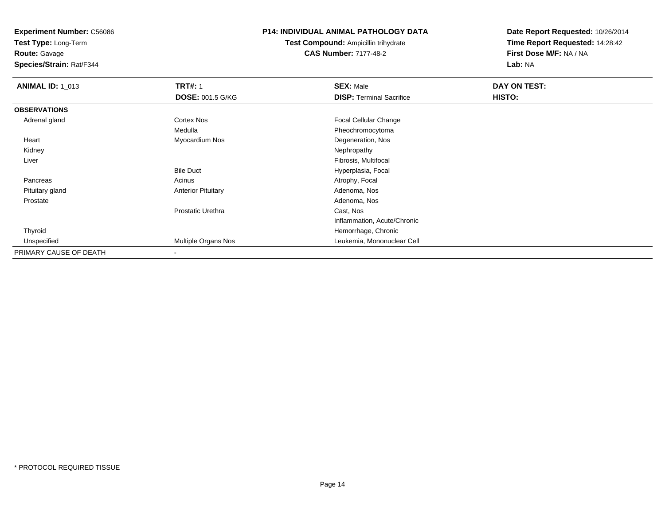**Test Type:** Long-Term

**Route:** Gavage

**Species/Strain:** Rat/F344

#### **P14: INDIVIDUAL ANIMAL PATHOLOGY DATA**

**Test Compound:** Ampicillin trihydrate**CAS Number:** 7177-48-2

| <b>ANIMAL ID: 1_013</b> | <b>TRT#: 1</b>            | <b>SEX: Male</b>                | DAY ON TEST: |  |
|-------------------------|---------------------------|---------------------------------|--------------|--|
|                         | <b>DOSE: 001.5 G/KG</b>   | <b>DISP: Terminal Sacrifice</b> | HISTO:       |  |
| <b>OBSERVATIONS</b>     |                           |                                 |              |  |
| Adrenal gland           | Cortex Nos                | Focal Cellular Change           |              |  |
|                         | Medulla                   | Pheochromocytoma                |              |  |
| Heart                   | Myocardium Nos            | Degeneration, Nos               |              |  |
| Kidney                  |                           | Nephropathy                     |              |  |
| Liver                   |                           | Fibrosis, Multifocal            |              |  |
|                         | <b>Bile Duct</b>          | Hyperplasia, Focal              |              |  |
| Pancreas                | Acinus                    | Atrophy, Focal                  |              |  |
| Pituitary gland         | <b>Anterior Pituitary</b> | Adenoma, Nos                    |              |  |
| Prostate                |                           | Adenoma, Nos                    |              |  |
|                         | Prostatic Urethra         | Cast, Nos                       |              |  |
|                         |                           | Inflammation, Acute/Chronic     |              |  |
| Thyroid                 |                           | Hemorrhage, Chronic             |              |  |
| Unspecified             | Multiple Organs Nos       | Leukemia, Mononuclear Cell      |              |  |
| PRIMARY CAUSE OF DEATH  | $\overline{\phantom{a}}$  |                                 |              |  |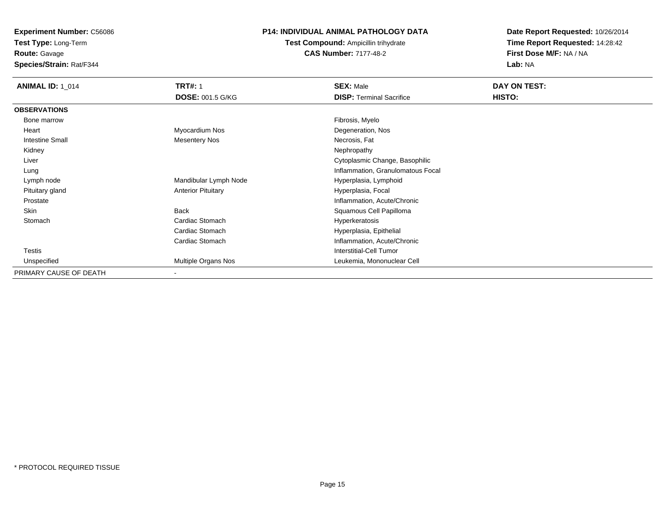**Test Type:** Long-Term

**Route:** Gavage

**Species/Strain:** Rat/F344

#### **P14: INDIVIDUAL ANIMAL PATHOLOGY DATA**

**Test Compound:** Ampicillin trihydrate**CAS Number:** 7177-48-2

| <b>ANIMAL ID: 1_014</b> | <b>TRT#: 1</b>            | <b>SEX: Male</b>                  | DAY ON TEST: |  |
|-------------------------|---------------------------|-----------------------------------|--------------|--|
|                         | <b>DOSE: 001.5 G/KG</b>   | <b>DISP: Terminal Sacrifice</b>   | HISTO:       |  |
| <b>OBSERVATIONS</b>     |                           |                                   |              |  |
| Bone marrow             |                           | Fibrosis, Myelo                   |              |  |
| Heart                   | Myocardium Nos            | Degeneration, Nos                 |              |  |
| <b>Intestine Small</b>  | <b>Mesentery Nos</b>      | Necrosis, Fat                     |              |  |
| Kidney                  |                           | Nephropathy                       |              |  |
| Liver                   |                           | Cytoplasmic Change, Basophilic    |              |  |
| Lung                    |                           | Inflammation, Granulomatous Focal |              |  |
| Lymph node              | Mandibular Lymph Node     | Hyperplasia, Lymphoid             |              |  |
| Pituitary gland         | <b>Anterior Pituitary</b> | Hyperplasia, Focal                |              |  |
| Prostate                |                           | Inflammation, Acute/Chronic       |              |  |
| Skin                    | <b>Back</b>               | Squamous Cell Papilloma           |              |  |
| Stomach                 | Cardiac Stomach           | Hyperkeratosis                    |              |  |
|                         | Cardiac Stomach           | Hyperplasia, Epithelial           |              |  |
|                         | Cardiac Stomach           | Inflammation, Acute/Chronic       |              |  |
| Testis                  |                           | Interstitial-Cell Tumor           |              |  |
| Unspecified             | Multiple Organs Nos       | Leukemia, Mononuclear Cell        |              |  |
| PRIMARY CAUSE OF DEATH  | $\overline{\phantom{a}}$  |                                   |              |  |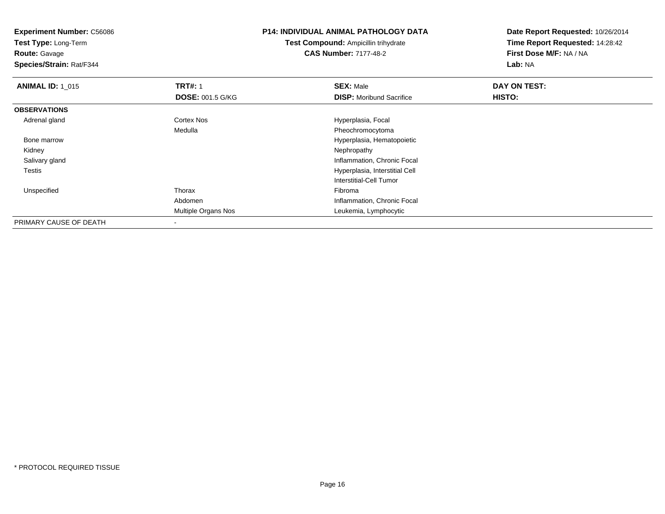**Experiment Number:** C56086**Test Type:** Long-Term**Route:** Gavage **Species/Strain:** Rat/F344**P14: INDIVIDUAL ANIMAL PATHOLOGY DATATest Compound:** Ampicillin trihydrate**CAS Number:** 7177-48-2**Date Report Requested:** 10/26/2014**Time Report Requested:** 14:28:42**First Dose M/F:** NA / NA**Lab:** NA**ANIMAL ID: 1\_015 TRT#:** <sup>1</sup> **SEX:** Male **DAY ON TEST: DOSE:** 001.5 G/KG**DISP:** Moribund Sacrifice **HISTO: OBSERVATIONS** Adrenal glandCortex Nos **Hyperplasia**, Focal Medulla Pheochromocytoma Bone marrowHyperplasia, Hematopoietic<br>Nephropathy Kidneyy the control of the control of the control of the control of the control of the control of the control of the control of the control of the control of the control of the control of the control of the control of the contro Salivary gland Inflammation, Chronic Focal Testis Hyperplasia, Interstitial Cell Interstitial-Cell Tumor Unspecified Thorax Fibroma Abdomen Inflammation, Chronic Focal Multiple Organs Nos Leukemia, Lymphocytic PRIMARY CAUSE OF DEATH-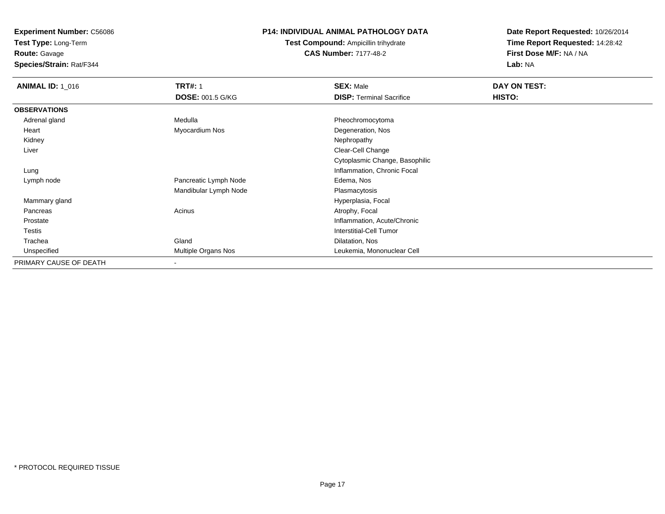**Test Type:** Long-Term

**Route:** Gavage

**Species/Strain:** Rat/F344

#### **P14: INDIVIDUAL ANIMAL PATHOLOGY DATA**

**Test Compound:** Ampicillin trihydrate**CAS Number:** 7177-48-2

| <b>ANIMAL ID: 1_016</b> | <b>TRT#: 1</b>          | <b>SEX: Male</b>                | DAY ON TEST: |  |
|-------------------------|-------------------------|---------------------------------|--------------|--|
|                         | <b>DOSE: 001.5 G/KG</b> | <b>DISP:</b> Terminal Sacrifice | HISTO:       |  |
| <b>OBSERVATIONS</b>     |                         |                                 |              |  |
| Adrenal gland           | Medulla                 | Pheochromocytoma                |              |  |
| Heart                   | Myocardium Nos          | Degeneration, Nos               |              |  |
| Kidney                  |                         | Nephropathy                     |              |  |
| Liver                   |                         | Clear-Cell Change               |              |  |
|                         |                         | Cytoplasmic Change, Basophilic  |              |  |
| Lung                    |                         | Inflammation, Chronic Focal     |              |  |
| Lymph node              | Pancreatic Lymph Node   | Edema, Nos                      |              |  |
|                         | Mandibular Lymph Node   | Plasmacytosis                   |              |  |
| Mammary gland           |                         | Hyperplasia, Focal              |              |  |
| Pancreas                | Acinus                  | Atrophy, Focal                  |              |  |
| Prostate                |                         | Inflammation, Acute/Chronic     |              |  |
| Testis                  |                         | Interstitial-Cell Tumor         |              |  |
| Trachea                 | Gland                   | Dilatation, Nos                 |              |  |
| Unspecified             | Multiple Organs Nos     | Leukemia, Mononuclear Cell      |              |  |
| PRIMARY CAUSE OF DEATH  | ۰                       |                                 |              |  |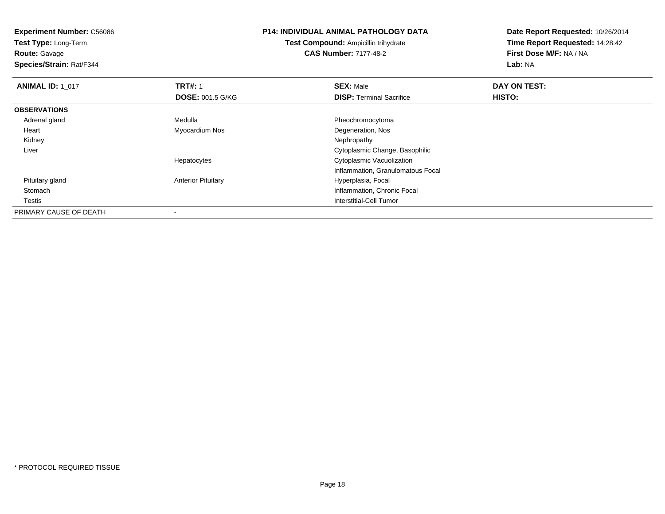**Experiment Number:** C56086**Test Type:** Long-Term**Route:** Gavage **Species/Strain:** Rat/F344**P14: INDIVIDUAL ANIMAL PATHOLOGY DATATest Compound:** Ampicillin trihydrate**CAS Number:** 7177-48-2**Date Report Requested:** 10/26/2014**Time Report Requested:** 14:28:42**First Dose M/F:** NA / NA**Lab:** NA**ANIMAL ID: 1\_017 TRT#:** <sup>1</sup> **SEX:** Male **DAY ON TEST: DOSE:** 001.5 G/KG**DISP:** Terminal Sacrifice **HISTO: OBSERVATIONS** Adrenal glandMedulla **Pheochromocytoma**  Heart Myocardium NosDegeneration, Nos<br>Nephropathy Kidneyy the control of the control of the control of the control of the control of the control of the control of the control of the control of the control of the control of the control of the control of the control of the contro Liver Cytoplasmic Change, BasophilicHepatocytes Cytoplasmic Vacuolization Inflammation, Granulomatous Focal Pituitary glandAnterior Pituitary **Hyperplasia**, Focal Stomach Inflammation, Chronic Focal **Testis**  Interstitial-Cell Tumor PRIMARY CAUSE OF DEATH-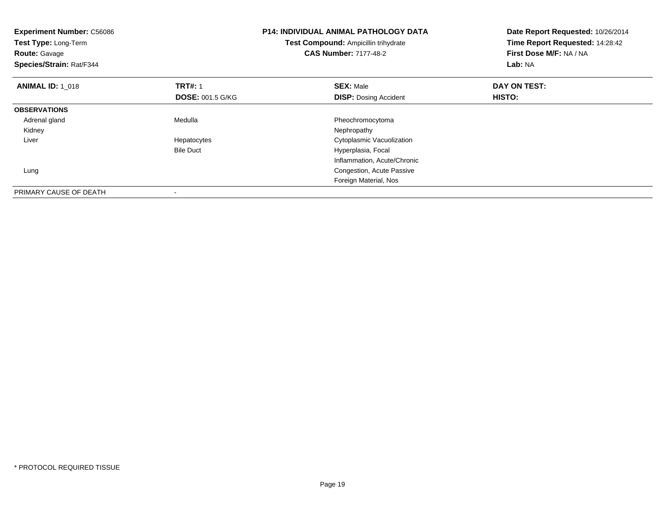| <b>Experiment Number: C56086</b><br>Test Type: Long-Term<br><b>Route: Gavage</b><br>Species/Strain: Rat/F344 |                         | <b>P14: INDIVIDUAL ANIMAL PATHOLOGY DATA</b><br>Test Compound: Ampicillin trihydrate<br><b>CAS Number: 7177-48-2</b> | Date Report Requested: 10/26/2014<br>Time Report Requested: 14:28:42<br>First Dose M/F: NA / NA<br>Lab: NA |
|--------------------------------------------------------------------------------------------------------------|-------------------------|----------------------------------------------------------------------------------------------------------------------|------------------------------------------------------------------------------------------------------------|
| <b>ANIMAL ID: 1 018</b>                                                                                      | <b>TRT#: 1</b>          | <b>SEX: Male</b>                                                                                                     | DAY ON TEST:                                                                                               |
|                                                                                                              | <b>DOSE: 001.5 G/KG</b> | <b>DISP: Dosing Accident</b>                                                                                         | HISTO:                                                                                                     |
| <b>OBSERVATIONS</b>                                                                                          |                         |                                                                                                                      |                                                                                                            |
| Adrenal gland                                                                                                | Medulla                 | Pheochromocytoma                                                                                                     |                                                                                                            |
| Kidney                                                                                                       |                         | Nephropathy                                                                                                          |                                                                                                            |
| Liver                                                                                                        | Hepatocytes             | Cytoplasmic Vacuolization                                                                                            |                                                                                                            |
|                                                                                                              | <b>Bile Duct</b>        | Hyperplasia, Focal                                                                                                   |                                                                                                            |
|                                                                                                              |                         | Inflammation, Acute/Chronic                                                                                          |                                                                                                            |
| Lung                                                                                                         |                         | Congestion, Acute Passive                                                                                            |                                                                                                            |
|                                                                                                              |                         | Foreign Material, Nos                                                                                                |                                                                                                            |
| PRIMARY CAUSE OF DEATH                                                                                       |                         |                                                                                                                      |                                                                                                            |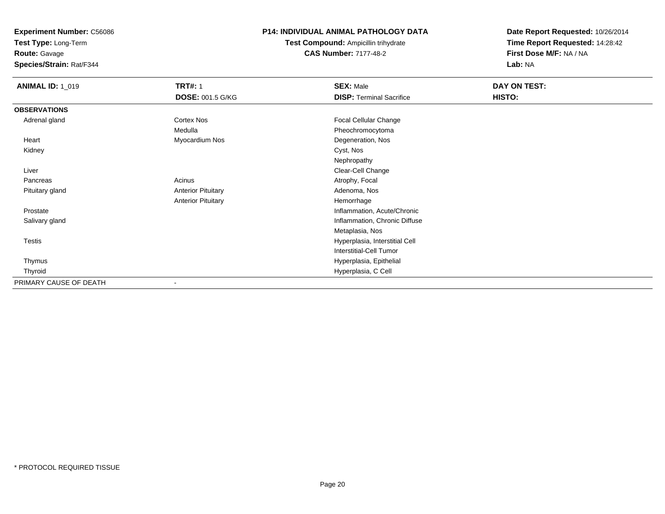**Test Type:** Long-Term

**Route:** Gavage

**Species/Strain:** Rat/F344

#### **P14: INDIVIDUAL ANIMAL PATHOLOGY DATA**

**Test Compound:** Ampicillin trihydrate**CAS Number:** 7177-48-2

| <b>ANIMAL ID: 1_019</b> | <b>TRT#: 1</b>            | <b>SEX: Male</b>                | DAY ON TEST: |
|-------------------------|---------------------------|---------------------------------|--------------|
|                         | <b>DOSE: 001.5 G/KG</b>   | <b>DISP: Terminal Sacrifice</b> | HISTO:       |
| <b>OBSERVATIONS</b>     |                           |                                 |              |
| Adrenal gland           | Cortex Nos                | Focal Cellular Change           |              |
|                         | Medulla                   | Pheochromocytoma                |              |
| Heart                   | Myocardium Nos            | Degeneration, Nos               |              |
| Kidney                  |                           | Cyst, Nos                       |              |
|                         |                           | Nephropathy                     |              |
| Liver                   |                           | Clear-Cell Change               |              |
| Pancreas                | Acinus                    | Atrophy, Focal                  |              |
| Pituitary gland         | <b>Anterior Pituitary</b> | Adenoma, Nos                    |              |
|                         | <b>Anterior Pituitary</b> | Hemorrhage                      |              |
| Prostate                |                           | Inflammation, Acute/Chronic     |              |
| Salivary gland          |                           | Inflammation, Chronic Diffuse   |              |
|                         |                           | Metaplasia, Nos                 |              |
| Testis                  |                           | Hyperplasia, Interstitial Cell  |              |
|                         |                           | Interstitial-Cell Tumor         |              |
| Thymus                  |                           | Hyperplasia, Epithelial         |              |
| Thyroid                 |                           | Hyperplasia, C Cell             |              |
| PRIMARY CAUSE OF DEATH  |                           |                                 |              |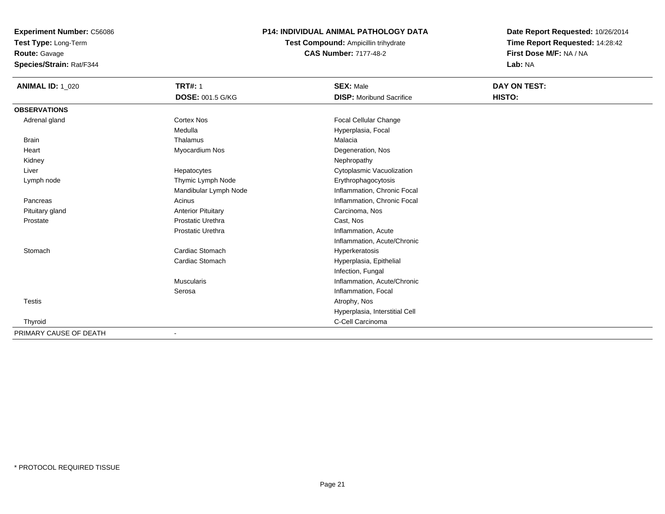**Test Type:** Long-Term

**Route:** Gavage

**Species/Strain:** Rat/F344

#### **P14: INDIVIDUAL ANIMAL PATHOLOGY DATA**

**Test Compound:** Ampicillin trihydrate**CAS Number:** 7177-48-2

| <b>ANIMAL ID: 1_020</b> | <b>TRT#: 1</b>            | <b>SEX: Male</b>                | DAY ON TEST: |  |
|-------------------------|---------------------------|---------------------------------|--------------|--|
|                         | <b>DOSE: 001.5 G/KG</b>   | <b>DISP:</b> Moribund Sacrifice | HISTO:       |  |
| <b>OBSERVATIONS</b>     |                           |                                 |              |  |
| Adrenal gland           | <b>Cortex Nos</b>         | Focal Cellular Change           |              |  |
|                         | Medulla                   | Hyperplasia, Focal              |              |  |
| <b>Brain</b>            | Thalamus                  | Malacia                         |              |  |
| Heart                   | Myocardium Nos            | Degeneration, Nos               |              |  |
| Kidney                  |                           | Nephropathy                     |              |  |
| Liver                   | Hepatocytes               | Cytoplasmic Vacuolization       |              |  |
| Lymph node              | Thymic Lymph Node         | Erythrophagocytosis             |              |  |
|                         | Mandibular Lymph Node     | Inflammation, Chronic Focal     |              |  |
| Pancreas                | Acinus                    | Inflammation, Chronic Focal     |              |  |
| Pituitary gland         | <b>Anterior Pituitary</b> | Carcinoma, Nos                  |              |  |
| Prostate                | <b>Prostatic Urethra</b>  | Cast, Nos                       |              |  |
|                         | <b>Prostatic Urethra</b>  | Inflammation, Acute             |              |  |
|                         |                           | Inflammation, Acute/Chronic     |              |  |
| Stomach                 | Cardiac Stomach           | Hyperkeratosis                  |              |  |
|                         | Cardiac Stomach           | Hyperplasia, Epithelial         |              |  |
|                         |                           | Infection, Fungal               |              |  |
|                         | <b>Muscularis</b>         | Inflammation, Acute/Chronic     |              |  |
|                         | Serosa                    | Inflammation, Focal             |              |  |
| Testis                  |                           | Atrophy, Nos                    |              |  |
|                         |                           | Hyperplasia, Interstitial Cell  |              |  |
| Thyroid                 |                           | C-Cell Carcinoma                |              |  |
| PRIMARY CAUSE OF DEATH  |                           |                                 |              |  |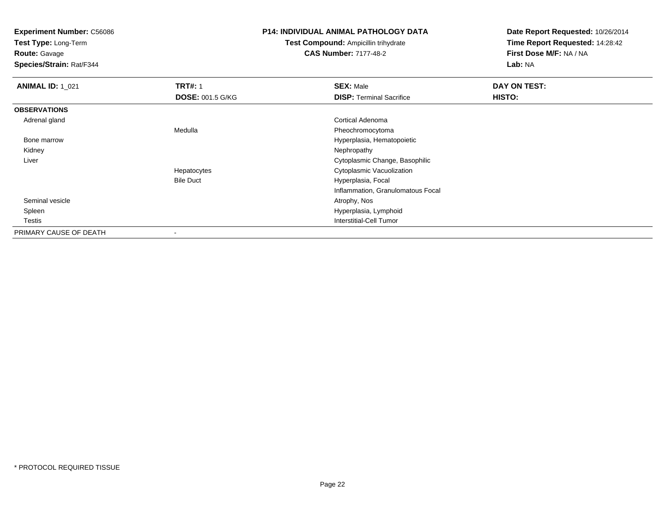**Test Type:** Long-Term

# **Route:** Gavage

**Species/Strain:** Rat/F344

#### **P14: INDIVIDUAL ANIMAL PATHOLOGY DATA**

## **Test Compound:** Ampicillin trihydrate**CAS Number:** 7177-48-2

| <b>ANIMAL ID: 1_021</b> | <b>TRT#: 1</b>          | <b>SEX: Male</b>                  | DAY ON TEST: |
|-------------------------|-------------------------|-----------------------------------|--------------|
|                         | <b>DOSE: 001.5 G/KG</b> | <b>DISP:</b> Terminal Sacrifice   | HISTO:       |
| <b>OBSERVATIONS</b>     |                         |                                   |              |
| Adrenal gland           |                         | Cortical Adenoma                  |              |
|                         | Medulla                 | Pheochromocytoma                  |              |
| Bone marrow             |                         | Hyperplasia, Hematopoietic        |              |
| Kidney                  |                         | Nephropathy                       |              |
| Liver                   |                         | Cytoplasmic Change, Basophilic    |              |
|                         | Hepatocytes             | Cytoplasmic Vacuolization         |              |
|                         | <b>Bile Duct</b>        | Hyperplasia, Focal                |              |
|                         |                         | Inflammation, Granulomatous Focal |              |
| Seminal vesicle         |                         | Atrophy, Nos                      |              |
| Spleen                  |                         | Hyperplasia, Lymphoid             |              |
| Testis                  |                         | Interstitial-Cell Tumor           |              |
| PRIMARY CAUSE OF DEATH  |                         |                                   |              |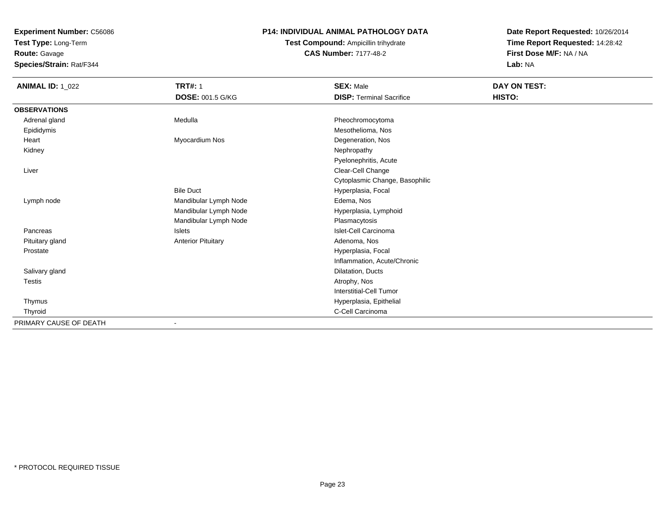**Test Type:** Long-Term

**Route:** Gavage

**Species/Strain:** Rat/F344

#### **P14: INDIVIDUAL ANIMAL PATHOLOGY DATA**

## **Test Compound:** Ampicillin trihydrate**CAS Number:** 7177-48-2

| <b>ANIMAL ID: 1_022</b> | <b>TRT#: 1</b>            | <b>SEX: Male</b>                | DAY ON TEST: |  |
|-------------------------|---------------------------|---------------------------------|--------------|--|
|                         | <b>DOSE: 001.5 G/KG</b>   | <b>DISP: Terminal Sacrifice</b> | HISTO:       |  |
| <b>OBSERVATIONS</b>     |                           |                                 |              |  |
| Adrenal gland           | Medulla                   | Pheochromocytoma                |              |  |
| Epididymis              |                           | Mesothelioma, Nos               |              |  |
| Heart                   | Myocardium Nos            | Degeneration, Nos               |              |  |
| Kidney                  |                           | Nephropathy                     |              |  |
|                         |                           | Pyelonephritis, Acute           |              |  |
| Liver                   |                           | Clear-Cell Change               |              |  |
|                         |                           | Cytoplasmic Change, Basophilic  |              |  |
|                         | <b>Bile Duct</b>          | Hyperplasia, Focal              |              |  |
| Lymph node              | Mandibular Lymph Node     | Edema, Nos                      |              |  |
|                         | Mandibular Lymph Node     | Hyperplasia, Lymphoid           |              |  |
|                         | Mandibular Lymph Node     | Plasmacytosis                   |              |  |
| Pancreas                | Islets                    | Islet-Cell Carcinoma            |              |  |
| Pituitary gland         | <b>Anterior Pituitary</b> | Adenoma, Nos                    |              |  |
| Prostate                |                           | Hyperplasia, Focal              |              |  |
|                         |                           | Inflammation, Acute/Chronic     |              |  |
| Salivary gland          |                           | Dilatation, Ducts               |              |  |
| Testis                  |                           | Atrophy, Nos                    |              |  |
|                         |                           | Interstitial-Cell Tumor         |              |  |
| Thymus                  |                           | Hyperplasia, Epithelial         |              |  |
| Thyroid                 |                           | C-Cell Carcinoma                |              |  |
| PRIMARY CAUSE OF DEATH  | $\blacksquare$            |                                 |              |  |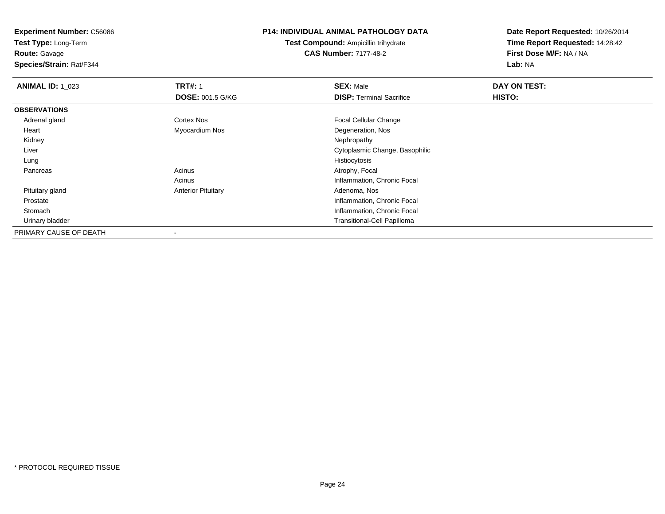**Test Type:** Long-Term

**Route:** Gavage

**Species/Strain:** Rat/F344

#### **P14: INDIVIDUAL ANIMAL PATHOLOGY DATA**

**Test Compound:** Ampicillin trihydrate**CAS Number:** 7177-48-2

| <b>ANIMAL ID: 1_023</b> | <b>TRT#: 1</b>            | <b>SEX: Male</b>                   | DAY ON TEST: |  |
|-------------------------|---------------------------|------------------------------------|--------------|--|
|                         | <b>DOSE: 001.5 G/KG</b>   | <b>DISP: Terminal Sacrifice</b>    | HISTO:       |  |
| <b>OBSERVATIONS</b>     |                           |                                    |              |  |
| Adrenal gland           | Cortex Nos                | <b>Focal Cellular Change</b>       |              |  |
| Heart                   | Myocardium Nos            | Degeneration, Nos                  |              |  |
| Kidney                  |                           | Nephropathy                        |              |  |
| Liver                   |                           | Cytoplasmic Change, Basophilic     |              |  |
| Lung                    |                           | Histiocytosis                      |              |  |
| Pancreas                | Acinus                    | Atrophy, Focal                     |              |  |
|                         | Acinus                    | Inflammation, Chronic Focal        |              |  |
| Pituitary gland         | <b>Anterior Pituitary</b> | Adenoma, Nos                       |              |  |
| Prostate                |                           | Inflammation, Chronic Focal        |              |  |
| Stomach                 |                           | Inflammation, Chronic Focal        |              |  |
| Urinary bladder         |                           | <b>Transitional-Cell Papilloma</b> |              |  |
| PRIMARY CAUSE OF DEATH  | $\,$ $\,$                 |                                    |              |  |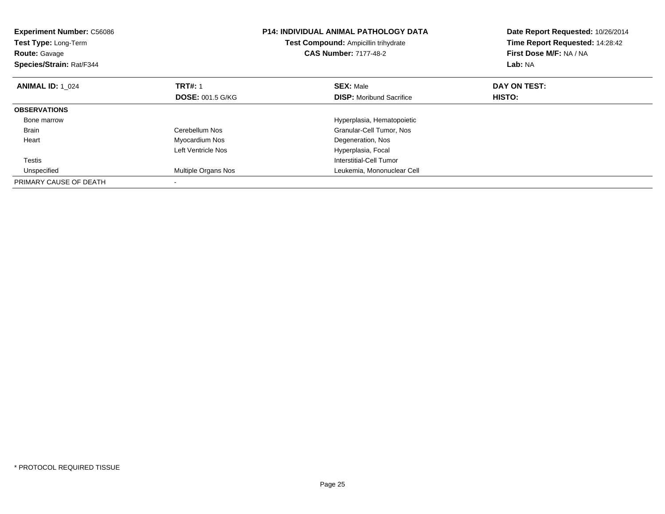| <b>Experiment Number: C56086</b><br><b>Test Type: Long-Term</b><br><b>Route: Gavage</b><br>Species/Strain: Rat/F344 |                         | <b>P14: INDIVIDUAL ANIMAL PATHOLOGY DATA</b><br><b>Test Compound: Ampicillin trihydrate</b><br><b>CAS Number: 7177-48-2</b> | Date Report Requested: 10/26/2014<br>Time Report Requested: 14:28:42<br>First Dose M/F: NA / NA<br>Lab: NA |
|---------------------------------------------------------------------------------------------------------------------|-------------------------|-----------------------------------------------------------------------------------------------------------------------------|------------------------------------------------------------------------------------------------------------|
| <b>ANIMAL ID: 1 024</b>                                                                                             | <b>TRT#: 1</b>          | <b>SEX: Male</b>                                                                                                            | DAY ON TEST:                                                                                               |
|                                                                                                                     | <b>DOSE: 001.5 G/KG</b> | <b>DISP:</b> Moribund Sacrifice                                                                                             | <b>HISTO:</b>                                                                                              |
| <b>OBSERVATIONS</b>                                                                                                 |                         |                                                                                                                             |                                                                                                            |
| Bone marrow                                                                                                         |                         | Hyperplasia, Hematopoietic                                                                                                  |                                                                                                            |
| <b>Brain</b>                                                                                                        | Cerebellum Nos          | Granular-Cell Tumor, Nos                                                                                                    |                                                                                                            |
| Heart                                                                                                               | Myocardium Nos          | Degeneration, Nos                                                                                                           |                                                                                                            |
|                                                                                                                     | Left Ventricle Nos      | Hyperplasia, Focal                                                                                                          |                                                                                                            |
| Testis                                                                                                              |                         | Interstitial-Cell Tumor                                                                                                     |                                                                                                            |
| Unspecified                                                                                                         | Multiple Organs Nos     | Leukemia, Mononuclear Cell                                                                                                  |                                                                                                            |
| PRIMARY CAUSE OF DEATH                                                                                              |                         |                                                                                                                             |                                                                                                            |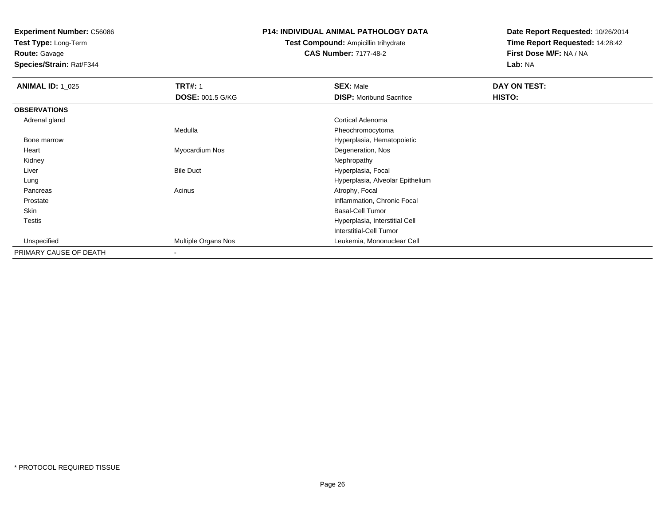**Test Type:** Long-Term

**Route:** Gavage

**Species/Strain:** Rat/F344

#### **P14: INDIVIDUAL ANIMAL PATHOLOGY DATA**

#### **Test Compound:** Ampicillin trihydrate**CAS Number:** 7177-48-2

| <b>ANIMAL ID: 1_025</b> | <b>TRT#: 1</b>          | <b>SEX: Male</b>                 | DAY ON TEST: |  |
|-------------------------|-------------------------|----------------------------------|--------------|--|
|                         | <b>DOSE: 001.5 G/KG</b> | <b>DISP:</b> Moribund Sacrifice  | HISTO:       |  |
| <b>OBSERVATIONS</b>     |                         |                                  |              |  |
| Adrenal gland           |                         | Cortical Adenoma                 |              |  |
|                         | Medulla                 | Pheochromocytoma                 |              |  |
| Bone marrow             |                         | Hyperplasia, Hematopoietic       |              |  |
| Heart                   | Myocardium Nos          | Degeneration, Nos                |              |  |
| Kidney                  |                         | Nephropathy                      |              |  |
| Liver                   | <b>Bile Duct</b>        | Hyperplasia, Focal               |              |  |
| Lung                    |                         | Hyperplasia, Alveolar Epithelium |              |  |
| Pancreas                | Acinus                  | Atrophy, Focal                   |              |  |
| Prostate                |                         | Inflammation, Chronic Focal      |              |  |
| Skin                    |                         | <b>Basal-Cell Tumor</b>          |              |  |
| Testis                  |                         | Hyperplasia, Interstitial Cell   |              |  |
|                         |                         | Interstitial-Cell Tumor          |              |  |
| Unspecified             | Multiple Organs Nos     | Leukemia, Mononuclear Cell       |              |  |
| PRIMARY CAUSE OF DEATH  |                         |                                  |              |  |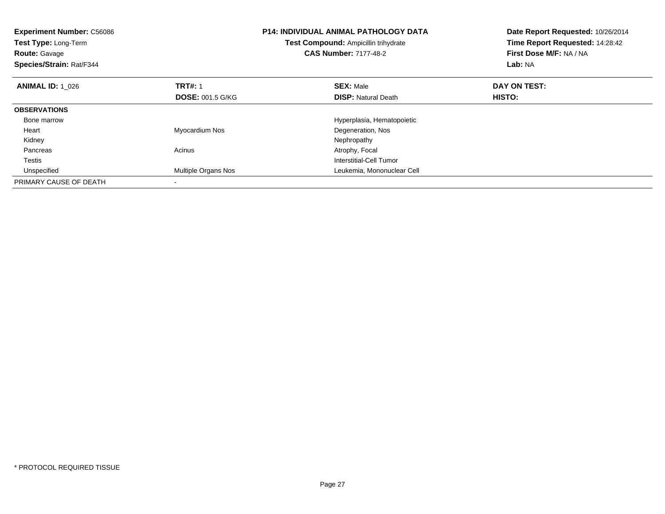| <b>Experiment Number: C56086</b><br><b>Test Type: Long-Term</b><br><b>Route: Gavage</b><br>Species/Strain: Rat/F344 |                         | <b>P14: INDIVIDUAL ANIMAL PATHOLOGY DATA</b><br>Test Compound: Ampicillin trihydrate<br><b>CAS Number: 7177-48-2</b> | Date Report Requested: 10/26/2014<br>Time Report Requested: 14:28:42<br>First Dose M/F: NA / NA<br>Lab: NA |
|---------------------------------------------------------------------------------------------------------------------|-------------------------|----------------------------------------------------------------------------------------------------------------------|------------------------------------------------------------------------------------------------------------|
| <b>ANIMAL ID: 1 026</b>                                                                                             | <b>TRT#: 1</b>          | <b>SEX: Male</b>                                                                                                     | DAY ON TEST:                                                                                               |
|                                                                                                                     | <b>DOSE: 001.5 G/KG</b> | <b>DISP:</b> Natural Death                                                                                           | <b>HISTO:</b>                                                                                              |
| <b>OBSERVATIONS</b>                                                                                                 |                         |                                                                                                                      |                                                                                                            |
| Bone marrow                                                                                                         |                         | Hyperplasia, Hematopoietic                                                                                           |                                                                                                            |
| Heart                                                                                                               | Myocardium Nos          | Degeneration, Nos                                                                                                    |                                                                                                            |
| Kidney                                                                                                              |                         | Nephropathy                                                                                                          |                                                                                                            |
| Pancreas                                                                                                            | Acinus                  | Atrophy, Focal                                                                                                       |                                                                                                            |
| Testis                                                                                                              |                         | Interstitial-Cell Tumor                                                                                              |                                                                                                            |
| Unspecified                                                                                                         | Multiple Organs Nos     | Leukemia, Mononuclear Cell                                                                                           |                                                                                                            |
| PRIMARY CAUSE OF DEATH                                                                                              |                         |                                                                                                                      |                                                                                                            |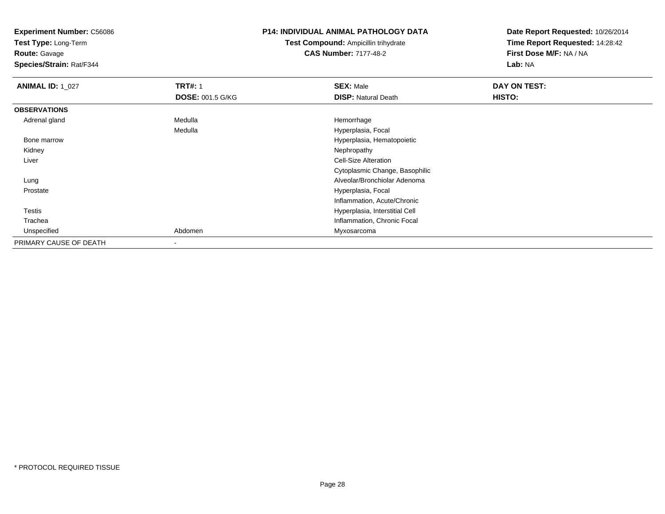**Test Type:** Long-Term

**Route:** Gavage

**Species/Strain:** Rat/F344

#### **P14: INDIVIDUAL ANIMAL PATHOLOGY DATA**

**Test Compound:** Ampicillin trihydrate**CAS Number:** 7177-48-2

| <b>ANIMAL ID: 1_027</b> | <b>TRT#: 1</b>          | <b>SEX: Male</b>               | DAY ON TEST: |
|-------------------------|-------------------------|--------------------------------|--------------|
|                         | <b>DOSE: 001.5 G/KG</b> | <b>DISP: Natural Death</b>     | HISTO:       |
| <b>OBSERVATIONS</b>     |                         |                                |              |
| Adrenal gland           | Medulla                 | Hemorrhage                     |              |
|                         | Medulla                 | Hyperplasia, Focal             |              |
| Bone marrow             |                         | Hyperplasia, Hematopoietic     |              |
| Kidney                  |                         | Nephropathy                    |              |
| Liver                   |                         | <b>Cell-Size Alteration</b>    |              |
|                         |                         | Cytoplasmic Change, Basophilic |              |
| Lung                    |                         | Alveolar/Bronchiolar Adenoma   |              |
| Prostate                |                         | Hyperplasia, Focal             |              |
|                         |                         | Inflammation, Acute/Chronic    |              |
| Testis                  |                         | Hyperplasia, Interstitial Cell |              |
| Trachea                 |                         | Inflammation, Chronic Focal    |              |
| Unspecified             | Abdomen                 | Myxosarcoma                    |              |
| PRIMARY CAUSE OF DEATH  |                         |                                |              |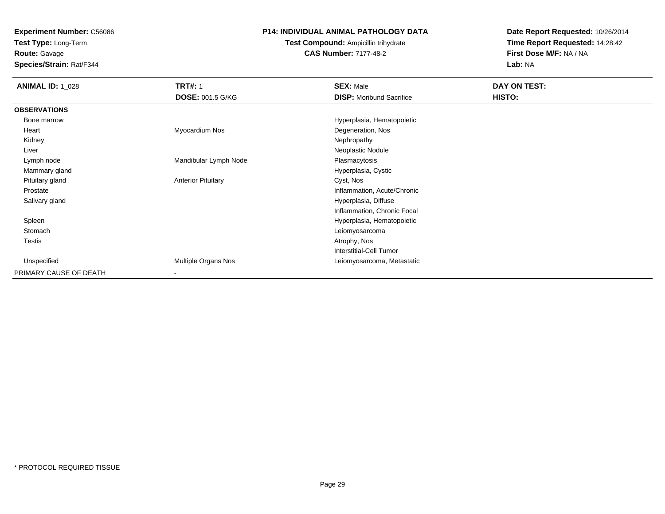**Test Type:** Long-Term

**Route:** Gavage

**Species/Strain:** Rat/F344

#### **P14: INDIVIDUAL ANIMAL PATHOLOGY DATA**

## **Test Compound:** Ampicillin trihydrate**CAS Number:** 7177-48-2

| <b>ANIMAL ID: 1_028</b> | <b>TRT#: 1</b>            | <b>SEX: Male</b>                | DAY ON TEST: |
|-------------------------|---------------------------|---------------------------------|--------------|
|                         | <b>DOSE: 001.5 G/KG</b>   | <b>DISP:</b> Moribund Sacrifice | HISTO:       |
| <b>OBSERVATIONS</b>     |                           |                                 |              |
| Bone marrow             |                           | Hyperplasia, Hematopoietic      |              |
| Heart                   | Myocardium Nos            | Degeneration, Nos               |              |
| Kidney                  |                           | Nephropathy                     |              |
| Liver                   |                           | Neoplastic Nodule               |              |
| Lymph node              | Mandibular Lymph Node     | Plasmacytosis                   |              |
| Mammary gland           |                           | Hyperplasia, Cystic             |              |
| Pituitary gland         | <b>Anterior Pituitary</b> | Cyst, Nos                       |              |
| Prostate                |                           | Inflammation, Acute/Chronic     |              |
| Salivary gland          |                           | Hyperplasia, Diffuse            |              |
|                         |                           | Inflammation, Chronic Focal     |              |
| Spleen                  |                           | Hyperplasia, Hematopoietic      |              |
| Stomach                 |                           | Leiomyosarcoma                  |              |
| Testis                  |                           | Atrophy, Nos                    |              |
|                         |                           | Interstitial-Cell Tumor         |              |
| Unspecified             | Multiple Organs Nos       | Leiomyosarcoma, Metastatic      |              |
| PRIMARY CAUSE OF DEATH  | $\overline{\phantom{a}}$  |                                 |              |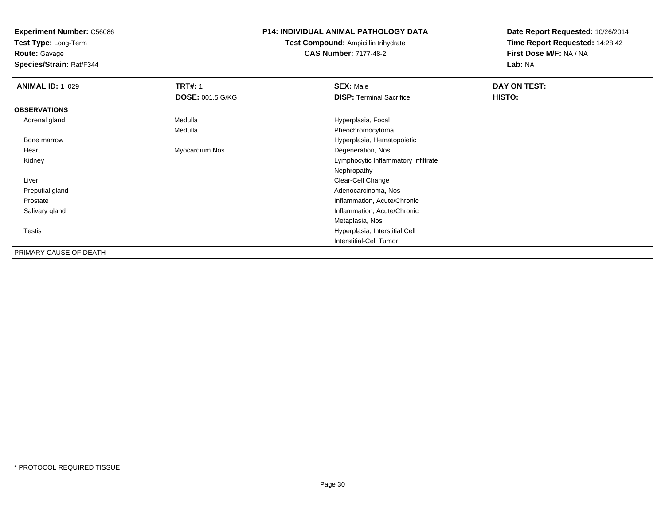**Test Type:** Long-Term

**Route:** Gavage

**Species/Strain:** Rat/F344

#### **P14: INDIVIDUAL ANIMAL PATHOLOGY DATA**

**Test Compound:** Ampicillin trihydrate**CAS Number:** 7177-48-2

| <b>ANIMAL ID: 1_029</b> | <b>TRT#: 1</b>          | <b>SEX: Male</b>                    | DAY ON TEST: |  |
|-------------------------|-------------------------|-------------------------------------|--------------|--|
|                         | <b>DOSE: 001.5 G/KG</b> | <b>DISP: Terminal Sacrifice</b>     | HISTO:       |  |
| <b>OBSERVATIONS</b>     |                         |                                     |              |  |
| Adrenal gland           | Medulla                 | Hyperplasia, Focal                  |              |  |
|                         | Medulla                 | Pheochromocytoma                    |              |  |
| Bone marrow             |                         | Hyperplasia, Hematopoietic          |              |  |
| Heart                   | Myocardium Nos          | Degeneration, Nos                   |              |  |
| Kidney                  |                         | Lymphocytic Inflammatory Infiltrate |              |  |
|                         |                         | Nephropathy                         |              |  |
| Liver                   |                         | Clear-Cell Change                   |              |  |
| Preputial gland         |                         | Adenocarcinoma, Nos                 |              |  |
| Prostate                |                         | Inflammation, Acute/Chronic         |              |  |
| Salivary gland          |                         | Inflammation, Acute/Chronic         |              |  |
|                         |                         | Metaplasia, Nos                     |              |  |
| <b>Testis</b>           |                         | Hyperplasia, Interstitial Cell      |              |  |
|                         |                         | <b>Interstitial-Cell Tumor</b>      |              |  |
| PRIMARY CAUSE OF DEATH  |                         |                                     |              |  |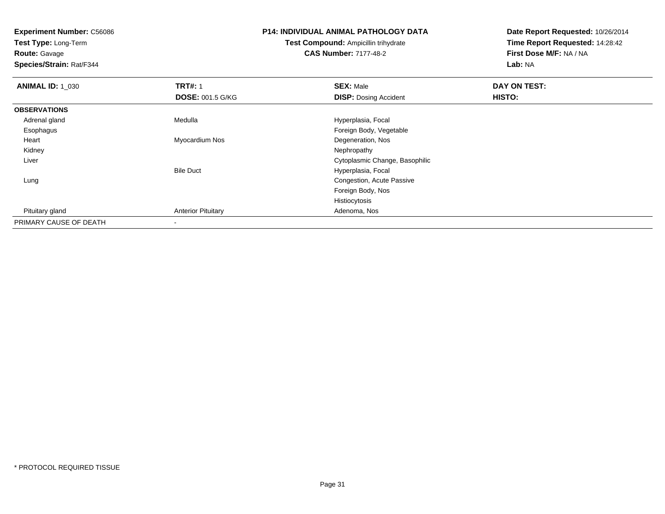**Test Type:** Long-Term

**Route:** Gavage

**Species/Strain:** Rat/F344

#### **P14: INDIVIDUAL ANIMAL PATHOLOGY DATA**

**Test Compound:** Ampicillin trihydrate**CAS Number:** 7177-48-2

| <b>ANIMAL ID: 1 030</b> | <b>TRT#: 1</b>            | <b>SEX: Male</b>               | DAY ON TEST: |  |
|-------------------------|---------------------------|--------------------------------|--------------|--|
|                         | <b>DOSE: 001.5 G/KG</b>   | <b>DISP: Dosing Accident</b>   | HISTO:       |  |
| <b>OBSERVATIONS</b>     |                           |                                |              |  |
| Adrenal gland           | Medulla                   | Hyperplasia, Focal             |              |  |
| Esophagus               |                           | Foreign Body, Vegetable        |              |  |
| Heart                   | Myocardium Nos            | Degeneration, Nos              |              |  |
| Kidney                  |                           | Nephropathy                    |              |  |
| Liver                   |                           | Cytoplasmic Change, Basophilic |              |  |
|                         | <b>Bile Duct</b>          | Hyperplasia, Focal             |              |  |
| Lung                    |                           | Congestion, Acute Passive      |              |  |
|                         |                           | Foreign Body, Nos              |              |  |
|                         |                           | Histiocytosis                  |              |  |
| Pituitary gland         | <b>Anterior Pituitary</b> | Adenoma, Nos                   |              |  |
| PRIMARY CAUSE OF DEATH  |                           |                                |              |  |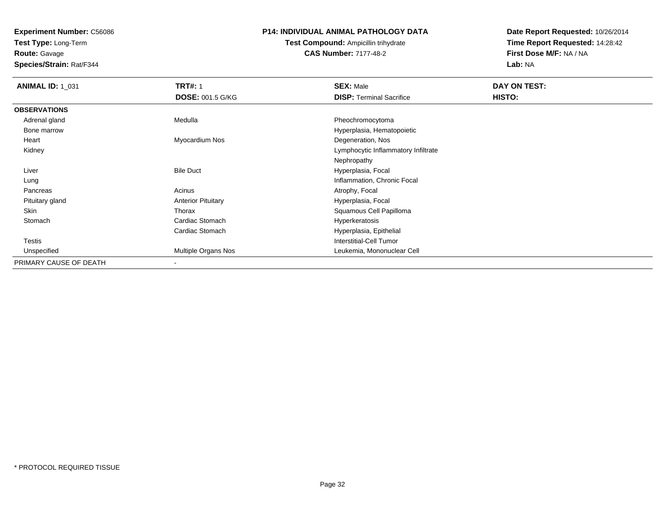**Test Type:** Long-Term

**Route:** Gavage

**Species/Strain:** Rat/F344

#### **P14: INDIVIDUAL ANIMAL PATHOLOGY DATA**

## **Test Compound:** Ampicillin trihydrate**CAS Number:** 7177-48-2

| <b>ANIMAL ID: 1 031</b> | <b>TRT#: 1</b>            | <b>SEX: Male</b>                    | DAY ON TEST: |
|-------------------------|---------------------------|-------------------------------------|--------------|
|                         | <b>DOSE: 001.5 G/KG</b>   | <b>DISP: Terminal Sacrifice</b>     | HISTO:       |
| <b>OBSERVATIONS</b>     |                           |                                     |              |
| Adrenal gland           | Medulla                   | Pheochromocytoma                    |              |
| Bone marrow             |                           | Hyperplasia, Hematopoietic          |              |
| Heart                   | Myocardium Nos            | Degeneration, Nos                   |              |
| Kidney                  |                           | Lymphocytic Inflammatory Infiltrate |              |
|                         |                           | Nephropathy                         |              |
| Liver                   | <b>Bile Duct</b>          | Hyperplasia, Focal                  |              |
| Lung                    |                           | Inflammation, Chronic Focal         |              |
| Pancreas                | Acinus                    | Atrophy, Focal                      |              |
| Pituitary gland         | <b>Anterior Pituitary</b> | Hyperplasia, Focal                  |              |
| Skin                    | Thorax                    | Squamous Cell Papilloma             |              |
| Stomach                 | Cardiac Stomach           | Hyperkeratosis                      |              |
|                         | Cardiac Stomach           | Hyperplasia, Epithelial             |              |
| Testis                  |                           | <b>Interstitial-Cell Tumor</b>      |              |
| Unspecified             | Multiple Organs Nos       | Leukemia, Mononuclear Cell          |              |
| PRIMARY CAUSE OF DEATH  | ۰                         |                                     |              |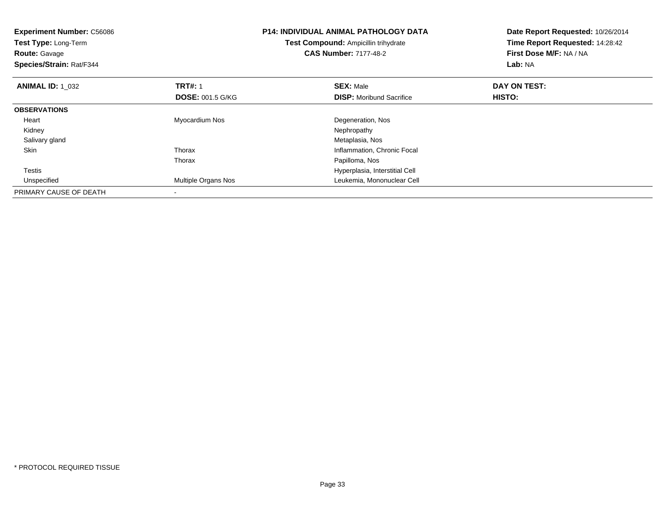| <b>Experiment Number: C56086</b><br>Test Type: Long-Term<br><b>Route: Gavage</b><br>Species/Strain: Rat/F344 |                         | <b>P14: INDIVIDUAL ANIMAL PATHOLOGY DATA</b><br>Test Compound: Ampicillin trihydrate<br><b>CAS Number: 7177-48-2</b> | Date Report Requested: 10/26/2014<br>Time Report Requested: 14:28:42<br>First Dose M/F: NA / NA<br>Lab: NA |
|--------------------------------------------------------------------------------------------------------------|-------------------------|----------------------------------------------------------------------------------------------------------------------|------------------------------------------------------------------------------------------------------------|
| <b>ANIMAL ID: 1 032</b>                                                                                      | <b>TRT#: 1</b>          | <b>SEX: Male</b>                                                                                                     | DAY ON TEST:                                                                                               |
|                                                                                                              | <b>DOSE: 001.5 G/KG</b> | <b>DISP:</b> Moribund Sacrifice                                                                                      | HISTO:                                                                                                     |
| <b>OBSERVATIONS</b>                                                                                          |                         |                                                                                                                      |                                                                                                            |
| Heart                                                                                                        | Myocardium Nos          | Degeneration, Nos                                                                                                    |                                                                                                            |
| Kidney                                                                                                       |                         | Nephropathy                                                                                                          |                                                                                                            |
| Salivary gland                                                                                               |                         | Metaplasia, Nos                                                                                                      |                                                                                                            |
| Skin                                                                                                         | Thorax                  | Inflammation, Chronic Focal                                                                                          |                                                                                                            |
|                                                                                                              | Thorax                  | Papilloma, Nos                                                                                                       |                                                                                                            |
| Testis                                                                                                       |                         | Hyperplasia, Interstitial Cell                                                                                       |                                                                                                            |
| Unspecified                                                                                                  | Multiple Organs Nos     | Leukemia, Mononuclear Cell                                                                                           |                                                                                                            |
| PRIMARY CAUSE OF DEATH                                                                                       |                         |                                                                                                                      |                                                                                                            |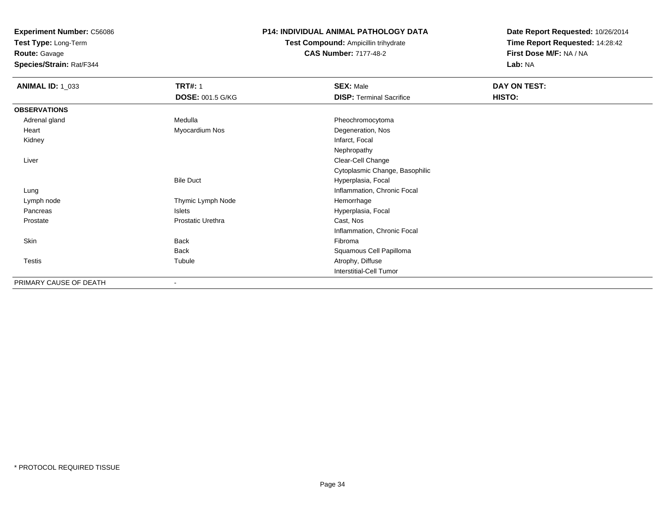**Test Type:** Long-Term

**Route:** Gavage

**Species/Strain:** Rat/F344

#### **P14: INDIVIDUAL ANIMAL PATHOLOGY DATA**

**Test Compound:** Ampicillin trihydrate**CAS Number:** 7177-48-2

| <b>ANIMAL ID: 1_033</b> | <b>TRT#: 1</b><br><b>DOSE: 001.5 G/KG</b> | <b>SEX: Male</b><br><b>DISP: Terminal Sacrifice</b> | DAY ON TEST:<br>HISTO: |
|-------------------------|-------------------------------------------|-----------------------------------------------------|------------------------|
| <b>OBSERVATIONS</b>     |                                           |                                                     |                        |
| Adrenal gland           | Medulla                                   | Pheochromocytoma                                    |                        |
| Heart                   | Myocardium Nos                            | Degeneration, Nos                                   |                        |
| Kidney                  |                                           | Infarct, Focal                                      |                        |
|                         |                                           | Nephropathy                                         |                        |
| Liver                   |                                           | Clear-Cell Change                                   |                        |
|                         |                                           | Cytoplasmic Change, Basophilic                      |                        |
|                         | <b>Bile Duct</b>                          | Hyperplasia, Focal                                  |                        |
| Lung                    |                                           | Inflammation, Chronic Focal                         |                        |
| Lymph node              | Thymic Lymph Node                         | Hemorrhage                                          |                        |
| Pancreas                | Islets                                    | Hyperplasia, Focal                                  |                        |
| Prostate                | Prostatic Urethra                         | Cast, Nos                                           |                        |
|                         |                                           | Inflammation, Chronic Focal                         |                        |
| Skin                    | <b>Back</b>                               | Fibroma                                             |                        |
|                         | <b>Back</b>                               | Squamous Cell Papilloma                             |                        |
| Testis                  | Tubule                                    | Atrophy, Diffuse                                    |                        |
|                         |                                           | <b>Interstitial-Cell Tumor</b>                      |                        |
| PRIMARY CAUSE OF DEATH  | $\blacksquare$                            |                                                     |                        |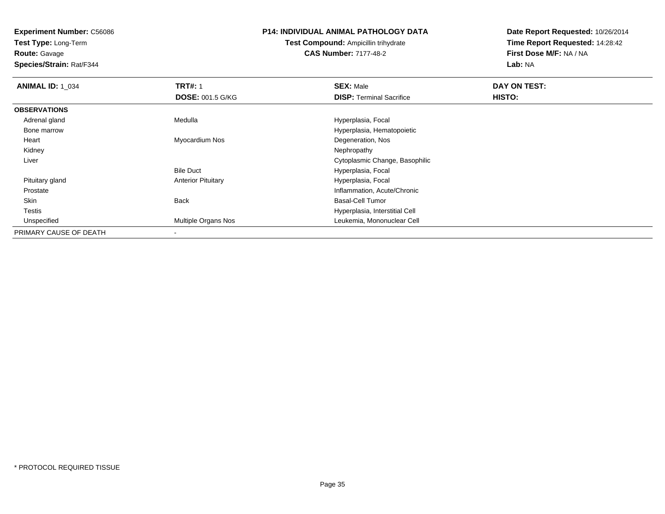**Test Type:** Long-Term

**Route:** Gavage

**Species/Strain:** Rat/F344

#### **P14: INDIVIDUAL ANIMAL PATHOLOGY DATA**

**Test Compound:** Ampicillin trihydrate**CAS Number:** 7177-48-2

| <b>ANIMAL ID: 1 034</b> | <b>TRT#: 1</b>            | <b>SEX: Male</b>                | DAY ON TEST: |  |
|-------------------------|---------------------------|---------------------------------|--------------|--|
|                         | <b>DOSE: 001.5 G/KG</b>   | <b>DISP:</b> Terminal Sacrifice | HISTO:       |  |
| <b>OBSERVATIONS</b>     |                           |                                 |              |  |
| Adrenal gland           | Medulla                   | Hyperplasia, Focal              |              |  |
| Bone marrow             |                           | Hyperplasia, Hematopoietic      |              |  |
| Heart                   | Myocardium Nos            | Degeneration, Nos               |              |  |
| Kidney                  |                           | Nephropathy                     |              |  |
| Liver                   |                           | Cytoplasmic Change, Basophilic  |              |  |
|                         | <b>Bile Duct</b>          | Hyperplasia, Focal              |              |  |
| Pituitary gland         | <b>Anterior Pituitary</b> | Hyperplasia, Focal              |              |  |
| Prostate                |                           | Inflammation, Acute/Chronic     |              |  |
| Skin                    | <b>Back</b>               | <b>Basal-Cell Tumor</b>         |              |  |
| Testis                  |                           | Hyperplasia, Interstitial Cell  |              |  |
| Unspecified             | Multiple Organs Nos       | Leukemia, Mononuclear Cell      |              |  |
| PRIMARY CAUSE OF DEATH  | $\,$                      |                                 |              |  |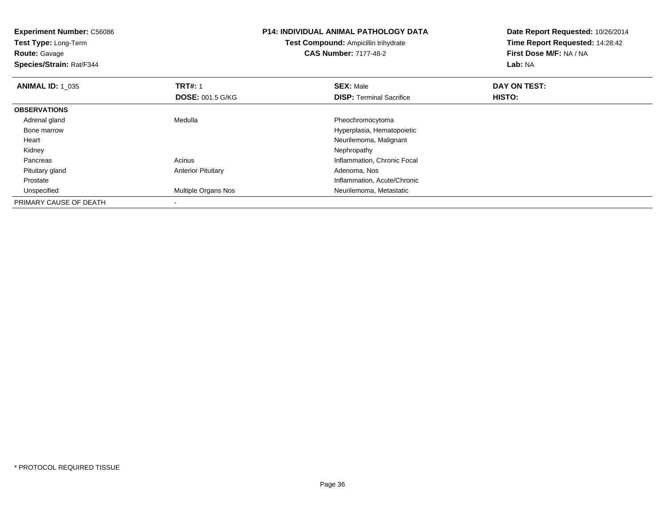| <b>P14: INDIVIDUAL ANIMAL PATHOLOGY DATA</b><br><b>Experiment Number: C56086</b><br>Test Type: Long-Term<br><b>Test Compound: Ampicillin trihydrate</b><br><b>CAS Number: 7177-48-2</b><br><b>Route:</b> Gavage |                           | Date Report Requested: 10/26/2014<br>Time Report Requested: 14:28:42<br>First Dose M/F: NA / NA |              |
|-----------------------------------------------------------------------------------------------------------------------------------------------------------------------------------------------------------------|---------------------------|-------------------------------------------------------------------------------------------------|--------------|
| Species/Strain: Rat/F344                                                                                                                                                                                        |                           |                                                                                                 | Lab: NA      |
| <b>ANIMAL ID: 1 035</b>                                                                                                                                                                                         | <b>TRT#: 1</b>            | <b>SEX: Male</b>                                                                                | DAY ON TEST: |
|                                                                                                                                                                                                                 | <b>DOSE: 001.5 G/KG</b>   | <b>DISP:</b> Terminal Sacrifice                                                                 | HISTO:       |
| <b>OBSERVATIONS</b>                                                                                                                                                                                             |                           |                                                                                                 |              |
| Adrenal gland                                                                                                                                                                                                   | Medulla                   | Pheochromocytoma                                                                                |              |
| Bone marrow                                                                                                                                                                                                     |                           | Hyperplasia, Hematopoietic                                                                      |              |
| Heart                                                                                                                                                                                                           |                           | Neurilemoma, Malignant                                                                          |              |
| Kidney                                                                                                                                                                                                          |                           | Nephropathy                                                                                     |              |
| Pancreas                                                                                                                                                                                                        | Acinus                    | Inflammation, Chronic Focal                                                                     |              |
| Pituitary gland                                                                                                                                                                                                 | <b>Anterior Pituitary</b> | Adenoma, Nos                                                                                    |              |
| Prostate                                                                                                                                                                                                        |                           | Inflammation, Acute/Chronic                                                                     |              |
| Unspecified                                                                                                                                                                                                     | Multiple Organs Nos       | Neurilemoma, Metastatic                                                                         |              |
| PRIMARY CAUSE OF DEATH                                                                                                                                                                                          |                           |                                                                                                 |              |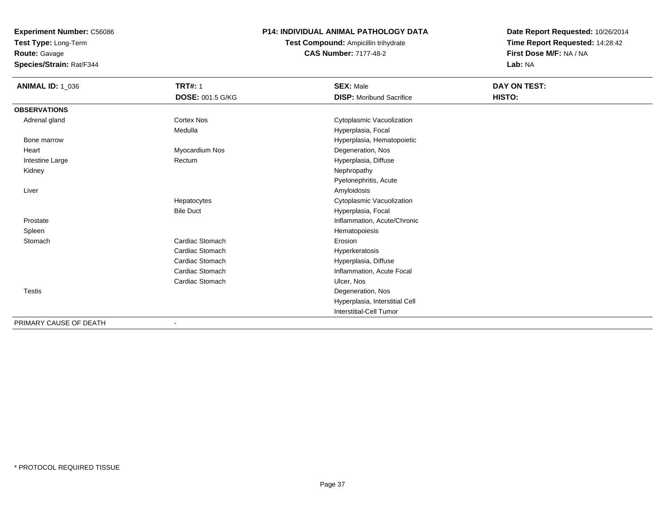**Test Type:** Long-Term

# **Route:** Gavage

**Species/Strain:** Rat/F344

# **P14: INDIVIDUAL ANIMAL PATHOLOGY DATA**

# **Test Compound:** Ampicillin trihydrate**CAS Number:** 7177-48-2

| <b>ANIMAL ID: 1_036</b> | <b>TRT#: 1</b>          | <b>SEX: Male</b>                | DAY ON TEST: |  |
|-------------------------|-------------------------|---------------------------------|--------------|--|
|                         | <b>DOSE: 001.5 G/KG</b> | <b>DISP:</b> Moribund Sacrifice | HISTO:       |  |
| <b>OBSERVATIONS</b>     |                         |                                 |              |  |
| Adrenal gland           | <b>Cortex Nos</b>       | Cytoplasmic Vacuolization       |              |  |
|                         | Medulla                 | Hyperplasia, Focal              |              |  |
| Bone marrow             |                         | Hyperplasia, Hematopoietic      |              |  |
| Heart                   | Myocardium Nos          | Degeneration, Nos               |              |  |
| Intestine Large         | Rectum                  | Hyperplasia, Diffuse            |              |  |
| Kidney                  |                         | Nephropathy                     |              |  |
|                         |                         | Pyelonephritis, Acute           |              |  |
| Liver                   |                         | Amyloidosis                     |              |  |
|                         | Hepatocytes             | Cytoplasmic Vacuolization       |              |  |
|                         | <b>Bile Duct</b>        | Hyperplasia, Focal              |              |  |
| Prostate                |                         | Inflammation, Acute/Chronic     |              |  |
| Spleen                  |                         | Hematopoiesis                   |              |  |
| Stomach                 | Cardiac Stomach         | Erosion                         |              |  |
|                         | Cardiac Stomach         | Hyperkeratosis                  |              |  |
|                         | Cardiac Stomach         | Hyperplasia, Diffuse            |              |  |
|                         | Cardiac Stomach         | Inflammation, Acute Focal       |              |  |
|                         | Cardiac Stomach         | Ulcer, Nos                      |              |  |
| <b>Testis</b>           |                         | Degeneration, Nos               |              |  |
|                         |                         | Hyperplasia, Interstitial Cell  |              |  |
|                         |                         | Interstitial-Cell Tumor         |              |  |
| PRIMARY CAUSE OF DEATH  |                         |                                 |              |  |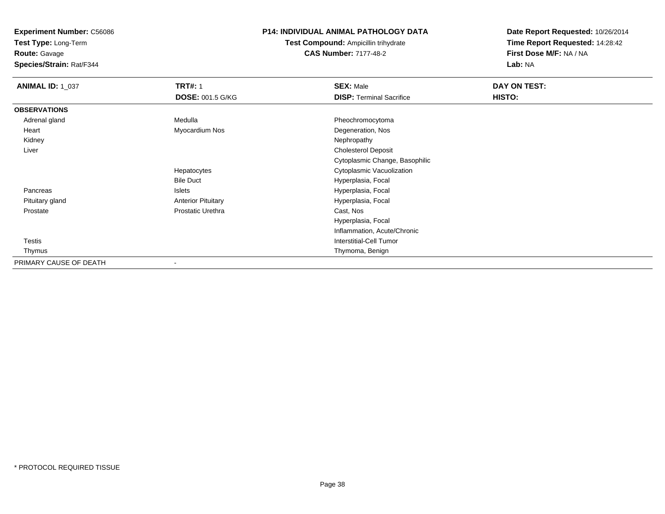**Test Type:** Long-Term

**Route:** Gavage

**Species/Strain:** Rat/F344

### **P14: INDIVIDUAL ANIMAL PATHOLOGY DATA**

**Test Compound:** Ampicillin trihydrate**CAS Number:** 7177-48-2

| <b>ANIMAL ID: 1_037</b> | <b>TRT#: 1</b>            | <b>SEX: Male</b>                | DAY ON TEST: |  |
|-------------------------|---------------------------|---------------------------------|--------------|--|
|                         | <b>DOSE: 001.5 G/KG</b>   | <b>DISP: Terminal Sacrifice</b> | HISTO:       |  |
| <b>OBSERVATIONS</b>     |                           |                                 |              |  |
| Adrenal gland           | Medulla                   | Pheochromocytoma                |              |  |
| Heart                   | Myocardium Nos            | Degeneration, Nos               |              |  |
| Kidney                  |                           | Nephropathy                     |              |  |
| Liver                   |                           | <b>Cholesterol Deposit</b>      |              |  |
|                         |                           | Cytoplasmic Change, Basophilic  |              |  |
|                         | Hepatocytes               | Cytoplasmic Vacuolization       |              |  |
|                         | <b>Bile Duct</b>          | Hyperplasia, Focal              |              |  |
| Pancreas                | Islets                    | Hyperplasia, Focal              |              |  |
| Pituitary gland         | <b>Anterior Pituitary</b> | Hyperplasia, Focal              |              |  |
| Prostate                | Prostatic Urethra         | Cast, Nos                       |              |  |
|                         |                           | Hyperplasia, Focal              |              |  |
|                         |                           | Inflammation, Acute/Chronic     |              |  |
| <b>Testis</b>           |                           | <b>Interstitial-Cell Tumor</b>  |              |  |
| Thymus                  |                           | Thymoma, Benign                 |              |  |
| PRIMARY CAUSE OF DEATH  | $\overline{\phantom{a}}$  |                                 |              |  |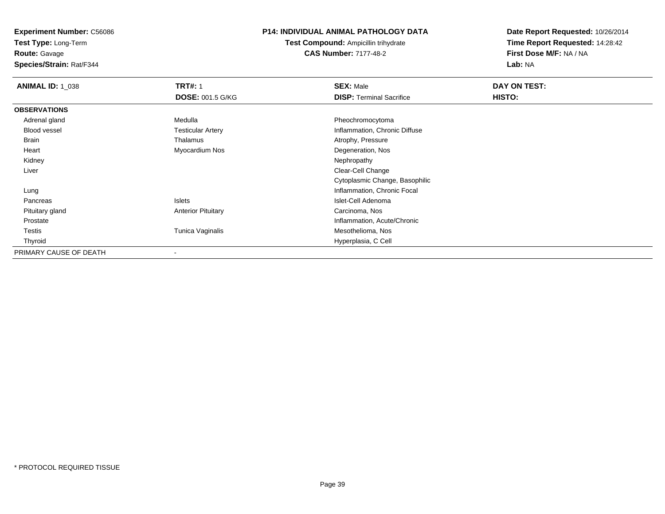**Test Type:** Long-Term

**Route:** Gavage

**Species/Strain:** Rat/F344

### **P14: INDIVIDUAL ANIMAL PATHOLOGY DATA**

**Test Compound:** Ampicillin trihydrate**CAS Number:** 7177-48-2

| <b>ANIMAL ID: 1 038</b> | <b>TRT#: 1</b>            | <b>SEX: Male</b>                | DAY ON TEST: |  |
|-------------------------|---------------------------|---------------------------------|--------------|--|
|                         | <b>DOSE: 001.5 G/KG</b>   | <b>DISP: Terminal Sacrifice</b> | HISTO:       |  |
| <b>OBSERVATIONS</b>     |                           |                                 |              |  |
| Adrenal gland           | Medulla                   | Pheochromocytoma                |              |  |
| Blood vessel            | <b>Testicular Artery</b>  | Inflammation, Chronic Diffuse   |              |  |
| Brain                   | Thalamus                  | Atrophy, Pressure               |              |  |
| Heart                   | Myocardium Nos            | Degeneration, Nos               |              |  |
| Kidney                  |                           | Nephropathy                     |              |  |
| Liver                   |                           | Clear-Cell Change               |              |  |
|                         |                           | Cytoplasmic Change, Basophilic  |              |  |
| Lung                    |                           | Inflammation, Chronic Focal     |              |  |
| Pancreas                | <b>Islets</b>             | Islet-Cell Adenoma              |              |  |
| Pituitary gland         | <b>Anterior Pituitary</b> | Carcinoma, Nos                  |              |  |
| Prostate                |                           | Inflammation, Acute/Chronic     |              |  |
| Testis                  | Tunica Vaginalis          | Mesothelioma, Nos               |              |  |
| Thyroid                 |                           | Hyperplasia, C Cell             |              |  |
| PRIMARY CAUSE OF DEATH  |                           |                                 |              |  |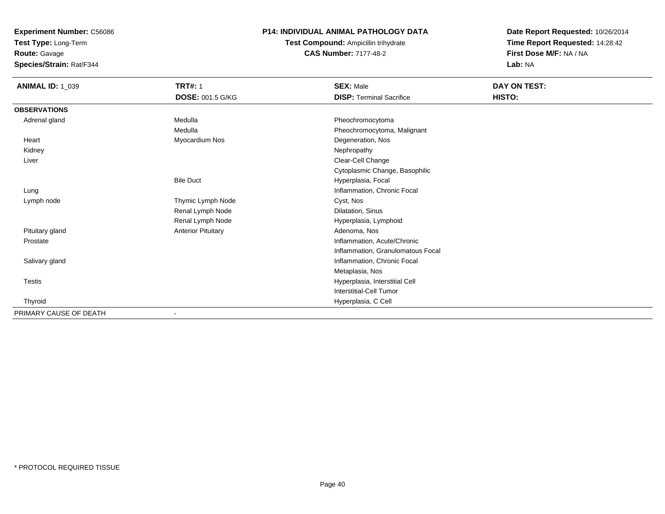**Test Type:** Long-Term

**Route:** Gavage

**Species/Strain:** Rat/F344

# **P14: INDIVIDUAL ANIMAL PATHOLOGY DATA**

**Test Compound:** Ampicillin trihydrate**CAS Number:** 7177-48-2

| <b>ANIMAL ID: 1_039</b> | <b>TRT#: 1</b>            | <b>SEX: Male</b>                  | DAY ON TEST: |
|-------------------------|---------------------------|-----------------------------------|--------------|
|                         | <b>DOSE: 001.5 G/KG</b>   | <b>DISP: Terminal Sacrifice</b>   | HISTO:       |
| <b>OBSERVATIONS</b>     |                           |                                   |              |
| Adrenal gland           | Medulla                   | Pheochromocytoma                  |              |
|                         | Medulla                   | Pheochromocytoma, Malignant       |              |
| Heart                   | Myocardium Nos            | Degeneration, Nos                 |              |
| Kidney                  |                           | Nephropathy                       |              |
| Liver                   |                           | Clear-Cell Change                 |              |
|                         |                           | Cytoplasmic Change, Basophilic    |              |
|                         | <b>Bile Duct</b>          | Hyperplasia, Focal                |              |
| Lung                    |                           | Inflammation, Chronic Focal       |              |
| Lymph node              | Thymic Lymph Node         | Cyst, Nos                         |              |
|                         | Renal Lymph Node          | Dilatation, Sinus                 |              |
|                         | Renal Lymph Node          | Hyperplasia, Lymphoid             |              |
| Pituitary gland         | <b>Anterior Pituitary</b> | Adenoma, Nos                      |              |
| Prostate                |                           | Inflammation, Acute/Chronic       |              |
|                         |                           | Inflammation, Granulomatous Focal |              |
| Salivary gland          |                           | Inflammation, Chronic Focal       |              |
|                         |                           | Metaplasia, Nos                   |              |
| Testis                  |                           | Hyperplasia, Interstitial Cell    |              |
|                         |                           | Interstitial-Cell Tumor           |              |
| Thyroid                 |                           | Hyperplasia, C Cell               |              |
| PRIMARY CAUSE OF DEATH  |                           |                                   |              |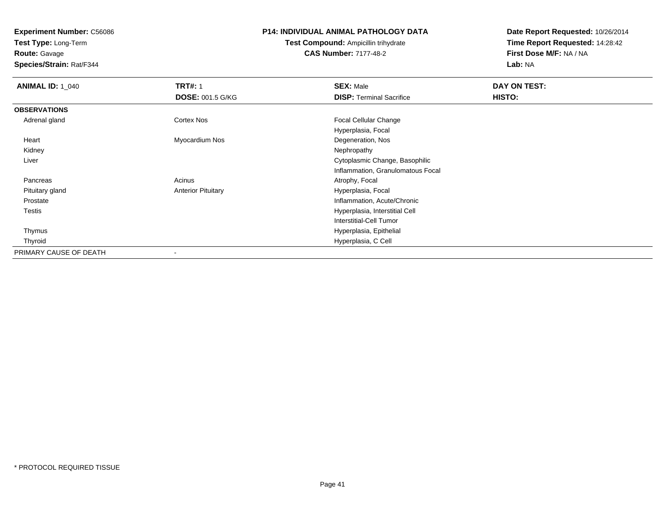**Test Type:** Long-Term

**Route:** Gavage

**Species/Strain:** Rat/F344

### **P14: INDIVIDUAL ANIMAL PATHOLOGY DATA**

**Test Compound:** Ampicillin trihydrate**CAS Number:** 7177-48-2

| <b>ANIMAL ID: 1_040</b> | <b>TRT#: 1</b>            | <b>SEX: Male</b>                  | DAY ON TEST: |  |
|-------------------------|---------------------------|-----------------------------------|--------------|--|
|                         | <b>DOSE: 001.5 G/KG</b>   | <b>DISP: Terminal Sacrifice</b>   | HISTO:       |  |
| <b>OBSERVATIONS</b>     |                           |                                   |              |  |
| Adrenal gland           | Cortex Nos                | Focal Cellular Change             |              |  |
|                         |                           | Hyperplasia, Focal                |              |  |
| Heart                   | Myocardium Nos            | Degeneration, Nos                 |              |  |
| Kidney                  |                           | Nephropathy                       |              |  |
| Liver                   |                           | Cytoplasmic Change, Basophilic    |              |  |
|                         |                           | Inflammation, Granulomatous Focal |              |  |
| Pancreas                | Acinus                    | Atrophy, Focal                    |              |  |
| Pituitary gland         | <b>Anterior Pituitary</b> | Hyperplasia, Focal                |              |  |
| Prostate                |                           | Inflammation, Acute/Chronic       |              |  |
| Testis                  |                           | Hyperplasia, Interstitial Cell    |              |  |
|                         |                           | Interstitial-Cell Tumor           |              |  |
| Thymus                  |                           | Hyperplasia, Epithelial           |              |  |
| Thyroid                 |                           | Hyperplasia, C Cell               |              |  |
| PRIMARY CAUSE OF DEATH  |                           |                                   |              |  |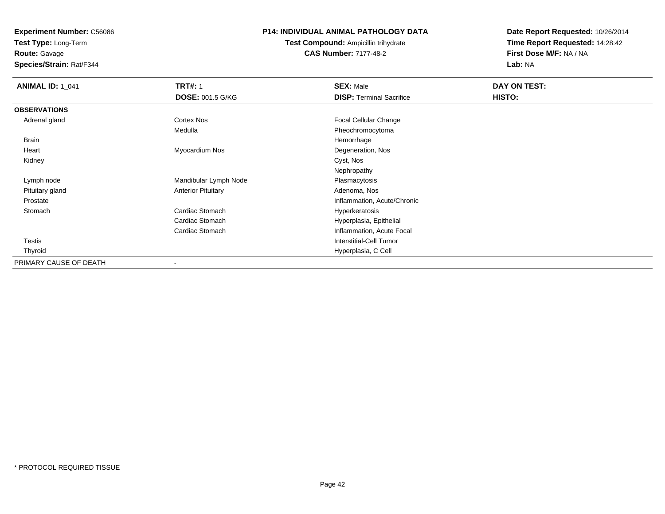**Test Type:** Long-Term

**Route:** Gavage

**Species/Strain:** Rat/F344

## **P14: INDIVIDUAL ANIMAL PATHOLOGY DATA**

**Test Compound:** Ampicillin trihydrate**CAS Number:** 7177-48-2

| <b>ANIMAL ID: 1 041</b> | <b>TRT#: 1</b>            | <b>SEX: Male</b>                | DAY ON TEST: |  |
|-------------------------|---------------------------|---------------------------------|--------------|--|
|                         | <b>DOSE: 001.5 G/KG</b>   | <b>DISP: Terminal Sacrifice</b> | HISTO:       |  |
| <b>OBSERVATIONS</b>     |                           |                                 |              |  |
| Adrenal gland           | Cortex Nos                | <b>Focal Cellular Change</b>    |              |  |
|                         | Medulla                   | Pheochromocytoma                |              |  |
| Brain                   |                           | Hemorrhage                      |              |  |
| Heart                   | Myocardium Nos            | Degeneration, Nos               |              |  |
| Kidney                  |                           | Cyst, Nos                       |              |  |
|                         |                           | Nephropathy                     |              |  |
| Lymph node              | Mandibular Lymph Node     | Plasmacytosis                   |              |  |
| Pituitary gland         | <b>Anterior Pituitary</b> | Adenoma, Nos                    |              |  |
| Prostate                |                           | Inflammation, Acute/Chronic     |              |  |
| Stomach                 | Cardiac Stomach           | Hyperkeratosis                  |              |  |
|                         | Cardiac Stomach           | Hyperplasia, Epithelial         |              |  |
|                         | Cardiac Stomach           | Inflammation, Acute Focal       |              |  |
| <b>Testis</b>           |                           | <b>Interstitial-Cell Tumor</b>  |              |  |
| Thyroid                 |                           | Hyperplasia, C Cell             |              |  |
| PRIMARY CAUSE OF DEATH  | $\blacksquare$            |                                 |              |  |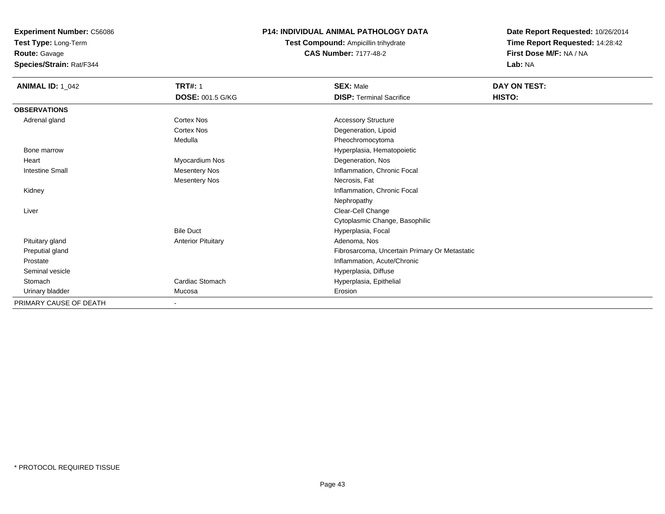**Test Type:** Long-Term

**Route:** Gavage

**Species/Strain:** Rat/F344

## **P14: INDIVIDUAL ANIMAL PATHOLOGY DATA**

**Test Compound:** Ampicillin trihydrate**CAS Number:** 7177-48-2

| <b>ANIMAL ID: 1_042</b> | <b>TRT#: 1</b><br><b>DOSE: 001.5 G/KG</b> | <b>SEX: Male</b><br><b>DISP: Terminal Sacrifice</b> | DAY ON TEST:<br>HISTO: |
|-------------------------|-------------------------------------------|-----------------------------------------------------|------------------------|
| <b>OBSERVATIONS</b>     |                                           |                                                     |                        |
| Adrenal gland           | Cortex Nos                                | <b>Accessory Structure</b>                          |                        |
|                         | <b>Cortex Nos</b>                         | Degeneration, Lipoid                                |                        |
|                         | Medulla                                   | Pheochromocytoma                                    |                        |
| Bone marrow             |                                           | Hyperplasia, Hematopoietic                          |                        |
| Heart                   | Myocardium Nos                            | Degeneration, Nos                                   |                        |
| <b>Intestine Small</b>  | <b>Mesentery Nos</b>                      | Inflammation, Chronic Focal                         |                        |
|                         | <b>Mesentery Nos</b>                      | Necrosis, Fat                                       |                        |
| Kidney                  |                                           | Inflammation, Chronic Focal                         |                        |
|                         |                                           | Nephropathy                                         |                        |
| Liver                   |                                           | Clear-Cell Change                                   |                        |
|                         |                                           | Cytoplasmic Change, Basophilic                      |                        |
|                         | <b>Bile Duct</b>                          | Hyperplasia, Focal                                  |                        |
| Pituitary gland         | <b>Anterior Pituitary</b>                 | Adenoma, Nos                                        |                        |
| Preputial gland         |                                           | Fibrosarcoma, Uncertain Primary Or Metastatic       |                        |
| Prostate                |                                           | Inflammation, Acute/Chronic                         |                        |
| Seminal vesicle         |                                           | Hyperplasia, Diffuse                                |                        |
| Stomach                 | Cardiac Stomach                           | Hyperplasia, Epithelial                             |                        |
| Urinary bladder         | Mucosa                                    | Erosion                                             |                        |
| PRIMARY CAUSE OF DEATH  | $\sim$                                    |                                                     |                        |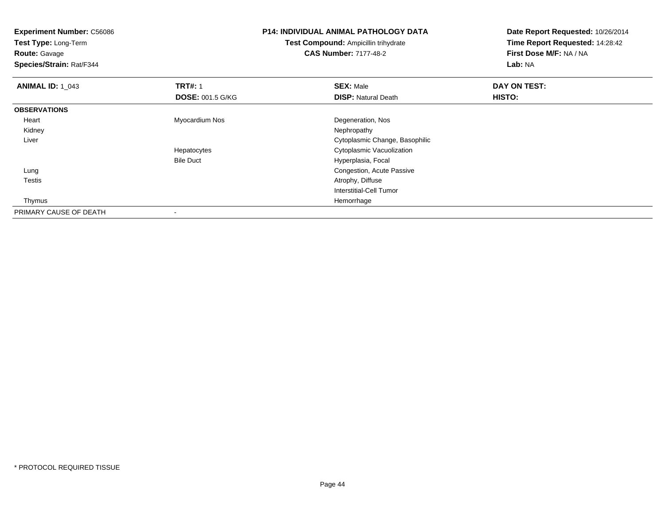**Experiment Number:** C56086**Test Type:** Long-Term**Route:** Gavage **Species/Strain:** Rat/F344**P14: INDIVIDUAL ANIMAL PATHOLOGY DATATest Compound:** Ampicillin trihydrate**CAS Number:** 7177-48-2**Date Report Requested:** 10/26/2014**Time Report Requested:** 14:28:42**First Dose M/F:** NA / NA**Lab:** NA**ANIMAL ID: 1\_043 TRT#:** 1 **SEX:** Male **DAY ON TEST: DOSE:** 001.5 G/KG**DISP:** Natural Death **HISTO: OBSERVATIONS** Heart Myocardium Nos Degeneration, Nos Kidneyy the control of the control of the control of the control of the control of the control of the control of the control of the control of the control of the control of the control of the control of the control of the contro Liver Cytoplasmic Change, BasophilicHepatocytes Cytoplasmic VacuolizationBile Duct Hyperplasia, Focal Lung Congestion, Acute Passive Testis Atrophy, Diffuse Interstitial-Cell Tumor Thymuss and the control of the control of the control of the control of the control of the control of the control of the control of the control of the control of the control of the control of the control of the control of the co PRIMARY CAUSE OF DEATH

-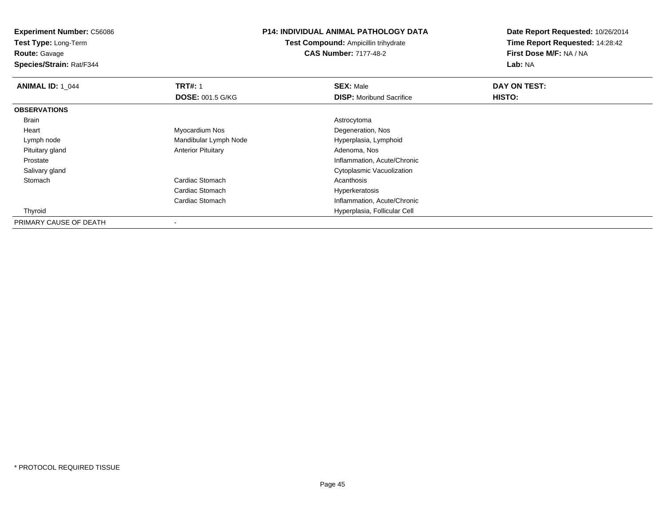**Test Type:** Long-Term**Route:** Gavage

**Species/Strain:** Rat/F344

#### **P14: INDIVIDUAL ANIMAL PATHOLOGY DATA**

**Test Compound:** Ampicillin trihydrate**CAS Number:** 7177-48-2

| <b>ANIMAL ID: 1 044</b> | <b>TRT#: 1</b>            | <b>SEX: Male</b>                | DAY ON TEST: |  |
|-------------------------|---------------------------|---------------------------------|--------------|--|
|                         | <b>DOSE: 001.5 G/KG</b>   | <b>DISP:</b> Moribund Sacrifice | HISTO:       |  |
| <b>OBSERVATIONS</b>     |                           |                                 |              |  |
| Brain                   |                           | Astrocytoma                     |              |  |
| Heart                   | Myocardium Nos            | Degeneration, Nos               |              |  |
| Lymph node              | Mandibular Lymph Node     | Hyperplasia, Lymphoid           |              |  |
| Pituitary gland         | <b>Anterior Pituitary</b> | Adenoma, Nos                    |              |  |
| Prostate                |                           | Inflammation, Acute/Chronic     |              |  |
| Salivary gland          |                           | Cytoplasmic Vacuolization       |              |  |
| Stomach                 | Cardiac Stomach           | Acanthosis                      |              |  |
|                         | Cardiac Stomach           | Hyperkeratosis                  |              |  |
|                         | Cardiac Stomach           | Inflammation, Acute/Chronic     |              |  |
| Thyroid                 |                           | Hyperplasia, Follicular Cell    |              |  |
| PRIMARY CAUSE OF DEATH  |                           |                                 |              |  |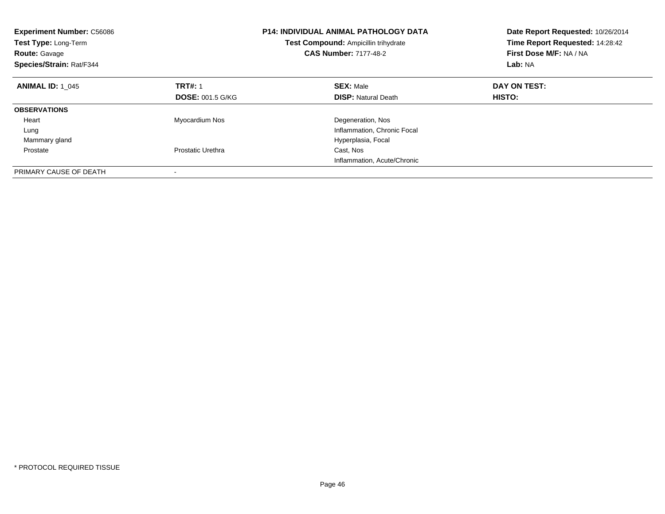| <b>Experiment Number: C56086</b><br><b>Test Type: Long-Term</b><br><b>Route: Gavage</b><br>Species/Strain: Rat/F344 |                         | <b>P14: INDIVIDUAL ANIMAL PATHOLOGY DATA</b><br>Test Compound: Ampicillin trihydrate<br><b>CAS Number: 7177-48-2</b> | Date Report Requested: 10/26/2014<br>Time Report Requested: 14:28:42<br>First Dose M/F: NA / NA<br>Lab: NA |  |
|---------------------------------------------------------------------------------------------------------------------|-------------------------|----------------------------------------------------------------------------------------------------------------------|------------------------------------------------------------------------------------------------------------|--|
| <b>ANIMAL ID: 1 045</b>                                                                                             | <b>TRT#: 1</b>          | <b>SEX: Male</b>                                                                                                     | DAY ON TEST:                                                                                               |  |
|                                                                                                                     | <b>DOSE: 001.5 G/KG</b> | <b>DISP:</b> Natural Death                                                                                           | HISTO:                                                                                                     |  |
| <b>OBSERVATIONS</b>                                                                                                 |                         |                                                                                                                      |                                                                                                            |  |
| Heart                                                                                                               | Myocardium Nos          | Degeneration, Nos                                                                                                    |                                                                                                            |  |
| Lung                                                                                                                |                         | Inflammation, Chronic Focal                                                                                          |                                                                                                            |  |
| Mammary gland                                                                                                       |                         | Hyperplasia, Focal                                                                                                   |                                                                                                            |  |
| Prostate                                                                                                            | Prostatic Urethra       | Cast, Nos                                                                                                            |                                                                                                            |  |
|                                                                                                                     |                         | Inflammation, Acute/Chronic                                                                                          |                                                                                                            |  |
| PRIMARY CAUSE OF DEATH                                                                                              |                         |                                                                                                                      |                                                                                                            |  |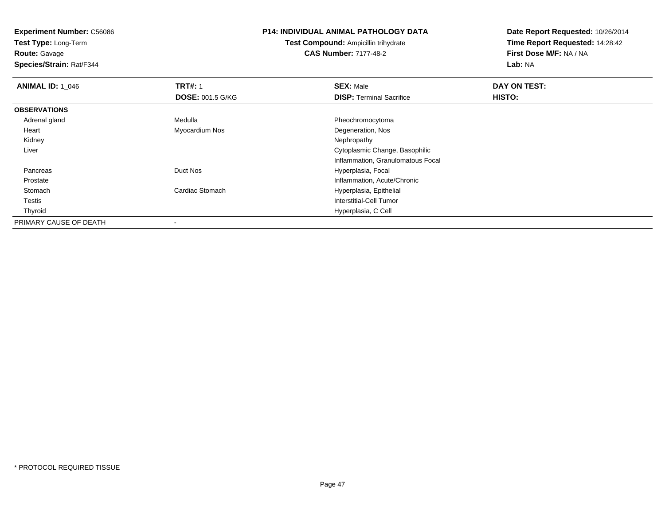**Test Type:** Long-Term

**Route:** Gavage

**Species/Strain:** Rat/F344

# **P14: INDIVIDUAL ANIMAL PATHOLOGY DATA**

**Test Compound:** Ampicillin trihydrate**CAS Number:** 7177-48-2

| <b>ANIMAL ID: 1_046</b> | <b>TRT#: 1</b>          | <b>SEX: Male</b>                  | DAY ON TEST: |  |
|-------------------------|-------------------------|-----------------------------------|--------------|--|
|                         | <b>DOSE: 001.5 G/KG</b> | <b>DISP: Terminal Sacrifice</b>   | HISTO:       |  |
| <b>OBSERVATIONS</b>     |                         |                                   |              |  |
| Adrenal gland           | Medulla                 | Pheochromocytoma                  |              |  |
| Heart                   | Myocardium Nos          | Degeneration, Nos                 |              |  |
| Kidney                  |                         | Nephropathy                       |              |  |
| Liver                   |                         | Cytoplasmic Change, Basophilic    |              |  |
|                         |                         | Inflammation, Granulomatous Focal |              |  |
| Pancreas                | Duct Nos                | Hyperplasia, Focal                |              |  |
| Prostate                |                         | Inflammation, Acute/Chronic       |              |  |
| Stomach                 | Cardiac Stomach         | Hyperplasia, Epithelial           |              |  |
| Testis                  |                         | Interstitial-Cell Tumor           |              |  |
| Thyroid                 |                         | Hyperplasia, C Cell               |              |  |
| PRIMARY CAUSE OF DEATH  |                         |                                   |              |  |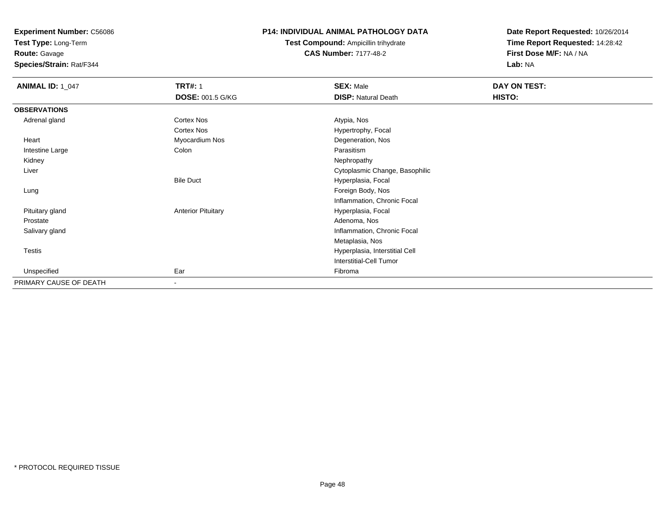**Test Type:** Long-Term

**Route:** Gavage

**Species/Strain:** Rat/F344

## **P14: INDIVIDUAL ANIMAL PATHOLOGY DATA**

**Test Compound:** Ampicillin trihydrate**CAS Number:** 7177-48-2

| <b>ANIMAL ID: 1_047</b> | <b>TRT#: 1</b>            | <b>SEX: Male</b>               | DAY ON TEST: |  |
|-------------------------|---------------------------|--------------------------------|--------------|--|
|                         | <b>DOSE: 001.5 G/KG</b>   | <b>DISP: Natural Death</b>     | HISTO:       |  |
| <b>OBSERVATIONS</b>     |                           |                                |              |  |
| Adrenal gland           | Cortex Nos                | Atypia, Nos                    |              |  |
|                         | Cortex Nos                | Hypertrophy, Focal             |              |  |
| Heart                   | Myocardium Nos            | Degeneration, Nos              |              |  |
| Intestine Large         | Colon                     | Parasitism                     |              |  |
| Kidney                  |                           | Nephropathy                    |              |  |
| Liver                   |                           | Cytoplasmic Change, Basophilic |              |  |
|                         | <b>Bile Duct</b>          | Hyperplasia, Focal             |              |  |
| Lung                    |                           | Foreign Body, Nos              |              |  |
|                         |                           | Inflammation, Chronic Focal    |              |  |
| Pituitary gland         | <b>Anterior Pituitary</b> | Hyperplasia, Focal             |              |  |
| Prostate                |                           | Adenoma, Nos                   |              |  |
| Salivary gland          |                           | Inflammation, Chronic Focal    |              |  |
|                         |                           | Metaplasia, Nos                |              |  |
| <b>Testis</b>           |                           | Hyperplasia, Interstitial Cell |              |  |
|                         |                           | <b>Interstitial-Cell Tumor</b> |              |  |
| Unspecified             | Ear                       | Fibroma                        |              |  |
| PRIMARY CAUSE OF DEATH  | $\blacksquare$            |                                |              |  |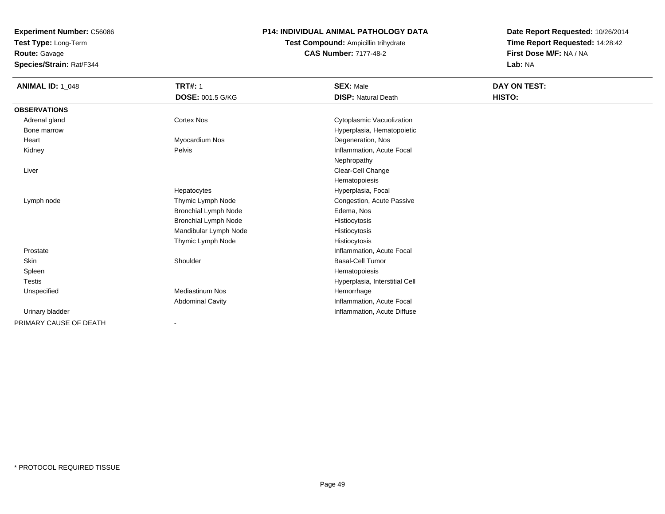**Test Type:** Long-Term

# **Route:** Gavage

**Species/Strain:** Rat/F344

# **P14: INDIVIDUAL ANIMAL PATHOLOGY DATA**

# **Test Compound:** Ampicillin trihydrate**CAS Number:** 7177-48-2

| <b>ANIMAL ID: 1_048</b> | <b>TRT#: 1</b>              | <b>SEX: Male</b>               | DAY ON TEST: |
|-------------------------|-----------------------------|--------------------------------|--------------|
|                         | <b>DOSE: 001.5 G/KG</b>     | <b>DISP: Natural Death</b>     | HISTO:       |
| <b>OBSERVATIONS</b>     |                             |                                |              |
| Adrenal gland           | <b>Cortex Nos</b>           | Cytoplasmic Vacuolization      |              |
| Bone marrow             |                             | Hyperplasia, Hematopoietic     |              |
| Heart                   | Myocardium Nos              | Degeneration, Nos              |              |
| Kidney                  | Pelvis                      | Inflammation, Acute Focal      |              |
|                         |                             | Nephropathy                    |              |
| Liver                   |                             | Clear-Cell Change              |              |
|                         |                             | Hematopoiesis                  |              |
|                         | Hepatocytes                 | Hyperplasia, Focal             |              |
| Lymph node              | Thymic Lymph Node           | Congestion, Acute Passive      |              |
|                         | <b>Bronchial Lymph Node</b> | Edema, Nos                     |              |
|                         | <b>Bronchial Lymph Node</b> | Histiocytosis                  |              |
|                         | Mandibular Lymph Node       | Histiocytosis                  |              |
|                         | Thymic Lymph Node           | Histiocytosis                  |              |
| Prostate                |                             | Inflammation, Acute Focal      |              |
| Skin                    | Shoulder                    | <b>Basal-Cell Tumor</b>        |              |
| Spleen                  |                             | Hematopoiesis                  |              |
| <b>Testis</b>           |                             | Hyperplasia, Interstitial Cell |              |
| Unspecified             | <b>Mediastinum Nos</b>      | Hemorrhage                     |              |
|                         | <b>Abdominal Cavity</b>     | Inflammation, Acute Focal      |              |
| Urinary bladder         |                             | Inflammation, Acute Diffuse    |              |
| PRIMARY CAUSE OF DEATH  | ۰                           |                                |              |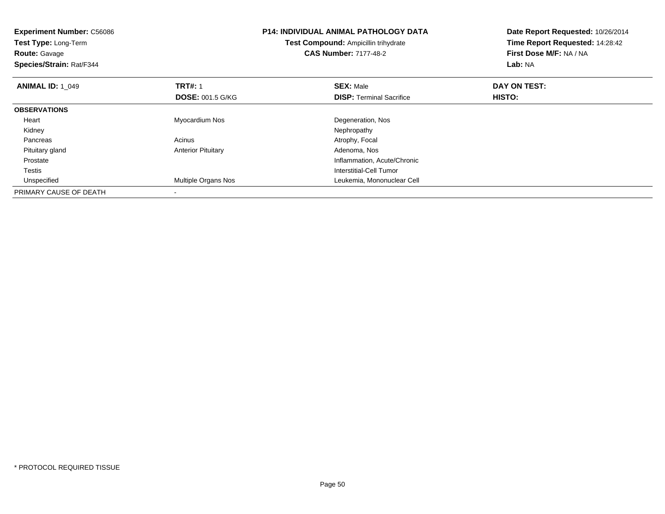| <b>Experiment Number: C56086</b><br><b>Test Type: Long-Term</b><br><b>Route: Gavage</b><br>Species/Strain: Rat/F344 |                            | <b>P14: INDIVIDUAL ANIMAL PATHOLOGY DATA</b><br>Test Compound: Ampicillin trihydrate<br><b>CAS Number: 7177-48-2</b> | Date Report Requested: 10/26/2014<br>Time Report Requested: 14:28:42<br>First Dose M/F: NA / NA<br>Lab: NA |
|---------------------------------------------------------------------------------------------------------------------|----------------------------|----------------------------------------------------------------------------------------------------------------------|------------------------------------------------------------------------------------------------------------|
| <b>ANIMAL ID: 1 049</b>                                                                                             | <b>TRT#: 1</b>             | <b>SEX: Male</b>                                                                                                     | DAY ON TEST:                                                                                               |
|                                                                                                                     | <b>DOSE: 001.5 G/KG</b>    | <b>DISP:</b> Terminal Sacrifice                                                                                      | HISTO:                                                                                                     |
| <b>OBSERVATIONS</b>                                                                                                 |                            |                                                                                                                      |                                                                                                            |
| Heart                                                                                                               | Myocardium Nos             | Degeneration, Nos                                                                                                    |                                                                                                            |
| Kidney                                                                                                              |                            | Nephropathy                                                                                                          |                                                                                                            |
| Pancreas                                                                                                            | Acinus                     | Atrophy, Focal                                                                                                       |                                                                                                            |
| Pituitary gland                                                                                                     | <b>Anterior Pituitary</b>  | Adenoma, Nos                                                                                                         |                                                                                                            |
| Prostate                                                                                                            |                            | Inflammation, Acute/Chronic                                                                                          |                                                                                                            |
| Testis                                                                                                              |                            | Interstitial-Cell Tumor                                                                                              |                                                                                                            |
| Unspecified                                                                                                         | <b>Multiple Organs Nos</b> | Leukemia, Mononuclear Cell                                                                                           |                                                                                                            |
| PRIMARY CAUSE OF DEATH                                                                                              |                            |                                                                                                                      |                                                                                                            |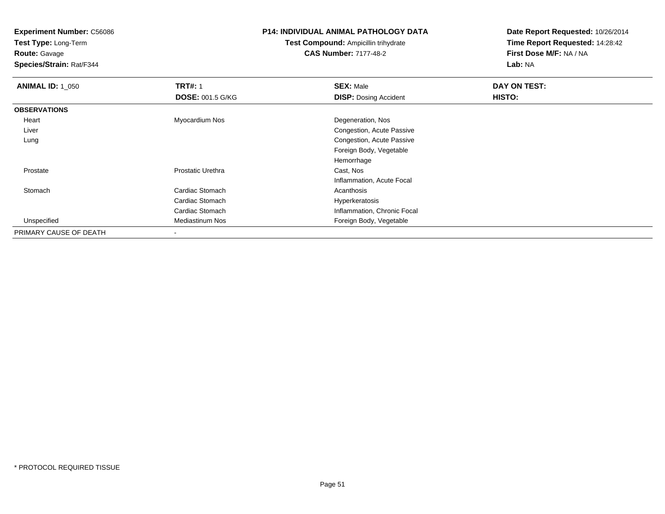**Test Type:** Long-Term

**Route:** Gavage

**Species/Strain:** Rat/F344

# **P14: INDIVIDUAL ANIMAL PATHOLOGY DATA**

# **Test Compound:** Ampicillin trihydrate**CAS Number:** 7177-48-2

| <b>ANIMAL ID: 1_050</b> | <b>TRT#: 1</b>           | <b>SEX: Male</b>             | DAY ON TEST: |
|-------------------------|--------------------------|------------------------------|--------------|
|                         | <b>DOSE: 001.5 G/KG</b>  | <b>DISP: Dosing Accident</b> | HISTO:       |
| <b>OBSERVATIONS</b>     |                          |                              |              |
| Heart                   | Myocardium Nos           | Degeneration, Nos            |              |
| Liver                   |                          | Congestion, Acute Passive    |              |
| Lung                    |                          | Congestion, Acute Passive    |              |
|                         |                          | Foreign Body, Vegetable      |              |
|                         |                          | Hemorrhage                   |              |
| Prostate                | Prostatic Urethra        | Cast, Nos                    |              |
|                         |                          | Inflammation, Acute Focal    |              |
| Stomach                 | Cardiac Stomach          | Acanthosis                   |              |
|                         | Cardiac Stomach          | Hyperkeratosis               |              |
|                         | Cardiac Stomach          | Inflammation, Chronic Focal  |              |
| Unspecified             | <b>Mediastinum Nos</b>   | Foreign Body, Vegetable      |              |
| PRIMARY CAUSE OF DEATH  | $\overline{\phantom{a}}$ |                              |              |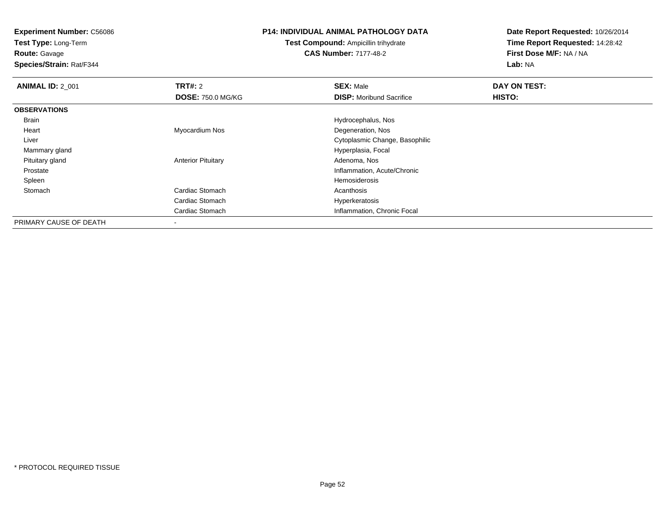**Test Type:** Long-Term

**Route:** Gavage

**Species/Strain:** Rat/F344

#### **P14: INDIVIDUAL ANIMAL PATHOLOGY DATA**

**Test Compound:** Ampicillin trihydrate**CAS Number:** 7177-48-2

| <b>ANIMAL ID: 2 001</b> | TRT#: 2                   | <b>SEX: Male</b>                | DAY ON TEST: |  |
|-------------------------|---------------------------|---------------------------------|--------------|--|
|                         | <b>DOSE: 750.0 MG/KG</b>  | <b>DISP:</b> Moribund Sacrifice | HISTO:       |  |
| <b>OBSERVATIONS</b>     |                           |                                 |              |  |
| Brain                   |                           | Hydrocephalus, Nos              |              |  |
| Heart                   | Myocardium Nos            | Degeneration, Nos               |              |  |
| Liver                   |                           | Cytoplasmic Change, Basophilic  |              |  |
| Mammary gland           |                           | Hyperplasia, Focal              |              |  |
| Pituitary gland         | <b>Anterior Pituitary</b> | Adenoma, Nos                    |              |  |
| Prostate                |                           | Inflammation, Acute/Chronic     |              |  |
| Spleen                  |                           | Hemosiderosis                   |              |  |
| Stomach                 | Cardiac Stomach           | Acanthosis                      |              |  |
|                         | Cardiac Stomach           | Hyperkeratosis                  |              |  |
|                         | Cardiac Stomach           | Inflammation, Chronic Focal     |              |  |
| PRIMARY CAUSE OF DEATH  | $\overline{\phantom{a}}$  |                                 |              |  |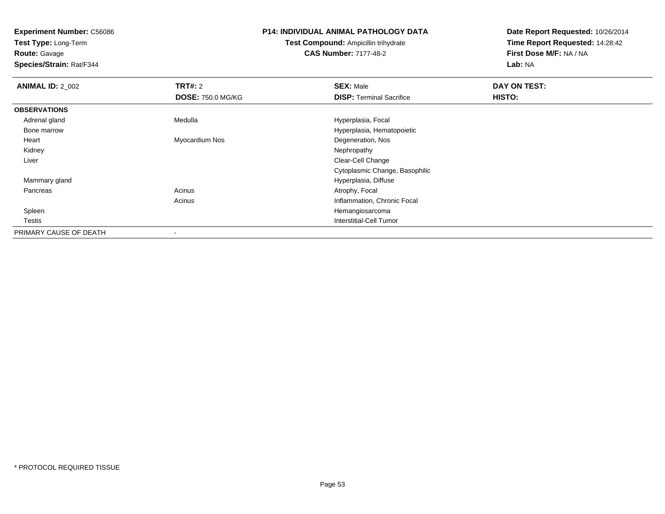**Test Type:** Long-Term

# **Route:** Gavage

**Species/Strain:** Rat/F344

#### **P14: INDIVIDUAL ANIMAL PATHOLOGY DATA**

# **Test Compound:** Ampicillin trihydrate**CAS Number:** 7177-48-2

| <b>ANIMAL ID: 2_002</b> | TRT#: 2                  | <b>SEX: Male</b>                | DAY ON TEST: |  |
|-------------------------|--------------------------|---------------------------------|--------------|--|
|                         | <b>DOSE: 750.0 MG/KG</b> | <b>DISP: Terminal Sacrifice</b> | HISTO:       |  |
| <b>OBSERVATIONS</b>     |                          |                                 |              |  |
| Adrenal gland           | Medulla                  | Hyperplasia, Focal              |              |  |
| Bone marrow             |                          | Hyperplasia, Hematopoietic      |              |  |
| Heart                   | Myocardium Nos           | Degeneration, Nos               |              |  |
| Kidney                  |                          | Nephropathy                     |              |  |
| Liver                   |                          | Clear-Cell Change               |              |  |
|                         |                          | Cytoplasmic Change, Basophilic  |              |  |
| Mammary gland           |                          | Hyperplasia, Diffuse            |              |  |
| Pancreas                | Acinus                   | Atrophy, Focal                  |              |  |
|                         | Acinus                   | Inflammation, Chronic Focal     |              |  |
| Spleen                  |                          | Hemangiosarcoma                 |              |  |
| Testis                  |                          | Interstitial-Cell Tumor         |              |  |
| PRIMARY CAUSE OF DEATH  | $\blacksquare$           |                                 |              |  |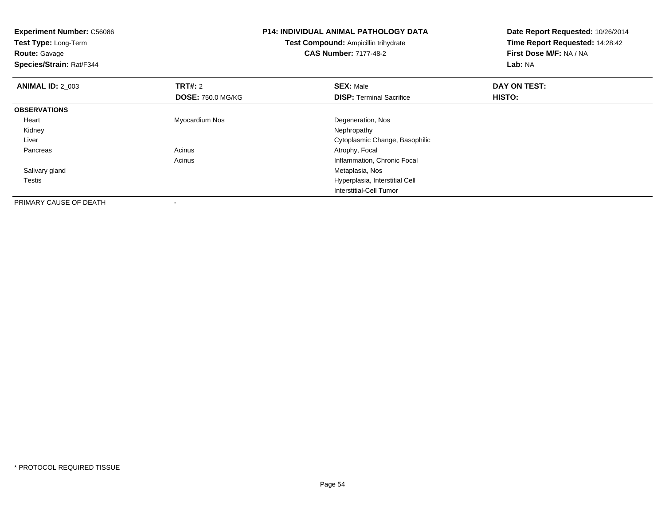**Experiment Number:** C56086**Test Type:** Long-Term**Route:** Gavage **Species/Strain:** Rat/F344**P14: INDIVIDUAL ANIMAL PATHOLOGY DATATest Compound:** Ampicillin trihydrate**CAS Number:** 7177-48-2**Date Report Requested:** 10/26/2014**Time Report Requested:** 14:28:42**First Dose M/F:** NA / NA**Lab:** NA**ANIMAL ID: 2 003 TRT#:** 2 **SEX:** Male **DAY ON TEST: DOSE:** 750.0 MG/KG**DISP:** Terminal Sacrifice **HISTO: OBSERVATIONS** Heart Myocardium Nos Degeneration, Nos Kidneyy the control of the control of the control of the control of the control of the control of the control of the control of the control of the control of the control of the control of the control of the control of the contro Liver Cytoplasmic Change, Basophilic PancreasAcinus **Acinus** Atrophy, Focal Acinus Inflammation, Chronic Focal Salivary gland Metaplasia, Nos Testis Hyperplasia, Interstitial Cell Interstitial-Cell TumorPRIMARY CAUSE OF DEATH

-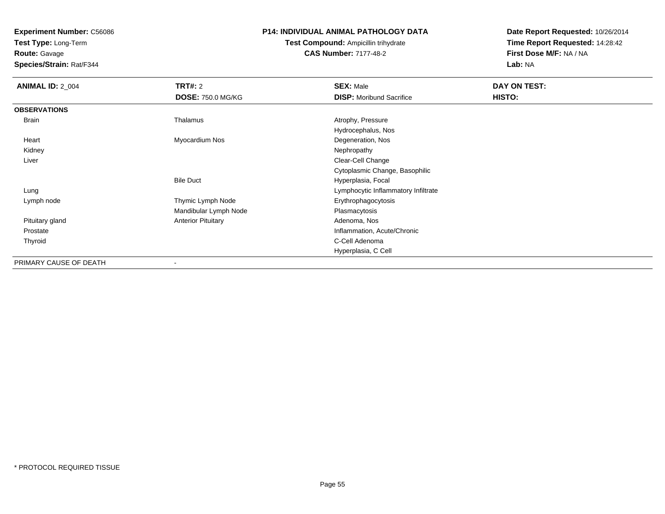**Test Type:** Long-Term

**Route:** Gavage

**Species/Strain:** Rat/F344

#### **P14: INDIVIDUAL ANIMAL PATHOLOGY DATA**

# **Test Compound:** Ampicillin trihydrate**CAS Number:** 7177-48-2

| <b>ANIMAL ID: 2_004</b> | <b>TRT#: 2</b>            | <b>SEX: Male</b>                    | DAY ON TEST: |  |
|-------------------------|---------------------------|-------------------------------------|--------------|--|
|                         | <b>DOSE: 750.0 MG/KG</b>  | <b>DISP:</b> Moribund Sacrifice     | HISTO:       |  |
| <b>OBSERVATIONS</b>     |                           |                                     |              |  |
| Brain                   | Thalamus                  | Atrophy, Pressure                   |              |  |
|                         |                           | Hydrocephalus, Nos                  |              |  |
| Heart                   | Myocardium Nos            | Degeneration, Nos                   |              |  |
| Kidney                  |                           | Nephropathy                         |              |  |
| Liver                   |                           | Clear-Cell Change                   |              |  |
|                         |                           | Cytoplasmic Change, Basophilic      |              |  |
|                         | <b>Bile Duct</b>          | Hyperplasia, Focal                  |              |  |
| Lung                    |                           | Lymphocytic Inflammatory Infiltrate |              |  |
| Lymph node              | Thymic Lymph Node         | Erythrophagocytosis                 |              |  |
|                         | Mandibular Lymph Node     | Plasmacytosis                       |              |  |
| Pituitary gland         | <b>Anterior Pituitary</b> | Adenoma, Nos                        |              |  |
| Prostate                |                           | Inflammation, Acute/Chronic         |              |  |
| Thyroid                 |                           | C-Cell Adenoma                      |              |  |
|                         |                           | Hyperplasia, C Cell                 |              |  |
| PRIMARY CAUSE OF DEATH  | ٠                         |                                     |              |  |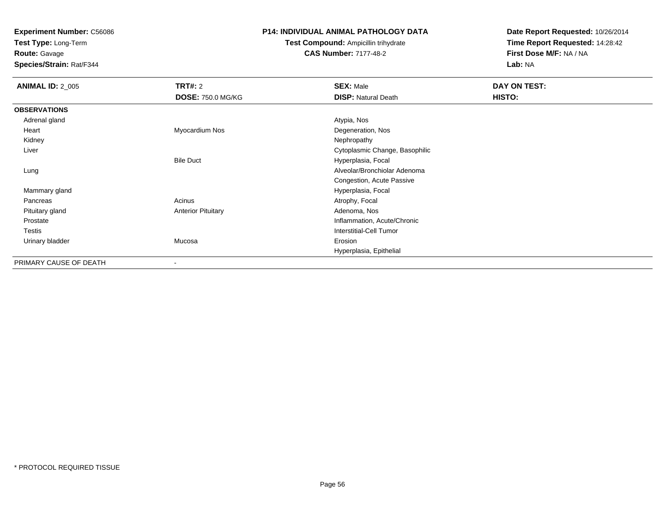**Test Type:** Long-Term

**Route:** Gavage

**Species/Strain:** Rat/F344

#### **P14: INDIVIDUAL ANIMAL PATHOLOGY DATA**

# **Test Compound:** Ampicillin trihydrate**CAS Number:** 7177-48-2

| <b>ANIMAL ID: 2_005</b> | TRT#: 2                   | <b>SEX: Male</b>               | DAY ON TEST: |
|-------------------------|---------------------------|--------------------------------|--------------|
|                         | <b>DOSE: 750.0 MG/KG</b>  | <b>DISP: Natural Death</b>     | HISTO:       |
| <b>OBSERVATIONS</b>     |                           |                                |              |
| Adrenal gland           |                           | Atypia, Nos                    |              |
| Heart                   | Myocardium Nos            | Degeneration, Nos              |              |
| Kidney                  |                           | Nephropathy                    |              |
| Liver                   |                           | Cytoplasmic Change, Basophilic |              |
|                         | <b>Bile Duct</b>          | Hyperplasia, Focal             |              |
| Lung                    |                           | Alveolar/Bronchiolar Adenoma   |              |
|                         |                           | Congestion, Acute Passive      |              |
| Mammary gland           |                           | Hyperplasia, Focal             |              |
| Pancreas                | Acinus                    | Atrophy, Focal                 |              |
| Pituitary gland         | <b>Anterior Pituitary</b> | Adenoma, Nos                   |              |
| Prostate                |                           | Inflammation, Acute/Chronic    |              |
| Testis                  |                           | <b>Interstitial-Cell Tumor</b> |              |
| Urinary bladder         | Mucosa                    | Erosion                        |              |
|                         |                           | Hyperplasia, Epithelial        |              |
| PRIMARY CAUSE OF DEATH  | $\,$                      |                                |              |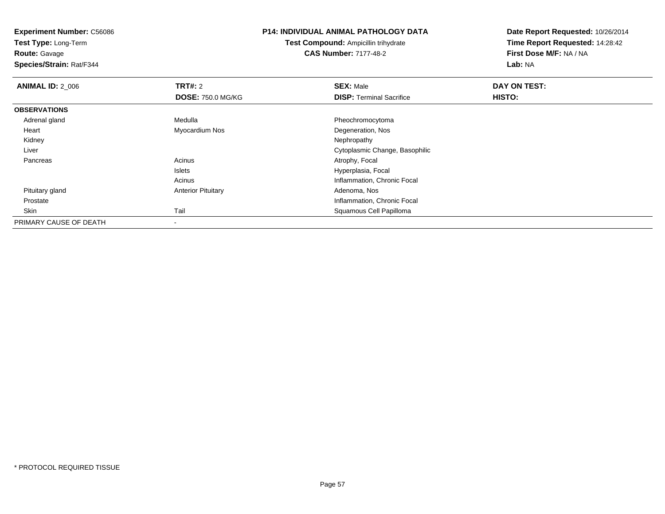**Test Type:** Long-Term

**Route:** Gavage

**Species/Strain:** Rat/F344

#### **P14: INDIVIDUAL ANIMAL PATHOLOGY DATA**

**Test Compound:** Ampicillin trihydrate**CAS Number:** 7177-48-2

| <b>ANIMAL ID: 2_006</b> | TRT#: 2                   | <b>SEX: Male</b>                | DAY ON TEST: |  |
|-------------------------|---------------------------|---------------------------------|--------------|--|
|                         | <b>DOSE: 750.0 MG/KG</b>  | <b>DISP: Terminal Sacrifice</b> | HISTO:       |  |
| <b>OBSERVATIONS</b>     |                           |                                 |              |  |
| Adrenal gland           | Medulla                   | Pheochromocytoma                |              |  |
| Heart                   | Myocardium Nos            | Degeneration, Nos               |              |  |
| Kidney                  |                           | Nephropathy                     |              |  |
| Liver                   |                           | Cytoplasmic Change, Basophilic  |              |  |
| Pancreas                | Acinus                    | Atrophy, Focal                  |              |  |
|                         | Islets                    | Hyperplasia, Focal              |              |  |
|                         | Acinus                    | Inflammation, Chronic Focal     |              |  |
| Pituitary gland         | <b>Anterior Pituitary</b> | Adenoma, Nos                    |              |  |
| Prostate                |                           | Inflammation, Chronic Focal     |              |  |
| Skin                    | Tail                      | Squamous Cell Papilloma         |              |  |
| PRIMARY CAUSE OF DEATH  |                           |                                 |              |  |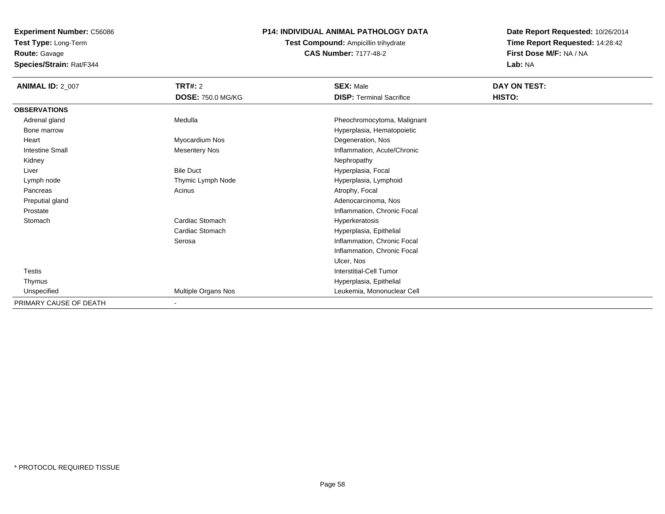**Test Type:** Long-Term**Route:** Gavage

**Species/Strain:** Rat/F344

# **P14: INDIVIDUAL ANIMAL PATHOLOGY DATA**

**Test Compound:** Ampicillin trihydrate**CAS Number:** 7177-48-2

| <b>ANIMAL ID: 2_007</b> | <b>TRT#: 2</b>           | <b>SEX: Male</b>                | DAY ON TEST: |
|-------------------------|--------------------------|---------------------------------|--------------|
|                         | <b>DOSE: 750.0 MG/KG</b> | <b>DISP: Terminal Sacrifice</b> | HISTO:       |
| <b>OBSERVATIONS</b>     |                          |                                 |              |
| Adrenal gland           | Medulla                  | Pheochromocytoma, Malignant     |              |
| Bone marrow             |                          | Hyperplasia, Hematopoietic      |              |
| Heart                   | Myocardium Nos           | Degeneration, Nos               |              |
| <b>Intestine Small</b>  | <b>Mesentery Nos</b>     | Inflammation, Acute/Chronic     |              |
| Kidney                  |                          | Nephropathy                     |              |
| Liver                   | <b>Bile Duct</b>         | Hyperplasia, Focal              |              |
| Lymph node              | Thymic Lymph Node        | Hyperplasia, Lymphoid           |              |
| Pancreas                | Acinus                   | Atrophy, Focal                  |              |
| Preputial gland         |                          | Adenocarcinoma, Nos             |              |
| Prostate                |                          | Inflammation, Chronic Focal     |              |
| Stomach                 | Cardiac Stomach          | Hyperkeratosis                  |              |
|                         | Cardiac Stomach          | Hyperplasia, Epithelial         |              |
|                         | Serosa                   | Inflammation, Chronic Focal     |              |
|                         |                          | Inflammation, Chronic Focal     |              |
|                         |                          | Ulcer, Nos                      |              |
| <b>Testis</b>           |                          | <b>Interstitial-Cell Tumor</b>  |              |
| Thymus                  |                          | Hyperplasia, Epithelial         |              |
| Unspecified             | Multiple Organs Nos      | Leukemia, Mononuclear Cell      |              |
| PRIMARY CAUSE OF DEATH  | $\blacksquare$           |                                 |              |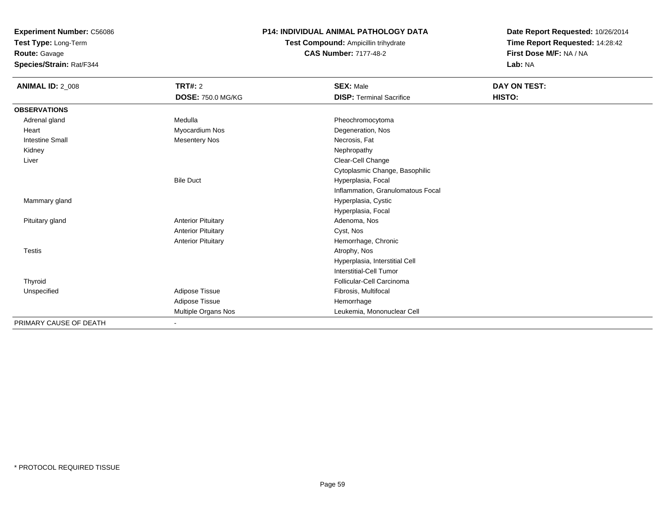**Test Type:** Long-Term

**Route:** Gavage

**Species/Strain:** Rat/F344

# **P14: INDIVIDUAL ANIMAL PATHOLOGY DATA**

**Test Compound:** Ampicillin trihydrate**CAS Number:** 7177-48-2

| <b>ANIMAL ID: 2_008</b> | TRT#: 2                   | <b>SEX: Male</b>                  | DAY ON TEST: |
|-------------------------|---------------------------|-----------------------------------|--------------|
|                         | <b>DOSE: 750.0 MG/KG</b>  | <b>DISP: Terminal Sacrifice</b>   | HISTO:       |
| <b>OBSERVATIONS</b>     |                           |                                   |              |
| Adrenal gland           | Medulla                   | Pheochromocytoma                  |              |
| Heart                   | Myocardium Nos            | Degeneration, Nos                 |              |
| Intestine Small         | <b>Mesentery Nos</b>      | Necrosis, Fat                     |              |
| Kidney                  |                           | Nephropathy                       |              |
| Liver                   |                           | Clear-Cell Change                 |              |
|                         |                           | Cytoplasmic Change, Basophilic    |              |
|                         | <b>Bile Duct</b>          | Hyperplasia, Focal                |              |
|                         |                           | Inflammation, Granulomatous Focal |              |
| Mammary gland           |                           | Hyperplasia, Cystic               |              |
|                         |                           | Hyperplasia, Focal                |              |
| Pituitary gland         | <b>Anterior Pituitary</b> | Adenoma, Nos                      |              |
|                         | <b>Anterior Pituitary</b> | Cyst, Nos                         |              |
|                         | <b>Anterior Pituitary</b> | Hemorrhage, Chronic               |              |
| Testis                  |                           | Atrophy, Nos                      |              |
|                         |                           | Hyperplasia, Interstitial Cell    |              |
|                         |                           | Interstitial-Cell Tumor           |              |
| Thyroid                 |                           | Follicular-Cell Carcinoma         |              |
| Unspecified             | Adipose Tissue            | Fibrosis, Multifocal              |              |
|                         | Adipose Tissue            | Hemorrhage                        |              |
|                         | Multiple Organs Nos       | Leukemia, Mononuclear Cell        |              |
| PRIMARY CAUSE OF DEATH  |                           |                                   |              |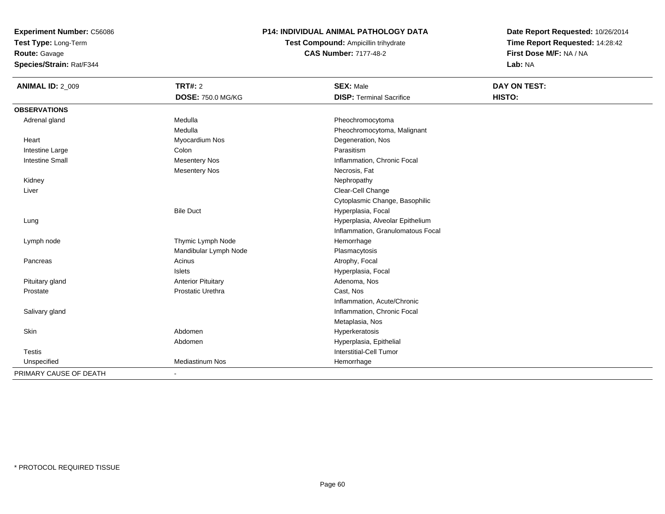**Test Type:** Long-Term

**Route:** Gavage

**Species/Strain:** Rat/F344

## **P14: INDIVIDUAL ANIMAL PATHOLOGY DATA**

**Test Compound:** Ampicillin trihydrate**CAS Number:** 7177-48-2

| <b>ANIMAL ID: 2_009</b> | <b>TRT#: 2</b>            | <b>SEX: Male</b>                  | <b>DAY ON TEST:</b> |
|-------------------------|---------------------------|-----------------------------------|---------------------|
|                         | <b>DOSE: 750.0 MG/KG</b>  | <b>DISP: Terminal Sacrifice</b>   | HISTO:              |
| <b>OBSERVATIONS</b>     |                           |                                   |                     |
| Adrenal gland           | Medulla                   | Pheochromocytoma                  |                     |
|                         | Medulla                   | Pheochromocytoma, Malignant       |                     |
| Heart                   | Myocardium Nos            | Degeneration, Nos                 |                     |
| Intestine Large         | Colon                     | Parasitism                        |                     |
| <b>Intestine Small</b>  | <b>Mesentery Nos</b>      | Inflammation, Chronic Focal       |                     |
|                         | <b>Mesentery Nos</b>      | Necrosis, Fat                     |                     |
| Kidney                  |                           | Nephropathy                       |                     |
| Liver                   |                           | Clear-Cell Change                 |                     |
|                         |                           | Cytoplasmic Change, Basophilic    |                     |
|                         | <b>Bile Duct</b>          | Hyperplasia, Focal                |                     |
| Lung                    |                           | Hyperplasia, Alveolar Epithelium  |                     |
|                         |                           | Inflammation, Granulomatous Focal |                     |
| Lymph node              | Thymic Lymph Node         | Hemorrhage                        |                     |
|                         | Mandibular Lymph Node     | Plasmacytosis                     |                     |
| Pancreas                | Acinus                    | Atrophy, Focal                    |                     |
|                         | <b>Islets</b>             | Hyperplasia, Focal                |                     |
| Pituitary gland         | <b>Anterior Pituitary</b> | Adenoma, Nos                      |                     |
| Prostate                | Prostatic Urethra         | Cast, Nos                         |                     |
|                         |                           | Inflammation, Acute/Chronic       |                     |
| Salivary gland          |                           | Inflammation, Chronic Focal       |                     |
|                         |                           | Metaplasia, Nos                   |                     |
| Skin                    | Abdomen                   | Hyperkeratosis                    |                     |
|                         | Abdomen                   | Hyperplasia, Epithelial           |                     |
| <b>Testis</b>           |                           | <b>Interstitial-Cell Tumor</b>    |                     |
| Unspecified             | Mediastinum Nos           | Hemorrhage                        |                     |
| PRIMARY CAUSE OF DEATH  | $\blacksquare$            |                                   |                     |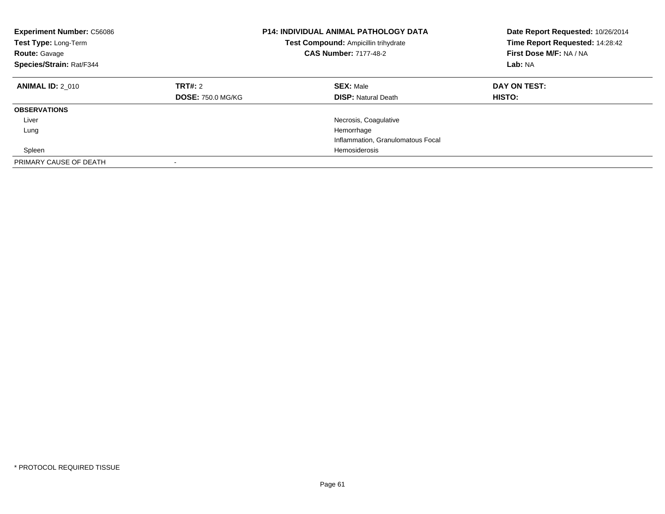| <b>Experiment Number: C56086</b><br><b>Test Type: Long-Term</b><br><b>Route: Gavage</b><br>Species/Strain: Rat/F344 |                                     | <b>P14: INDIVIDUAL ANIMAL PATHOLOGY DATA</b><br>Test Compound: Ampicillin trihydrate<br><b>CAS Number: 7177-48-2</b> | Date Report Requested: 10/26/2014<br>Time Report Requested: 14:28:42<br>First Dose M/F: NA / NA<br>Lab: NA |
|---------------------------------------------------------------------------------------------------------------------|-------------------------------------|----------------------------------------------------------------------------------------------------------------------|------------------------------------------------------------------------------------------------------------|
| <b>ANIMAL ID: 2 010</b>                                                                                             | TRT#: 2<br><b>DOSE: 750.0 MG/KG</b> | <b>SEX: Male</b><br><b>DISP:</b> Natural Death                                                                       | DAY ON TEST:<br>HISTO:                                                                                     |
| <b>OBSERVATIONS</b>                                                                                                 |                                     |                                                                                                                      |                                                                                                            |
| Liver                                                                                                               |                                     | Necrosis, Coagulative                                                                                                |                                                                                                            |
| Lung                                                                                                                |                                     | Hemorrhage                                                                                                           |                                                                                                            |
|                                                                                                                     |                                     | Inflammation, Granulomatous Focal                                                                                    |                                                                                                            |
| Spleen                                                                                                              |                                     | Hemosiderosis                                                                                                        |                                                                                                            |
| PRIMARY CAUSE OF DEATH                                                                                              |                                     |                                                                                                                      |                                                                                                            |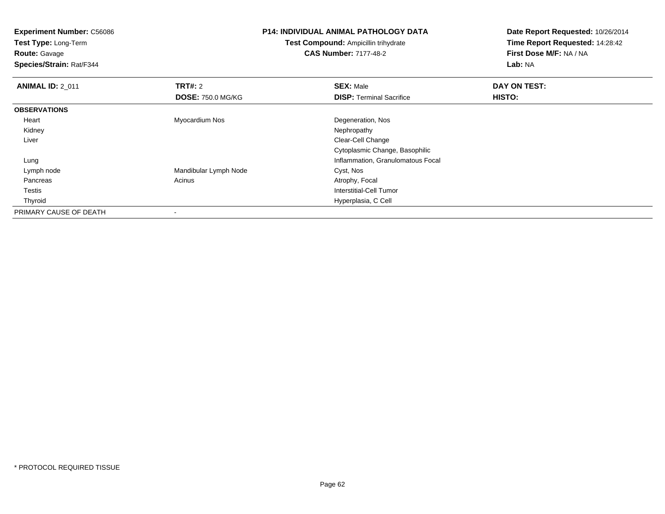**Experiment Number:** C56086**Test Type:** Long-Term**Route:** Gavage **Species/Strain:** Rat/F344**P14: INDIVIDUAL ANIMAL PATHOLOGY DATATest Compound:** Ampicillin trihydrate**CAS Number:** 7177-48-2**Date Report Requested:** 10/26/2014**Time Report Requested:** 14:28:42**First Dose M/F:** NA / NA**Lab:** NA**ANIMAL ID: 2 011 TRT#:** 2 **SEX:** Male **DAY ON TEST: DOSE:** 750.0 MG/KG**DISP:** Terminal Sacrifice **HISTO: OBSERVATIONS** Heart Myocardium Nos Degeneration, Nos Kidneyy the control of the control of the control of the control of the control of the control of the control of the control of the control of the control of the control of the control of the control of the control of the contro Liver Clear-Cell Change Cytoplasmic Change, Basophilic Inflammation, Granulomatous Focal Lung Lymph nodeMandibular Lymph Node Cyst, Nos PancreasAcinus **Acinus** Atrophy, Focal Testis Interstitial-Cell Tumor Thyroid Hyperplasia, C Cell PRIMARY CAUSE OF DEATH-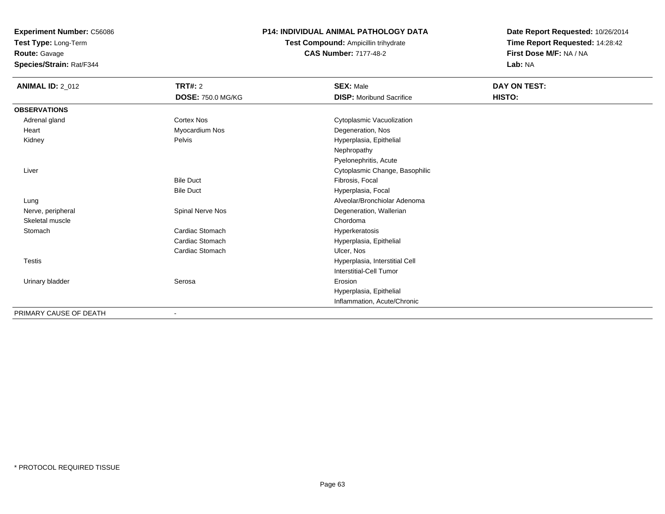**Test Type:** Long-Term

**Route:** Gavage

**Species/Strain:** Rat/F344

# **P14: INDIVIDUAL ANIMAL PATHOLOGY DATA**

**Test Compound:** Ampicillin trihydrate**CAS Number:** 7177-48-2

| <b>ANIMAL ID: 2_012</b> | TRT#: 2<br><b>DOSE: 750.0 MG/KG</b> | <b>SEX: Male</b><br><b>DISP:</b> Moribund Sacrifice | DAY ON TEST:<br>HISTO: |
|-------------------------|-------------------------------------|-----------------------------------------------------|------------------------|
| <b>OBSERVATIONS</b>     |                                     |                                                     |                        |
| Adrenal gland           | <b>Cortex Nos</b>                   | Cytoplasmic Vacuolization                           |                        |
| Heart                   | Myocardium Nos                      | Degeneration, Nos                                   |                        |
| Kidney                  | Pelvis                              | Hyperplasia, Epithelial                             |                        |
|                         |                                     | Nephropathy                                         |                        |
|                         |                                     | Pyelonephritis, Acute                               |                        |
| Liver                   |                                     | Cytoplasmic Change, Basophilic                      |                        |
|                         | <b>Bile Duct</b>                    | Fibrosis, Focal                                     |                        |
|                         | <b>Bile Duct</b>                    | Hyperplasia, Focal                                  |                        |
| Lung                    |                                     | Alveolar/Bronchiolar Adenoma                        |                        |
| Nerve, peripheral       | Spinal Nerve Nos                    | Degeneration, Wallerian                             |                        |
| Skeletal muscle         |                                     | Chordoma                                            |                        |
| Stomach                 | Cardiac Stomach                     | Hyperkeratosis                                      |                        |
|                         | Cardiac Stomach                     | Hyperplasia, Epithelial                             |                        |
|                         | Cardiac Stomach                     | Ulcer, Nos                                          |                        |
| <b>Testis</b>           |                                     | Hyperplasia, Interstitial Cell                      |                        |
|                         |                                     | Interstitial-Cell Tumor                             |                        |
| Urinary bladder         | Serosa                              | Erosion                                             |                        |
|                         |                                     | Hyperplasia, Epithelial                             |                        |
|                         |                                     | Inflammation, Acute/Chronic                         |                        |
| PRIMARY CAUSE OF DEATH  |                                     |                                                     |                        |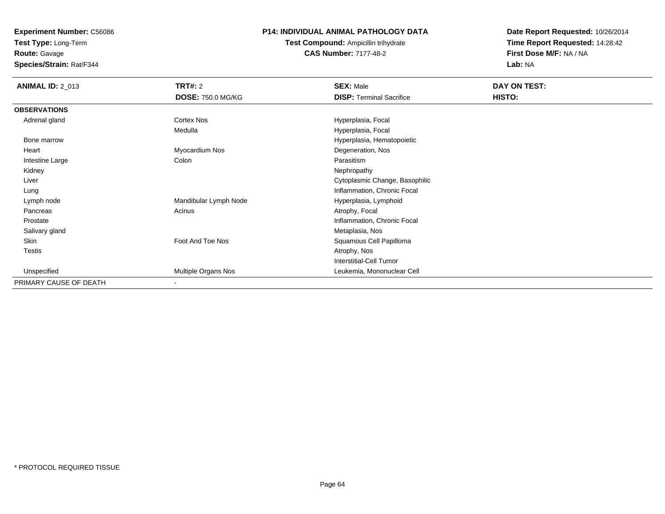**Test Type:** Long-Term**Route:** Gavage

**Species/Strain:** Rat/F344

#### **P14: INDIVIDUAL ANIMAL PATHOLOGY DATA**

**Test Compound:** Ampicillin trihydrate**CAS Number:** 7177-48-2

| <b>ANIMAL ID: 2_013</b> | <b>TRT#: 2</b>           | <b>SEX: Male</b>                | <b>DAY ON TEST:</b> |  |
|-------------------------|--------------------------|---------------------------------|---------------------|--|
|                         | <b>DOSE: 750.0 MG/KG</b> | <b>DISP: Terminal Sacrifice</b> | HISTO:              |  |
| <b>OBSERVATIONS</b>     |                          |                                 |                     |  |
| Adrenal gland           | Cortex Nos               | Hyperplasia, Focal              |                     |  |
|                         | Medulla                  | Hyperplasia, Focal              |                     |  |
| Bone marrow             |                          | Hyperplasia, Hematopoietic      |                     |  |
| Heart                   | Myocardium Nos           | Degeneration, Nos               |                     |  |
| Intestine Large         | Colon                    | Parasitism                      |                     |  |
| Kidney                  |                          | Nephropathy                     |                     |  |
| Liver                   |                          | Cytoplasmic Change, Basophilic  |                     |  |
| Lung                    |                          | Inflammation, Chronic Focal     |                     |  |
| Lymph node              | Mandibular Lymph Node    | Hyperplasia, Lymphoid           |                     |  |
| Pancreas                | Acinus                   | Atrophy, Focal                  |                     |  |
| Prostate                |                          | Inflammation, Chronic Focal     |                     |  |
| Salivary gland          |                          | Metaplasia, Nos                 |                     |  |
| Skin                    | Foot And Toe Nos         | Squamous Cell Papilloma         |                     |  |
| Testis                  |                          | Atrophy, Nos                    |                     |  |
|                         |                          | Interstitial-Cell Tumor         |                     |  |
| Unspecified             | Multiple Organs Nos      | Leukemia, Mononuclear Cell      |                     |  |
| PRIMARY CAUSE OF DEATH  | $\overline{\phantom{a}}$ |                                 |                     |  |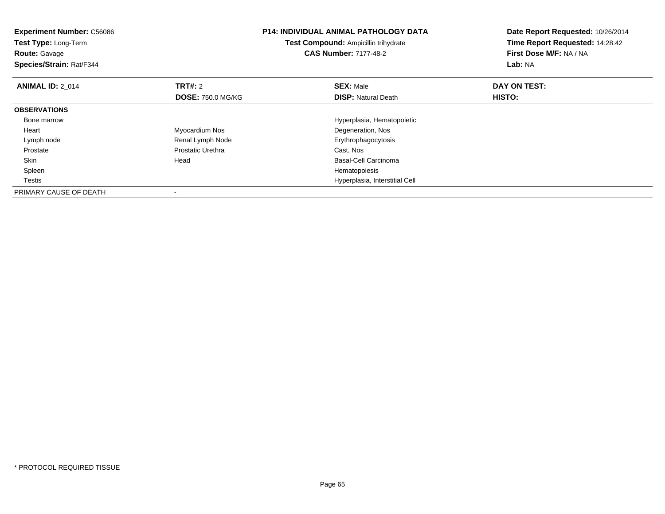| <b>Experiment Number: C56086</b><br>Test Type: Long-Term<br><b>Route: Gavage</b><br>Species/Strain: Rat/F344 |                          | <b>P14: INDIVIDUAL ANIMAL PATHOLOGY DATA</b><br>Test Compound: Ampicillin trihydrate<br><b>CAS Number: 7177-48-2</b> | Date Report Requested: 10/26/2014<br>Time Report Requested: 14:28:42<br>First Dose M/F: NA / NA<br>Lab: NA |
|--------------------------------------------------------------------------------------------------------------|--------------------------|----------------------------------------------------------------------------------------------------------------------|------------------------------------------------------------------------------------------------------------|
| <b>ANIMAL ID: 2 014</b>                                                                                      | <b>TRT#:</b> 2           | <b>SEX: Male</b>                                                                                                     | DAY ON TEST:                                                                                               |
|                                                                                                              | <b>DOSE: 750.0 MG/KG</b> | <b>DISP: Natural Death</b>                                                                                           | HISTO:                                                                                                     |
| <b>OBSERVATIONS</b>                                                                                          |                          |                                                                                                                      |                                                                                                            |
| Bone marrow                                                                                                  |                          | Hyperplasia, Hematopoietic                                                                                           |                                                                                                            |
| Heart                                                                                                        | Myocardium Nos           | Degeneration, Nos                                                                                                    |                                                                                                            |
| Lymph node                                                                                                   | Renal Lymph Node         | Erythrophagocytosis                                                                                                  |                                                                                                            |
| Prostate                                                                                                     | Prostatic Urethra        | Cast, Nos                                                                                                            |                                                                                                            |
| Skin                                                                                                         | Head                     | Basal-Cell Carcinoma                                                                                                 |                                                                                                            |
| Spleen                                                                                                       |                          | Hematopoiesis                                                                                                        |                                                                                                            |
| Testis                                                                                                       |                          | Hyperplasia, Interstitial Cell                                                                                       |                                                                                                            |
| PRIMARY CAUSE OF DEATH                                                                                       |                          |                                                                                                                      |                                                                                                            |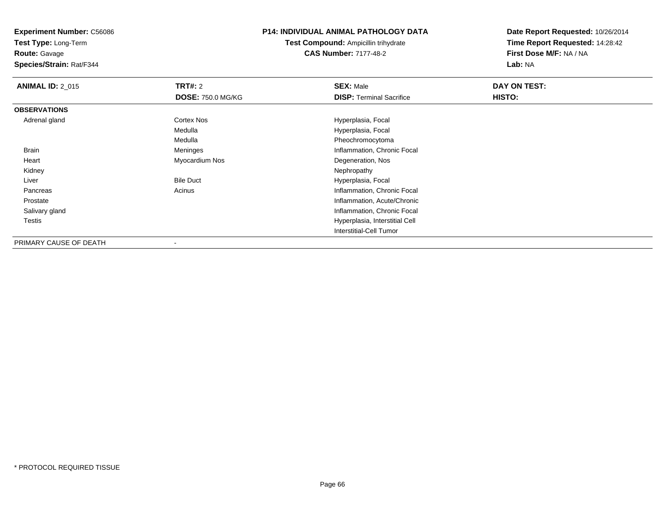**Test Type:** Long-Term

**Route:** Gavage

**Species/Strain:** Rat/F344

### **P14: INDIVIDUAL ANIMAL PATHOLOGY DATA**

**Test Compound:** Ampicillin trihydrate**CAS Number:** 7177-48-2

| <b>ANIMAL ID: 2_015</b> | TRT#: 2                  | <b>SEX: Male</b>                | DAY ON TEST: |  |
|-------------------------|--------------------------|---------------------------------|--------------|--|
|                         | <b>DOSE: 750.0 MG/KG</b> | <b>DISP: Terminal Sacrifice</b> | HISTO:       |  |
| <b>OBSERVATIONS</b>     |                          |                                 |              |  |
| Adrenal gland           | Cortex Nos               | Hyperplasia, Focal              |              |  |
|                         | Medulla                  | Hyperplasia, Focal              |              |  |
|                         | Medulla                  | Pheochromocytoma                |              |  |
| Brain                   | Meninges                 | Inflammation, Chronic Focal     |              |  |
| Heart                   | Myocardium Nos           | Degeneration, Nos               |              |  |
| Kidney                  |                          | Nephropathy                     |              |  |
| Liver                   | <b>Bile Duct</b>         | Hyperplasia, Focal              |              |  |
| Pancreas                | Acinus                   | Inflammation, Chronic Focal     |              |  |
| Prostate                |                          | Inflammation, Acute/Chronic     |              |  |
| Salivary gland          |                          | Inflammation, Chronic Focal     |              |  |
| Testis                  |                          | Hyperplasia, Interstitial Cell  |              |  |
|                         |                          | Interstitial-Cell Tumor         |              |  |
| PRIMARY CAUSE OF DEATH  | $\,$                     |                                 |              |  |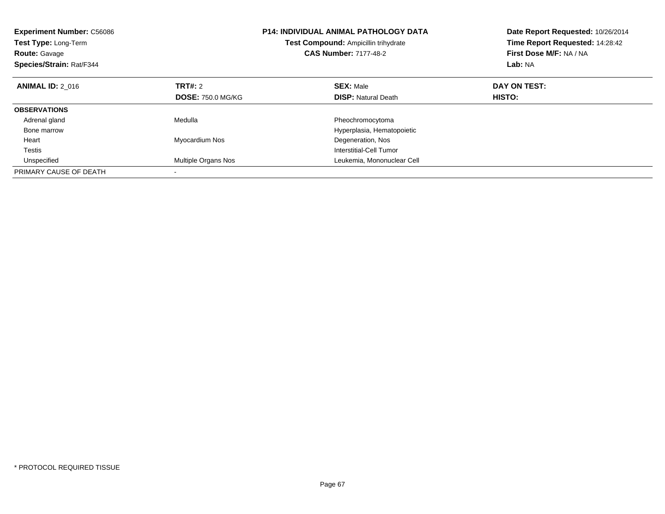| <b>Experiment Number: C56086</b><br>Test Type: Long-Term<br><b>Route: Gavage</b><br>Species/Strain: Rat/F344 |                                     | <b>P14: INDIVIDUAL ANIMAL PATHOLOGY DATA</b><br>Test Compound: Ampicillin trihydrate<br><b>CAS Number: 7177-48-2</b> | Date Report Requested: 10/26/2014<br>Time Report Requested: 14:28:42<br>First Dose M/F: NA / NA<br>Lab: NA |  |
|--------------------------------------------------------------------------------------------------------------|-------------------------------------|----------------------------------------------------------------------------------------------------------------------|------------------------------------------------------------------------------------------------------------|--|
| <b>ANIMAL ID: 2 016</b>                                                                                      | TRT#: 2<br><b>DOSE: 750.0 MG/KG</b> | <b>SEX: Male</b><br><b>DISP: Natural Death</b>                                                                       | DAY ON TEST:<br>HISTO:                                                                                     |  |
|                                                                                                              |                                     |                                                                                                                      |                                                                                                            |  |
| <b>OBSERVATIONS</b>                                                                                          |                                     |                                                                                                                      |                                                                                                            |  |
| Adrenal gland                                                                                                | Medulla                             | Pheochromocytoma                                                                                                     |                                                                                                            |  |
| Bone marrow                                                                                                  |                                     | Hyperplasia, Hematopoietic                                                                                           |                                                                                                            |  |
| Heart                                                                                                        | Myocardium Nos                      | Degeneration, Nos                                                                                                    |                                                                                                            |  |
| Testis                                                                                                       |                                     | Interstitial-Cell Tumor                                                                                              |                                                                                                            |  |
| Unspecified                                                                                                  | Multiple Organs Nos                 | Leukemia, Mononuclear Cell                                                                                           |                                                                                                            |  |
| PRIMARY CAUSE OF DEATH                                                                                       |                                     |                                                                                                                      |                                                                                                            |  |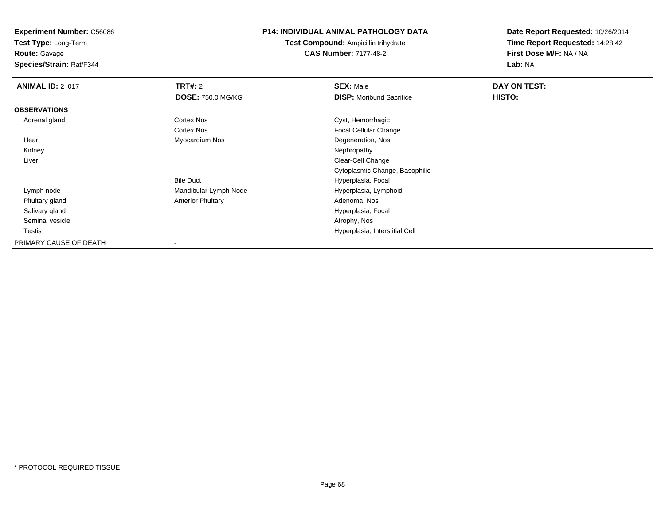**Test Type:** Long-Term

# **Route:** Gavage

**Species/Strain:** Rat/F344

#### **P14: INDIVIDUAL ANIMAL PATHOLOGY DATA**

# **Test Compound:** Ampicillin trihydrate**CAS Number:** 7177-48-2

| <b>ANIMAL ID: 2_017</b> | TRT#: 2                   | <b>SEX: Male</b>                | DAY ON TEST: |  |
|-------------------------|---------------------------|---------------------------------|--------------|--|
|                         | <b>DOSE: 750.0 MG/KG</b>  | <b>DISP:</b> Moribund Sacrifice | HISTO:       |  |
| <b>OBSERVATIONS</b>     |                           |                                 |              |  |
| Adrenal gland           | Cortex Nos                | Cyst, Hemorrhagic               |              |  |
|                         | <b>Cortex Nos</b>         | <b>Focal Cellular Change</b>    |              |  |
| Heart                   | Myocardium Nos            | Degeneration, Nos               |              |  |
| Kidney                  |                           | Nephropathy                     |              |  |
| Liver                   |                           | Clear-Cell Change               |              |  |
|                         |                           | Cytoplasmic Change, Basophilic  |              |  |
|                         | <b>Bile Duct</b>          | Hyperplasia, Focal              |              |  |
| Lymph node              | Mandibular Lymph Node     | Hyperplasia, Lymphoid           |              |  |
| Pituitary gland         | <b>Anterior Pituitary</b> | Adenoma, Nos                    |              |  |
| Salivary gland          |                           | Hyperplasia, Focal              |              |  |
| Seminal vesicle         |                           | Atrophy, Nos                    |              |  |
| Testis                  |                           | Hyperplasia, Interstitial Cell  |              |  |
| PRIMARY CAUSE OF DEATH  |                           |                                 |              |  |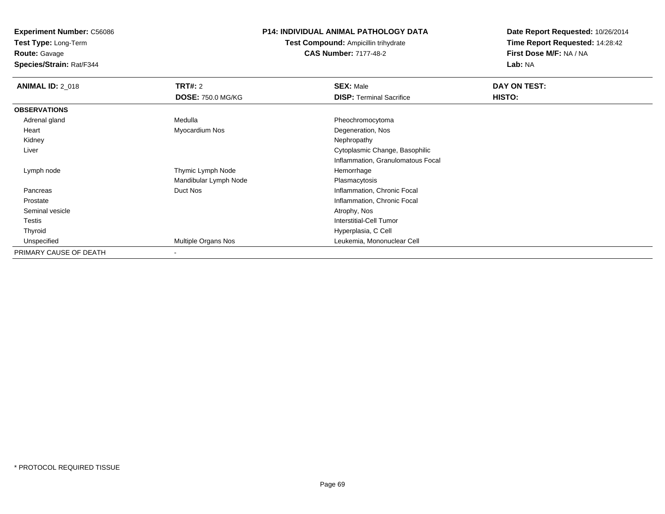**Test Type:** Long-Term

**Route:** Gavage

**Species/Strain:** Rat/F344

#### **P14: INDIVIDUAL ANIMAL PATHOLOGY DATA**

**Test Compound:** Ampicillin trihydrate**CAS Number:** 7177-48-2

| <b>ANIMAL ID: 2_018</b> | <b>TRT#: 2</b>           | <b>SEX: Male</b>                  | DAY ON TEST: |  |
|-------------------------|--------------------------|-----------------------------------|--------------|--|
|                         | <b>DOSE: 750.0 MG/KG</b> | <b>DISP: Terminal Sacrifice</b>   | HISTO:       |  |
| <b>OBSERVATIONS</b>     |                          |                                   |              |  |
| Adrenal gland           | Medulla                  | Pheochromocytoma                  |              |  |
| Heart                   | Myocardium Nos           | Degeneration, Nos                 |              |  |
| Kidney                  |                          | Nephropathy                       |              |  |
| Liver                   |                          | Cytoplasmic Change, Basophilic    |              |  |
|                         |                          | Inflammation, Granulomatous Focal |              |  |
| Lymph node              | Thymic Lymph Node        | Hemorrhage                        |              |  |
|                         | Mandibular Lymph Node    | Plasmacytosis                     |              |  |
| Pancreas                | Duct Nos                 | Inflammation, Chronic Focal       |              |  |
| Prostate                |                          | Inflammation, Chronic Focal       |              |  |
| Seminal vesicle         |                          | Atrophy, Nos                      |              |  |
| Testis                  |                          | Interstitial-Cell Tumor           |              |  |
| Thyroid                 |                          | Hyperplasia, C Cell               |              |  |
| Unspecified             | Multiple Organs Nos      | Leukemia, Mononuclear Cell        |              |  |
| PRIMARY CAUSE OF DEATH  |                          |                                   |              |  |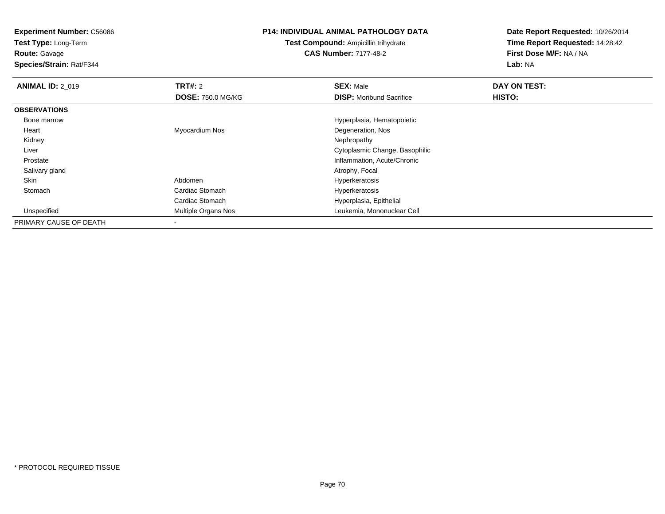**Test Type:** Long-Term

**Route:** Gavage

**Species/Strain:** Rat/F344

### **P14: INDIVIDUAL ANIMAL PATHOLOGY DATA**

**Test Compound:** Ampicillin trihydrate**CAS Number:** 7177-48-2

| <b>ANIMAL ID: 2 019</b> | TRT#: 2                  | <b>SEX: Male</b>                | DAY ON TEST: |  |
|-------------------------|--------------------------|---------------------------------|--------------|--|
|                         | <b>DOSE: 750.0 MG/KG</b> | <b>DISP:</b> Moribund Sacrifice | HISTO:       |  |
| <b>OBSERVATIONS</b>     |                          |                                 |              |  |
| Bone marrow             |                          | Hyperplasia, Hematopoietic      |              |  |
| Heart                   | Myocardium Nos           | Degeneration, Nos               |              |  |
| Kidney                  |                          | Nephropathy                     |              |  |
| Liver                   |                          | Cytoplasmic Change, Basophilic  |              |  |
| Prostate                |                          | Inflammation, Acute/Chronic     |              |  |
| Salivary gland          |                          | Atrophy, Focal                  |              |  |
| Skin                    | Abdomen                  | Hyperkeratosis                  |              |  |
| Stomach                 | Cardiac Stomach          | Hyperkeratosis                  |              |  |
|                         | Cardiac Stomach          | Hyperplasia, Epithelial         |              |  |
| Unspecified             | Multiple Organs Nos      | Leukemia, Mononuclear Cell      |              |  |
| PRIMARY CAUSE OF DEATH  | $\overline{\phantom{a}}$ |                                 |              |  |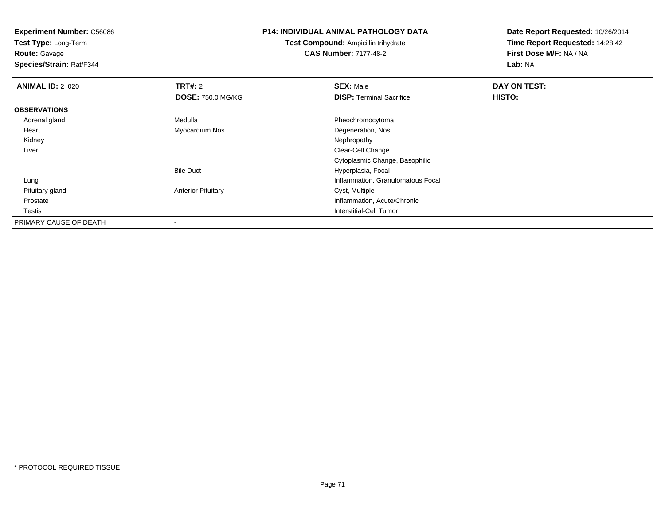**Test Type:** Long-Term

**Route:** Gavage

**Species/Strain:** Rat/F344

# **P14: INDIVIDUAL ANIMAL PATHOLOGY DATA**

**Test Compound:** Ampicillin trihydrate**CAS Number:** 7177-48-2

| <b>ANIMAL ID: 2 020</b> | <b>TRT#: 2</b>            | <b>SEX: Male</b>                  | DAY ON TEST: |  |
|-------------------------|---------------------------|-----------------------------------|--------------|--|
|                         | <b>DOSE: 750.0 MG/KG</b>  | <b>DISP: Terminal Sacrifice</b>   | HISTO:       |  |
| <b>OBSERVATIONS</b>     |                           |                                   |              |  |
| Adrenal gland           | Medulla                   | Pheochromocytoma                  |              |  |
| Heart                   | Myocardium Nos            | Degeneration, Nos                 |              |  |
| Kidney                  |                           | Nephropathy                       |              |  |
| Liver                   |                           | Clear-Cell Change                 |              |  |
|                         |                           | Cytoplasmic Change, Basophilic    |              |  |
|                         | <b>Bile Duct</b>          | Hyperplasia, Focal                |              |  |
| Lung                    |                           | Inflammation, Granulomatous Focal |              |  |
| Pituitary gland         | <b>Anterior Pituitary</b> | Cyst, Multiple                    |              |  |
| Prostate                |                           | Inflammation, Acute/Chronic       |              |  |
| Testis                  |                           | Interstitial-Cell Tumor           |              |  |
| PRIMARY CAUSE OF DEATH  |                           |                                   |              |  |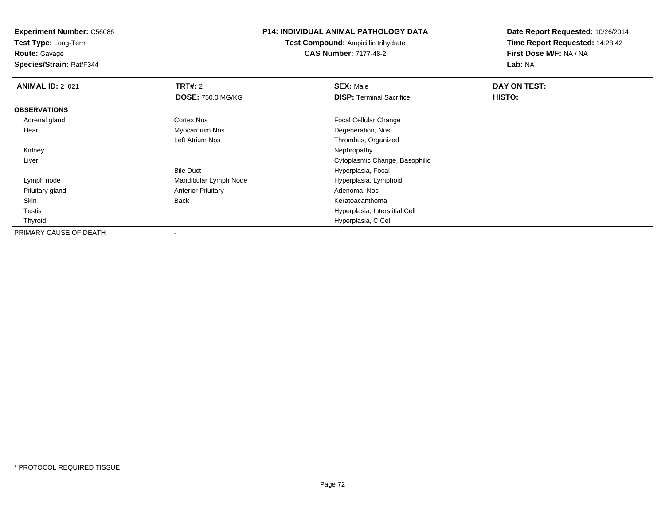**Test Type:** Long-Term

**Route:** Gavage

**Species/Strain:** Rat/F344

#### **P14: INDIVIDUAL ANIMAL PATHOLOGY DATA**

**Test Compound:** Ampicillin trihydrate**CAS Number:** 7177-48-2

| <b>ANIMAL ID: 2_021</b> | <b>TRT#: 2</b>            | <b>SEX: Male</b>                | DAY ON TEST: |  |
|-------------------------|---------------------------|---------------------------------|--------------|--|
|                         | <b>DOSE: 750.0 MG/KG</b>  | <b>DISP:</b> Terminal Sacrifice | HISTO:       |  |
| <b>OBSERVATIONS</b>     |                           |                                 |              |  |
| Adrenal gland           | <b>Cortex Nos</b>         | <b>Focal Cellular Change</b>    |              |  |
| Heart                   | Myocardium Nos            | Degeneration, Nos               |              |  |
|                         | Left Atrium Nos           | Thrombus, Organized             |              |  |
| Kidney                  |                           | Nephropathy                     |              |  |
| Liver                   |                           | Cytoplasmic Change, Basophilic  |              |  |
|                         | <b>Bile Duct</b>          | Hyperplasia, Focal              |              |  |
| Lymph node              | Mandibular Lymph Node     | Hyperplasia, Lymphoid           |              |  |
| Pituitary gland         | <b>Anterior Pituitary</b> | Adenoma, Nos                    |              |  |
| Skin                    | Back                      | Keratoacanthoma                 |              |  |
| Testis                  |                           | Hyperplasia, Interstitial Cell  |              |  |
| Thyroid                 |                           | Hyperplasia, C Cell             |              |  |
| PRIMARY CAUSE OF DEATH  |                           |                                 |              |  |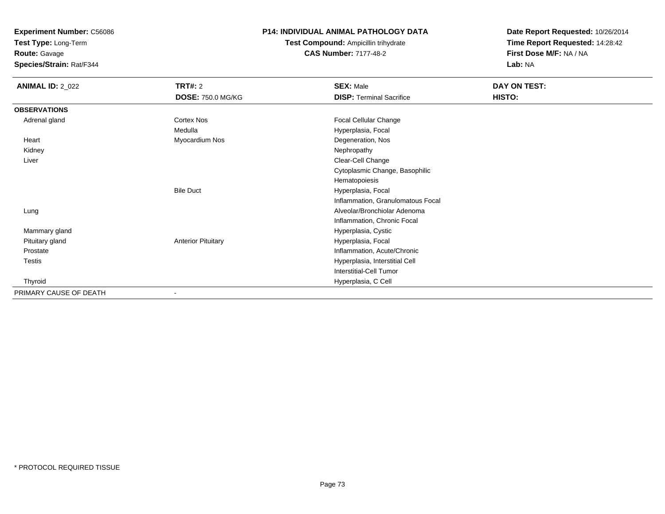**Test Type:** Long-Term

**Route:** Gavage

**Species/Strain:** Rat/F344

#### **P14: INDIVIDUAL ANIMAL PATHOLOGY DATA**

**Test Compound:** Ampicillin trihydrate**CAS Number:** 7177-48-2

| <b>ANIMAL ID: 2_022</b> | TRT#: 2                   | <b>SEX: Male</b>                  | DAY ON TEST: |
|-------------------------|---------------------------|-----------------------------------|--------------|
|                         | <b>DOSE: 750.0 MG/KG</b>  | <b>DISP: Terminal Sacrifice</b>   | HISTO:       |
| <b>OBSERVATIONS</b>     |                           |                                   |              |
| Adrenal gland           | Cortex Nos                | <b>Focal Cellular Change</b>      |              |
|                         | Medulla                   | Hyperplasia, Focal                |              |
| Heart                   | Myocardium Nos            | Degeneration, Nos                 |              |
| Kidney                  |                           | Nephropathy                       |              |
| Liver                   |                           | Clear-Cell Change                 |              |
|                         |                           | Cytoplasmic Change, Basophilic    |              |
|                         |                           | Hematopoiesis                     |              |
|                         | <b>Bile Duct</b>          | Hyperplasia, Focal                |              |
|                         |                           | Inflammation, Granulomatous Focal |              |
| Lung                    |                           | Alveolar/Bronchiolar Adenoma      |              |
|                         |                           | Inflammation, Chronic Focal       |              |
| Mammary gland           |                           | Hyperplasia, Cystic               |              |
| Pituitary gland         | <b>Anterior Pituitary</b> | Hyperplasia, Focal                |              |
| Prostate                |                           | Inflammation, Acute/Chronic       |              |
| <b>Testis</b>           |                           | Hyperplasia, Interstitial Cell    |              |
|                         |                           | Interstitial-Cell Tumor           |              |
| Thyroid                 |                           | Hyperplasia, C Cell               |              |
| PRIMARY CAUSE OF DEATH  | ۰                         |                                   |              |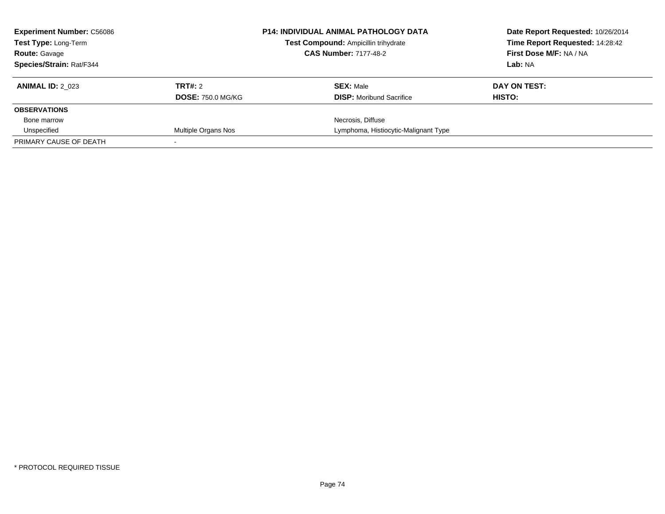| <b>Experiment Number: C56086</b><br><b>Test Type: Long-Term</b> |                          | <b>P14: INDIVIDUAL ANIMAL PATHOLOGY DATA</b><br>Test Compound: Ampicillin trihydrate<br><b>CAS Number: 7177-48-2</b> | Date Report Requested: 10/26/2014<br>Time Report Requested: 14:28:42<br>First Dose M/F: NA / NA |  |
|-----------------------------------------------------------------|--------------------------|----------------------------------------------------------------------------------------------------------------------|-------------------------------------------------------------------------------------------------|--|
| <b>Route: Gavage</b><br>Species/Strain: Rat/F344                |                          |                                                                                                                      | Lab: NA                                                                                         |  |
| <b>ANIMAL ID: 2 023</b>                                         | TRT#: 2                  | <b>SEX: Male</b>                                                                                                     | DAY ON TEST:                                                                                    |  |
|                                                                 | <b>DOSE: 750.0 MG/KG</b> | <b>DISP:</b> Moribund Sacrifice                                                                                      | HISTO:                                                                                          |  |
| <b>OBSERVATIONS</b>                                             |                          |                                                                                                                      |                                                                                                 |  |
| Bone marrow                                                     |                          | Necrosis, Diffuse                                                                                                    |                                                                                                 |  |
| Unspecified                                                     | Multiple Organs Nos      | Lymphoma, Histiocytic-Malignant Type                                                                                 |                                                                                                 |  |
| PRIMARY CAUSE OF DEATH                                          |                          |                                                                                                                      |                                                                                                 |  |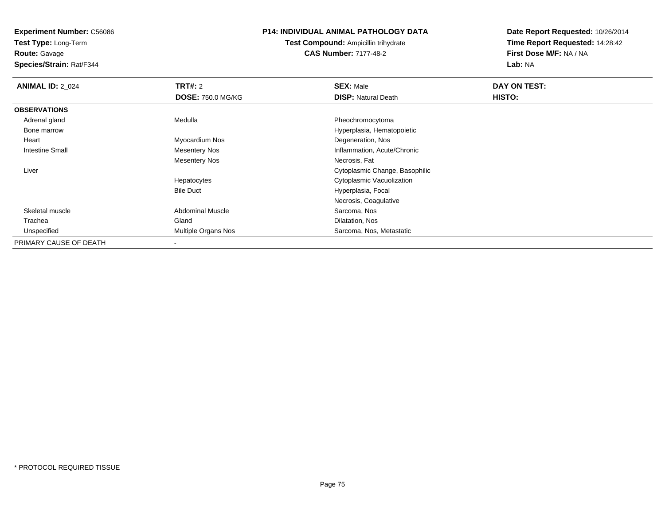**Test Type:** Long-Term

**Route:** Gavage

**Species/Strain:** Rat/F344

#### **P14: INDIVIDUAL ANIMAL PATHOLOGY DATA**

**Test Compound:** Ampicillin trihydrate**CAS Number:** 7177-48-2

| <b>ANIMAL ID: 2 024</b> | <b>TRT#: 2</b>           | <b>SEX: Male</b>               | DAY ON TEST: |  |
|-------------------------|--------------------------|--------------------------------|--------------|--|
|                         | <b>DOSE: 750.0 MG/KG</b> | <b>DISP: Natural Death</b>     | HISTO:       |  |
| <b>OBSERVATIONS</b>     |                          |                                |              |  |
| Adrenal gland           | Medulla                  | Pheochromocytoma               |              |  |
| Bone marrow             |                          | Hyperplasia, Hematopoietic     |              |  |
| Heart                   | Myocardium Nos           | Degeneration, Nos              |              |  |
| <b>Intestine Small</b>  | <b>Mesentery Nos</b>     | Inflammation, Acute/Chronic    |              |  |
|                         | <b>Mesentery Nos</b>     | Necrosis, Fat                  |              |  |
| Liver                   |                          | Cytoplasmic Change, Basophilic |              |  |
|                         | Hepatocytes              | Cytoplasmic Vacuolization      |              |  |
|                         | <b>Bile Duct</b>         | Hyperplasia, Focal             |              |  |
|                         |                          | Necrosis, Coagulative          |              |  |
| Skeletal muscle         | <b>Abdominal Muscle</b>  | Sarcoma, Nos                   |              |  |
| Trachea                 | Gland                    | Dilatation, Nos                |              |  |
| Unspecified             | Multiple Organs Nos      | Sarcoma, Nos, Metastatic       |              |  |
| PRIMARY CAUSE OF DEATH  | $\,$                     |                                |              |  |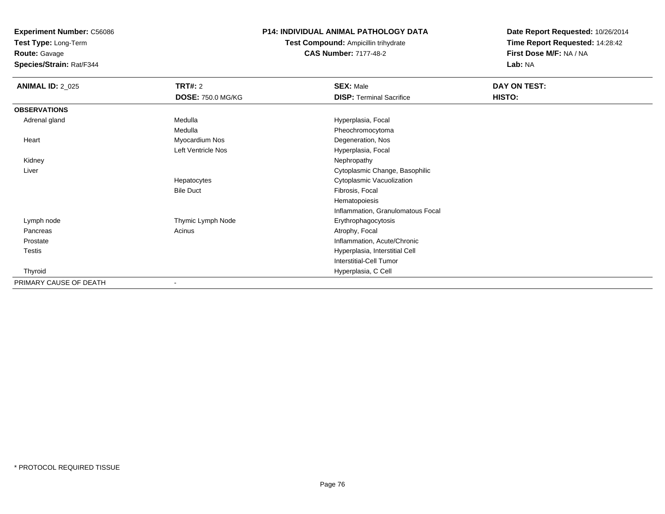**Test Type:** Long-Term

**Route:** Gavage

**Species/Strain:** Rat/F344

#### **P14: INDIVIDUAL ANIMAL PATHOLOGY DATA**

**Test Compound:** Ampicillin trihydrate**CAS Number:** 7177-48-2

| <b>ANIMAL ID: 2_025</b> | <b>TRT#: 2</b>           | <b>SEX: Male</b>                  | DAY ON TEST: |  |
|-------------------------|--------------------------|-----------------------------------|--------------|--|
|                         | <b>DOSE: 750.0 MG/KG</b> | <b>DISP: Terminal Sacrifice</b>   | HISTO:       |  |
| <b>OBSERVATIONS</b>     |                          |                                   |              |  |
| Adrenal gland           | Medulla                  | Hyperplasia, Focal                |              |  |
|                         | Medulla                  | Pheochromocytoma                  |              |  |
| Heart                   | Myocardium Nos           | Degeneration, Nos                 |              |  |
|                         | Left Ventricle Nos       | Hyperplasia, Focal                |              |  |
| Kidney                  |                          | Nephropathy                       |              |  |
| Liver                   |                          | Cytoplasmic Change, Basophilic    |              |  |
|                         | Hepatocytes              | Cytoplasmic Vacuolization         |              |  |
|                         | <b>Bile Duct</b>         | Fibrosis, Focal                   |              |  |
|                         |                          | Hematopoiesis                     |              |  |
|                         |                          | Inflammation, Granulomatous Focal |              |  |
| Lymph node              | Thymic Lymph Node        | Erythrophagocytosis               |              |  |
| Pancreas                | Acinus                   | Atrophy, Focal                    |              |  |
| Prostate                |                          | Inflammation, Acute/Chronic       |              |  |
| Testis                  |                          | Hyperplasia, Interstitial Cell    |              |  |
|                         |                          | <b>Interstitial-Cell Tumor</b>    |              |  |
| Thyroid                 |                          | Hyperplasia, C Cell               |              |  |
| PRIMARY CAUSE OF DEATH  |                          |                                   |              |  |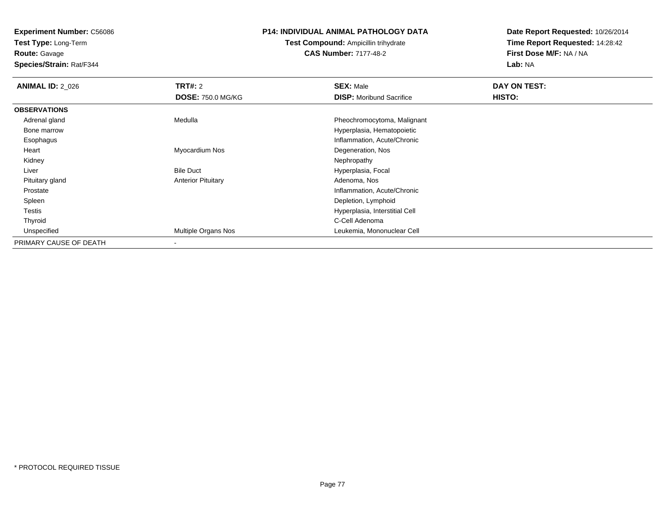**Test Type:** Long-Term

**Route:** Gavage

**Species/Strain:** Rat/F344

#### **P14: INDIVIDUAL ANIMAL PATHOLOGY DATA**

### **Test Compound:** Ampicillin trihydrate**CAS Number:** 7177-48-2

| <b>ANIMAL ID: 2 026</b> | TRT#: 2                    | <b>SEX: Male</b>                | DAY ON TEST: |  |
|-------------------------|----------------------------|---------------------------------|--------------|--|
|                         | <b>DOSE: 750.0 MG/KG</b>   | <b>DISP:</b> Moribund Sacrifice | HISTO:       |  |
| <b>OBSERVATIONS</b>     |                            |                                 |              |  |
| Adrenal gland           | Medulla                    | Pheochromocytoma, Malignant     |              |  |
| Bone marrow             |                            | Hyperplasia, Hematopoietic      |              |  |
| Esophagus               |                            | Inflammation, Acute/Chronic     |              |  |
| Heart                   | Myocardium Nos             | Degeneration, Nos               |              |  |
| Kidney                  |                            | Nephropathy                     |              |  |
| Liver                   | <b>Bile Duct</b>           | Hyperplasia, Focal              |              |  |
| Pituitary gland         | <b>Anterior Pituitary</b>  | Adenoma, Nos                    |              |  |
| Prostate                |                            | Inflammation, Acute/Chronic     |              |  |
| Spleen                  |                            | Depletion, Lymphoid             |              |  |
| Testis                  |                            | Hyperplasia, Interstitial Cell  |              |  |
| Thyroid                 |                            | C-Cell Adenoma                  |              |  |
| Unspecified             | <b>Multiple Organs Nos</b> | Leukemia, Mononuclear Cell      |              |  |
| PRIMARY CAUSE OF DEATH  |                            |                                 |              |  |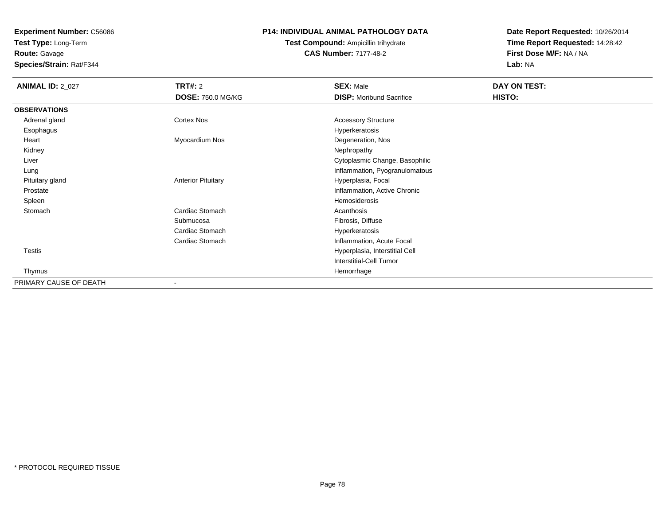**Test Type:** Long-Term**Route:** Gavage

**Species/Strain:** Rat/F344

#### **P14: INDIVIDUAL ANIMAL PATHOLOGY DATA**

# **Test Compound:** Ampicillin trihydrate**CAS Number:** 7177-48-2

| <b>ANIMAL ID: 2_027</b> | <b>TRT#: 2</b>            | <b>SEX: Male</b>                | DAY ON TEST: |  |
|-------------------------|---------------------------|---------------------------------|--------------|--|
|                         | <b>DOSE: 750.0 MG/KG</b>  | <b>DISP:</b> Moribund Sacrifice | HISTO:       |  |
| <b>OBSERVATIONS</b>     |                           |                                 |              |  |
| Adrenal gland           | Cortex Nos                | <b>Accessory Structure</b>      |              |  |
| Esophagus               |                           | Hyperkeratosis                  |              |  |
| Heart                   | Myocardium Nos            | Degeneration, Nos               |              |  |
| Kidney                  |                           | Nephropathy                     |              |  |
| Liver                   |                           | Cytoplasmic Change, Basophilic  |              |  |
| Lung                    |                           | Inflammation, Pyogranulomatous  |              |  |
| Pituitary gland         | <b>Anterior Pituitary</b> | Hyperplasia, Focal              |              |  |
| Prostate                |                           | Inflammation, Active Chronic    |              |  |
| Spleen                  |                           | Hemosiderosis                   |              |  |
| Stomach                 | Cardiac Stomach           | Acanthosis                      |              |  |
|                         | Submucosa                 | Fibrosis, Diffuse               |              |  |
|                         | Cardiac Stomach           | Hyperkeratosis                  |              |  |
|                         | Cardiac Stomach           | Inflammation, Acute Focal       |              |  |
| Testis                  |                           | Hyperplasia, Interstitial Cell  |              |  |
|                         |                           | Interstitial-Cell Tumor         |              |  |
| Thymus                  |                           | Hemorrhage                      |              |  |
| PRIMARY CAUSE OF DEATH  |                           |                                 |              |  |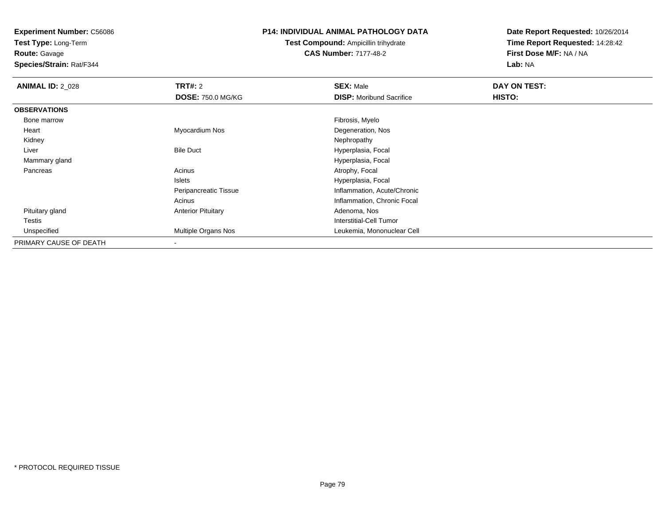**Test Type:** Long-Term

# **Route:** Gavage

**Species/Strain:** Rat/F344

#### **P14: INDIVIDUAL ANIMAL PATHOLOGY DATA**

# **Test Compound:** Ampicillin trihydrate**CAS Number:** 7177-48-2

| <b>ANIMAL ID: 2 028</b> | TRT#: 2                   | <b>SEX: Male</b>                | DAY ON TEST: |  |
|-------------------------|---------------------------|---------------------------------|--------------|--|
|                         | <b>DOSE: 750.0 MG/KG</b>  | <b>DISP:</b> Moribund Sacrifice | HISTO:       |  |
| <b>OBSERVATIONS</b>     |                           |                                 |              |  |
| Bone marrow             |                           | Fibrosis, Myelo                 |              |  |
| Heart                   | Myocardium Nos            | Degeneration, Nos               |              |  |
| Kidney                  |                           | Nephropathy                     |              |  |
| Liver                   | <b>Bile Duct</b>          | Hyperplasia, Focal              |              |  |
| Mammary gland           |                           | Hyperplasia, Focal              |              |  |
| Pancreas                | Acinus                    | Atrophy, Focal                  |              |  |
|                         | Islets                    | Hyperplasia, Focal              |              |  |
|                         | Peripancreatic Tissue     | Inflammation, Acute/Chronic     |              |  |
|                         | Acinus                    | Inflammation, Chronic Focal     |              |  |
| Pituitary gland         | <b>Anterior Pituitary</b> | Adenoma, Nos                    |              |  |
| Testis                  |                           | Interstitial-Cell Tumor         |              |  |
| Unspecified             | Multiple Organs Nos       | Leukemia, Mononuclear Cell      |              |  |
| PRIMARY CAUSE OF DEATH  |                           |                                 |              |  |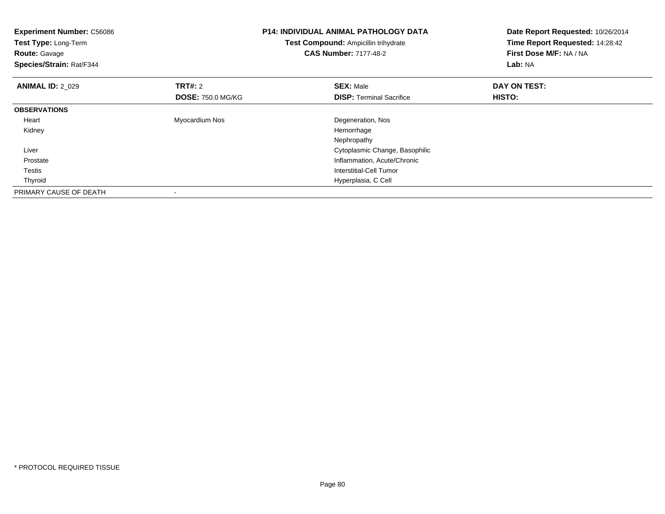| <b>Experiment Number: C56086</b><br>Test Type: Long-Term<br><b>Route: Gavage</b><br>Species/Strain: Rat/F344 |                          | <b>P14: INDIVIDUAL ANIMAL PATHOLOGY DATA</b><br>Test Compound: Ampicillin trihydrate<br><b>CAS Number: 7177-48-2</b> | Date Report Requested: 10/26/2014<br>Time Report Requested: 14:28:42<br>First Dose M/F: NA / NA<br>Lab: NA |
|--------------------------------------------------------------------------------------------------------------|--------------------------|----------------------------------------------------------------------------------------------------------------------|------------------------------------------------------------------------------------------------------------|
| <b>ANIMAL ID: 2 029</b>                                                                                      | <b>TRT#: 2</b>           | <b>SEX: Male</b>                                                                                                     | DAY ON TEST:                                                                                               |
|                                                                                                              | <b>DOSE: 750.0 MG/KG</b> | <b>DISP:</b> Terminal Sacrifice                                                                                      | HISTO:                                                                                                     |
| <b>OBSERVATIONS</b>                                                                                          |                          |                                                                                                                      |                                                                                                            |
| Heart                                                                                                        | Myocardium Nos           | Degeneration, Nos                                                                                                    |                                                                                                            |
| Kidney                                                                                                       |                          | Hemorrhage                                                                                                           |                                                                                                            |
|                                                                                                              |                          | Nephropathy                                                                                                          |                                                                                                            |
| Liver                                                                                                        |                          | Cytoplasmic Change, Basophilic                                                                                       |                                                                                                            |
| Prostate                                                                                                     |                          | Inflammation, Acute/Chronic                                                                                          |                                                                                                            |
| Testis                                                                                                       |                          | <b>Interstitial-Cell Tumor</b>                                                                                       |                                                                                                            |
| Thyroid                                                                                                      |                          | Hyperplasia, C Cell                                                                                                  |                                                                                                            |
| PRIMARY CAUSE OF DEATH                                                                                       |                          |                                                                                                                      |                                                                                                            |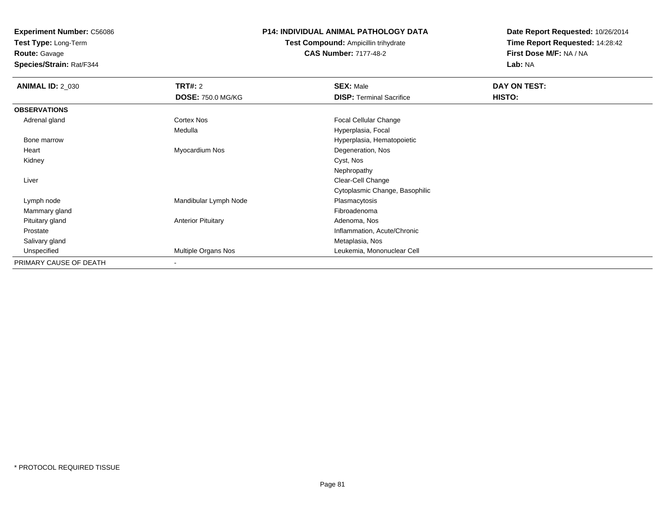**Test Type:** Long-Term

**Route:** Gavage

**Species/Strain:** Rat/F344

#### **P14: INDIVIDUAL ANIMAL PATHOLOGY DATA**

**Test Compound:** Ampicillin trihydrate**CAS Number:** 7177-48-2

| <b>ANIMAL ID: 2 030</b> | TRT#: 2                   | <b>SEX: Male</b>                | DAY ON TEST: |
|-------------------------|---------------------------|---------------------------------|--------------|
|                         | <b>DOSE: 750.0 MG/KG</b>  | <b>DISP: Terminal Sacrifice</b> | HISTO:       |
| <b>OBSERVATIONS</b>     |                           |                                 |              |
| Adrenal gland           | Cortex Nos                | <b>Focal Cellular Change</b>    |              |
|                         | Medulla                   | Hyperplasia, Focal              |              |
| Bone marrow             |                           | Hyperplasia, Hematopoietic      |              |
| Heart                   | Myocardium Nos            | Degeneration, Nos               |              |
| Kidney                  |                           | Cyst, Nos                       |              |
|                         |                           | Nephropathy                     |              |
| Liver                   |                           | Clear-Cell Change               |              |
|                         |                           | Cytoplasmic Change, Basophilic  |              |
| Lymph node              | Mandibular Lymph Node     | Plasmacytosis                   |              |
| Mammary gland           |                           | Fibroadenoma                    |              |
| Pituitary gland         | <b>Anterior Pituitary</b> | Adenoma, Nos                    |              |
| Prostate                |                           | Inflammation, Acute/Chronic     |              |
| Salivary gland          |                           | Metaplasia, Nos                 |              |
| Unspecified             | Multiple Organs Nos       | Leukemia, Mononuclear Cell      |              |
| PRIMARY CAUSE OF DEATH  | $\blacksquare$            |                                 |              |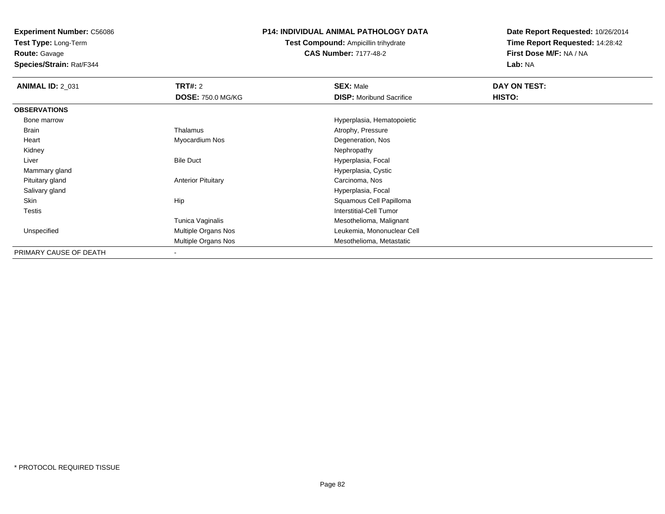**Test Type:** Long-Term

**Route:** Gavage

**Species/Strain:** Rat/F344

#### **P14: INDIVIDUAL ANIMAL PATHOLOGY DATA**

**Test Compound:** Ampicillin trihydrate**CAS Number:** 7177-48-2

| <b>ANIMAL ID: 2 031</b> | <b>TRT#: 2</b>            | <b>SEX: Male</b>                | DAY ON TEST: |
|-------------------------|---------------------------|---------------------------------|--------------|
|                         | <b>DOSE: 750.0 MG/KG</b>  | <b>DISP:</b> Moribund Sacrifice | HISTO:       |
| <b>OBSERVATIONS</b>     |                           |                                 |              |
| Bone marrow             |                           | Hyperplasia, Hematopoietic      |              |
| <b>Brain</b>            | Thalamus                  | Atrophy, Pressure               |              |
| Heart                   | Myocardium Nos            | Degeneration, Nos               |              |
| Kidney                  |                           | Nephropathy                     |              |
| Liver                   | <b>Bile Duct</b>          | Hyperplasia, Focal              |              |
| Mammary gland           |                           | Hyperplasia, Cystic             |              |
| Pituitary gland         | <b>Anterior Pituitary</b> | Carcinoma, Nos                  |              |
| Salivary gland          |                           | Hyperplasia, Focal              |              |
| Skin                    | Hip                       | Squamous Cell Papilloma         |              |
| <b>Testis</b>           |                           | Interstitial-Cell Tumor         |              |
|                         | Tunica Vaginalis          | Mesothelioma, Malignant         |              |
| Unspecified             | Multiple Organs Nos       | Leukemia, Mononuclear Cell      |              |
|                         | Multiple Organs Nos       | Mesothelioma, Metastatic        |              |
| PRIMARY CAUSE OF DEATH  | ۰                         |                                 |              |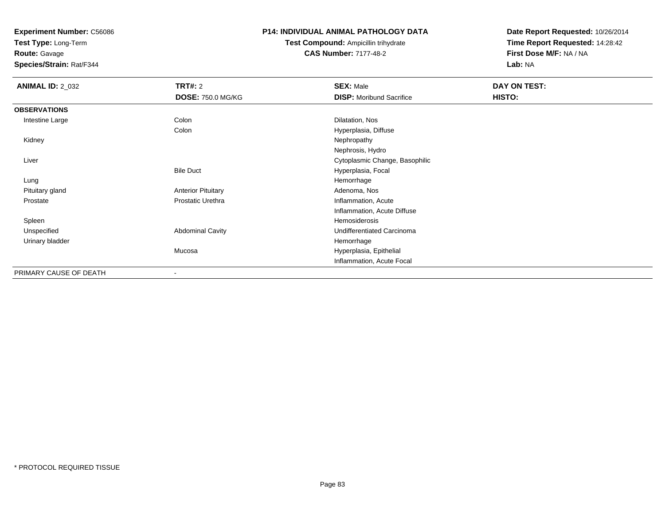**Test Type:** Long-Term

**Route:** Gavage

**Species/Strain:** Rat/F344

#### **P14: INDIVIDUAL ANIMAL PATHOLOGY DATA**

# **Test Compound:** Ampicillin trihydrate**CAS Number:** 7177-48-2

| <b>ANIMAL ID: 2_032</b> | TRT#: 2                   | <b>SEX: Male</b>                | <b>DAY ON TEST:</b> |
|-------------------------|---------------------------|---------------------------------|---------------------|
|                         | <b>DOSE: 750.0 MG/KG</b>  | <b>DISP:</b> Moribund Sacrifice | HISTO:              |
| <b>OBSERVATIONS</b>     |                           |                                 |                     |
| Intestine Large         | Colon                     | Dilatation, Nos                 |                     |
|                         | Colon                     | Hyperplasia, Diffuse            |                     |
| Kidney                  |                           | Nephropathy                     |                     |
|                         |                           | Nephrosis, Hydro                |                     |
| Liver                   |                           | Cytoplasmic Change, Basophilic  |                     |
|                         | <b>Bile Duct</b>          | Hyperplasia, Focal              |                     |
| Lung                    |                           | Hemorrhage                      |                     |
| Pituitary gland         | <b>Anterior Pituitary</b> | Adenoma, Nos                    |                     |
| Prostate                | Prostatic Urethra         | Inflammation, Acute             |                     |
|                         |                           | Inflammation, Acute Diffuse     |                     |
| Spleen                  |                           | Hemosiderosis                   |                     |
| Unspecified             | <b>Abdominal Cavity</b>   | Undifferentiated Carcinoma      |                     |
| Urinary bladder         |                           | Hemorrhage                      |                     |
|                         | Mucosa                    | Hyperplasia, Epithelial         |                     |
|                         |                           | Inflammation, Acute Focal       |                     |
| PRIMARY CAUSE OF DEATH  | $\overline{\phantom{a}}$  |                                 |                     |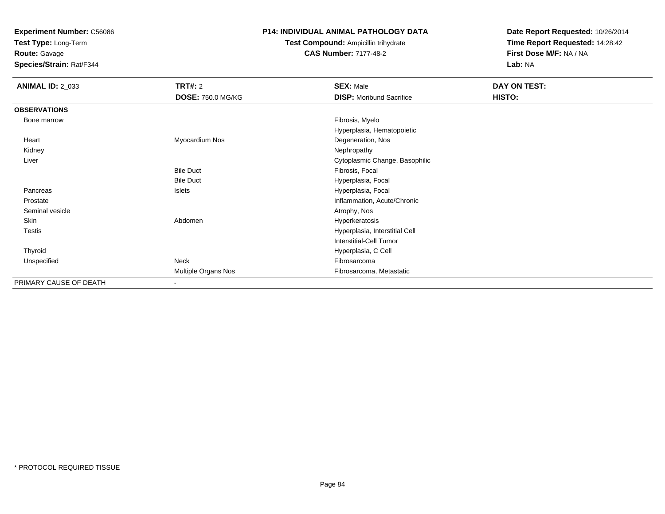**Test Type:** Long-Term

**Route:** Gavage

**Species/Strain:** Rat/F344

#### **P14: INDIVIDUAL ANIMAL PATHOLOGY DATA**

# **Test Compound:** Ampicillin trihydrate**CAS Number:** 7177-48-2

| <b>ANIMAL ID: 2_033</b> | <b>TRT#: 2</b><br><b>DOSE: 750.0 MG/KG</b> | <b>SEX: Male</b><br><b>DISP:</b> Moribund Sacrifice | DAY ON TEST:<br>HISTO: |
|-------------------------|--------------------------------------------|-----------------------------------------------------|------------------------|
| <b>OBSERVATIONS</b>     |                                            |                                                     |                        |
| Bone marrow             |                                            | Fibrosis, Myelo                                     |                        |
|                         |                                            | Hyperplasia, Hematopoietic                          |                        |
| Heart                   | Myocardium Nos                             | Degeneration, Nos                                   |                        |
| Kidney                  |                                            | Nephropathy                                         |                        |
| Liver                   |                                            | Cytoplasmic Change, Basophilic                      |                        |
|                         | <b>Bile Duct</b>                           | Fibrosis, Focal                                     |                        |
|                         | <b>Bile Duct</b>                           | Hyperplasia, Focal                                  |                        |
| Pancreas                | Islets                                     | Hyperplasia, Focal                                  |                        |
| Prostate                |                                            | Inflammation, Acute/Chronic                         |                        |
| Seminal vesicle         |                                            | Atrophy, Nos                                        |                        |
| Skin                    | Abdomen                                    | Hyperkeratosis                                      |                        |
| <b>Testis</b>           |                                            | Hyperplasia, Interstitial Cell                      |                        |
|                         |                                            | Interstitial-Cell Tumor                             |                        |
| Thyroid                 |                                            | Hyperplasia, C Cell                                 |                        |
| Unspecified             | Neck                                       | Fibrosarcoma                                        |                        |
|                         | Multiple Organs Nos                        | Fibrosarcoma, Metastatic                            |                        |
| PRIMARY CAUSE OF DEATH  | $\sim$                                     |                                                     |                        |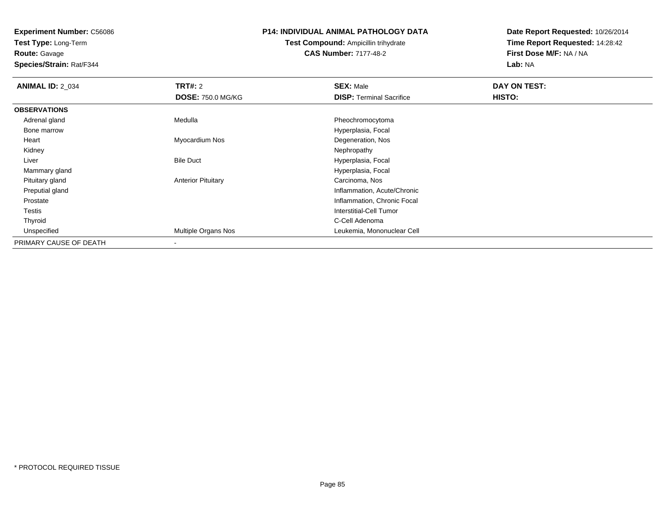**Test Type:** Long-Term

**Route:** Gavage

**Species/Strain:** Rat/F344

#### **P14: INDIVIDUAL ANIMAL PATHOLOGY DATA**

**Test Compound:** Ampicillin trihydrate**CAS Number:** 7177-48-2

| <b>ANIMAL ID: 2_034</b> | <b>TRT#: 2</b>            | <b>SEX: Male</b>                | DAY ON TEST: |  |
|-------------------------|---------------------------|---------------------------------|--------------|--|
|                         | <b>DOSE: 750.0 MG/KG</b>  | <b>DISP: Terminal Sacrifice</b> | HISTO:       |  |
| <b>OBSERVATIONS</b>     |                           |                                 |              |  |
| Adrenal gland           | Medulla                   | Pheochromocytoma                |              |  |
| Bone marrow             |                           | Hyperplasia, Focal              |              |  |
| Heart                   | Myocardium Nos            | Degeneration, Nos               |              |  |
| Kidney                  |                           | Nephropathy                     |              |  |
| Liver                   | <b>Bile Duct</b>          | Hyperplasia, Focal              |              |  |
| Mammary gland           |                           | Hyperplasia, Focal              |              |  |
| Pituitary gland         | <b>Anterior Pituitary</b> | Carcinoma, Nos                  |              |  |
| Preputial gland         |                           | Inflammation, Acute/Chronic     |              |  |
| Prostate                |                           | Inflammation, Chronic Focal     |              |  |
| Testis                  |                           | Interstitial-Cell Tumor         |              |  |
| Thyroid                 |                           | C-Cell Adenoma                  |              |  |
| Unspecified             | Multiple Organs Nos       | Leukemia, Mononuclear Cell      |              |  |
| PRIMARY CAUSE OF DEATH  |                           |                                 |              |  |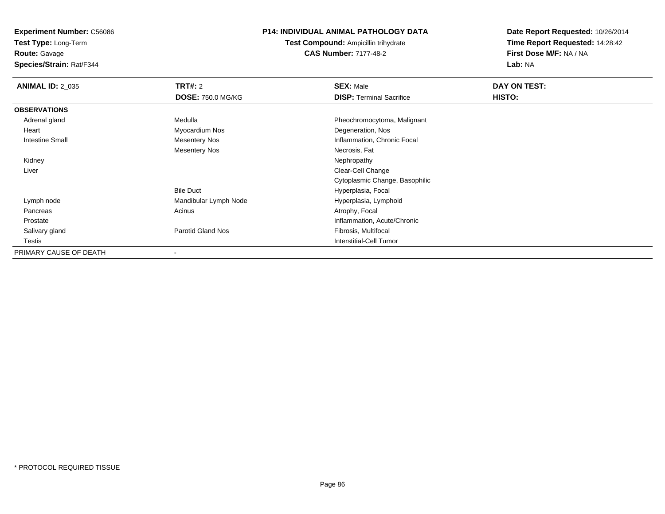**Test Type:** Long-Term

**Route:** Gavage

**Species/Strain:** Rat/F344

#### **P14: INDIVIDUAL ANIMAL PATHOLOGY DATA**

**Test Compound:** Ampicillin trihydrate**CAS Number:** 7177-48-2

| <b>ANIMAL ID: 2_035</b> | <b>TRT#: 2</b>           | <b>SEX: Male</b>                | DAY ON TEST: |  |
|-------------------------|--------------------------|---------------------------------|--------------|--|
|                         | <b>DOSE: 750.0 MG/KG</b> | <b>DISP: Terminal Sacrifice</b> | HISTO:       |  |
| <b>OBSERVATIONS</b>     |                          |                                 |              |  |
| Adrenal gland           | Medulla                  | Pheochromocytoma, Malignant     |              |  |
| Heart                   | Myocardium Nos           | Degeneration, Nos               |              |  |
| <b>Intestine Small</b>  | Mesentery Nos            | Inflammation, Chronic Focal     |              |  |
|                         | <b>Mesentery Nos</b>     | Necrosis, Fat                   |              |  |
| Kidney                  |                          | Nephropathy                     |              |  |
| Liver                   |                          | Clear-Cell Change               |              |  |
|                         |                          | Cytoplasmic Change, Basophilic  |              |  |
|                         | <b>Bile Duct</b>         | Hyperplasia, Focal              |              |  |
| Lymph node              | Mandibular Lymph Node    | Hyperplasia, Lymphoid           |              |  |
| Pancreas                | Acinus                   | Atrophy, Focal                  |              |  |
| Prostate                |                          | Inflammation, Acute/Chronic     |              |  |
| Salivary gland          | <b>Parotid Gland Nos</b> | Fibrosis, Multifocal            |              |  |
| Testis                  |                          | Interstitial-Cell Tumor         |              |  |
| PRIMARY CAUSE OF DEATH  |                          |                                 |              |  |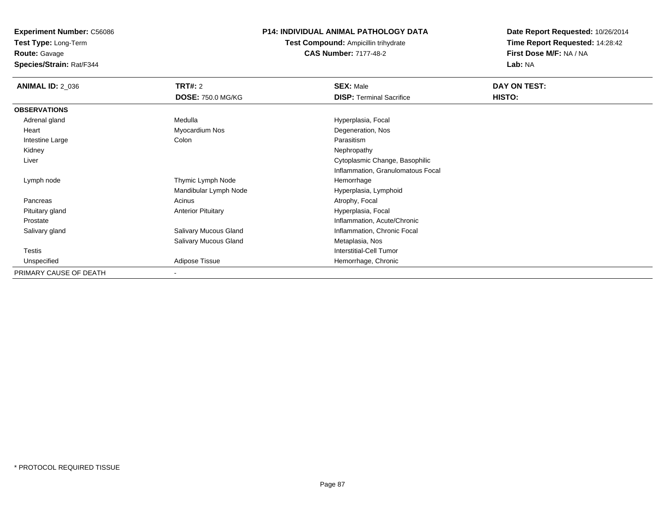**Test Type:** Long-Term

# **Route:** Gavage

**Species/Strain:** Rat/F344

#### **P14: INDIVIDUAL ANIMAL PATHOLOGY DATA**

# **Test Compound:** Ampicillin trihydrate**CAS Number:** 7177-48-2

| <b>ANIMAL ID: 2_036</b> | <b>TRT#:</b> 2            | <b>SEX: Male</b>                  | DAY ON TEST: |  |
|-------------------------|---------------------------|-----------------------------------|--------------|--|
|                         | <b>DOSE: 750.0 MG/KG</b>  | <b>DISP: Terminal Sacrifice</b>   | HISTO:       |  |
| <b>OBSERVATIONS</b>     |                           |                                   |              |  |
| Adrenal gland           | Medulla                   | Hyperplasia, Focal                |              |  |
| Heart                   | Myocardium Nos            | Degeneration, Nos                 |              |  |
| Intestine Large         | Colon                     | Parasitism                        |              |  |
| Kidney                  |                           | Nephropathy                       |              |  |
| Liver                   |                           | Cytoplasmic Change, Basophilic    |              |  |
|                         |                           | Inflammation, Granulomatous Focal |              |  |
| Lymph node              | Thymic Lymph Node         | Hemorrhage                        |              |  |
|                         | Mandibular Lymph Node     | Hyperplasia, Lymphoid             |              |  |
| Pancreas                | Acinus                    | Atrophy, Focal                    |              |  |
| Pituitary gland         | <b>Anterior Pituitary</b> | Hyperplasia, Focal                |              |  |
| Prostate                |                           | Inflammation, Acute/Chronic       |              |  |
| Salivary gland          | Salivary Mucous Gland     | Inflammation, Chronic Focal       |              |  |
|                         | Salivary Mucous Gland     | Metaplasia, Nos                   |              |  |
| <b>Testis</b>           |                           | <b>Interstitial-Cell Tumor</b>    |              |  |
| Unspecified             | Adipose Tissue            | Hemorrhage, Chronic               |              |  |
| PRIMARY CAUSE OF DEATH  |                           |                                   |              |  |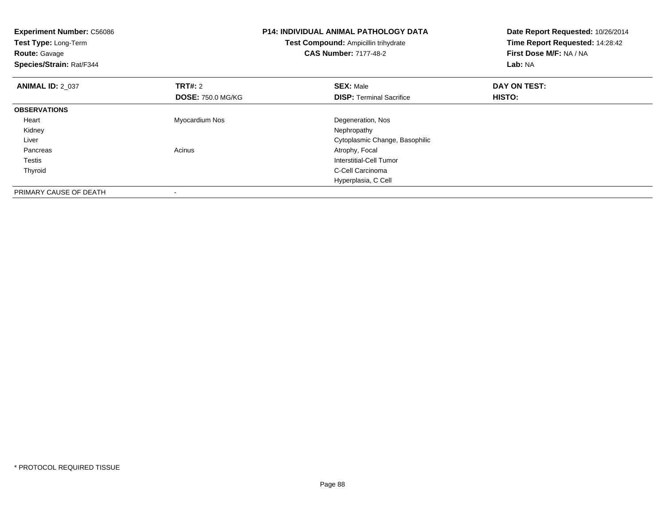| Experiment Number: C56086<br>Test Type: Long-Term<br><b>Route: Gavage</b><br>Species/Strain: Rat/F344 |                          | <b>P14: INDIVIDUAL ANIMAL PATHOLOGY DATA</b><br>Test Compound: Ampicillin trihydrate<br><b>CAS Number: 7177-48-2</b> | Date Report Requested: 10/26/2014<br>Time Report Requested: 14:28:42<br>First Dose M/F: NA / NA<br>Lab: NA |
|-------------------------------------------------------------------------------------------------------|--------------------------|----------------------------------------------------------------------------------------------------------------------|------------------------------------------------------------------------------------------------------------|
| <b>ANIMAL ID: 2 037</b>                                                                               | <b>TRT#:</b> 2           | <b>SEX: Male</b>                                                                                                     | DAY ON TEST:                                                                                               |
|                                                                                                       | <b>DOSE: 750.0 MG/KG</b> | <b>DISP:</b> Terminal Sacrifice                                                                                      | HISTO:                                                                                                     |
| <b>OBSERVATIONS</b>                                                                                   |                          |                                                                                                                      |                                                                                                            |
| Heart                                                                                                 | Myocardium Nos           | Degeneration, Nos                                                                                                    |                                                                                                            |
| Kidney                                                                                                |                          | Nephropathy                                                                                                          |                                                                                                            |
| Liver                                                                                                 |                          | Cytoplasmic Change, Basophilic                                                                                       |                                                                                                            |
| Pancreas                                                                                              | Acinus                   | Atrophy, Focal                                                                                                       |                                                                                                            |
| Testis                                                                                                |                          | Interstitial-Cell Tumor                                                                                              |                                                                                                            |
| Thyroid                                                                                               |                          | C-Cell Carcinoma                                                                                                     |                                                                                                            |
|                                                                                                       |                          | Hyperplasia, C Cell                                                                                                  |                                                                                                            |
| PRIMARY CAUSE OF DEATH                                                                                |                          |                                                                                                                      |                                                                                                            |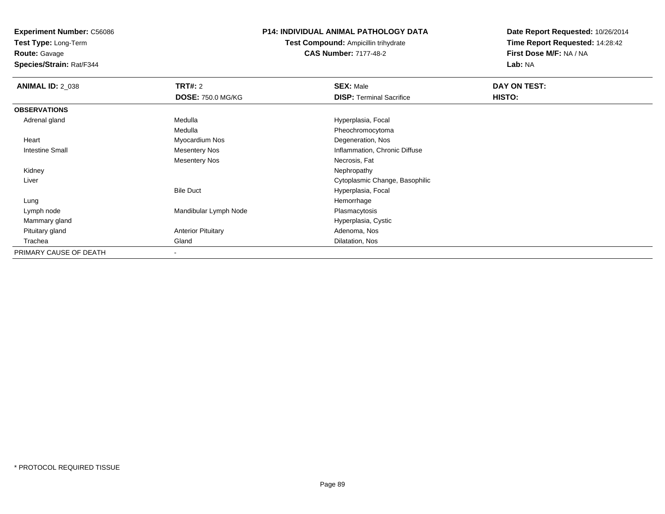**Test Type:** Long-Term

**Route:** Gavage

**Species/Strain:** Rat/F344

#### **P14: INDIVIDUAL ANIMAL PATHOLOGY DATA**

**Test Compound:** Ampicillin trihydrate**CAS Number:** 7177-48-2

| <b>ANIMAL ID: 2_038</b> | <b>TRT#: 2</b>            | <b>SEX: Male</b>                | DAY ON TEST: |  |
|-------------------------|---------------------------|---------------------------------|--------------|--|
|                         | <b>DOSE: 750.0 MG/KG</b>  | <b>DISP: Terminal Sacrifice</b> | HISTO:       |  |
| <b>OBSERVATIONS</b>     |                           |                                 |              |  |
| Adrenal gland           | Medulla                   | Hyperplasia, Focal              |              |  |
|                         | Medulla                   | Pheochromocytoma                |              |  |
| Heart                   | Myocardium Nos            | Degeneration, Nos               |              |  |
| <b>Intestine Small</b>  | <b>Mesentery Nos</b>      | Inflammation, Chronic Diffuse   |              |  |
|                         | Mesentery Nos             | Necrosis, Fat                   |              |  |
| Kidney                  |                           | Nephropathy                     |              |  |
| Liver                   |                           | Cytoplasmic Change, Basophilic  |              |  |
|                         | <b>Bile Duct</b>          | Hyperplasia, Focal              |              |  |
| Lung                    |                           | Hemorrhage                      |              |  |
| Lymph node              | Mandibular Lymph Node     | Plasmacytosis                   |              |  |
| Mammary gland           |                           | Hyperplasia, Cystic             |              |  |
| Pituitary gland         | <b>Anterior Pituitary</b> | Adenoma, Nos                    |              |  |
| Trachea                 | Gland                     | Dilatation, Nos                 |              |  |
| PRIMARY CAUSE OF DEATH  | ۰                         |                                 |              |  |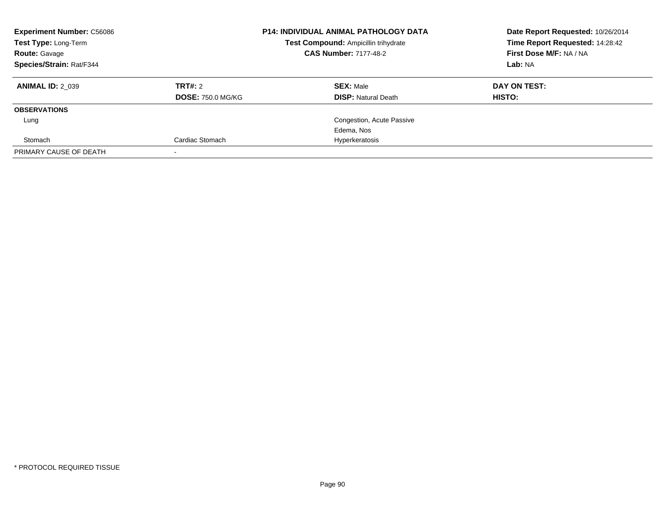| <b>Experiment Number: C56086</b><br>Test Type: Long-Term<br><b>Route: Gavage</b><br>Species/Strain: Rat/F344 |                          | P14: INDIVIDUAL ANIMAL PATHOLOGY DATA<br>Date Report Requested: 10/26/2014<br>Time Report Requested: 14:28:42<br>Test Compound: Ampicillin trihydrate<br>First Dose M/F: NA / NA<br><b>CAS Number: 7177-48-2</b><br>Lab: NA |              |
|--------------------------------------------------------------------------------------------------------------|--------------------------|-----------------------------------------------------------------------------------------------------------------------------------------------------------------------------------------------------------------------------|--------------|
| <b>ANIMAL ID: 2 039</b>                                                                                      | TRT#: 2                  | <b>SEX: Male</b>                                                                                                                                                                                                            | DAY ON TEST: |
|                                                                                                              | <b>DOSE: 750.0 MG/KG</b> | <b>DISP: Natural Death</b>                                                                                                                                                                                                  | HISTO:       |
| <b>OBSERVATIONS</b>                                                                                          |                          |                                                                                                                                                                                                                             |              |
| Lung                                                                                                         |                          | Congestion, Acute Passive                                                                                                                                                                                                   |              |
|                                                                                                              |                          | Edema, Nos                                                                                                                                                                                                                  |              |
| Stomach                                                                                                      | Cardiac Stomach          | Hyperkeratosis                                                                                                                                                                                                              |              |
| PRIMARY CAUSE OF DEATH                                                                                       |                          |                                                                                                                                                                                                                             |              |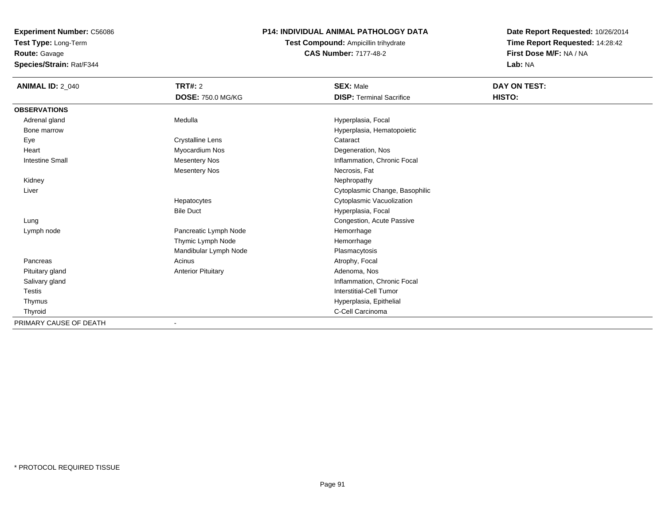**Test Type:** Long-Term**Route:** Gavage

**Species/Strain:** Rat/F344

### **P14: INDIVIDUAL ANIMAL PATHOLOGY DATA**

**Test Compound:** Ampicillin trihydrate**CAS Number:** 7177-48-2

| <b>ANIMAL ID: 2_040</b> | TRT#: 2<br><b>DOSE: 750.0 MG/KG</b> | <b>SEX: Male</b><br><b>DISP: Terminal Sacrifice</b> | DAY ON TEST:<br>HISTO: |
|-------------------------|-------------------------------------|-----------------------------------------------------|------------------------|
| <b>OBSERVATIONS</b>     |                                     |                                                     |                        |
| Adrenal gland           | Medulla                             | Hyperplasia, Focal                                  |                        |
| Bone marrow             |                                     | Hyperplasia, Hematopoietic                          |                        |
| Eye                     | <b>Crystalline Lens</b>             | Cataract                                            |                        |
| Heart                   | Myocardium Nos                      | Degeneration, Nos                                   |                        |
| <b>Intestine Small</b>  | <b>Mesentery Nos</b>                | Inflammation, Chronic Focal                         |                        |
|                         | <b>Mesentery Nos</b>                | Necrosis, Fat                                       |                        |
| Kidney                  |                                     | Nephropathy                                         |                        |
| Liver                   |                                     | Cytoplasmic Change, Basophilic                      |                        |
|                         | Hepatocytes                         | Cytoplasmic Vacuolization                           |                        |
|                         | <b>Bile Duct</b>                    | Hyperplasia, Focal                                  |                        |
| Lung                    |                                     | Congestion, Acute Passive                           |                        |
| Lymph node              | Pancreatic Lymph Node               | Hemorrhage                                          |                        |
|                         | Thymic Lymph Node                   | Hemorrhage                                          |                        |
|                         | Mandibular Lymph Node               | Plasmacytosis                                       |                        |
| Pancreas                | Acinus                              | Atrophy, Focal                                      |                        |
| Pituitary gland         | <b>Anterior Pituitary</b>           | Adenoma, Nos                                        |                        |
| Salivary gland          |                                     | Inflammation, Chronic Focal                         |                        |
| <b>Testis</b>           |                                     | Interstitial-Cell Tumor                             |                        |
| Thymus                  |                                     | Hyperplasia, Epithelial                             |                        |
| Thyroid                 |                                     | C-Cell Carcinoma                                    |                        |
| PRIMARY CAUSE OF DEATH  |                                     |                                                     |                        |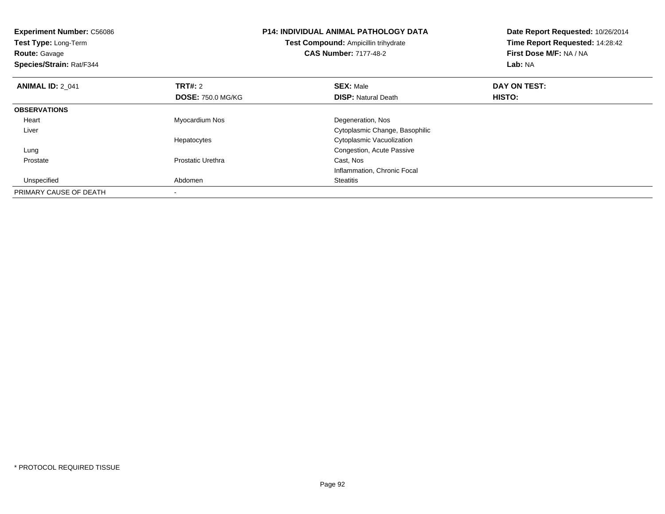| <b>Experiment Number: C56086</b><br>Test Type: Long-Term<br><b>Route: Gavage</b><br>Species/Strain: Rat/F344 |                                            | P14: INDIVIDUAL ANIMAL PATHOLOGY DATA<br>Test Compound: Ampicillin trihydrate<br><b>CAS Number: 7177-48-2</b> | Date Report Requested: 10/26/2014<br>Time Report Requested: 14:28:42<br>First Dose M/F: NA / NA<br>Lab: NA |
|--------------------------------------------------------------------------------------------------------------|--------------------------------------------|---------------------------------------------------------------------------------------------------------------|------------------------------------------------------------------------------------------------------------|
| <b>ANIMAL ID: 2_041</b>                                                                                      | <b>TRT#: 2</b><br><b>DOSE: 750.0 MG/KG</b> | <b>SEX: Male</b><br><b>DISP:</b> Natural Death                                                                | DAY ON TEST:<br>HISTO:                                                                                     |
| <b>OBSERVATIONS</b>                                                                                          |                                            |                                                                                                               |                                                                                                            |
| Heart                                                                                                        | Myocardium Nos                             | Degeneration, Nos                                                                                             |                                                                                                            |
| Liver                                                                                                        |                                            | Cytoplasmic Change, Basophilic                                                                                |                                                                                                            |
|                                                                                                              | Hepatocytes                                | Cytoplasmic Vacuolization                                                                                     |                                                                                                            |
| Lung                                                                                                         |                                            | Congestion, Acute Passive                                                                                     |                                                                                                            |
| Prostate                                                                                                     | <b>Prostatic Urethra</b>                   | Cast, Nos                                                                                                     |                                                                                                            |
|                                                                                                              |                                            | Inflammation, Chronic Focal                                                                                   |                                                                                                            |
| Unspecified                                                                                                  | Abdomen                                    | <b>Steatitis</b>                                                                                              |                                                                                                            |
| PRIMARY CAUSE OF DEATH                                                                                       |                                            |                                                                                                               |                                                                                                            |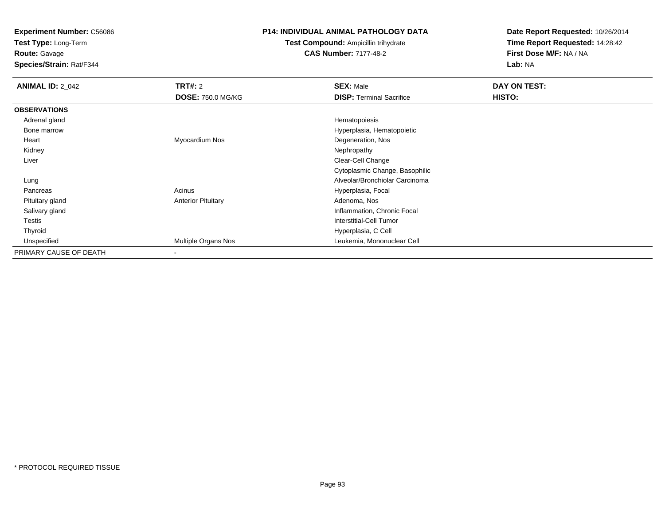**Test Type:** Long-Term

**Route:** Gavage

**Species/Strain:** Rat/F344

#### **P14: INDIVIDUAL ANIMAL PATHOLOGY DATA**

### **Test Compound:** Ampicillin trihydrate**CAS Number:** 7177-48-2

| <b>ANIMAL ID: 2_042</b> | <b>TRT#: 2</b>            | <b>SEX: Male</b>                | DAY ON TEST: |
|-------------------------|---------------------------|---------------------------------|--------------|
|                         | <b>DOSE: 750.0 MG/KG</b>  | <b>DISP: Terminal Sacrifice</b> | HISTO:       |
| <b>OBSERVATIONS</b>     |                           |                                 |              |
| Adrenal gland           |                           | Hematopoiesis                   |              |
| Bone marrow             |                           | Hyperplasia, Hematopoietic      |              |
| Heart                   | Myocardium Nos            | Degeneration, Nos               |              |
| Kidney                  |                           | Nephropathy                     |              |
| Liver                   |                           | Clear-Cell Change               |              |
|                         |                           | Cytoplasmic Change, Basophilic  |              |
| Lung                    |                           | Alveolar/Bronchiolar Carcinoma  |              |
| Pancreas                | Acinus                    | Hyperplasia, Focal              |              |
| Pituitary gland         | <b>Anterior Pituitary</b> | Adenoma, Nos                    |              |
| Salivary gland          |                           | Inflammation, Chronic Focal     |              |
| Testis                  |                           | Interstitial-Cell Tumor         |              |
| Thyroid                 |                           | Hyperplasia, C Cell             |              |
| Unspecified             | Multiple Organs Nos       | Leukemia, Mononuclear Cell      |              |
| PRIMARY CAUSE OF DEATH  |                           |                                 |              |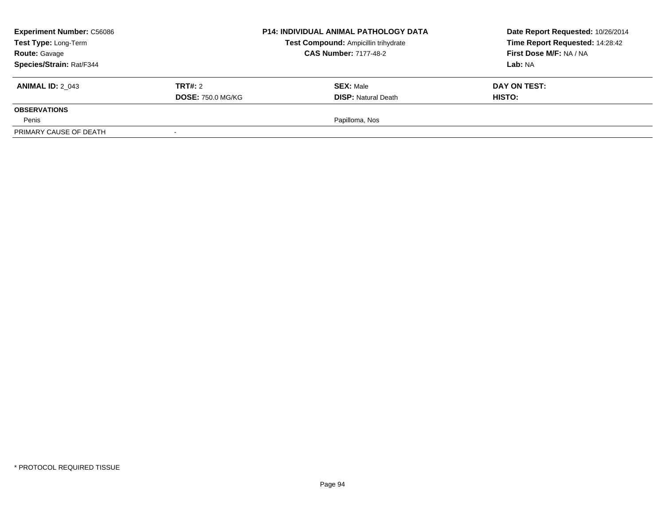| <b>Experiment Number: C56086</b><br>Test Type: Long-Term |                          | <b>P14: INDIVIDUAL ANIMAL PATHOLOGY DATA</b> | Date Report Requested: 10/26/2014 |
|----------------------------------------------------------|--------------------------|----------------------------------------------|-----------------------------------|
|                                                          |                          | Test Compound: Ampicillin trihydrate         | Time Report Requested: 14:28:42   |
| <b>Route: Gavage</b>                                     |                          | <b>CAS Number: 7177-48-2</b>                 | First Dose M/F: NA / NA           |
| Species/Strain: Rat/F344                                 |                          |                                              | Lab: NA                           |
| <b>ANIMAL ID: 2 043</b>                                  | <b>TRT#: 2</b>           | <b>SEX: Male</b>                             | DAY ON TEST:                      |
|                                                          | <b>DOSE: 750.0 MG/KG</b> | <b>DISP: Natural Death</b>                   | <b>HISTO:</b>                     |
| <b>OBSERVATIONS</b>                                      |                          |                                              |                                   |
| Penis                                                    |                          | Papilloma, Nos                               |                                   |
| PRIMARY CAUSE OF DEATH                                   |                          |                                              |                                   |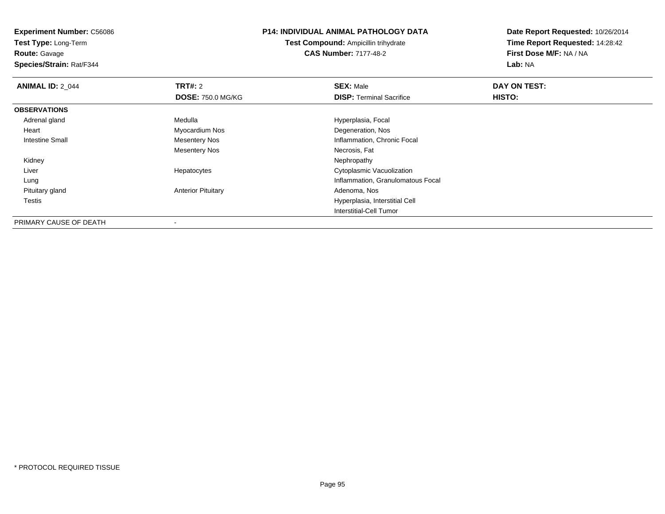**Test Type:** Long-Term

**Route:** Gavage

**Species/Strain:** Rat/F344

#### **P14: INDIVIDUAL ANIMAL PATHOLOGY DATA**

**Test Compound:** Ampicillin trihydrate**CAS Number:** 7177-48-2

| <b>ANIMAL ID: 2 044</b> | TRT#: 2                   | <b>SEX: Male</b>                  | DAY ON TEST: |  |
|-------------------------|---------------------------|-----------------------------------|--------------|--|
|                         | <b>DOSE: 750.0 MG/KG</b>  | <b>DISP: Terminal Sacrifice</b>   | HISTO:       |  |
| <b>OBSERVATIONS</b>     |                           |                                   |              |  |
| Adrenal gland           | Medulla                   | Hyperplasia, Focal                |              |  |
| Heart                   | Myocardium Nos            | Degeneration, Nos                 |              |  |
| <b>Intestine Small</b>  | <b>Mesentery Nos</b>      | Inflammation, Chronic Focal       |              |  |
|                         | <b>Mesentery Nos</b>      | Necrosis, Fat                     |              |  |
| Kidney                  |                           | Nephropathy                       |              |  |
| Liver                   | Hepatocytes               | Cytoplasmic Vacuolization         |              |  |
| Lung                    |                           | Inflammation, Granulomatous Focal |              |  |
| Pituitary gland         | <b>Anterior Pituitary</b> | Adenoma, Nos                      |              |  |
| Testis                  |                           | Hyperplasia, Interstitial Cell    |              |  |
|                         |                           | Interstitial-Cell Tumor           |              |  |
| PRIMARY CAUSE OF DEATH  | -                         |                                   |              |  |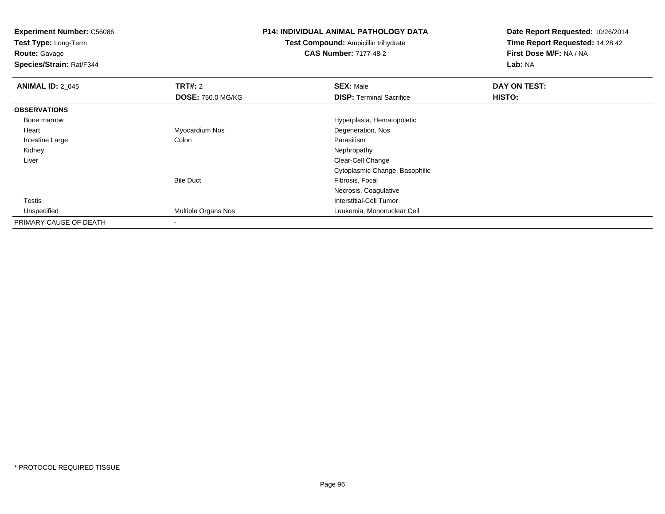**Test Type:** Long-Term

**Route:** Gavage

**Species/Strain:** Rat/F344

#### **P14: INDIVIDUAL ANIMAL PATHOLOGY DATA**

**Test Compound:** Ampicillin trihydrate**CAS Number:** 7177-48-2

| <b>ANIMAL ID: 2_045</b> | TRT#: 2                  | <b>SEX: Male</b>                | DAY ON TEST: |  |
|-------------------------|--------------------------|---------------------------------|--------------|--|
|                         | <b>DOSE: 750.0 MG/KG</b> | <b>DISP: Terminal Sacrifice</b> | HISTO:       |  |
| <b>OBSERVATIONS</b>     |                          |                                 |              |  |
| Bone marrow             |                          | Hyperplasia, Hematopoietic      |              |  |
| Heart                   | Myocardium Nos           | Degeneration, Nos               |              |  |
| Intestine Large         | Colon                    | Parasitism                      |              |  |
| Kidney                  |                          | Nephropathy                     |              |  |
| Liver                   |                          | Clear-Cell Change               |              |  |
|                         |                          | Cytoplasmic Change, Basophilic  |              |  |
|                         | <b>Bile Duct</b>         | Fibrosis, Focal                 |              |  |
|                         |                          | Necrosis, Coagulative           |              |  |
| <b>Testis</b>           |                          | Interstitial-Cell Tumor         |              |  |
| Unspecified             | Multiple Organs Nos      | Leukemia, Mononuclear Cell      |              |  |
| PRIMARY CAUSE OF DEATH  | $\,$ $\,$                |                                 |              |  |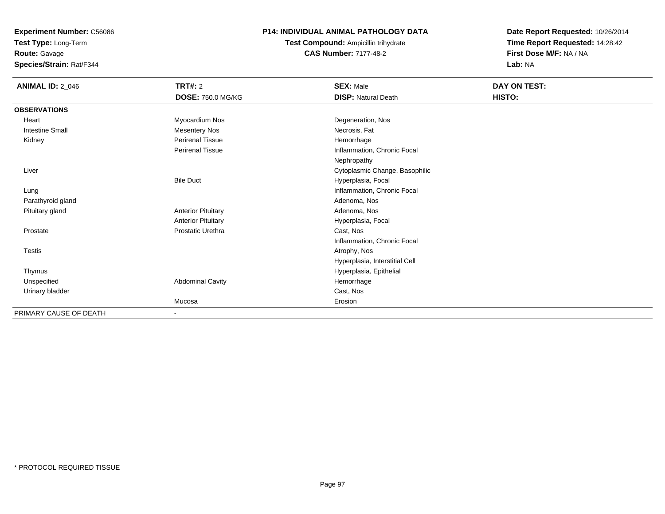**Test Type:** Long-Term

# **Route:** Gavage

**Species/Strain:** Rat/F344

### **P14: INDIVIDUAL ANIMAL PATHOLOGY DATA**

# **Test Compound:** Ampicillin trihydrate**CAS Number:** 7177-48-2

| <b>ANIMAL ID: 2_046</b> | <b>TRT#: 2</b>            | <b>SEX: Male</b>               | DAY ON TEST: |  |
|-------------------------|---------------------------|--------------------------------|--------------|--|
|                         | DOSE: 750.0 MG/KG         | <b>DISP: Natural Death</b>     | HISTO:       |  |
| <b>OBSERVATIONS</b>     |                           |                                |              |  |
| Heart                   | Myocardium Nos            | Degeneration, Nos              |              |  |
| <b>Intestine Small</b>  | <b>Mesentery Nos</b>      | Necrosis, Fat                  |              |  |
| Kidney                  | <b>Perirenal Tissue</b>   | Hemorrhage                     |              |  |
|                         | <b>Perirenal Tissue</b>   | Inflammation, Chronic Focal    |              |  |
|                         |                           | Nephropathy                    |              |  |
| Liver                   |                           | Cytoplasmic Change, Basophilic |              |  |
|                         | <b>Bile Duct</b>          | Hyperplasia, Focal             |              |  |
| Lung                    |                           | Inflammation, Chronic Focal    |              |  |
| Parathyroid gland       |                           | Adenoma, Nos                   |              |  |
| Pituitary gland         | <b>Anterior Pituitary</b> | Adenoma, Nos                   |              |  |
|                         | <b>Anterior Pituitary</b> | Hyperplasia, Focal             |              |  |
| Prostate                | Prostatic Urethra         | Cast, Nos                      |              |  |
|                         |                           | Inflammation, Chronic Focal    |              |  |
| <b>Testis</b>           |                           | Atrophy, Nos                   |              |  |
|                         |                           | Hyperplasia, Interstitial Cell |              |  |
| Thymus                  |                           | Hyperplasia, Epithelial        |              |  |
| Unspecified             | <b>Abdominal Cavity</b>   | Hemorrhage                     |              |  |
| Urinary bladder         |                           | Cast, Nos                      |              |  |
|                         | Mucosa                    | Erosion                        |              |  |
| PRIMARY CAUSE OF DEATH  | $\overline{\phantom{a}}$  |                                |              |  |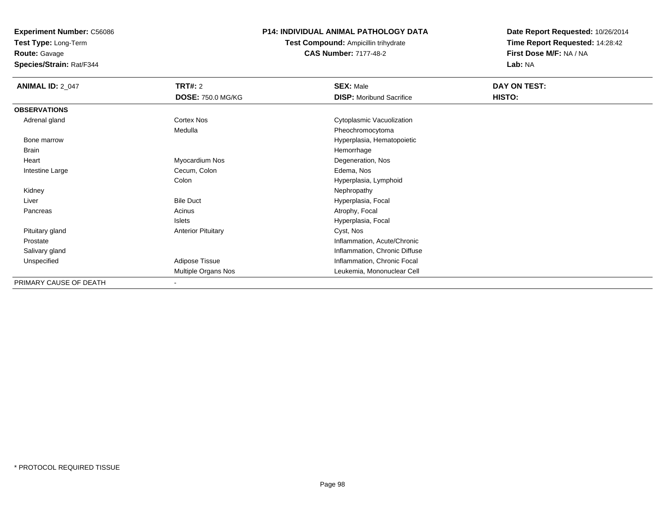**Test Type:** Long-Term

**Route:** Gavage

**Species/Strain:** Rat/F344

#### **P14: INDIVIDUAL ANIMAL PATHOLOGY DATA**

**Test Compound:** Ampicillin trihydrate**CAS Number:** 7177-48-2

| <b>ANIMAL ID: 2_047</b> | <b>TRT#: 2</b>            | <b>SEX: Male</b>                | DAY ON TEST: |  |
|-------------------------|---------------------------|---------------------------------|--------------|--|
|                         | <b>DOSE: 750.0 MG/KG</b>  | <b>DISP:</b> Moribund Sacrifice | HISTO:       |  |
| <b>OBSERVATIONS</b>     |                           |                                 |              |  |
| Adrenal gland           | Cortex Nos                | Cytoplasmic Vacuolization       |              |  |
|                         | Medulla                   | Pheochromocytoma                |              |  |
| Bone marrow             |                           | Hyperplasia, Hematopoietic      |              |  |
| <b>Brain</b>            |                           | Hemorrhage                      |              |  |
| Heart                   | Myocardium Nos            | Degeneration, Nos               |              |  |
| Intestine Large         | Cecum, Colon              | Edema, Nos                      |              |  |
|                         | Colon                     | Hyperplasia, Lymphoid           |              |  |
| Kidney                  |                           | Nephropathy                     |              |  |
| Liver                   | <b>Bile Duct</b>          | Hyperplasia, Focal              |              |  |
| Pancreas                | Acinus                    | Atrophy, Focal                  |              |  |
|                         | Islets                    | Hyperplasia, Focal              |              |  |
| Pituitary gland         | <b>Anterior Pituitary</b> | Cyst, Nos                       |              |  |
| Prostate                |                           | Inflammation, Acute/Chronic     |              |  |
| Salivary gland          |                           | Inflammation, Chronic Diffuse   |              |  |
| Unspecified             | Adipose Tissue            | Inflammation, Chronic Focal     |              |  |
|                         | Multiple Organs Nos       | Leukemia, Mononuclear Cell      |              |  |
| PRIMARY CAUSE OF DEATH  | $\overline{\phantom{a}}$  |                                 |              |  |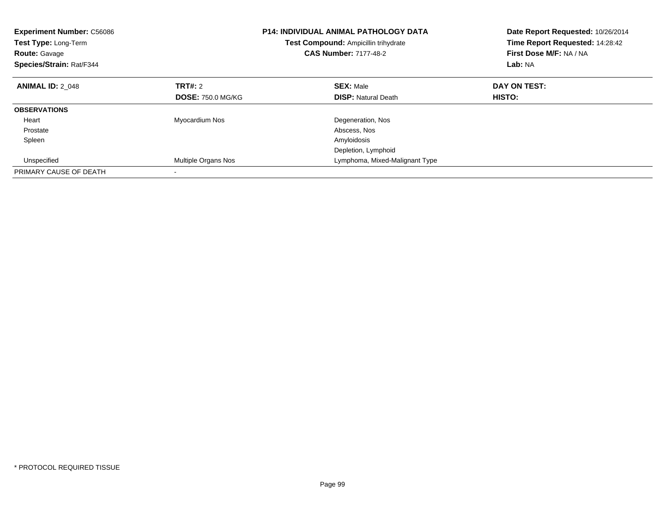| <b>Experiment Number: C56086</b><br>Test Type: Long-Term<br><b>Route: Gavage</b><br>Species/Strain: Rat/F344 |                          | <b>P14: INDIVIDUAL ANIMAL PATHOLOGY DATA</b><br>Test Compound: Ampicillin trihydrate<br><b>CAS Number: 7177-48-2</b> | Date Report Requested: 10/26/2014<br>Time Report Requested: 14:28:42<br>First Dose M/F: NA / NA<br>Lab: NA |
|--------------------------------------------------------------------------------------------------------------|--------------------------|----------------------------------------------------------------------------------------------------------------------|------------------------------------------------------------------------------------------------------------|
| <b>ANIMAL ID: 2 048</b>                                                                                      | TRT#: 2                  | <b>SEX: Male</b>                                                                                                     | DAY ON TEST:                                                                                               |
|                                                                                                              | <b>DOSE: 750.0 MG/KG</b> | <b>DISP:</b> Natural Death                                                                                           | HISTO:                                                                                                     |
| <b>OBSERVATIONS</b>                                                                                          |                          |                                                                                                                      |                                                                                                            |
| Heart                                                                                                        | Myocardium Nos           | Degeneration, Nos                                                                                                    |                                                                                                            |
| Prostate                                                                                                     |                          | Abscess, Nos                                                                                                         |                                                                                                            |
| Spleen                                                                                                       |                          | Amyloidosis                                                                                                          |                                                                                                            |
|                                                                                                              |                          | Depletion, Lymphoid                                                                                                  |                                                                                                            |
| Unspecified                                                                                                  | Multiple Organs Nos      | Lymphoma, Mixed-Malignant Type                                                                                       |                                                                                                            |
| PRIMARY CAUSE OF DEATH                                                                                       |                          |                                                                                                                      |                                                                                                            |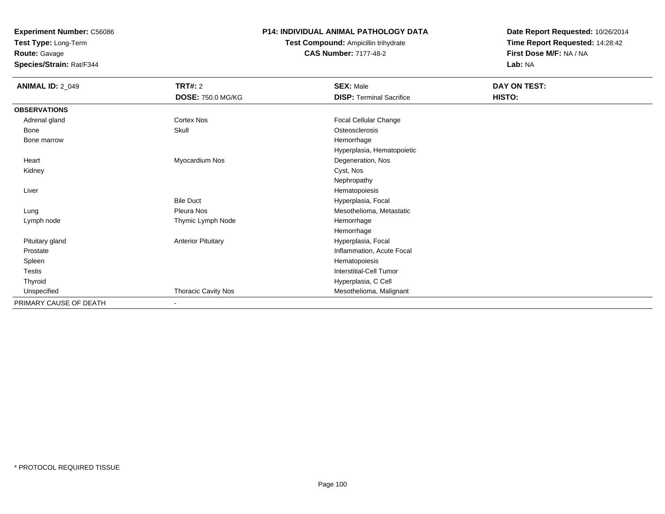**Test Type:** Long-Term

# **Route:** Gavage

**Species/Strain:** Rat/F344

#### **P14: INDIVIDUAL ANIMAL PATHOLOGY DATA**

### **Test Compound:** Ampicillin trihydrate**CAS Number:** 7177-48-2

| <b>ANIMAL ID: 2_049</b> | TRT#: 2                    | <b>SEX: Male</b>                | DAY ON TEST: |
|-------------------------|----------------------------|---------------------------------|--------------|
|                         | <b>DOSE: 750.0 MG/KG</b>   | <b>DISP: Terminal Sacrifice</b> | HISTO:       |
| <b>OBSERVATIONS</b>     |                            |                                 |              |
| Adrenal gland           | Cortex Nos                 | Focal Cellular Change           |              |
| Bone                    | Skull                      | Osteosclerosis                  |              |
| Bone marrow             |                            | Hemorrhage                      |              |
|                         |                            | Hyperplasia, Hematopoietic      |              |
| Heart                   | Myocardium Nos             | Degeneration, Nos               |              |
| Kidney                  |                            | Cyst, Nos                       |              |
|                         |                            | Nephropathy                     |              |
| Liver                   |                            | Hematopoiesis                   |              |
|                         | <b>Bile Duct</b>           | Hyperplasia, Focal              |              |
| Lung                    | Pleura Nos                 | Mesothelioma, Metastatic        |              |
| Lymph node              | Thymic Lymph Node          | Hemorrhage                      |              |
|                         |                            | Hemorrhage                      |              |
| Pituitary gland         | <b>Anterior Pituitary</b>  | Hyperplasia, Focal              |              |
| Prostate                |                            | Inflammation, Acute Focal       |              |
| Spleen                  |                            | Hematopoiesis                   |              |
| Testis                  |                            | <b>Interstitial-Cell Tumor</b>  |              |
| Thyroid                 |                            | Hyperplasia, C Cell             |              |
| Unspecified             | <b>Thoracic Cavity Nos</b> | Mesothelioma, Malignant         |              |
| PRIMARY CAUSE OF DEATH  | $\overline{\phantom{a}}$   |                                 |              |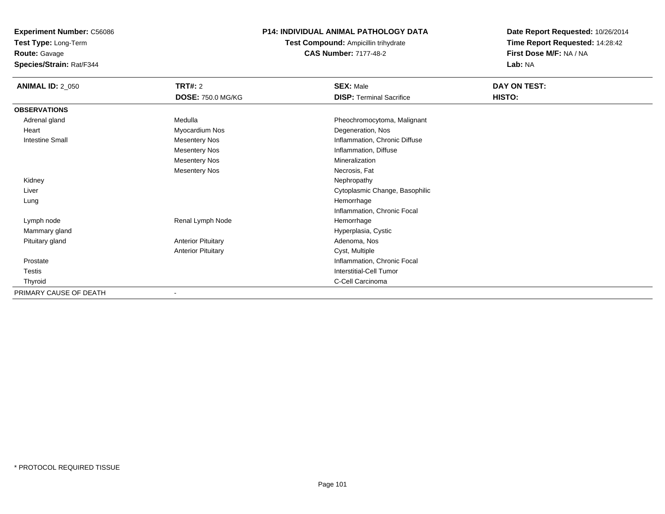**Test Type:** Long-Term

**Route:** Gavage

**Species/Strain:** Rat/F344

#### **P14: INDIVIDUAL ANIMAL PATHOLOGY DATA**

**Test Compound:** Ampicillin trihydrate**CAS Number:** 7177-48-2

| <b>ANIMAL ID: 2_050</b> | <b>TRT#: 2</b>            | <b>SEX: Male</b>                | DAY ON TEST: |
|-------------------------|---------------------------|---------------------------------|--------------|
|                         | <b>DOSE: 750.0 MG/KG</b>  | <b>DISP: Terminal Sacrifice</b> | HISTO:       |
| <b>OBSERVATIONS</b>     |                           |                                 |              |
| Adrenal gland           | Medulla                   | Pheochromocytoma, Malignant     |              |
| Heart                   | Myocardium Nos            | Degeneration, Nos               |              |
| <b>Intestine Small</b>  | <b>Mesentery Nos</b>      | Inflammation, Chronic Diffuse   |              |
|                         | <b>Mesentery Nos</b>      | Inflammation, Diffuse           |              |
|                         | <b>Mesentery Nos</b>      | Mineralization                  |              |
|                         | <b>Mesentery Nos</b>      | Necrosis, Fat                   |              |
| Kidney                  |                           | Nephropathy                     |              |
| Liver                   |                           | Cytoplasmic Change, Basophilic  |              |
| Lung                    |                           | Hemorrhage                      |              |
|                         |                           | Inflammation, Chronic Focal     |              |
| Lymph node              | Renal Lymph Node          | Hemorrhage                      |              |
| Mammary gland           |                           | Hyperplasia, Cystic             |              |
| Pituitary gland         | <b>Anterior Pituitary</b> | Adenoma, Nos                    |              |
|                         | <b>Anterior Pituitary</b> | Cyst, Multiple                  |              |
| Prostate                |                           | Inflammation, Chronic Focal     |              |
| <b>Testis</b>           |                           | Interstitial-Cell Tumor         |              |
| Thyroid                 |                           | C-Cell Carcinoma                |              |
| PRIMARY CAUSE OF DEATH  | ۰                         |                                 |              |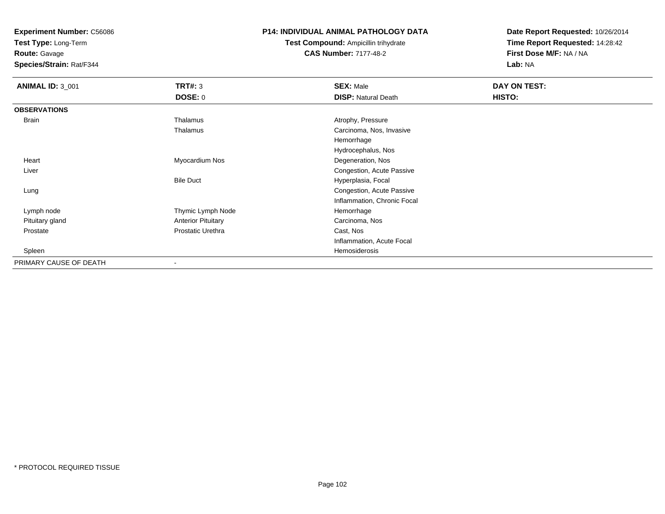**Test Type:** Long-Term

**Route:** Gavage

**Species/Strain:** Rat/F344

#### **P14: INDIVIDUAL ANIMAL PATHOLOGY DATA**

# **Test Compound:** Ampicillin trihydrate**CAS Number:** 7177-48-2

| <b>ANIMAL ID: 3_001</b> | <b>TRT#: 3</b>            | <b>SEX: Male</b>            | DAY ON TEST: |  |
|-------------------------|---------------------------|-----------------------------|--------------|--|
|                         | <b>DOSE: 0</b>            | <b>DISP: Natural Death</b>  | HISTO:       |  |
| <b>OBSERVATIONS</b>     |                           |                             |              |  |
| <b>Brain</b>            | Thalamus                  | Atrophy, Pressure           |              |  |
|                         | Thalamus                  | Carcinoma, Nos, Invasive    |              |  |
|                         |                           | Hemorrhage                  |              |  |
|                         |                           | Hydrocephalus, Nos          |              |  |
| Heart                   | Myocardium Nos            | Degeneration, Nos           |              |  |
| Liver                   |                           | Congestion, Acute Passive   |              |  |
|                         | <b>Bile Duct</b>          | Hyperplasia, Focal          |              |  |
| Lung                    |                           | Congestion, Acute Passive   |              |  |
|                         |                           | Inflammation, Chronic Focal |              |  |
| Lymph node              | Thymic Lymph Node         | Hemorrhage                  |              |  |
| Pituitary gland         | <b>Anterior Pituitary</b> | Carcinoma, Nos              |              |  |
| Prostate                | Prostatic Urethra         | Cast, Nos                   |              |  |
|                         |                           | Inflammation, Acute Focal   |              |  |
| Spleen                  |                           | Hemosiderosis               |              |  |
| PRIMARY CAUSE OF DEATH  | $\overline{\phantom{a}}$  |                             |              |  |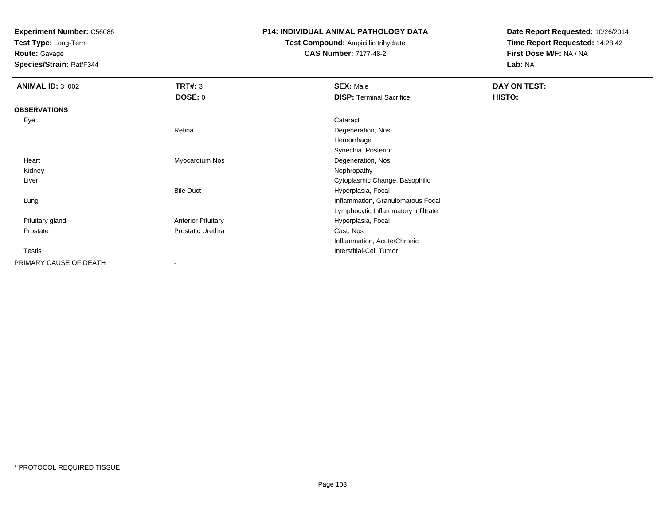**Test Type:** Long-Term

**Route:** Gavage

**Species/Strain:** Rat/F344

#### **P14: INDIVIDUAL ANIMAL PATHOLOGY DATA**

# **Test Compound:** Ampicillin trihydrate**CAS Number:** 7177-48-2

| <b>ANIMAL ID: 3_002</b> | <b>TRT#: 3</b>            | <b>SEX: Male</b>                    | DAY ON TEST: |
|-------------------------|---------------------------|-------------------------------------|--------------|
|                         | <b>DOSE: 0</b>            | <b>DISP: Terminal Sacrifice</b>     | HISTO:       |
| <b>OBSERVATIONS</b>     |                           |                                     |              |
| Eye                     |                           | Cataract                            |              |
|                         | Retina                    | Degeneration, Nos                   |              |
|                         |                           | Hemorrhage                          |              |
|                         |                           | Synechia, Posterior                 |              |
| Heart                   | Myocardium Nos            | Degeneration, Nos                   |              |
| Kidney                  |                           | Nephropathy                         |              |
| Liver                   |                           | Cytoplasmic Change, Basophilic      |              |
|                         | <b>Bile Duct</b>          | Hyperplasia, Focal                  |              |
| Lung                    |                           | Inflammation, Granulomatous Focal   |              |
|                         |                           | Lymphocytic Inflammatory Infiltrate |              |
| Pituitary gland         | <b>Anterior Pituitary</b> | Hyperplasia, Focal                  |              |
| Prostate                | Prostatic Urethra         | Cast, Nos                           |              |
|                         |                           | Inflammation, Acute/Chronic         |              |
| Testis                  |                           | <b>Interstitial-Cell Tumor</b>      |              |
| PRIMARY CAUSE OF DEATH  | ۰                         |                                     |              |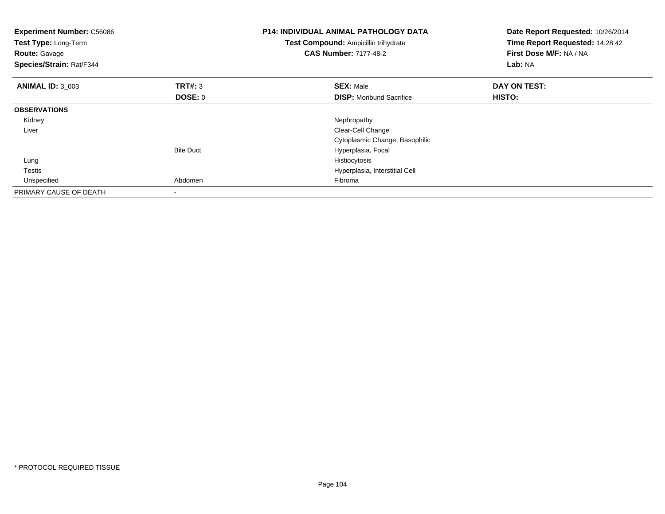| <b>Experiment Number: C56086</b><br>Test Type: Long-Term<br><b>Route: Gavage</b><br>Species/Strain: Rat/F344 |                  | <b>P14: INDIVIDUAL ANIMAL PATHOLOGY DATA</b><br>Test Compound: Ampicillin trihydrate<br><b>CAS Number: 7177-48-2</b> | Date Report Requested: 10/26/2014<br>Time Report Requested: 14:28:42<br>First Dose M/F: NA / NA<br>Lab: NA |
|--------------------------------------------------------------------------------------------------------------|------------------|----------------------------------------------------------------------------------------------------------------------|------------------------------------------------------------------------------------------------------------|
| <b>ANIMAL ID: 3 003</b>                                                                                      | <b>TRT#: 3</b>   | <b>SEX: Male</b>                                                                                                     | DAY ON TEST:                                                                                               |
|                                                                                                              | DOSE: 0          | <b>DISP:</b> Moribund Sacrifice                                                                                      | <b>HISTO:</b>                                                                                              |
| <b>OBSERVATIONS</b>                                                                                          |                  |                                                                                                                      |                                                                                                            |
| Kidney                                                                                                       |                  | Nephropathy                                                                                                          |                                                                                                            |
| Liver                                                                                                        |                  | Clear-Cell Change                                                                                                    |                                                                                                            |
|                                                                                                              |                  | Cytoplasmic Change, Basophilic                                                                                       |                                                                                                            |
|                                                                                                              | <b>Bile Duct</b> | Hyperplasia, Focal                                                                                                   |                                                                                                            |
| Lung                                                                                                         |                  | Histiocytosis                                                                                                        |                                                                                                            |
| Testis                                                                                                       |                  | Hyperplasia, Interstitial Cell                                                                                       |                                                                                                            |
| Unspecified                                                                                                  | Abdomen          | Fibroma                                                                                                              |                                                                                                            |
| PRIMARY CAUSE OF DEATH                                                                                       |                  |                                                                                                                      |                                                                                                            |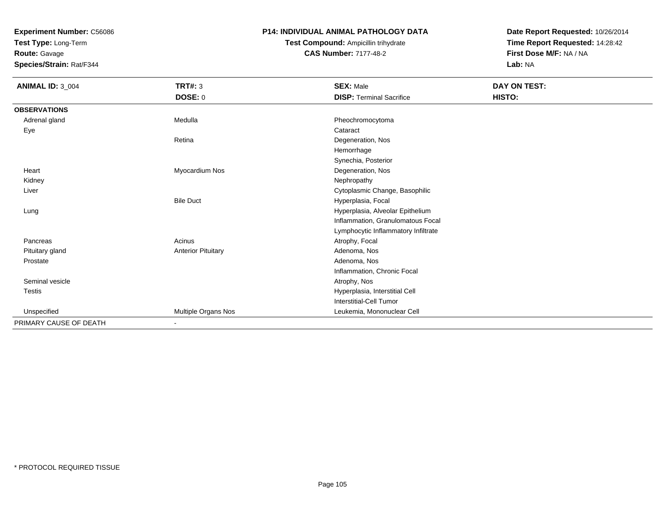**Test Type:** Long-Term

**Route:** Gavage

**Species/Strain:** Rat/F344

#### **P14: INDIVIDUAL ANIMAL PATHOLOGY DATA**

**Test Compound:** Ampicillin trihydrate**CAS Number:** 7177-48-2

| <b>ANIMAL ID: 3_004</b> | <b>TRT#: 3</b>            | <b>SEX: Male</b>                    | DAY ON TEST: |
|-------------------------|---------------------------|-------------------------------------|--------------|
|                         | <b>DOSE: 0</b>            | <b>DISP: Terminal Sacrifice</b>     | HISTO:       |
| <b>OBSERVATIONS</b>     |                           |                                     |              |
| Adrenal gland           | Medulla                   | Pheochromocytoma                    |              |
| Eye                     |                           | Cataract                            |              |
|                         | Retina                    | Degeneration, Nos                   |              |
|                         |                           | Hemorrhage                          |              |
|                         |                           | Synechia, Posterior                 |              |
| Heart                   | Myocardium Nos            | Degeneration, Nos                   |              |
| Kidney                  |                           | Nephropathy                         |              |
| Liver                   |                           | Cytoplasmic Change, Basophilic      |              |
|                         | <b>Bile Duct</b>          | Hyperplasia, Focal                  |              |
| Lung                    |                           | Hyperplasia, Alveolar Epithelium    |              |
|                         |                           | Inflammation, Granulomatous Focal   |              |
|                         |                           | Lymphocytic Inflammatory Infiltrate |              |
| Pancreas                | Acinus                    | Atrophy, Focal                      |              |
| Pituitary gland         | <b>Anterior Pituitary</b> | Adenoma, Nos                        |              |
| Prostate                |                           | Adenoma, Nos                        |              |
|                         |                           | Inflammation, Chronic Focal         |              |
| Seminal vesicle         |                           | Atrophy, Nos                        |              |
| Testis                  |                           | Hyperplasia, Interstitial Cell      |              |
|                         |                           | <b>Interstitial-Cell Tumor</b>      |              |
| Unspecified             | Multiple Organs Nos       | Leukemia, Mononuclear Cell          |              |
| PRIMARY CAUSE OF DEATH  |                           |                                     |              |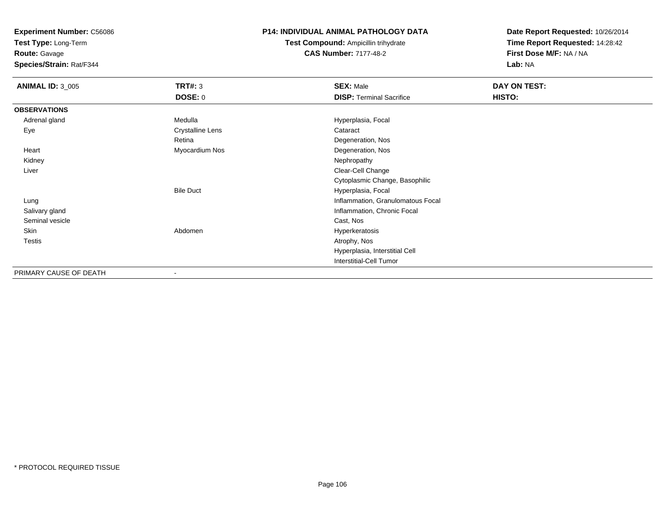**Test Type:** Long-Term

**Route:** Gavage

**Species/Strain:** Rat/F344

#### **P14: INDIVIDUAL ANIMAL PATHOLOGY DATA**

**Test Compound:** Ampicillin trihydrate**CAS Number:** 7177-48-2

| <b>ANIMAL ID: 3_005</b> | <b>TRT#: 3</b>           | <b>SEX: Male</b>                  | DAY ON TEST: |
|-------------------------|--------------------------|-----------------------------------|--------------|
|                         | <b>DOSE: 0</b>           | <b>DISP: Terminal Sacrifice</b>   | HISTO:       |
| <b>OBSERVATIONS</b>     |                          |                                   |              |
| Adrenal gland           | Medulla                  | Hyperplasia, Focal                |              |
| Eye                     | <b>Crystalline Lens</b>  | Cataract                          |              |
|                         | Retina                   | Degeneration, Nos                 |              |
| Heart                   | Myocardium Nos           | Degeneration, Nos                 |              |
| Kidney                  |                          | Nephropathy                       |              |
| Liver                   |                          | Clear-Cell Change                 |              |
|                         |                          | Cytoplasmic Change, Basophilic    |              |
|                         | <b>Bile Duct</b>         | Hyperplasia, Focal                |              |
| Lung                    |                          | Inflammation, Granulomatous Focal |              |
| Salivary gland          |                          | Inflammation, Chronic Focal       |              |
| Seminal vesicle         |                          | Cast, Nos                         |              |
| Skin                    | Abdomen                  | Hyperkeratosis                    |              |
| Testis                  |                          | Atrophy, Nos                      |              |
|                         |                          | Hyperplasia, Interstitial Cell    |              |
|                         |                          | Interstitial-Cell Tumor           |              |
| PRIMARY CAUSE OF DEATH  | $\overline{\phantom{a}}$ |                                   |              |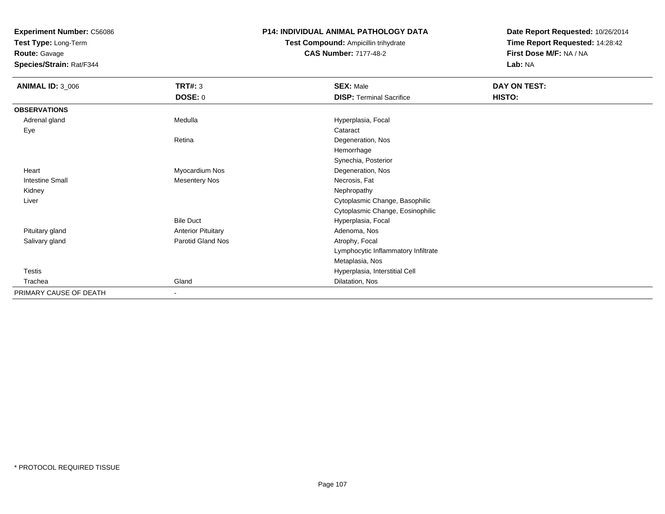**Test Type:** Long-Term

**Route:** Gavage

**Species/Strain:** Rat/F344

#### **P14: INDIVIDUAL ANIMAL PATHOLOGY DATA**

# **Test Compound:** Ampicillin trihydrate**CAS Number:** 7177-48-2

| <b>ANIMAL ID: 3_006</b> | TRT#: 3                   | <b>SEX: Male</b>                    | DAY ON TEST: |
|-------------------------|---------------------------|-------------------------------------|--------------|
|                         | <b>DOSE: 0</b>            | <b>DISP: Terminal Sacrifice</b>     | HISTO:       |
| <b>OBSERVATIONS</b>     |                           |                                     |              |
| Adrenal gland           | Medulla                   | Hyperplasia, Focal                  |              |
| Eye                     |                           | Cataract                            |              |
|                         | Retina                    | Degeneration, Nos                   |              |
|                         |                           | Hemorrhage                          |              |
|                         |                           | Synechia, Posterior                 |              |
| Heart                   | Myocardium Nos            | Degeneration, Nos                   |              |
| <b>Intestine Small</b>  | <b>Mesentery Nos</b>      | Necrosis, Fat                       |              |
| Kidney                  |                           | Nephropathy                         |              |
| Liver                   |                           | Cytoplasmic Change, Basophilic      |              |
|                         |                           | Cytoplasmic Change, Eosinophilic    |              |
|                         | <b>Bile Duct</b>          | Hyperplasia, Focal                  |              |
| Pituitary gland         | <b>Anterior Pituitary</b> | Adenoma, Nos                        |              |
| Salivary gland          | Parotid Gland Nos         | Atrophy, Focal                      |              |
|                         |                           | Lymphocytic Inflammatory Infiltrate |              |
|                         |                           | Metaplasia, Nos                     |              |
| <b>Testis</b>           |                           | Hyperplasia, Interstitial Cell      |              |
| Trachea                 | Gland                     | Dilatation, Nos                     |              |
| PRIMARY CAUSE OF DEATH  | $\,$ $\,$                 |                                     |              |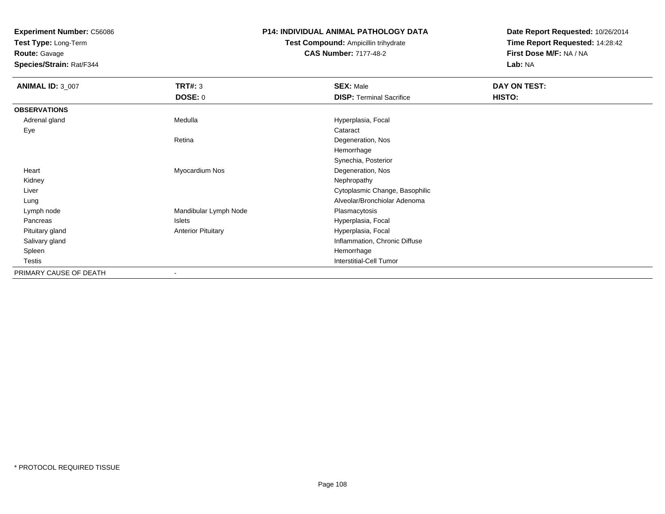**Test Type:** Long-Term

**Route:** Gavage

**Species/Strain:** Rat/F344

#### **P14: INDIVIDUAL ANIMAL PATHOLOGY DATA**

**Test Compound:** Ampicillin trihydrate**CAS Number:** 7177-48-2

| <b>ANIMAL ID: 3_007</b> | <b>TRT#: 3</b>            | <b>SEX: Male</b>                | DAY ON TEST: |
|-------------------------|---------------------------|---------------------------------|--------------|
|                         | <b>DOSE: 0</b>            | <b>DISP: Terminal Sacrifice</b> | HISTO:       |
| <b>OBSERVATIONS</b>     |                           |                                 |              |
| Adrenal gland           | Medulla                   | Hyperplasia, Focal              |              |
| Eye                     |                           | Cataract                        |              |
|                         | Retina                    | Degeneration, Nos               |              |
|                         |                           | Hemorrhage                      |              |
|                         |                           | Synechia, Posterior             |              |
| Heart                   | Myocardium Nos            | Degeneration, Nos               |              |
| Kidney                  |                           | Nephropathy                     |              |
| Liver                   |                           | Cytoplasmic Change, Basophilic  |              |
| Lung                    |                           | Alveolar/Bronchiolar Adenoma    |              |
| Lymph node              | Mandibular Lymph Node     | Plasmacytosis                   |              |
| Pancreas                | Islets                    | Hyperplasia, Focal              |              |
| Pituitary gland         | <b>Anterior Pituitary</b> | Hyperplasia, Focal              |              |
| Salivary gland          |                           | Inflammation, Chronic Diffuse   |              |
| Spleen                  |                           | Hemorrhage                      |              |
| Testis                  |                           | Interstitial-Cell Tumor         |              |
| PRIMARY CAUSE OF DEATH  | $\overline{\phantom{a}}$  |                                 |              |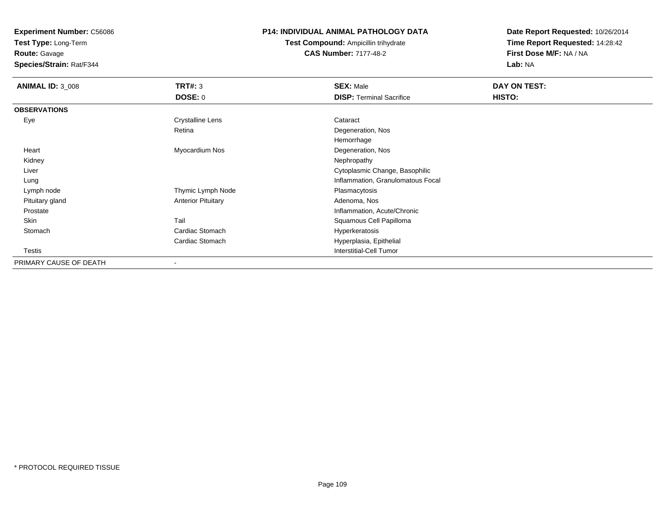**Test Type:** Long-Term

**Route:** Gavage

**Species/Strain:** Rat/F344

## **P14: INDIVIDUAL ANIMAL PATHOLOGY DATA**

**Test Compound:** Ampicillin trihydrate**CAS Number:** 7177-48-2

| <b>ANIMAL ID: 3_008</b> | TRT#: 3                   | <b>SEX: Male</b>                  | DAY ON TEST: |
|-------------------------|---------------------------|-----------------------------------|--------------|
|                         | DOSE: 0                   | <b>DISP: Terminal Sacrifice</b>   | HISTO:       |
| <b>OBSERVATIONS</b>     |                           |                                   |              |
| Eye                     | <b>Crystalline Lens</b>   | Cataract                          |              |
|                         | Retina                    | Degeneration, Nos                 |              |
|                         |                           | Hemorrhage                        |              |
| Heart                   | Myocardium Nos            | Degeneration, Nos                 |              |
| Kidney                  |                           | Nephropathy                       |              |
| Liver                   |                           | Cytoplasmic Change, Basophilic    |              |
| Lung                    |                           | Inflammation, Granulomatous Focal |              |
| Lymph node              | Thymic Lymph Node         | Plasmacytosis                     |              |
| Pituitary gland         | <b>Anterior Pituitary</b> | Adenoma, Nos                      |              |
| Prostate                |                           | Inflammation, Acute/Chronic       |              |
| Skin                    | Tail                      | Squamous Cell Papilloma           |              |
| Stomach                 | Cardiac Stomach           | Hyperkeratosis                    |              |
|                         | Cardiac Stomach           | Hyperplasia, Epithelial           |              |
| Testis                  |                           | <b>Interstitial-Cell Tumor</b>    |              |
| PRIMARY CAUSE OF DEATH  | $\overline{\phantom{a}}$  |                                   |              |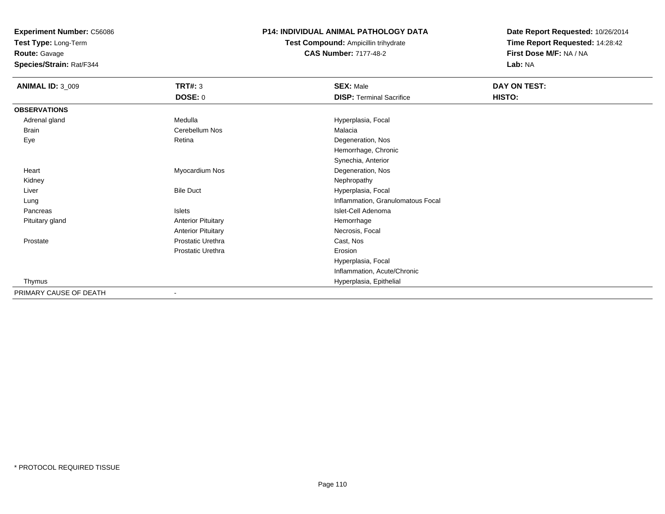**Test Type:** Long-Term

**Route:** Gavage

**Species/Strain:** Rat/F344

# **P14: INDIVIDUAL ANIMAL PATHOLOGY DATA**

**Test Compound:** Ampicillin trihydrate**CAS Number:** 7177-48-2

| <b>ANIMAL ID: 3_009</b> | <b>TRT#: 3</b>            | <b>SEX: Male</b>                  | DAY ON TEST: |
|-------------------------|---------------------------|-----------------------------------|--------------|
|                         | <b>DOSE: 0</b>            | <b>DISP: Terminal Sacrifice</b>   | HISTO:       |
| <b>OBSERVATIONS</b>     |                           |                                   |              |
| Adrenal gland           | Medulla                   | Hyperplasia, Focal                |              |
| Brain                   | Cerebellum Nos            | Malacia                           |              |
| Eye                     | Retina                    | Degeneration, Nos                 |              |
|                         |                           | Hemorrhage, Chronic               |              |
|                         |                           | Synechia, Anterior                |              |
| Heart                   | Myocardium Nos            | Degeneration, Nos                 |              |
| Kidney                  |                           | Nephropathy                       |              |
| Liver                   | <b>Bile Duct</b>          | Hyperplasia, Focal                |              |
| Lung                    |                           | Inflammation, Granulomatous Focal |              |
| Pancreas                | Islets                    | Islet-Cell Adenoma                |              |
| Pituitary gland         | <b>Anterior Pituitary</b> | Hemorrhage                        |              |
|                         | <b>Anterior Pituitary</b> | Necrosis, Focal                   |              |
| Prostate                | Prostatic Urethra         | Cast, Nos                         |              |
|                         | Prostatic Urethra         | Erosion                           |              |
|                         |                           | Hyperplasia, Focal                |              |
|                         |                           | Inflammation, Acute/Chronic       |              |
| Thymus                  |                           | Hyperplasia, Epithelial           |              |
| PRIMARY CAUSE OF DEATH  |                           |                                   |              |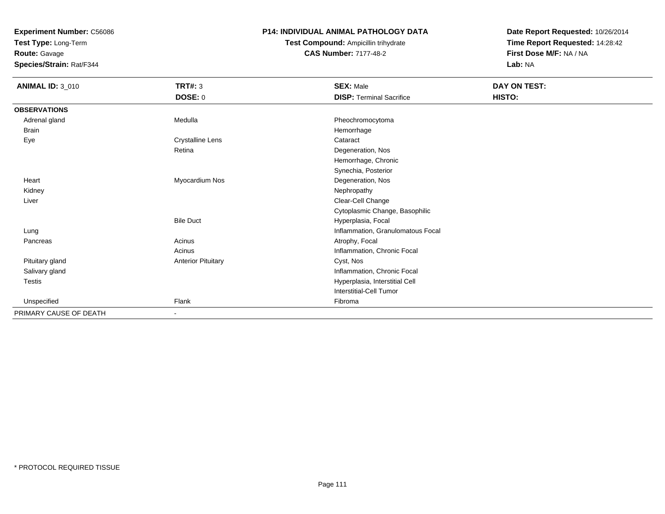**Test Type:** Long-Term

**Route:** Gavage

**Species/Strain:** Rat/F344

# **P14: INDIVIDUAL ANIMAL PATHOLOGY DATA**

**Test Compound:** Ampicillin trihydrate**CAS Number:** 7177-48-2

| <b>ANIMAL ID: 3_010</b> | <b>TRT#: 3</b>            | <b>SEX: Male</b>                  | DAY ON TEST: |  |
|-------------------------|---------------------------|-----------------------------------|--------------|--|
|                         | <b>DOSE: 0</b>            | <b>DISP: Terminal Sacrifice</b>   | HISTO:       |  |
| <b>OBSERVATIONS</b>     |                           |                                   |              |  |
| Adrenal gland           | Medulla                   | Pheochromocytoma                  |              |  |
| <b>Brain</b>            |                           | Hemorrhage                        |              |  |
| Eye                     | <b>Crystalline Lens</b>   | Cataract                          |              |  |
|                         | Retina                    | Degeneration, Nos                 |              |  |
|                         |                           | Hemorrhage, Chronic               |              |  |
|                         |                           | Synechia, Posterior               |              |  |
| Heart                   | Myocardium Nos            | Degeneration, Nos                 |              |  |
| Kidney                  |                           | Nephropathy                       |              |  |
| Liver                   |                           | Clear-Cell Change                 |              |  |
|                         |                           | Cytoplasmic Change, Basophilic    |              |  |
|                         | <b>Bile Duct</b>          | Hyperplasia, Focal                |              |  |
| Lung                    |                           | Inflammation, Granulomatous Focal |              |  |
| Pancreas                | Acinus                    | Atrophy, Focal                    |              |  |
|                         | Acinus                    | Inflammation, Chronic Focal       |              |  |
| Pituitary gland         | <b>Anterior Pituitary</b> | Cyst, Nos                         |              |  |
| Salivary gland          |                           | Inflammation, Chronic Focal       |              |  |
| Testis                  |                           | Hyperplasia, Interstitial Cell    |              |  |
|                         |                           | Interstitial-Cell Tumor           |              |  |
| Unspecified             | Flank                     | Fibroma                           |              |  |
| PRIMARY CAUSE OF DEATH  |                           |                                   |              |  |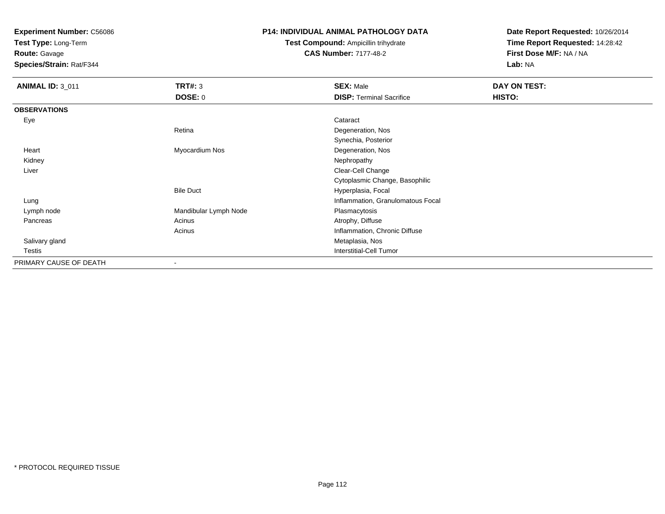**Test Type:** Long-Term

**Route:** Gavage

**Species/Strain:** Rat/F344

# **P14: INDIVIDUAL ANIMAL PATHOLOGY DATA**

# **Test Compound:** Ampicillin trihydrate**CAS Number:** 7177-48-2

| <b>ANIMAL ID: 3_011</b> | <b>TRT#: 3</b>           | <b>SEX: Male</b>                  | DAY ON TEST: |
|-------------------------|--------------------------|-----------------------------------|--------------|
|                         | <b>DOSE: 0</b>           | <b>DISP: Terminal Sacrifice</b>   | HISTO:       |
| <b>OBSERVATIONS</b>     |                          |                                   |              |
| Eye                     |                          | Cataract                          |              |
|                         | Retina                   | Degeneration, Nos                 |              |
|                         |                          | Synechia, Posterior               |              |
| Heart                   | Myocardium Nos           | Degeneration, Nos                 |              |
| Kidney                  |                          | Nephropathy                       |              |
| Liver                   |                          | Clear-Cell Change                 |              |
|                         |                          | Cytoplasmic Change, Basophilic    |              |
|                         | <b>Bile Duct</b>         | Hyperplasia, Focal                |              |
| Lung                    |                          | Inflammation, Granulomatous Focal |              |
| Lymph node              | Mandibular Lymph Node    | Plasmacytosis                     |              |
| Pancreas                | Acinus                   | Atrophy, Diffuse                  |              |
|                         | Acinus                   | Inflammation, Chronic Diffuse     |              |
| Salivary gland          |                          | Metaplasia, Nos                   |              |
| Testis                  |                          | <b>Interstitial-Cell Tumor</b>    |              |
| PRIMARY CAUSE OF DEATH  | $\overline{\phantom{a}}$ |                                   |              |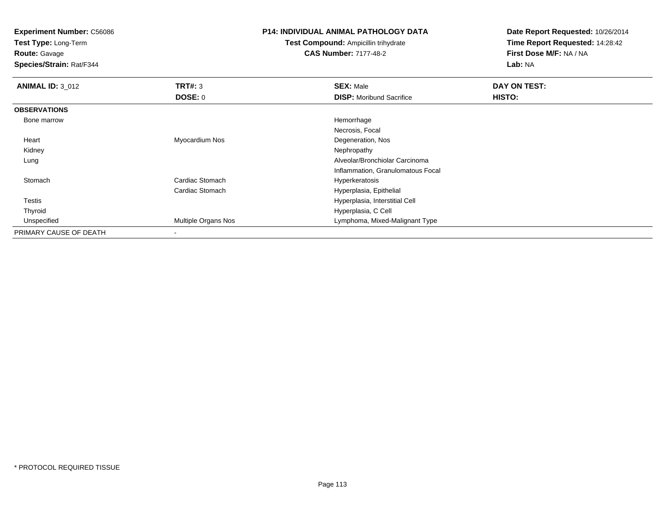**Test Type:** Long-Term

**Route:** Gavage

**Species/Strain:** Rat/F344

#### **P14: INDIVIDUAL ANIMAL PATHOLOGY DATA**

# **Test Compound:** Ampicillin trihydrate**CAS Number:** 7177-48-2

| <b>ANIMAL ID: 3_012</b> | TRT#: 3             | <b>SEX: Male</b>                  | DAY ON TEST: |  |
|-------------------------|---------------------|-----------------------------------|--------------|--|
|                         | <b>DOSE: 0</b>      | <b>DISP:</b> Moribund Sacrifice   | HISTO:       |  |
| <b>OBSERVATIONS</b>     |                     |                                   |              |  |
| Bone marrow             |                     | Hemorrhage                        |              |  |
|                         |                     | Necrosis, Focal                   |              |  |
| Heart                   | Myocardium Nos      | Degeneration, Nos                 |              |  |
| Kidney                  |                     | Nephropathy                       |              |  |
| Lung                    |                     | Alveolar/Bronchiolar Carcinoma    |              |  |
|                         |                     | Inflammation, Granulomatous Focal |              |  |
| Stomach                 | Cardiac Stomach     | Hyperkeratosis                    |              |  |
|                         | Cardiac Stomach     | Hyperplasia, Epithelial           |              |  |
| <b>Testis</b>           |                     | Hyperplasia, Interstitial Cell    |              |  |
| Thyroid                 |                     | Hyperplasia, C Cell               |              |  |
| Unspecified             | Multiple Organs Nos | Lymphoma, Mixed-Malignant Type    |              |  |
| PRIMARY CAUSE OF DEATH  |                     |                                   |              |  |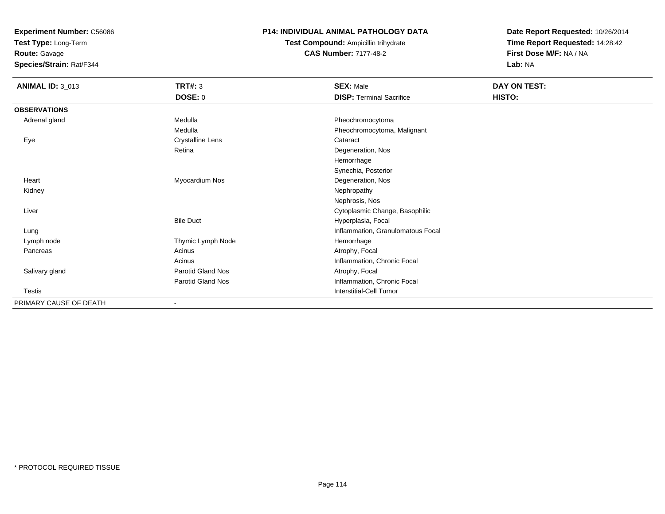**Test Type:** Long-Term

**Route:** Gavage

**Species/Strain:** Rat/F344

# **P14: INDIVIDUAL ANIMAL PATHOLOGY DATA**

**Test Compound:** Ampicillin trihydrate**CAS Number:** 7177-48-2

| <b>ANIMAL ID: 3_013</b> | TRT#: 3                 | <b>SEX: Male</b>                  | DAY ON TEST: |
|-------------------------|-------------------------|-----------------------------------|--------------|
|                         | DOSE: 0                 | <b>DISP: Terminal Sacrifice</b>   | HISTO:       |
| <b>OBSERVATIONS</b>     |                         |                                   |              |
| Adrenal gland           | Medulla                 | Pheochromocytoma                  |              |
|                         | Medulla                 | Pheochromocytoma, Malignant       |              |
| Eye                     | <b>Crystalline Lens</b> | Cataract                          |              |
|                         | Retina                  | Degeneration, Nos                 |              |
|                         |                         | Hemorrhage                        |              |
|                         |                         | Synechia, Posterior               |              |
| Heart                   | Myocardium Nos          | Degeneration, Nos                 |              |
| Kidney                  |                         | Nephropathy                       |              |
|                         |                         | Nephrosis, Nos                    |              |
| Liver                   |                         | Cytoplasmic Change, Basophilic    |              |
|                         | <b>Bile Duct</b>        | Hyperplasia, Focal                |              |
| Lung                    |                         | Inflammation, Granulomatous Focal |              |
| Lymph node              | Thymic Lymph Node       | Hemorrhage                        |              |
| Pancreas                | Acinus                  | Atrophy, Focal                    |              |
|                         | Acinus                  | Inflammation, Chronic Focal       |              |
| Salivary gland          | Parotid Gland Nos       | Atrophy, Focal                    |              |
|                         | Parotid Gland Nos       | Inflammation, Chronic Focal       |              |
| Testis                  |                         | Interstitial-Cell Tumor           |              |
| PRIMARY CAUSE OF DEATH  | ٠                       |                                   |              |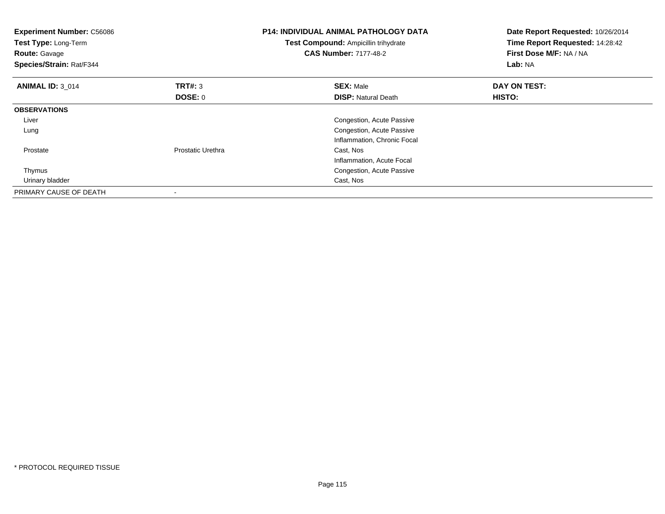| <b>Experiment Number: C56086</b><br>Test Type: Long-Term<br><b>Route: Gavage</b><br>Species/Strain: Rat/F344 |                   | P14: INDIVIDUAL ANIMAL PATHOLOGY DATA<br>Test Compound: Ampicillin trihydrate<br><b>CAS Number: 7177-48-2</b> | Date Report Requested: 10/26/2014<br>Time Report Requested: 14:28:42<br>First Dose M/F: NA / NA<br>Lab: NA |
|--------------------------------------------------------------------------------------------------------------|-------------------|---------------------------------------------------------------------------------------------------------------|------------------------------------------------------------------------------------------------------------|
| <b>ANIMAL ID: 3 014</b>                                                                                      | <b>TRT#: 3</b>    | <b>SEX: Male</b>                                                                                              | DAY ON TEST:                                                                                               |
|                                                                                                              | DOSE: 0           | <b>DISP:</b> Natural Death                                                                                    | <b>HISTO:</b>                                                                                              |
| <b>OBSERVATIONS</b>                                                                                          |                   |                                                                                                               |                                                                                                            |
| Liver                                                                                                        |                   | Congestion, Acute Passive                                                                                     |                                                                                                            |
| Lung                                                                                                         |                   | Congestion, Acute Passive                                                                                     |                                                                                                            |
|                                                                                                              |                   | Inflammation, Chronic Focal                                                                                   |                                                                                                            |
| Prostate                                                                                                     | Prostatic Urethra | Cast, Nos                                                                                                     |                                                                                                            |
|                                                                                                              |                   | Inflammation, Acute Focal                                                                                     |                                                                                                            |
| Thymus                                                                                                       |                   | Congestion, Acute Passive                                                                                     |                                                                                                            |
| Urinary bladder                                                                                              |                   | Cast, Nos                                                                                                     |                                                                                                            |
| PRIMARY CAUSE OF DEATH                                                                                       |                   |                                                                                                               |                                                                                                            |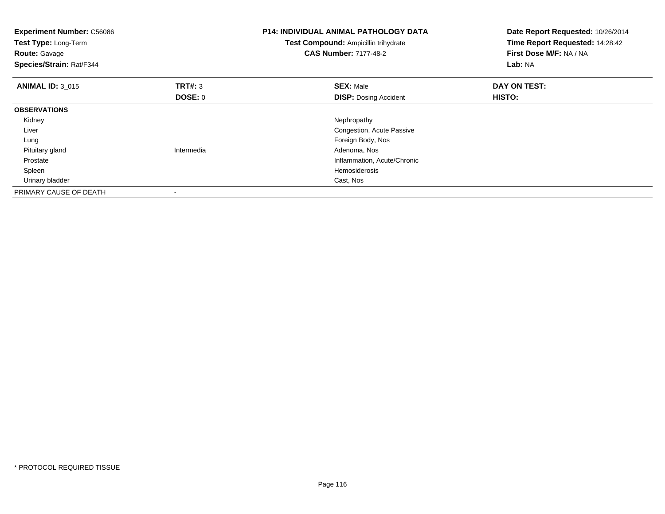| <b>Experiment Number: C56086</b><br>Test Type: Long-Term<br><b>Route: Gavage</b><br>Species/Strain: Rat/F344 |                | <b>P14: INDIVIDUAL ANIMAL PATHOLOGY DATA</b><br>Date Report Requested: 10/26/2014<br>Time Report Requested: 14:28:42<br>Test Compound: Ampicillin trihydrate<br>First Dose M/F: NA / NA<br><b>CAS Number: 7177-48-2</b><br>Lab: NA |               |
|--------------------------------------------------------------------------------------------------------------|----------------|------------------------------------------------------------------------------------------------------------------------------------------------------------------------------------------------------------------------------------|---------------|
| <b>ANIMAL ID: 3 015</b>                                                                                      | TRT#: 3        | <b>SEX: Male</b>                                                                                                                                                                                                                   | DAY ON TEST:  |
|                                                                                                              | <b>DOSE: 0</b> | <b>DISP:</b> Dosing Accident                                                                                                                                                                                                       | <b>HISTO:</b> |
| <b>OBSERVATIONS</b>                                                                                          |                |                                                                                                                                                                                                                                    |               |
| Kidney                                                                                                       |                | Nephropathy                                                                                                                                                                                                                        |               |
| Liver                                                                                                        |                | Congestion, Acute Passive                                                                                                                                                                                                          |               |
| Lung                                                                                                         |                | Foreign Body, Nos                                                                                                                                                                                                                  |               |
| Pituitary gland                                                                                              | Intermedia     | Adenoma, Nos                                                                                                                                                                                                                       |               |
| Prostate                                                                                                     |                | Inflammation, Acute/Chronic                                                                                                                                                                                                        |               |
| Spleen                                                                                                       |                | <b>Hemosiderosis</b>                                                                                                                                                                                                               |               |
| Urinary bladder                                                                                              |                | Cast, Nos                                                                                                                                                                                                                          |               |
| PRIMARY CAUSE OF DEATH                                                                                       |                |                                                                                                                                                                                                                                    |               |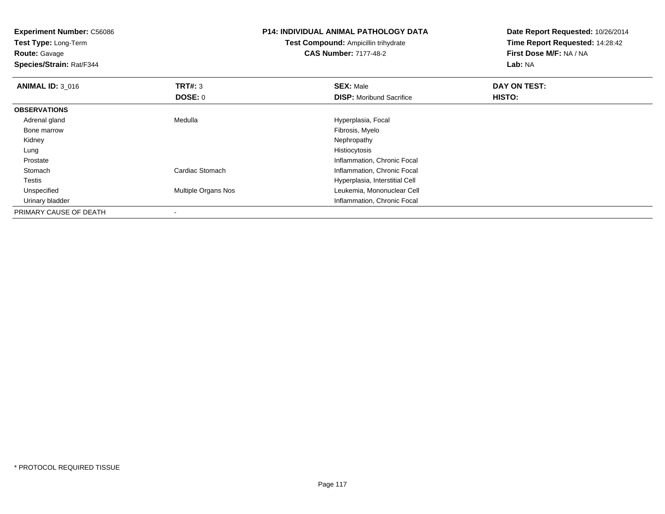| <b>Experiment Number: C56086</b><br>Test Type: Long-Term<br><b>Route: Gavage</b><br>Species/Strain: Rat/F344 |                     | <b>P14: INDIVIDUAL ANIMAL PATHOLOGY DATA</b><br><b>Test Compound: Ampicillin trihydrate</b><br><b>CAS Number: 7177-48-2</b> | Date Report Requested: 10/26/2014<br>Time Report Requested: 14:28:42<br>First Dose M/F: NA / NA<br>Lab: NA |
|--------------------------------------------------------------------------------------------------------------|---------------------|-----------------------------------------------------------------------------------------------------------------------------|------------------------------------------------------------------------------------------------------------|
| <b>ANIMAL ID: 3_016</b>                                                                                      | TRT#: 3             | <b>SEX: Male</b>                                                                                                            | DAY ON TEST:                                                                                               |
|                                                                                                              | DOSE: 0             | <b>DISP:</b> Moribund Sacrifice                                                                                             | HISTO:                                                                                                     |
| <b>OBSERVATIONS</b>                                                                                          |                     |                                                                                                                             |                                                                                                            |
| Adrenal gland                                                                                                | Medulla             | Hyperplasia, Focal                                                                                                          |                                                                                                            |
| Bone marrow                                                                                                  |                     | Fibrosis, Myelo                                                                                                             |                                                                                                            |
| Kidney                                                                                                       |                     | Nephropathy                                                                                                                 |                                                                                                            |
| Lung                                                                                                         |                     | Histiocytosis                                                                                                               |                                                                                                            |
| Prostate                                                                                                     |                     | Inflammation, Chronic Focal                                                                                                 |                                                                                                            |
| Stomach                                                                                                      | Cardiac Stomach     | Inflammation, Chronic Focal                                                                                                 |                                                                                                            |
| Testis                                                                                                       |                     | Hyperplasia, Interstitial Cell                                                                                              |                                                                                                            |
| Unspecified                                                                                                  | Multiple Organs Nos | Leukemia, Mononuclear Cell                                                                                                  |                                                                                                            |
| Urinary bladder                                                                                              |                     | Inflammation, Chronic Focal                                                                                                 |                                                                                                            |
| PRIMARY CAUSE OF DEATH                                                                                       |                     |                                                                                                                             |                                                                                                            |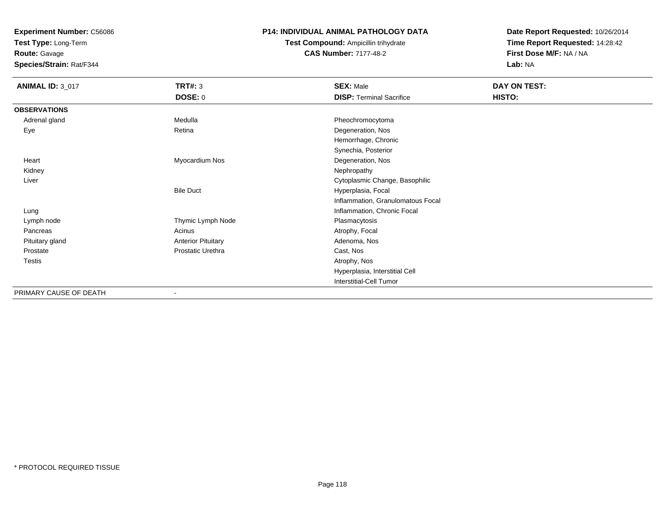**Test Type:** Long-Term

**Route:** Gavage

**Species/Strain:** Rat/F344

### **P14: INDIVIDUAL ANIMAL PATHOLOGY DATA**

# **Test Compound:** Ampicillin trihydrate**CAS Number:** 7177-48-2

| <b>ANIMAL ID: 3_017</b> | <b>TRT#: 3</b>            | <b>SEX: Male</b>                  | DAY ON TEST: |
|-------------------------|---------------------------|-----------------------------------|--------------|
|                         | DOSE: 0                   | <b>DISP: Terminal Sacrifice</b>   | HISTO:       |
| <b>OBSERVATIONS</b>     |                           |                                   |              |
| Adrenal gland           | Medulla                   | Pheochromocytoma                  |              |
| Eye                     | Retina                    | Degeneration, Nos                 |              |
|                         |                           | Hemorrhage, Chronic               |              |
|                         |                           | Synechia, Posterior               |              |
| Heart                   | Myocardium Nos            | Degeneration, Nos                 |              |
| Kidney                  |                           | Nephropathy                       |              |
| Liver                   |                           | Cytoplasmic Change, Basophilic    |              |
|                         | <b>Bile Duct</b>          | Hyperplasia, Focal                |              |
|                         |                           | Inflammation, Granulomatous Focal |              |
| Lung                    |                           | Inflammation, Chronic Focal       |              |
| Lymph node              | Thymic Lymph Node         | Plasmacytosis                     |              |
| Pancreas                | Acinus                    | Atrophy, Focal                    |              |
| Pituitary gland         | <b>Anterior Pituitary</b> | Adenoma, Nos                      |              |
| Prostate                | Prostatic Urethra         | Cast, Nos                         |              |
| Testis                  |                           | Atrophy, Nos                      |              |
|                         |                           | Hyperplasia, Interstitial Cell    |              |
|                         |                           | <b>Interstitial-Cell Tumor</b>    |              |
| PRIMARY CAUSE OF DEATH  | $\blacksquare$            |                                   |              |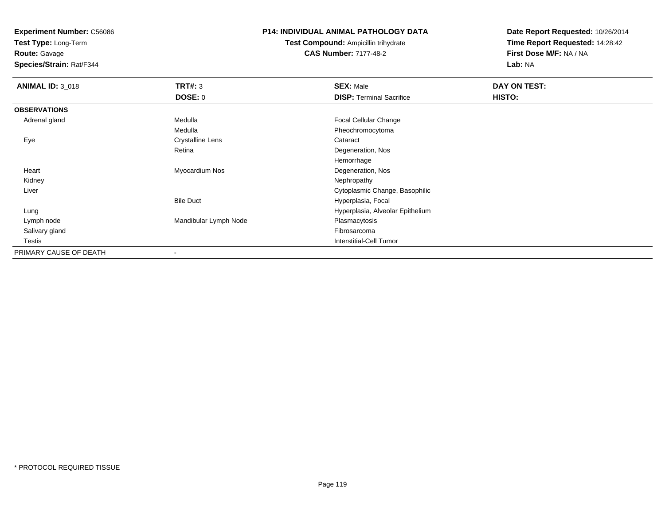**Test Type:** Long-Term

**Route:** Gavage

**Species/Strain:** Rat/F344

#### **P14: INDIVIDUAL ANIMAL PATHOLOGY DATA**

**Test Compound:** Ampicillin trihydrate**CAS Number:** 7177-48-2

| <b>ANIMAL ID: 3_018</b> | <b>TRT#: 3</b>          | <b>SEX: Male</b>                 | DAY ON TEST: |  |
|-------------------------|-------------------------|----------------------------------|--------------|--|
|                         | <b>DOSE: 0</b>          | <b>DISP: Terminal Sacrifice</b>  | HISTO:       |  |
| <b>OBSERVATIONS</b>     |                         |                                  |              |  |
| Adrenal gland           | Medulla                 | Focal Cellular Change            |              |  |
|                         | Medulla                 | Pheochromocytoma                 |              |  |
| Eye                     | <b>Crystalline Lens</b> | Cataract                         |              |  |
|                         | Retina                  | Degeneration, Nos                |              |  |
|                         |                         | Hemorrhage                       |              |  |
| Heart                   | Myocardium Nos          | Degeneration, Nos                |              |  |
| Kidney                  |                         | Nephropathy                      |              |  |
| Liver                   |                         | Cytoplasmic Change, Basophilic   |              |  |
|                         | <b>Bile Duct</b>        | Hyperplasia, Focal               |              |  |
| Lung                    |                         | Hyperplasia, Alveolar Epithelium |              |  |
| Lymph node              | Mandibular Lymph Node   | Plasmacytosis                    |              |  |
| Salivary gland          |                         | Fibrosarcoma                     |              |  |
| Testis                  |                         | Interstitial-Cell Tumor          |              |  |
| PRIMARY CAUSE OF DEATH  |                         |                                  |              |  |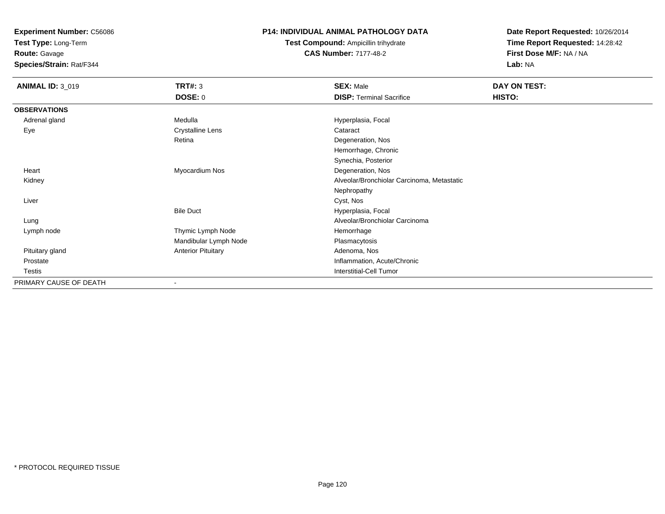**Test Type:** Long-Term

**Route:** Gavage

**Species/Strain:** Rat/F344

### **P14: INDIVIDUAL ANIMAL PATHOLOGY DATA**

**Test Compound:** Ampicillin trihydrate**CAS Number:** 7177-48-2

| <b>ANIMAL ID: 3_019</b> | <b>TRT#: 3</b>            | <b>SEX: Male</b>                           | DAY ON TEST: |
|-------------------------|---------------------------|--------------------------------------------|--------------|
|                         | <b>DOSE: 0</b>            | <b>DISP: Terminal Sacrifice</b>            | HISTO:       |
| <b>OBSERVATIONS</b>     |                           |                                            |              |
| Adrenal gland           | Medulla                   | Hyperplasia, Focal                         |              |
| Eye                     | <b>Crystalline Lens</b>   | Cataract                                   |              |
|                         | Retina                    | Degeneration, Nos                          |              |
|                         |                           | Hemorrhage, Chronic                        |              |
|                         |                           | Synechia, Posterior                        |              |
| Heart                   | Myocardium Nos            | Degeneration, Nos                          |              |
| Kidney                  |                           | Alveolar/Bronchiolar Carcinoma, Metastatic |              |
|                         |                           | Nephropathy                                |              |
| Liver                   |                           | Cyst, Nos                                  |              |
|                         | <b>Bile Duct</b>          | Hyperplasia, Focal                         |              |
| Lung                    |                           | Alveolar/Bronchiolar Carcinoma             |              |
| Lymph node              | Thymic Lymph Node         | Hemorrhage                                 |              |
|                         | Mandibular Lymph Node     | Plasmacytosis                              |              |
| Pituitary gland         | <b>Anterior Pituitary</b> | Adenoma, Nos                               |              |
| Prostate                |                           | Inflammation, Acute/Chronic                |              |
| Testis                  |                           | <b>Interstitial-Cell Tumor</b>             |              |
| PRIMARY CAUSE OF DEATH  |                           |                                            |              |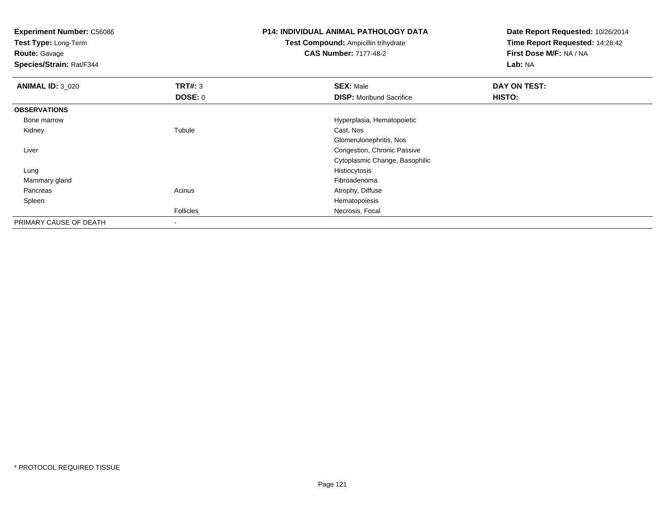**Test Type:** Long-Term

**Route:** Gavage

**Species/Strain:** Rat/F344

# **P14: INDIVIDUAL ANIMAL PATHOLOGY DATA**

**Test Compound:** Ampicillin trihydrate**CAS Number:** 7177-48-2

| <b>ANIMAL ID: 3_020</b> | TRT#: 3                  | <b>SEX: Male</b>                | DAY ON TEST: |  |
|-------------------------|--------------------------|---------------------------------|--------------|--|
|                         | <b>DOSE: 0</b>           | <b>DISP:</b> Moribund Sacrifice | HISTO:       |  |
| <b>OBSERVATIONS</b>     |                          |                                 |              |  |
| Bone marrow             |                          | Hyperplasia, Hematopoietic      |              |  |
| Kidney                  | Tubule                   | Cast, Nos                       |              |  |
|                         |                          | Glomerulonephritis, Nos         |              |  |
| Liver                   |                          | Congestion, Chronic Passive     |              |  |
|                         |                          | Cytoplasmic Change, Basophilic  |              |  |
| Lung                    |                          | Histiocytosis                   |              |  |
| Mammary gland           |                          | Fibroadenoma                    |              |  |
| Pancreas                | Acinus                   | Atrophy, Diffuse                |              |  |
| Spleen                  |                          | Hematopoiesis                   |              |  |
|                         | Follicles                | Necrosis, Focal                 |              |  |
| PRIMARY CAUSE OF DEATH  | $\overline{\phantom{a}}$ |                                 |              |  |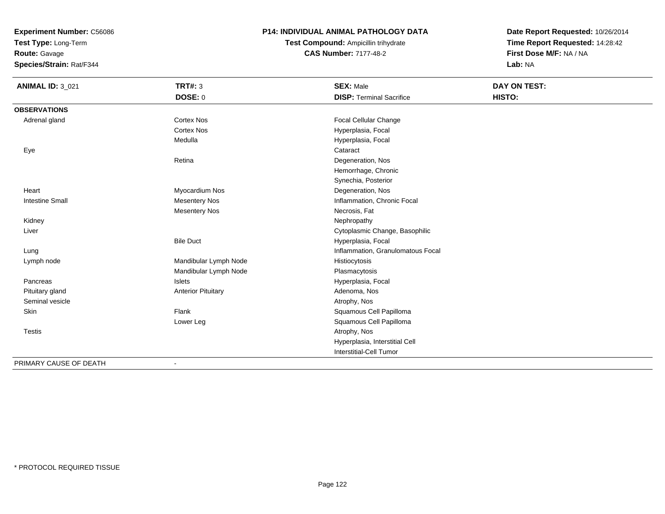**Test Type:** Long-Term

**Route:** Gavage

**Species/Strain:** Rat/F344

# **P14: INDIVIDUAL ANIMAL PATHOLOGY DATA**

**Test Compound:** Ampicillin trihydrate**CAS Number:** 7177-48-2

| <b>ANIMAL ID: 3_021</b> | <b>TRT#: 3</b>            | <b>SEX: Male</b>                  | <b>DAY ON TEST:</b> |  |
|-------------------------|---------------------------|-----------------------------------|---------------------|--|
|                         | <b>DOSE: 0</b>            | <b>DISP: Terminal Sacrifice</b>   | HISTO:              |  |
| <b>OBSERVATIONS</b>     |                           |                                   |                     |  |
| Adrenal gland           | Cortex Nos                | Focal Cellular Change             |                     |  |
|                         | <b>Cortex Nos</b>         | Hyperplasia, Focal                |                     |  |
|                         | Medulla                   | Hyperplasia, Focal                |                     |  |
| Eye                     |                           | Cataract                          |                     |  |
|                         | Retina                    | Degeneration, Nos                 |                     |  |
|                         |                           | Hemorrhage, Chronic               |                     |  |
|                         |                           | Synechia, Posterior               |                     |  |
| Heart                   | Myocardium Nos            | Degeneration, Nos                 |                     |  |
| <b>Intestine Small</b>  | <b>Mesentery Nos</b>      | Inflammation, Chronic Focal       |                     |  |
|                         | <b>Mesentery Nos</b>      | Necrosis, Fat                     |                     |  |
| Kidney                  |                           | Nephropathy                       |                     |  |
| Liver                   |                           | Cytoplasmic Change, Basophilic    |                     |  |
|                         | <b>Bile Duct</b>          | Hyperplasia, Focal                |                     |  |
| Lung                    |                           | Inflammation, Granulomatous Focal |                     |  |
| Lymph node              | Mandibular Lymph Node     | Histiocytosis                     |                     |  |
|                         | Mandibular Lymph Node     | Plasmacytosis                     |                     |  |
| Pancreas                | Islets                    | Hyperplasia, Focal                |                     |  |
| Pituitary gland         | <b>Anterior Pituitary</b> | Adenoma, Nos                      |                     |  |
| Seminal vesicle         |                           | Atrophy, Nos                      |                     |  |
| Skin                    | Flank                     | Squamous Cell Papilloma           |                     |  |
|                         | Lower Leg                 | Squamous Cell Papilloma           |                     |  |
| <b>Testis</b>           |                           | Atrophy, Nos                      |                     |  |
|                         |                           | Hyperplasia, Interstitial Cell    |                     |  |
|                         |                           | Interstitial-Cell Tumor           |                     |  |
| PRIMARY CAUSE OF DEATH  |                           |                                   |                     |  |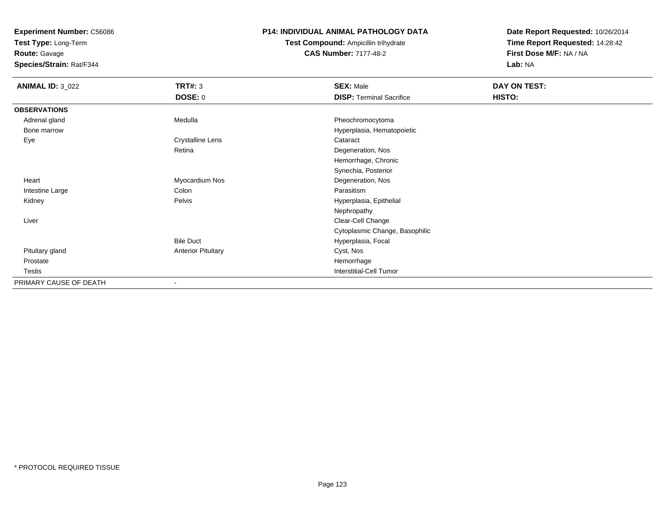**Test Type:** Long-Term

**Route:** Gavage

**Species/Strain:** Rat/F344

#### **P14: INDIVIDUAL ANIMAL PATHOLOGY DATA**

**Test Compound:** Ampicillin trihydrate**CAS Number:** 7177-48-2

| <b>ANIMAL ID: 3_022</b> | TRT#: 3                   | <b>SEX: Male</b>                | DAY ON TEST: |
|-------------------------|---------------------------|---------------------------------|--------------|
|                         | <b>DOSE: 0</b>            | <b>DISP: Terminal Sacrifice</b> | HISTO:       |
| <b>OBSERVATIONS</b>     |                           |                                 |              |
| Adrenal gland           | Medulla                   | Pheochromocytoma                |              |
| Bone marrow             |                           | Hyperplasia, Hematopoietic      |              |
| Eye                     | <b>Crystalline Lens</b>   | Cataract                        |              |
|                         | Retina                    | Degeneration, Nos               |              |
|                         |                           | Hemorrhage, Chronic             |              |
|                         |                           | Synechia, Posterior             |              |
| Heart                   | Myocardium Nos            | Degeneration, Nos               |              |
| Intestine Large         | Colon                     | Parasitism                      |              |
| Kidney                  | Pelvis                    | Hyperplasia, Epithelial         |              |
|                         |                           | Nephropathy                     |              |
| Liver                   |                           | Clear-Cell Change               |              |
|                         |                           | Cytoplasmic Change, Basophilic  |              |
|                         | <b>Bile Duct</b>          | Hyperplasia, Focal              |              |
| Pituitary gland         | <b>Anterior Pituitary</b> | Cyst, Nos                       |              |
| Prostate                |                           | Hemorrhage                      |              |
| Testis                  |                           | <b>Interstitial-Cell Tumor</b>  |              |
| PRIMARY CAUSE OF DEATH  |                           |                                 |              |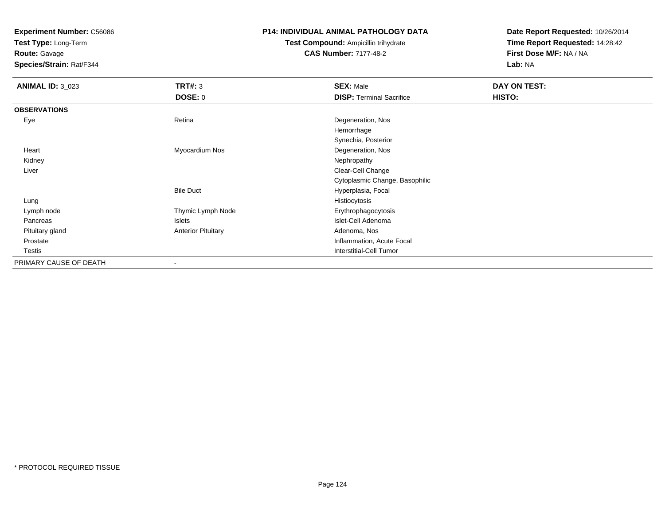**Test Type:** Long-Term

**Route:** Gavage

**Species/Strain:** Rat/F344

## **P14: INDIVIDUAL ANIMAL PATHOLOGY DATA**

# **Test Compound:** Ampicillin trihydrate**CAS Number:** 7177-48-2

| <b>ANIMAL ID: 3_023</b> | <b>TRT#: 3</b>            | <b>SEX: Male</b>                | DAY ON TEST: |  |
|-------------------------|---------------------------|---------------------------------|--------------|--|
|                         | DOSE: 0                   | <b>DISP: Terminal Sacrifice</b> | HISTO:       |  |
| <b>OBSERVATIONS</b>     |                           |                                 |              |  |
| Eye                     | Retina                    | Degeneration, Nos               |              |  |
|                         |                           | Hemorrhage                      |              |  |
|                         |                           | Synechia, Posterior             |              |  |
| Heart                   | Myocardium Nos            | Degeneration, Nos               |              |  |
| Kidney                  |                           | Nephropathy                     |              |  |
| Liver                   |                           | Clear-Cell Change               |              |  |
|                         |                           | Cytoplasmic Change, Basophilic  |              |  |
|                         | <b>Bile Duct</b>          | Hyperplasia, Focal              |              |  |
| Lung                    |                           | Histiocytosis                   |              |  |
| Lymph node              | Thymic Lymph Node         | Erythrophagocytosis             |              |  |
| Pancreas                | Islets                    | Islet-Cell Adenoma              |              |  |
| Pituitary gland         | <b>Anterior Pituitary</b> | Adenoma, Nos                    |              |  |
| Prostate                |                           | Inflammation, Acute Focal       |              |  |
| Testis                  |                           | Interstitial-Cell Tumor         |              |  |
| PRIMARY CAUSE OF DEATH  | $\overline{\phantom{a}}$  |                                 |              |  |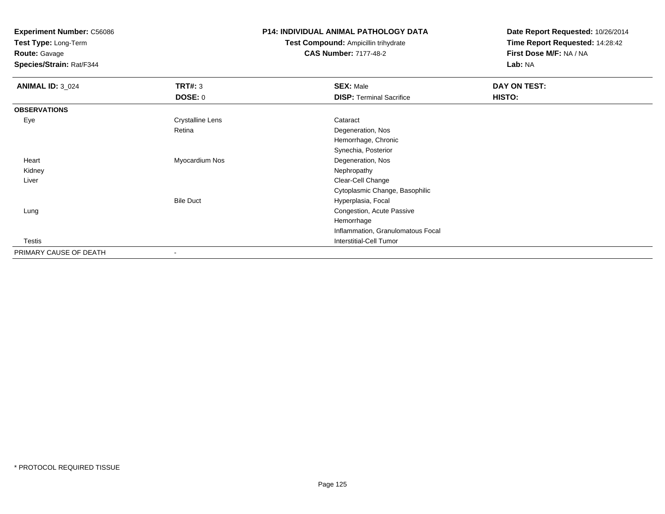**Test Type:** Long-Term

**Route:** Gavage

**Species/Strain:** Rat/F344

# **P14: INDIVIDUAL ANIMAL PATHOLOGY DATA**

**Test Compound:** Ampicillin trihydrate**CAS Number:** 7177-48-2

| <b>ANIMAL ID: 3_024</b> | TRT#: 3                  | <b>SEX: Male</b>                  | DAY ON TEST: |  |
|-------------------------|--------------------------|-----------------------------------|--------------|--|
|                         | <b>DOSE: 0</b>           | <b>DISP: Terminal Sacrifice</b>   | HISTO:       |  |
| <b>OBSERVATIONS</b>     |                          |                                   |              |  |
| Eye                     | <b>Crystalline Lens</b>  | Cataract                          |              |  |
|                         | Retina                   | Degeneration, Nos                 |              |  |
|                         |                          | Hemorrhage, Chronic               |              |  |
|                         |                          | Synechia, Posterior               |              |  |
| Heart                   | Myocardium Nos           | Degeneration, Nos                 |              |  |
| Kidney                  |                          | Nephropathy                       |              |  |
| Liver                   |                          | Clear-Cell Change                 |              |  |
|                         |                          | Cytoplasmic Change, Basophilic    |              |  |
|                         | <b>Bile Duct</b>         | Hyperplasia, Focal                |              |  |
| Lung                    |                          | Congestion, Acute Passive         |              |  |
|                         |                          | Hemorrhage                        |              |  |
|                         |                          | Inflammation, Granulomatous Focal |              |  |
| Testis                  |                          | <b>Interstitial-Cell Tumor</b>    |              |  |
| PRIMARY CAUSE OF DEATH  | $\overline{\phantom{a}}$ |                                   |              |  |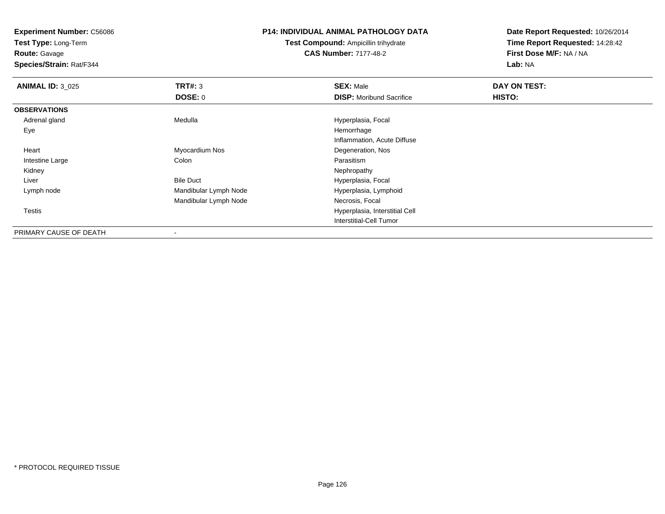**Test Type:** Long-Term

**Route:** Gavage

**Species/Strain:** Rat/F344

#### **P14: INDIVIDUAL ANIMAL PATHOLOGY DATA**

**Test Compound:** Ampicillin trihydrate**CAS Number:** 7177-48-2

| <b>ANIMAL ID: 3_025</b> | TRT#: 3               | <b>SEX: Male</b>                | DAY ON TEST: |  |
|-------------------------|-----------------------|---------------------------------|--------------|--|
|                         | DOSE: 0               | <b>DISP:</b> Moribund Sacrifice | HISTO:       |  |
| <b>OBSERVATIONS</b>     |                       |                                 |              |  |
| Adrenal gland           | Medulla               | Hyperplasia, Focal              |              |  |
| Eye                     |                       | Hemorrhage                      |              |  |
|                         |                       | Inflammation, Acute Diffuse     |              |  |
| Heart                   | Myocardium Nos        | Degeneration, Nos               |              |  |
| Intestine Large         | Colon                 | Parasitism                      |              |  |
| Kidney                  |                       | Nephropathy                     |              |  |
| Liver                   | <b>Bile Duct</b>      | Hyperplasia, Focal              |              |  |
| Lymph node              | Mandibular Lymph Node | Hyperplasia, Lymphoid           |              |  |
|                         | Mandibular Lymph Node | Necrosis, Focal                 |              |  |
| <b>Testis</b>           |                       | Hyperplasia, Interstitial Cell  |              |  |
|                         |                       | Interstitial-Cell Tumor         |              |  |
| PRIMARY CAUSE OF DEATH  | $\blacksquare$        |                                 |              |  |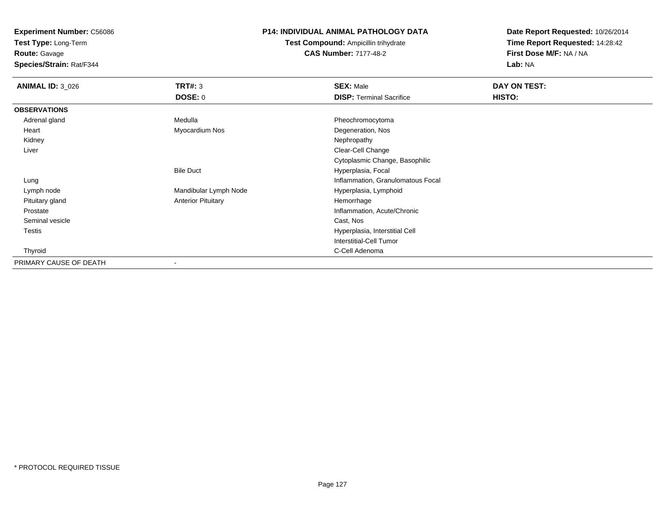**Test Type:** Long-Term

**Route:** Gavage

**Species/Strain:** Rat/F344

## **P14: INDIVIDUAL ANIMAL PATHOLOGY DATA**

**Test Compound:** Ampicillin trihydrate**CAS Number:** 7177-48-2

| <b>ANIMAL ID: 3_026</b> | <b>TRT#: 3</b>            | <b>SEX: Male</b>                  | DAY ON TEST: |  |
|-------------------------|---------------------------|-----------------------------------|--------------|--|
|                         | <b>DOSE: 0</b>            | <b>DISP: Terminal Sacrifice</b>   | HISTO:       |  |
| <b>OBSERVATIONS</b>     |                           |                                   |              |  |
| Adrenal gland           | Medulla                   | Pheochromocytoma                  |              |  |
| Heart                   | Myocardium Nos            | Degeneration, Nos                 |              |  |
| Kidney                  |                           | Nephropathy                       |              |  |
| Liver                   |                           | Clear-Cell Change                 |              |  |
|                         |                           | Cytoplasmic Change, Basophilic    |              |  |
|                         | <b>Bile Duct</b>          | Hyperplasia, Focal                |              |  |
| Lung                    |                           | Inflammation, Granulomatous Focal |              |  |
| Lymph node              | Mandibular Lymph Node     | Hyperplasia, Lymphoid             |              |  |
| Pituitary gland         | <b>Anterior Pituitary</b> | Hemorrhage                        |              |  |
| Prostate                |                           | Inflammation, Acute/Chronic       |              |  |
| Seminal vesicle         |                           | Cast, Nos                         |              |  |
| Testis                  |                           | Hyperplasia, Interstitial Cell    |              |  |
|                         |                           | <b>Interstitial-Cell Tumor</b>    |              |  |
| Thyroid                 |                           | C-Cell Adenoma                    |              |  |
| PRIMARY CAUSE OF DEATH  | ٠                         |                                   |              |  |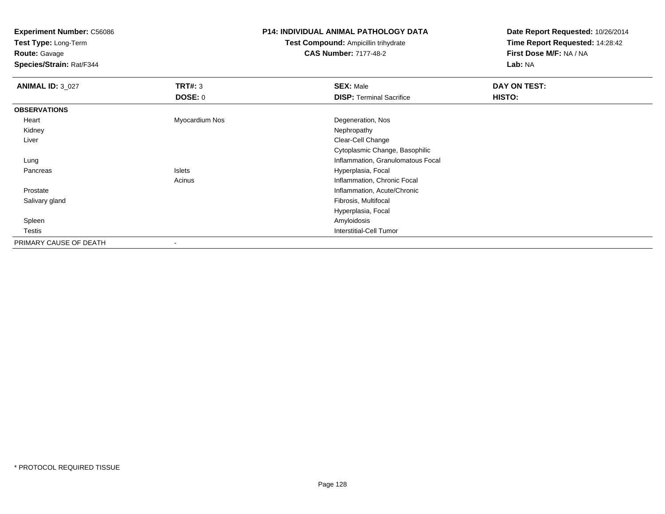**Test Type:** Long-Term

**Route:** Gavage

**Species/Strain:** Rat/F344

### **P14: INDIVIDUAL ANIMAL PATHOLOGY DATA**

**Test Compound:** Ampicillin trihydrate**CAS Number:** 7177-48-2

| <b>ANIMAL ID: 3 027</b> | TRT#: 3        | <b>SEX: Male</b>                  | DAY ON TEST: |
|-------------------------|----------------|-----------------------------------|--------------|
|                         | DOSE: 0        | <b>DISP: Terminal Sacrifice</b>   | HISTO:       |
| <b>OBSERVATIONS</b>     |                |                                   |              |
| Heart                   | Myocardium Nos | Degeneration, Nos                 |              |
| Kidney                  |                | Nephropathy                       |              |
| Liver                   |                | Clear-Cell Change                 |              |
|                         |                | Cytoplasmic Change, Basophilic    |              |
| Lung                    |                | Inflammation, Granulomatous Focal |              |
| Pancreas                | Islets         | Hyperplasia, Focal                |              |
|                         | Acinus         | Inflammation, Chronic Focal       |              |
| Prostate                |                | Inflammation, Acute/Chronic       |              |
| Salivary gland          |                | Fibrosis, Multifocal              |              |
|                         |                | Hyperplasia, Focal                |              |
| Spleen                  |                | Amyloidosis                       |              |
| Testis                  |                | <b>Interstitial-Cell Tumor</b>    |              |
| PRIMARY CAUSE OF DEATH  | $\,$           |                                   |              |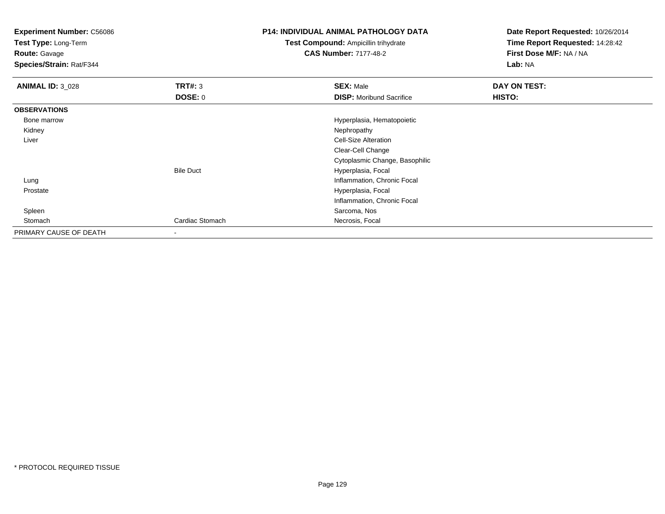**Test Type:** Long-Term

**Route:** Gavage

**Species/Strain:** Rat/F344

#### **P14: INDIVIDUAL ANIMAL PATHOLOGY DATA**

**Test Compound:** Ampicillin trihydrate**CAS Number:** 7177-48-2

| <b>ANIMAL ID: 3 028</b> | TRT#: 3          | <b>SEX: Male</b>                | DAY ON TEST: |  |
|-------------------------|------------------|---------------------------------|--------------|--|
|                         | <b>DOSE: 0</b>   | <b>DISP:</b> Moribund Sacrifice | HISTO:       |  |
| <b>OBSERVATIONS</b>     |                  |                                 |              |  |
| Bone marrow             |                  | Hyperplasia, Hematopoietic      |              |  |
| Kidney                  |                  | Nephropathy                     |              |  |
| Liver                   |                  | <b>Cell-Size Alteration</b>     |              |  |
|                         |                  | Clear-Cell Change               |              |  |
|                         |                  | Cytoplasmic Change, Basophilic  |              |  |
|                         | <b>Bile Duct</b> | Hyperplasia, Focal              |              |  |
| Lung                    |                  | Inflammation, Chronic Focal     |              |  |
| Prostate                |                  | Hyperplasia, Focal              |              |  |
|                         |                  | Inflammation, Chronic Focal     |              |  |
| Spleen                  |                  | Sarcoma, Nos                    |              |  |
| Stomach                 | Cardiac Stomach  | Necrosis, Focal                 |              |  |
| PRIMARY CAUSE OF DEATH  | $\blacksquare$   |                                 |              |  |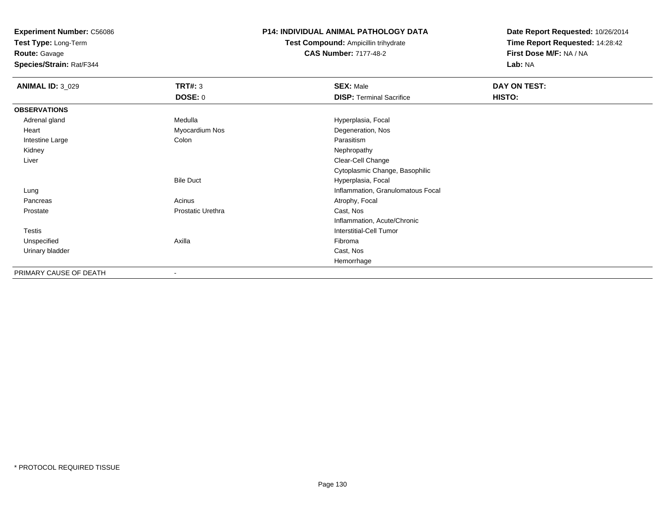**Test Type:** Long-Term

**Route:** Gavage

**Species/Strain:** Rat/F344

## **P14: INDIVIDUAL ANIMAL PATHOLOGY DATA**

**Test Compound:** Ampicillin trihydrate**CAS Number:** 7177-48-2

| <b>ANIMAL ID: 3_029</b> | TRT#: 3           | <b>SEX: Male</b>                  | DAY ON TEST: |
|-------------------------|-------------------|-----------------------------------|--------------|
|                         | <b>DOSE: 0</b>    | <b>DISP: Terminal Sacrifice</b>   | HISTO:       |
| <b>OBSERVATIONS</b>     |                   |                                   |              |
| Adrenal gland           | Medulla           | Hyperplasia, Focal                |              |
| Heart                   | Myocardium Nos    | Degeneration, Nos                 |              |
| Intestine Large         | Colon             | Parasitism                        |              |
| Kidney                  |                   | Nephropathy                       |              |
| Liver                   |                   | Clear-Cell Change                 |              |
|                         |                   | Cytoplasmic Change, Basophilic    |              |
|                         | <b>Bile Duct</b>  | Hyperplasia, Focal                |              |
| Lung                    |                   | Inflammation, Granulomatous Focal |              |
| Pancreas                | Acinus            | Atrophy, Focal                    |              |
| Prostate                | Prostatic Urethra | Cast, Nos                         |              |
|                         |                   | Inflammation, Acute/Chronic       |              |
| <b>Testis</b>           |                   | Interstitial-Cell Tumor           |              |
| Unspecified             | Axilla            | Fibroma                           |              |
| Urinary bladder         |                   | Cast, Nos                         |              |
|                         |                   | Hemorrhage                        |              |
| PRIMARY CAUSE OF DEATH  | ٠                 |                                   |              |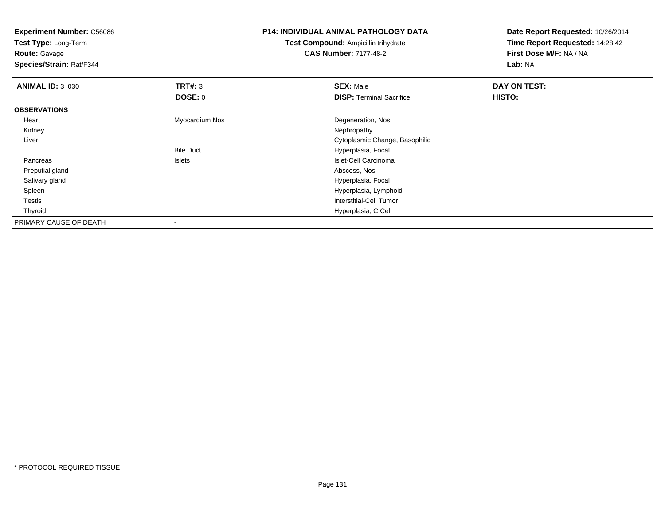**Experiment Number:** C56086**Test Type:** Long-Term**Route:** Gavage **Species/Strain:** Rat/F344**P14: INDIVIDUAL ANIMAL PATHOLOGY DATATest Compound:** Ampicillin trihydrate**CAS Number:** 7177-48-2**Date Report Requested:** 10/26/2014**Time Report Requested:** 14:28:42**First Dose M/F:** NA / NA**Lab:** NA**ANIMAL ID:** 3\_030**C DAY ON TEST: TRT#:** 3 **SEX:** Male **SEX:** Male **DOSE:** 0**DISP:** Terminal Sacrifice **HISTO: OBSERVATIONS** Heart Myocardium Nos Degeneration, Nos Kidneyy the control of the control of the control of the control of the control of the control of the control of the control of the control of the control of the control of the control of the control of the control of the contro Liver Cytoplasmic Change, BasophilicBile Duct Hyperplasia, Focal Pancreas Islets Islet-Cell Carcinoma Preputial glandd and the control of the control of the control of the control of the control of the control of the control of the control of the control of the control of the control of the control of the control of the control of the co Salivary gland Hyperplasia, Focal Spleen Hyperplasia, Lymphoid Testis Interstitial-Cell Tumor Thyroid Hyperplasia, C Cell PRIMARY CAUSE OF DEATH-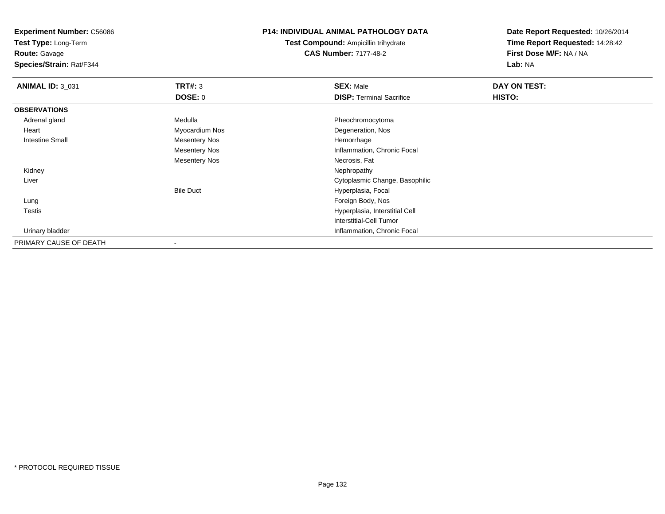**Test Type:** Long-Term

**Route:** Gavage

**Species/Strain:** Rat/F344

#### **P14: INDIVIDUAL ANIMAL PATHOLOGY DATA**

**Test Compound:** Ampicillin trihydrate**CAS Number:** 7177-48-2

| <b>ANIMAL ID: 3 031</b> | TRT#: 3              | <b>SEX: Male</b>                | DAY ON TEST: |  |
|-------------------------|----------------------|---------------------------------|--------------|--|
|                         | DOSE: 0              | <b>DISP: Terminal Sacrifice</b> | HISTO:       |  |
| <b>OBSERVATIONS</b>     |                      |                                 |              |  |
| Adrenal gland           | Medulla              | Pheochromocytoma                |              |  |
| Heart                   | Myocardium Nos       | Degeneration, Nos               |              |  |
| <b>Intestine Small</b>  | <b>Mesentery Nos</b> | Hemorrhage                      |              |  |
|                         | <b>Mesentery Nos</b> | Inflammation, Chronic Focal     |              |  |
|                         | <b>Mesentery Nos</b> | Necrosis, Fat                   |              |  |
| Kidney                  |                      | Nephropathy                     |              |  |
| Liver                   |                      | Cytoplasmic Change, Basophilic  |              |  |
|                         | <b>Bile Duct</b>     | Hyperplasia, Focal              |              |  |
| Lung                    |                      | Foreign Body, Nos               |              |  |
| Testis                  |                      | Hyperplasia, Interstitial Cell  |              |  |
|                         |                      | Interstitial-Cell Tumor         |              |  |
| Urinary bladder         |                      | Inflammation, Chronic Focal     |              |  |
| PRIMARY CAUSE OF DEATH  |                      |                                 |              |  |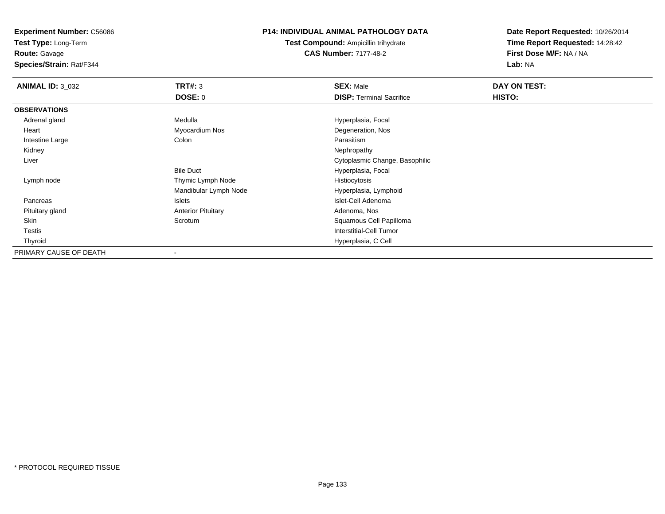**Test Type:** Long-Term

**Route:** Gavage

**Species/Strain:** Rat/F344

## **P14: INDIVIDUAL ANIMAL PATHOLOGY DATA**

**Test Compound:** Ampicillin trihydrate**CAS Number:** 7177-48-2

| <b>ANIMAL ID: 3_032</b> | TRT#: 3                   | <b>SEX: Male</b>                | DAY ON TEST: |  |
|-------------------------|---------------------------|---------------------------------|--------------|--|
|                         | <b>DOSE: 0</b>            | <b>DISP: Terminal Sacrifice</b> | HISTO:       |  |
| <b>OBSERVATIONS</b>     |                           |                                 |              |  |
| Adrenal gland           | Medulla                   | Hyperplasia, Focal              |              |  |
| Heart                   | Myocardium Nos            | Degeneration, Nos               |              |  |
| Intestine Large         | Colon                     | Parasitism                      |              |  |
| Kidney                  |                           | Nephropathy                     |              |  |
| Liver                   |                           | Cytoplasmic Change, Basophilic  |              |  |
|                         | <b>Bile Duct</b>          | Hyperplasia, Focal              |              |  |
| Lymph node              | Thymic Lymph Node         | Histiocytosis                   |              |  |
|                         | Mandibular Lymph Node     | Hyperplasia, Lymphoid           |              |  |
| Pancreas                | Islets                    | Islet-Cell Adenoma              |              |  |
| Pituitary gland         | <b>Anterior Pituitary</b> | Adenoma, Nos                    |              |  |
| Skin                    | Scrotum                   | Squamous Cell Papilloma         |              |  |
| Testis                  |                           | <b>Interstitial-Cell Tumor</b>  |              |  |
| Thyroid                 |                           | Hyperplasia, C Cell             |              |  |
| PRIMARY CAUSE OF DEATH  |                           |                                 |              |  |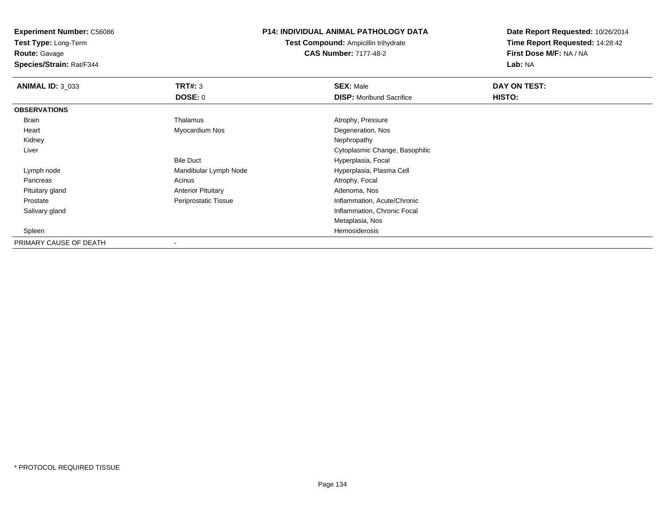**Test Type:** Long-Term

**Route:** Gavage

**Species/Strain:** Rat/F344

#### **P14: INDIVIDUAL ANIMAL PATHOLOGY DATA**

**Test Compound:** Ampicillin trihydrate**CAS Number:** 7177-48-2

| <b>ANIMAL ID: 3_033</b> | TRT#: 3                   | <b>SEX: Male</b>                | DAY ON TEST: |  |
|-------------------------|---------------------------|---------------------------------|--------------|--|
|                         | DOSE: 0                   | <b>DISP:</b> Moribund Sacrifice | HISTO:       |  |
| <b>OBSERVATIONS</b>     |                           |                                 |              |  |
| Brain                   | Thalamus                  | Atrophy, Pressure               |              |  |
| Heart                   | Myocardium Nos            | Degeneration, Nos               |              |  |
| Kidney                  |                           | Nephropathy                     |              |  |
| Liver                   |                           | Cytoplasmic Change, Basophilic  |              |  |
|                         | <b>Bile Duct</b>          | Hyperplasia, Focal              |              |  |
| Lymph node              | Mandibular Lymph Node     | Hyperplasia, Plasma Cell        |              |  |
| Pancreas                | Acinus                    | Atrophy, Focal                  |              |  |
| Pituitary gland         | <b>Anterior Pituitary</b> | Adenoma, Nos                    |              |  |
| Prostate                | Periprostatic Tissue      | Inflammation, Acute/Chronic     |              |  |
| Salivary gland          |                           | Inflammation, Chronic Focal     |              |  |
|                         |                           | Metaplasia, Nos                 |              |  |
| Spleen                  |                           | Hemosiderosis                   |              |  |
| PRIMARY CAUSE OF DEATH  |                           |                                 |              |  |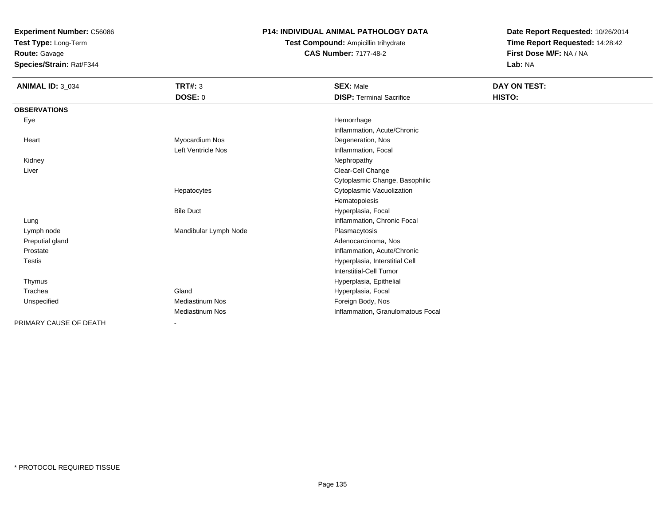**Test Type:** Long-Term

**Route:** Gavage

**Species/Strain:** Rat/F344

# **P14: INDIVIDUAL ANIMAL PATHOLOGY DATA**

# **Test Compound:** Ampicillin trihydrate**CAS Number:** 7177-48-2

| <b>ANIMAL ID: 3_034</b> | <b>TRT#: 3</b>               | <b>SEX: Male</b>                  | DAY ON TEST: |
|-------------------------|------------------------------|-----------------------------------|--------------|
|                         | <b>DOSE: 0</b>               | <b>DISP: Terminal Sacrifice</b>   | HISTO:       |
| <b>OBSERVATIONS</b>     |                              |                                   |              |
| Eye                     |                              | Hemorrhage                        |              |
|                         |                              | Inflammation, Acute/Chronic       |              |
| Heart                   | Myocardium Nos               | Degeneration, Nos                 |              |
|                         | Left Ventricle Nos           | Inflammation, Focal               |              |
| Kidney                  |                              | Nephropathy                       |              |
| Liver                   |                              | Clear-Cell Change                 |              |
|                         |                              | Cytoplasmic Change, Basophilic    |              |
|                         | Hepatocytes                  | Cytoplasmic Vacuolization         |              |
|                         |                              | Hematopoiesis                     |              |
|                         | <b>Bile Duct</b>             | Hyperplasia, Focal                |              |
| Lung                    |                              | Inflammation, Chronic Focal       |              |
| Lymph node              | Mandibular Lymph Node        | Plasmacytosis                     |              |
| Preputial gland         |                              | Adenocarcinoma, Nos               |              |
| Prostate                |                              | Inflammation, Acute/Chronic       |              |
| <b>Testis</b>           |                              | Hyperplasia, Interstitial Cell    |              |
|                         |                              | <b>Interstitial-Cell Tumor</b>    |              |
| Thymus                  |                              | Hyperplasia, Epithelial           |              |
| Trachea                 | Gland                        | Hyperplasia, Focal                |              |
| Unspecified             | <b>Mediastinum Nos</b>       | Foreign Body, Nos                 |              |
|                         | <b>Mediastinum Nos</b>       | Inflammation, Granulomatous Focal |              |
| PRIMARY CAUSE OF DEATH  | $\qquad \qquad \blacksquare$ |                                   |              |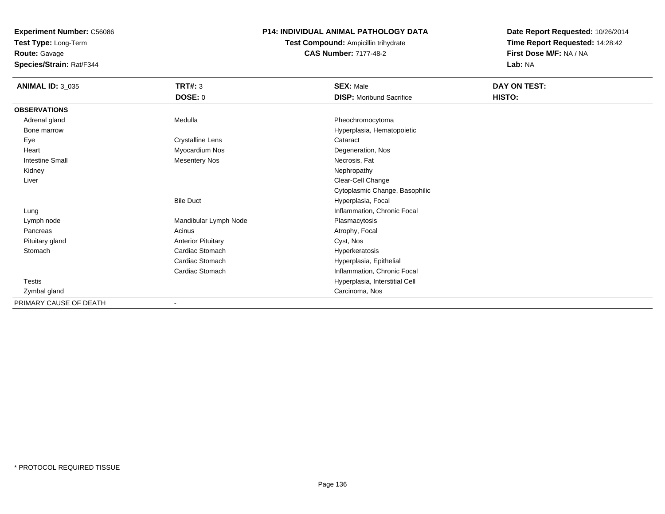**Test Type:** Long-Term

**Route:** Gavage

**Species/Strain:** Rat/F344

### **P14: INDIVIDUAL ANIMAL PATHOLOGY DATA**

**Test Compound:** Ampicillin trihydrate**CAS Number:** 7177-48-2

| <b>ANIMAL ID: 3_035</b> | TRT#: 3<br><b>DOSE: 0</b> | <b>SEX: Male</b>                | DAY ON TEST:<br>HISTO: |
|-------------------------|---------------------------|---------------------------------|------------------------|
|                         |                           | <b>DISP:</b> Moribund Sacrifice |                        |
| <b>OBSERVATIONS</b>     |                           |                                 |                        |
| Adrenal gland           | Medulla                   | Pheochromocytoma                |                        |
| Bone marrow             |                           | Hyperplasia, Hematopoietic      |                        |
| Eye                     | <b>Crystalline Lens</b>   | Cataract                        |                        |
| Heart                   | Myocardium Nos            | Degeneration, Nos               |                        |
| <b>Intestine Small</b>  | <b>Mesentery Nos</b>      | Necrosis, Fat                   |                        |
| Kidney                  |                           | Nephropathy                     |                        |
| Liver                   |                           | Clear-Cell Change               |                        |
|                         |                           | Cytoplasmic Change, Basophilic  |                        |
|                         | <b>Bile Duct</b>          | Hyperplasia, Focal              |                        |
| Lung                    |                           | Inflammation, Chronic Focal     |                        |
| Lymph node              | Mandibular Lymph Node     | Plasmacytosis                   |                        |
| Pancreas                | Acinus                    | Atrophy, Focal                  |                        |
| Pituitary gland         | <b>Anterior Pituitary</b> | Cyst, Nos                       |                        |
| Stomach                 | Cardiac Stomach           | Hyperkeratosis                  |                        |
|                         | Cardiac Stomach           | Hyperplasia, Epithelial         |                        |
|                         | Cardiac Stomach           | Inflammation, Chronic Focal     |                        |
| Testis                  |                           | Hyperplasia, Interstitial Cell  |                        |
| Zymbal gland            |                           | Carcinoma, Nos                  |                        |
| PRIMARY CAUSE OF DEATH  |                           |                                 |                        |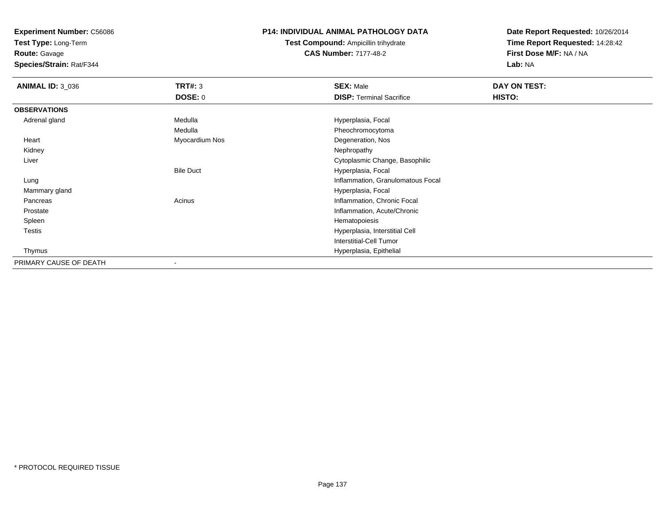**Test Type:** Long-Term

**Route:** Gavage

**Species/Strain:** Rat/F344

#### **P14: INDIVIDUAL ANIMAL PATHOLOGY DATA**

**Test Compound:** Ampicillin trihydrate**CAS Number:** 7177-48-2

| <b>ANIMAL ID: 3_036</b> | <b>TRT#: 3</b>           | <b>SEX: Male</b>                  | DAY ON TEST: |  |
|-------------------------|--------------------------|-----------------------------------|--------------|--|
|                         | DOSE: 0                  | <b>DISP: Terminal Sacrifice</b>   | HISTO:       |  |
| <b>OBSERVATIONS</b>     |                          |                                   |              |  |
| Adrenal gland           | Medulla                  | Hyperplasia, Focal                |              |  |
|                         | Medulla                  | Pheochromocytoma                  |              |  |
| Heart                   | Myocardium Nos           | Degeneration, Nos                 |              |  |
| Kidney                  |                          | Nephropathy                       |              |  |
| Liver                   |                          | Cytoplasmic Change, Basophilic    |              |  |
|                         | <b>Bile Duct</b>         | Hyperplasia, Focal                |              |  |
| Lung                    |                          | Inflammation, Granulomatous Focal |              |  |
| Mammary gland           |                          | Hyperplasia, Focal                |              |  |
| Pancreas                | Acinus                   | Inflammation, Chronic Focal       |              |  |
| Prostate                |                          | Inflammation, Acute/Chronic       |              |  |
| Spleen                  |                          | Hematopoiesis                     |              |  |
| Testis                  |                          | Hyperplasia, Interstitial Cell    |              |  |
|                         |                          | <b>Interstitial-Cell Tumor</b>    |              |  |
| Thymus                  |                          | Hyperplasia, Epithelial           |              |  |
| PRIMARY CAUSE OF DEATH  | $\overline{\phantom{a}}$ |                                   |              |  |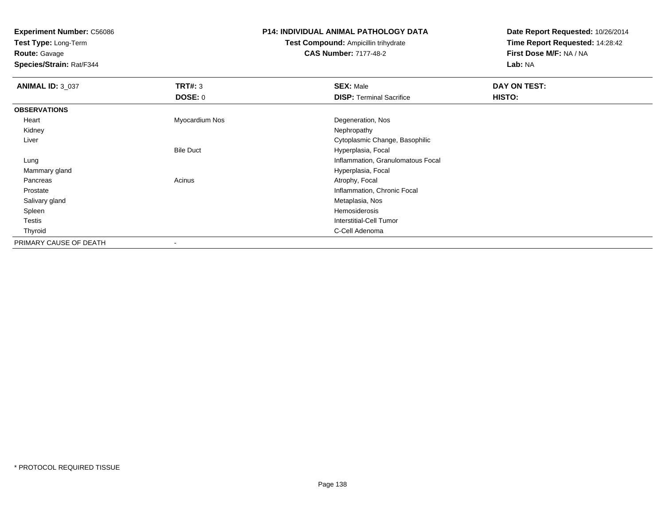**Test Type:** Long-Term

**Route:** Gavage

**Species/Strain:** Rat/F344

#### **P14: INDIVIDUAL ANIMAL PATHOLOGY DATA**

**Test Compound:** Ampicillin trihydrate**CAS Number:** 7177-48-2

| <b>ANIMAL ID: 3 037</b> | TRT#: 3          | <b>SEX: Male</b>                  | DAY ON TEST: |
|-------------------------|------------------|-----------------------------------|--------------|
|                         | <b>DOSE: 0</b>   | <b>DISP: Terminal Sacrifice</b>   | HISTO:       |
| <b>OBSERVATIONS</b>     |                  |                                   |              |
| Heart                   | Myocardium Nos   | Degeneration, Nos                 |              |
| Kidney                  |                  | Nephropathy                       |              |
| Liver                   |                  | Cytoplasmic Change, Basophilic    |              |
|                         | <b>Bile Duct</b> | Hyperplasia, Focal                |              |
| Lung                    |                  | Inflammation, Granulomatous Focal |              |
| Mammary gland           |                  | Hyperplasia, Focal                |              |
| Pancreas                | Acinus           | Atrophy, Focal                    |              |
| Prostate                |                  | Inflammation, Chronic Focal       |              |
| Salivary gland          |                  | Metaplasia, Nos                   |              |
| Spleen                  |                  | Hemosiderosis                     |              |
| <b>Testis</b>           |                  | Interstitial-Cell Tumor           |              |
| Thyroid                 |                  | C-Cell Adenoma                    |              |
| PRIMARY CAUSE OF DEATH  | ۰                |                                   |              |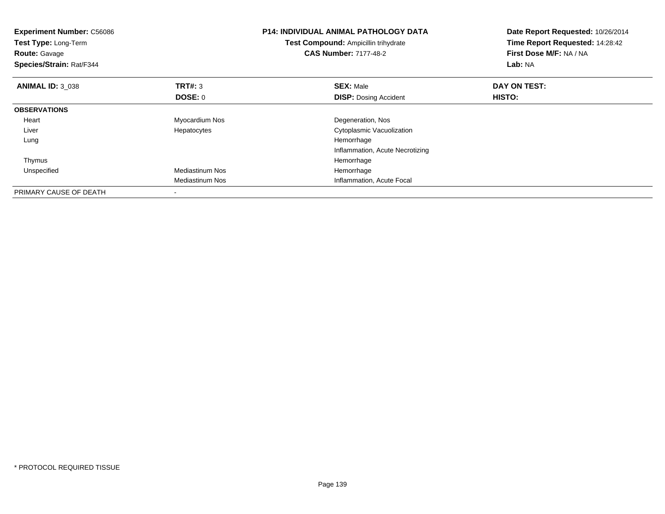| <b>Experiment Number: C56086</b><br>Test Type: Long-Term<br><b>Route: Gavage</b><br>Species/Strain: Rat/F344 |                          | <b>P14: INDIVIDUAL ANIMAL PATHOLOGY DATA</b><br>Test Compound: Ampicillin trihydrate<br><b>CAS Number: 7177-48-2</b> | Date Report Requested: 10/26/2014<br>Time Report Requested: 14:28:42<br>First Dose M/F: NA / NA<br>Lab: NA |
|--------------------------------------------------------------------------------------------------------------|--------------------------|----------------------------------------------------------------------------------------------------------------------|------------------------------------------------------------------------------------------------------------|
| <b>ANIMAL ID: 3 038</b>                                                                                      | TRT#: 3                  | <b>SEX: Male</b>                                                                                                     | DAY ON TEST:                                                                                               |
|                                                                                                              | <b>DOSE: 0</b>           | <b>DISP: Dosing Accident</b>                                                                                         | <b>HISTO:</b>                                                                                              |
| <b>OBSERVATIONS</b>                                                                                          |                          |                                                                                                                      |                                                                                                            |
| Heart                                                                                                        | Myocardium Nos           | Degeneration, Nos                                                                                                    |                                                                                                            |
| Liver                                                                                                        | Hepatocytes              | Cytoplasmic Vacuolization                                                                                            |                                                                                                            |
| Lung                                                                                                         |                          | Hemorrhage                                                                                                           |                                                                                                            |
|                                                                                                              |                          | Inflammation, Acute Necrotizing                                                                                      |                                                                                                            |
| Thymus                                                                                                       |                          | Hemorrhage                                                                                                           |                                                                                                            |
| Unspecified                                                                                                  | <b>Mediastinum Nos</b>   | Hemorrhage                                                                                                           |                                                                                                            |
|                                                                                                              | Mediastinum Nos          | Inflammation, Acute Focal                                                                                            |                                                                                                            |
| PRIMARY CAUSE OF DEATH                                                                                       | $\overline{\phantom{a}}$ |                                                                                                                      |                                                                                                            |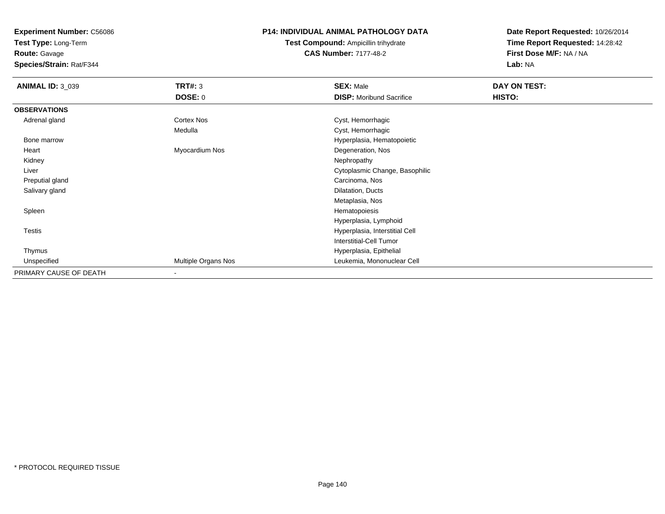**Test Type:** Long-Term

# **Route:** Gavage

**Species/Strain:** Rat/F344

### **P14: INDIVIDUAL ANIMAL PATHOLOGY DATA**

# **Test Compound:** Ampicillin trihydrate**CAS Number:** 7177-48-2

| <b>ANIMAL ID: 3_039</b> | TRT#: 3             | <b>SEX: Male</b>                | DAY ON TEST: |  |
|-------------------------|---------------------|---------------------------------|--------------|--|
|                         | <b>DOSE: 0</b>      | <b>DISP:</b> Moribund Sacrifice | HISTO:       |  |
| <b>OBSERVATIONS</b>     |                     |                                 |              |  |
| Adrenal gland           | Cortex Nos          | Cyst, Hemorrhagic               |              |  |
|                         | Medulla             | Cyst, Hemorrhagic               |              |  |
| Bone marrow             |                     | Hyperplasia, Hematopoietic      |              |  |
| Heart                   | Myocardium Nos      | Degeneration, Nos               |              |  |
| Kidney                  |                     | Nephropathy                     |              |  |
| Liver                   |                     | Cytoplasmic Change, Basophilic  |              |  |
| Preputial gland         |                     | Carcinoma, Nos                  |              |  |
| Salivary gland          |                     | Dilatation, Ducts               |              |  |
|                         |                     | Metaplasia, Nos                 |              |  |
| Spleen                  |                     | Hematopoiesis                   |              |  |
|                         |                     | Hyperplasia, Lymphoid           |              |  |
| <b>Testis</b>           |                     | Hyperplasia, Interstitial Cell  |              |  |
|                         |                     | Interstitial-Cell Tumor         |              |  |
| Thymus                  |                     | Hyperplasia, Epithelial         |              |  |
| Unspecified             | Multiple Organs Nos | Leukemia, Mononuclear Cell      |              |  |
| PRIMARY CAUSE OF DEATH  |                     |                                 |              |  |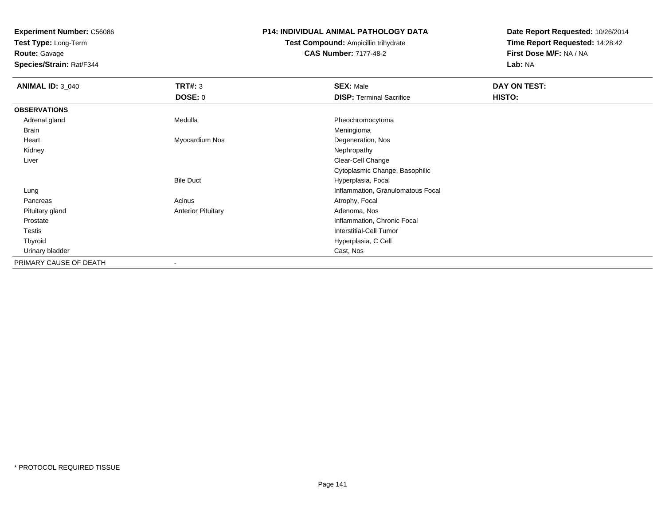**Test Type:** Long-Term

**Route:** Gavage

**Species/Strain:** Rat/F344

## **P14: INDIVIDUAL ANIMAL PATHOLOGY DATA**

**Test Compound:** Ampicillin trihydrate**CAS Number:** 7177-48-2

| <b>ANIMAL ID: 3_040</b> | <b>TRT#: 3</b>            | <b>SEX: Male</b>                  | DAY ON TEST:  |
|-------------------------|---------------------------|-----------------------------------|---------------|
|                         | <b>DOSE: 0</b>            | <b>DISP: Terminal Sacrifice</b>   | <b>HISTO:</b> |
| <b>OBSERVATIONS</b>     |                           |                                   |               |
| Adrenal gland           | Medulla                   | Pheochromocytoma                  |               |
| Brain                   |                           | Meningioma                        |               |
| Heart                   | Myocardium Nos            | Degeneration, Nos                 |               |
| Kidney                  |                           | Nephropathy                       |               |
| Liver                   |                           | Clear-Cell Change                 |               |
|                         |                           | Cytoplasmic Change, Basophilic    |               |
|                         | <b>Bile Duct</b>          | Hyperplasia, Focal                |               |
| Lung                    |                           | Inflammation, Granulomatous Focal |               |
| Pancreas                | Acinus                    | Atrophy, Focal                    |               |
| Pituitary gland         | <b>Anterior Pituitary</b> | Adenoma, Nos                      |               |
| Prostate                |                           | Inflammation, Chronic Focal       |               |
| Testis                  |                           | <b>Interstitial-Cell Tumor</b>    |               |
| Thyroid                 |                           | Hyperplasia, C Cell               |               |
| Urinary bladder         |                           | Cast, Nos                         |               |
| PRIMARY CAUSE OF DEATH  | $\overline{\phantom{a}}$  |                                   |               |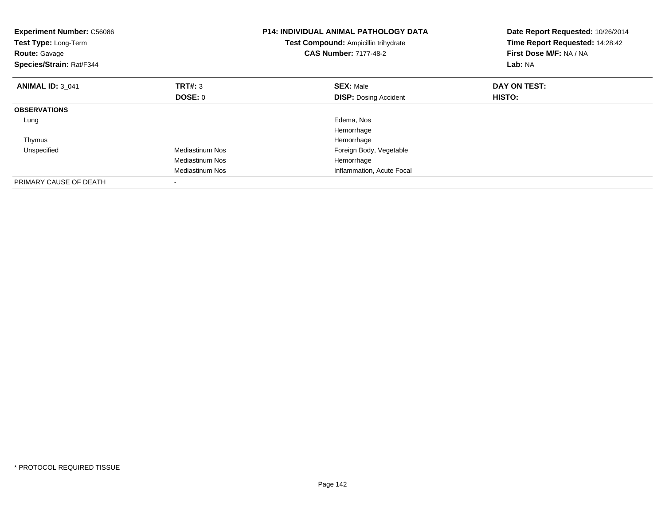| <b>Experiment Number: C56086</b><br>Test Type: Long-Term<br><b>Route:</b> Gavage<br>Species/Strain: Rat/F344 |                 | <b>P14: INDIVIDUAL ANIMAL PATHOLOGY DATA</b><br>Test Compound: Ampicillin trihydrate<br><b>CAS Number: 7177-48-2</b> | Date Report Requested: 10/26/2014<br>Time Report Requested: 14:28:42<br>First Dose M/F: NA / NA<br>Lab: NA |
|--------------------------------------------------------------------------------------------------------------|-----------------|----------------------------------------------------------------------------------------------------------------------|------------------------------------------------------------------------------------------------------------|
| <b>ANIMAL ID: 3 041</b>                                                                                      | TRT#: 3         | <b>SEX: Male</b>                                                                                                     | DAY ON TEST:                                                                                               |
|                                                                                                              | DOSE: 0         | <b>DISP: Dosing Accident</b>                                                                                         | <b>HISTO:</b>                                                                                              |
| <b>OBSERVATIONS</b>                                                                                          |                 |                                                                                                                      |                                                                                                            |
| Lung                                                                                                         |                 | Edema, Nos                                                                                                           |                                                                                                            |
|                                                                                                              |                 | Hemorrhage                                                                                                           |                                                                                                            |
| Thymus                                                                                                       |                 | Hemorrhage                                                                                                           |                                                                                                            |
| Unspecified                                                                                                  | Mediastinum Nos | Foreign Body, Vegetable                                                                                              |                                                                                                            |
|                                                                                                              | Mediastinum Nos | Hemorrhage                                                                                                           |                                                                                                            |
|                                                                                                              | Mediastinum Nos | Inflammation, Acute Focal                                                                                            |                                                                                                            |
| PRIMARY CAUSE OF DEATH                                                                                       |                 |                                                                                                                      |                                                                                                            |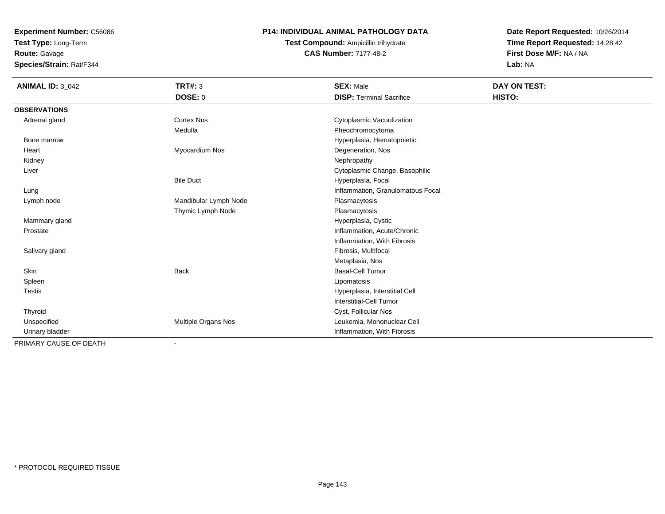**Test Type:** Long-Term**Route:** Gavage

**Species/Strain:** Rat/F344

## **P14: INDIVIDUAL ANIMAL PATHOLOGY DATA**

**Test Compound:** Ampicillin trihydrate**CAS Number:** 7177-48-2

| <b>ANIMAL ID: 3 042</b> | TRT#: 3               | <b>SEX: Male</b>                  | DAY ON TEST: |
|-------------------------|-----------------------|-----------------------------------|--------------|
|                         | DOSE: 0               | <b>DISP: Terminal Sacrifice</b>   | HISTO:       |
| <b>OBSERVATIONS</b>     |                       |                                   |              |
| Adrenal gland           | <b>Cortex Nos</b>     | Cytoplasmic Vacuolization         |              |
|                         | Medulla               | Pheochromocytoma                  |              |
| Bone marrow             |                       | Hyperplasia, Hematopoietic        |              |
| Heart                   | Myocardium Nos        | Degeneration, Nos                 |              |
| Kidney                  |                       | Nephropathy                       |              |
| Liver                   |                       | Cytoplasmic Change, Basophilic    |              |
|                         | <b>Bile Duct</b>      | Hyperplasia, Focal                |              |
| Lung                    |                       | Inflammation, Granulomatous Focal |              |
| Lymph node              | Mandibular Lymph Node | Plasmacytosis                     |              |
|                         | Thymic Lymph Node     | Plasmacytosis                     |              |
| Mammary gland           |                       | Hyperplasia, Cystic               |              |
| Prostate                |                       | Inflammation, Acute/Chronic       |              |
|                         |                       | Inflammation, With Fibrosis       |              |
| Salivary gland          |                       | Fibrosis, Multifocal              |              |
|                         |                       | Metaplasia, Nos                   |              |
| Skin                    | <b>Back</b>           | <b>Basal-Cell Tumor</b>           |              |
| Spleen                  |                       | Lipomatosis                       |              |
| <b>Testis</b>           |                       | Hyperplasia, Interstitial Cell    |              |
|                         |                       | Interstitial-Cell Tumor           |              |
| Thyroid                 |                       | Cyst, Follicular Nos              |              |
| Unspecified             | Multiple Organs Nos   | Leukemia, Mononuclear Cell        |              |
| Urinary bladder         |                       | Inflammation, With Fibrosis       |              |
| PRIMARY CAUSE OF DEATH  |                       |                                   |              |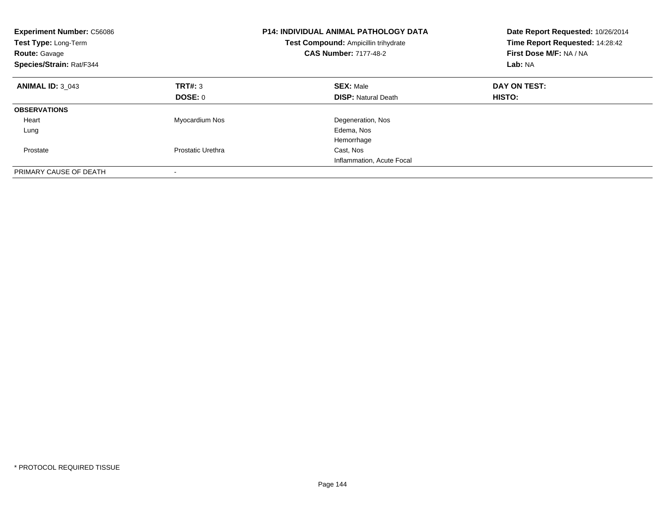| <b>Experiment Number: C56086</b><br>Test Type: Long-Term<br><b>Route: Gavage</b><br>Species/Strain: Rat/F344 |                   | <b>P14: INDIVIDUAL ANIMAL PATHOLOGY DATA</b><br>Test Compound: Ampicillin trihydrate<br><b>CAS Number: 7177-48-2</b> | Date Report Requested: 10/26/2014<br>Time Report Requested: 14:28:42<br>First Dose M/F: NA / NA<br>Lab: NA |
|--------------------------------------------------------------------------------------------------------------|-------------------|----------------------------------------------------------------------------------------------------------------------|------------------------------------------------------------------------------------------------------------|
| <b>ANIMAL ID: 3 043</b>                                                                                      | TRT#: 3           | <b>SEX: Male</b>                                                                                                     | DAY ON TEST:                                                                                               |
|                                                                                                              | <b>DOSE: 0</b>    | <b>DISP:</b> Natural Death                                                                                           | HISTO:                                                                                                     |
| <b>OBSERVATIONS</b>                                                                                          |                   |                                                                                                                      |                                                                                                            |
| Heart                                                                                                        | Myocardium Nos    | Degeneration, Nos                                                                                                    |                                                                                                            |
| Lung                                                                                                         |                   | Edema, Nos                                                                                                           |                                                                                                            |
|                                                                                                              |                   | Hemorrhage                                                                                                           |                                                                                                            |
| Prostate                                                                                                     | Prostatic Urethra | Cast, Nos                                                                                                            |                                                                                                            |
|                                                                                                              |                   | Inflammation, Acute Focal                                                                                            |                                                                                                            |
| PRIMARY CAUSE OF DEATH                                                                                       |                   |                                                                                                                      |                                                                                                            |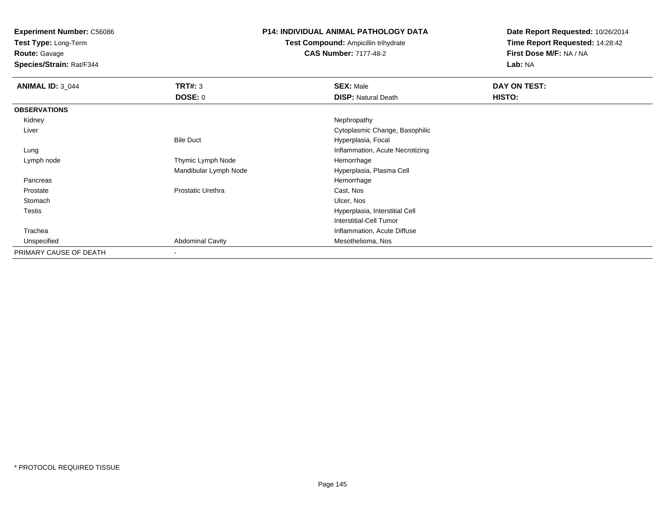**Test Type:** Long-Term

**Route:** Gavage

**Species/Strain:** Rat/F344

## **P14: INDIVIDUAL ANIMAL PATHOLOGY DATA**

**Test Compound:** Ampicillin trihydrate**CAS Number:** 7177-48-2

**Date Report Requested:** 10/26/2014 **Time Report Requested:** 14:28:42**First Dose M/F:** NA / NA**Lab:** NA

| <b>ANIMAL ID: 3_044</b> | TRT#: 3                 | <b>SEX: Male</b>                | DAY ON TEST: |
|-------------------------|-------------------------|---------------------------------|--------------|
|                         | DOSE: 0                 | <b>DISP: Natural Death</b>      | HISTO:       |
| <b>OBSERVATIONS</b>     |                         |                                 |              |
| Kidney                  |                         | Nephropathy                     |              |
| Liver                   |                         | Cytoplasmic Change, Basophilic  |              |
|                         | <b>Bile Duct</b>        | Hyperplasia, Focal              |              |
| Lung                    |                         | Inflammation, Acute Necrotizing |              |
| Lymph node              | Thymic Lymph Node       | Hemorrhage                      |              |
|                         | Mandibular Lymph Node   | Hyperplasia, Plasma Cell        |              |
| Pancreas                |                         | Hemorrhage                      |              |
| Prostate                | Prostatic Urethra       | Cast, Nos                       |              |
| Stomach                 |                         | Ulcer, Nos                      |              |
| <b>Testis</b>           |                         | Hyperplasia, Interstitial Cell  |              |
|                         |                         | Interstitial-Cell Tumor         |              |
| Trachea                 |                         | Inflammation, Acute Diffuse     |              |
| Unspecified             | <b>Abdominal Cavity</b> | Mesothelioma, Nos               |              |
| PRIMARY CAUSE OF DEATH  |                         |                                 |              |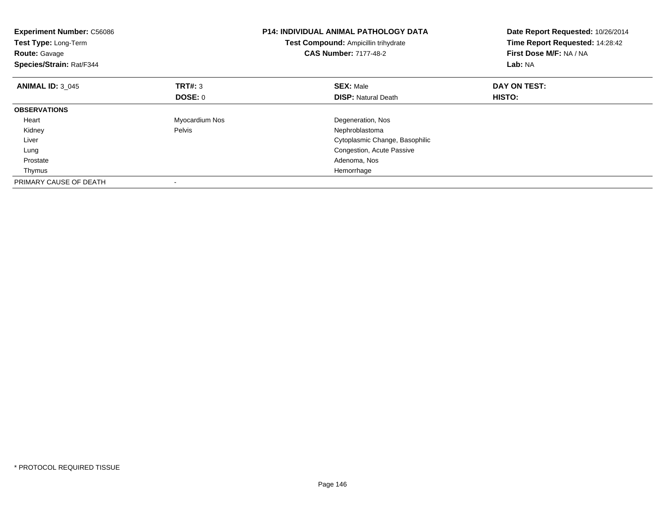| <b>Experiment Number: C56086</b><br>Test Type: Long-Term<br><b>Route: Gavage</b><br>Species/Strain: Rat/F344 | <b>P14: INDIVIDUAL ANIMAL PATHOLOGY DATA</b><br>Test Compound: Ampicillin trihydrate<br><b>CAS Number: 7177-48-2</b> |                                | Date Report Requested: 10/26/2014<br>Time Report Requested: 14:28:42<br>First Dose M/F: NA / NA<br>Lab: NA |
|--------------------------------------------------------------------------------------------------------------|----------------------------------------------------------------------------------------------------------------------|--------------------------------|------------------------------------------------------------------------------------------------------------|
| <b>ANIMAL ID: 3 045</b>                                                                                      | <b>TRT#: 3</b>                                                                                                       | <b>SEX: Male</b>               | DAY ON TEST:                                                                                               |
|                                                                                                              | DOSE: 0                                                                                                              | <b>DISP:</b> Natural Death     | HISTO:                                                                                                     |
| <b>OBSERVATIONS</b>                                                                                          |                                                                                                                      |                                |                                                                                                            |
| Heart                                                                                                        | Myocardium Nos                                                                                                       | Degeneration, Nos              |                                                                                                            |
| Kidney                                                                                                       | Pelvis                                                                                                               | Nephroblastoma                 |                                                                                                            |
| Liver                                                                                                        |                                                                                                                      | Cytoplasmic Change, Basophilic |                                                                                                            |
| Lung                                                                                                         |                                                                                                                      | Congestion, Acute Passive      |                                                                                                            |
| Prostate                                                                                                     |                                                                                                                      | Adenoma, Nos                   |                                                                                                            |
| Thymus                                                                                                       |                                                                                                                      | Hemorrhage                     |                                                                                                            |
| PRIMARY CAUSE OF DEATH                                                                                       |                                                                                                                      |                                |                                                                                                            |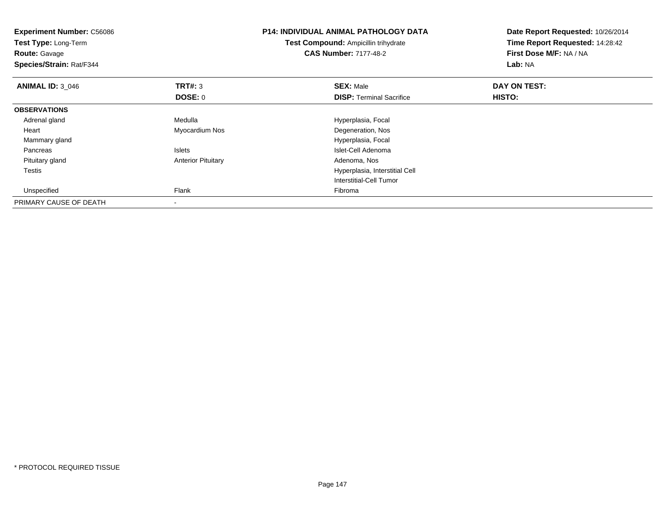| <b>Experiment Number: C56086</b><br>Test Type: Long-Term<br><b>Route: Gavage</b><br>Species/Strain: Rat/F344 |                           | <b>P14: INDIVIDUAL ANIMAL PATHOLOGY DATA</b><br><b>Test Compound: Ampicillin trihydrate</b><br><b>CAS Number: 7177-48-2</b> | Date Report Requested: 10/26/2014<br>Time Report Requested: 14:28:42<br>First Dose M/F: NA / NA<br><b>Lab: NA</b> |  |
|--------------------------------------------------------------------------------------------------------------|---------------------------|-----------------------------------------------------------------------------------------------------------------------------|-------------------------------------------------------------------------------------------------------------------|--|
| <b>ANIMAL ID: 3 046</b>                                                                                      | TRT#: 3                   | <b>SEX: Male</b>                                                                                                            | DAY ON TEST:                                                                                                      |  |
|                                                                                                              | DOSE: 0                   | <b>DISP:</b> Terminal Sacrifice                                                                                             | HISTO:                                                                                                            |  |
| <b>OBSERVATIONS</b>                                                                                          |                           |                                                                                                                             |                                                                                                                   |  |
| Adrenal gland                                                                                                | Medulla                   | Hyperplasia, Focal                                                                                                          |                                                                                                                   |  |
| Heart                                                                                                        | Myocardium Nos            | Degeneration, Nos                                                                                                           |                                                                                                                   |  |
| Mammary gland                                                                                                |                           | Hyperplasia, Focal                                                                                                          |                                                                                                                   |  |
| Pancreas                                                                                                     | <b>Islets</b>             | Islet-Cell Adenoma                                                                                                          |                                                                                                                   |  |
| Pituitary gland                                                                                              | <b>Anterior Pituitary</b> | Adenoma, Nos                                                                                                                |                                                                                                                   |  |
| <b>Testis</b>                                                                                                |                           | Hyperplasia, Interstitial Cell                                                                                              |                                                                                                                   |  |
|                                                                                                              |                           | Interstitial-Cell Tumor                                                                                                     |                                                                                                                   |  |
| Unspecified                                                                                                  | Flank                     | Fibroma                                                                                                                     |                                                                                                                   |  |
| PRIMARY CAUSE OF DEATH                                                                                       |                           |                                                                                                                             |                                                                                                                   |  |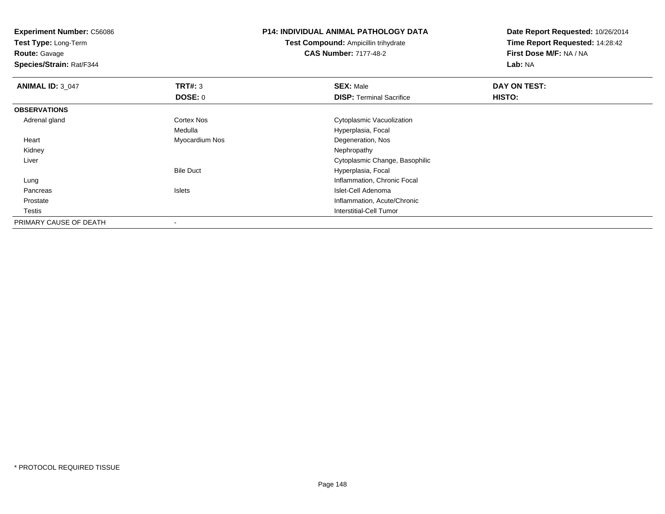**Test Type:** Long-Term

# **Route:** Gavage

**Species/Strain:** Rat/F344

#### **P14: INDIVIDUAL ANIMAL PATHOLOGY DATA**

**Test Compound:** Ampicillin trihydrate**CAS Number:** 7177-48-2

**Date Report Requested:** 10/26/2014 **Time Report Requested:** 14:28:42**First Dose M/F:** NA / NA**Lab:** NA

| <b>ANIMAL ID: 3_047</b> | TRT#: 3           | <b>SEX: Male</b>                | DAY ON TEST: |  |
|-------------------------|-------------------|---------------------------------|--------------|--|
|                         | <b>DOSE: 0</b>    | <b>DISP: Terminal Sacrifice</b> | HISTO:       |  |
| <b>OBSERVATIONS</b>     |                   |                                 |              |  |
| Adrenal gland           | <b>Cortex Nos</b> | Cytoplasmic Vacuolization       |              |  |
|                         | Medulla           | Hyperplasia, Focal              |              |  |
| Heart                   | Myocardium Nos    | Degeneration, Nos               |              |  |
| Kidney                  |                   | Nephropathy                     |              |  |
| Liver                   |                   | Cytoplasmic Change, Basophilic  |              |  |
|                         | <b>Bile Duct</b>  | Hyperplasia, Focal              |              |  |
| Lung                    |                   | Inflammation, Chronic Focal     |              |  |
| Pancreas                | <b>Islets</b>     | Islet-Cell Adenoma              |              |  |
| Prostate                |                   | Inflammation, Acute/Chronic     |              |  |
| Testis                  |                   | Interstitial-Cell Tumor         |              |  |
| PRIMARY CAUSE OF DEATH  |                   |                                 |              |  |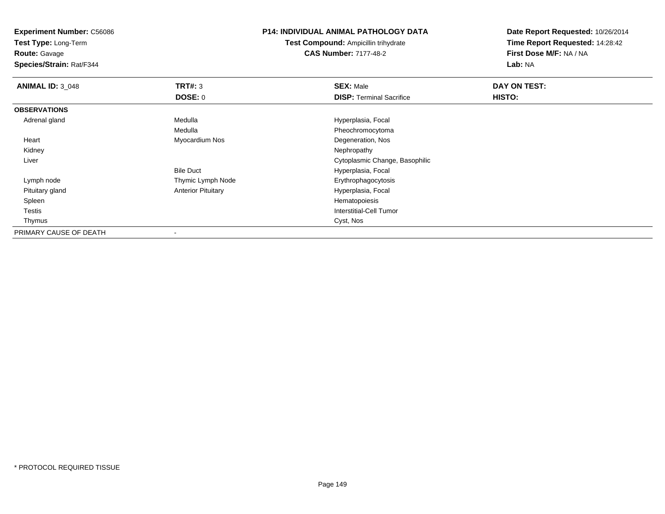**Test Type:** Long-Term

**Route:** Gavage

**Species/Strain:** Rat/F344

#### **P14: INDIVIDUAL ANIMAL PATHOLOGY DATA**

**Test Compound:** Ampicillin trihydrate**CAS Number:** 7177-48-2

**Date Report Requested:** 10/26/2014 **Time Report Requested:** 14:28:42**First Dose M/F:** NA / NA**Lab:** NA

| <b>ANIMAL ID: 3_048</b> | TRT#: 3                   | <b>SEX: Male</b>                | DAY ON TEST: |  |
|-------------------------|---------------------------|---------------------------------|--------------|--|
|                         | <b>DOSE: 0</b>            | <b>DISP: Terminal Sacrifice</b> | HISTO:       |  |
| <b>OBSERVATIONS</b>     |                           |                                 |              |  |
| Adrenal gland           | Medulla                   | Hyperplasia, Focal              |              |  |
|                         | Medulla                   | Pheochromocytoma                |              |  |
| Heart                   | Myocardium Nos            | Degeneration, Nos               |              |  |
| Kidney                  |                           | Nephropathy                     |              |  |
| Liver                   |                           | Cytoplasmic Change, Basophilic  |              |  |
|                         | <b>Bile Duct</b>          | Hyperplasia, Focal              |              |  |
| Lymph node              | Thymic Lymph Node         | Erythrophagocytosis             |              |  |
| Pituitary gland         | <b>Anterior Pituitary</b> | Hyperplasia, Focal              |              |  |
| Spleen                  |                           | Hematopoiesis                   |              |  |
| Testis                  |                           | <b>Interstitial-Cell Tumor</b>  |              |  |
| Thymus                  |                           | Cyst, Nos                       |              |  |
| PRIMARY CAUSE OF DEATH  |                           |                                 |              |  |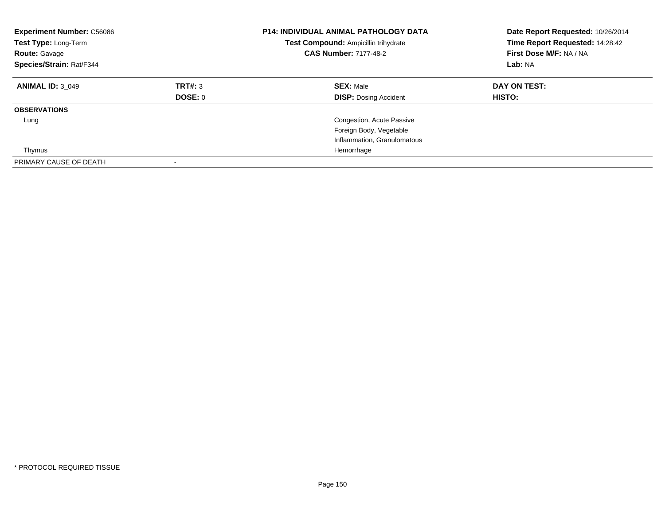| <b>Experiment Number: C56086</b><br>Test Type: Long-Term<br><b>Route: Gavage</b><br>Species/Strain: Rat/F344 |         | <b>P14: INDIVIDUAL ANIMAL PATHOLOGY DATA</b><br>Test Compound: Ampicillin trihydrate<br><b>CAS Number: 7177-48-2</b> | Date Report Requested: 10/26/2014<br>Time Report Requested: 14:28:42<br>First Dose M/F: NA / NA<br>Lab: NA |  |
|--------------------------------------------------------------------------------------------------------------|---------|----------------------------------------------------------------------------------------------------------------------|------------------------------------------------------------------------------------------------------------|--|
| <b>ANIMAL ID: 3 049</b>                                                                                      | TRT#: 3 | <b>SEX: Male</b>                                                                                                     | DAY ON TEST:                                                                                               |  |
|                                                                                                              | DOSE: 0 | <b>DISP:</b> Dosing Accident                                                                                         | <b>HISTO:</b>                                                                                              |  |
| <b>OBSERVATIONS</b>                                                                                          |         |                                                                                                                      |                                                                                                            |  |
| Lung                                                                                                         |         | Congestion, Acute Passive                                                                                            |                                                                                                            |  |
|                                                                                                              |         | Foreign Body, Vegetable                                                                                              |                                                                                                            |  |
|                                                                                                              |         | Inflammation, Granulomatous                                                                                          |                                                                                                            |  |
| Thymus                                                                                                       |         | Hemorrhage                                                                                                           |                                                                                                            |  |
| PRIMARY CAUSE OF DEATH                                                                                       |         |                                                                                                                      |                                                                                                            |  |